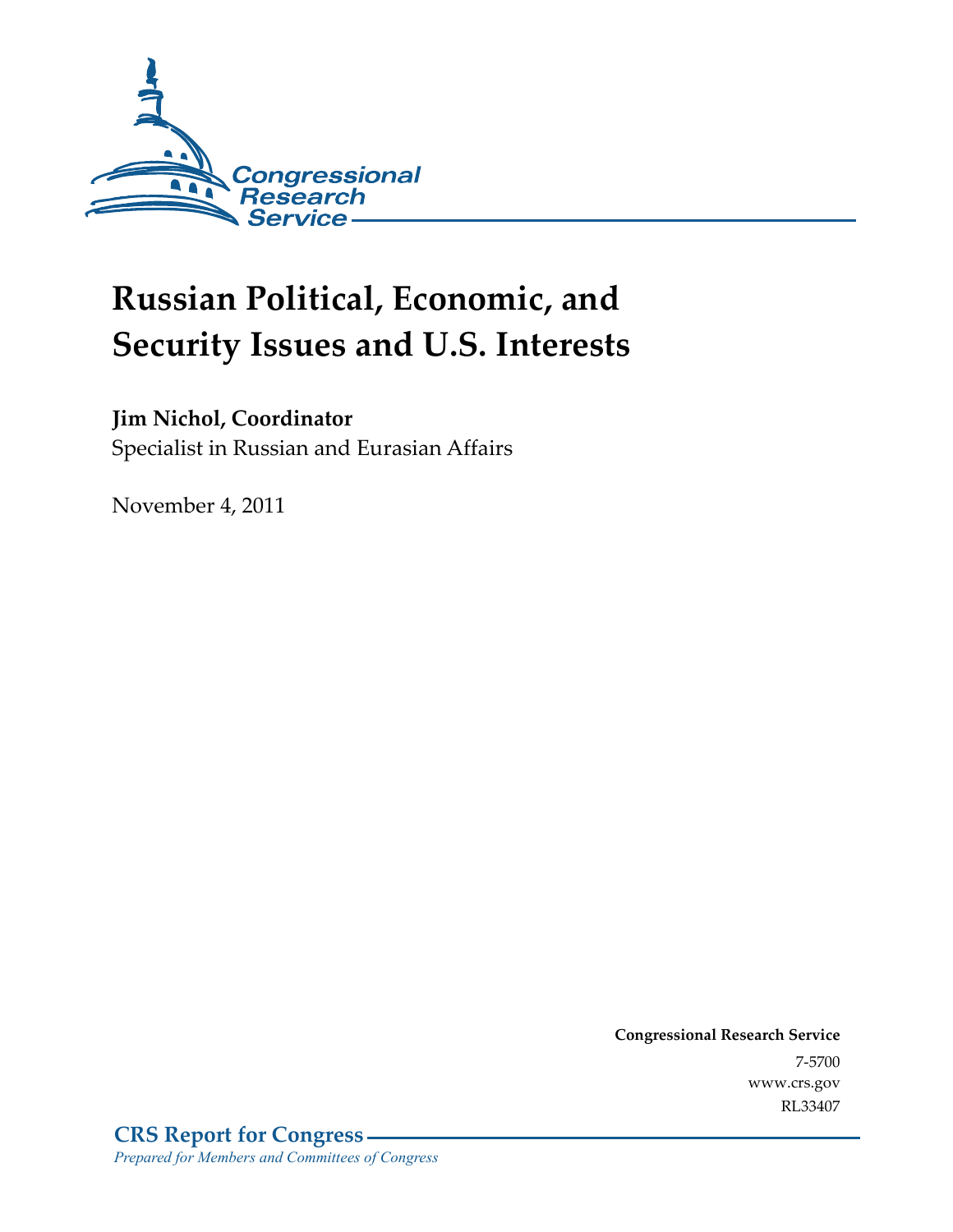

# **Russian Political, Economic, and Security Issues and U.S. Interests**

**Jim Nichol, Coordinator** 

Specialist in Russian and Eurasian Affairs

November 4, 2011

**Congressional Research Service**  7-5700 www.crs.gov RL33407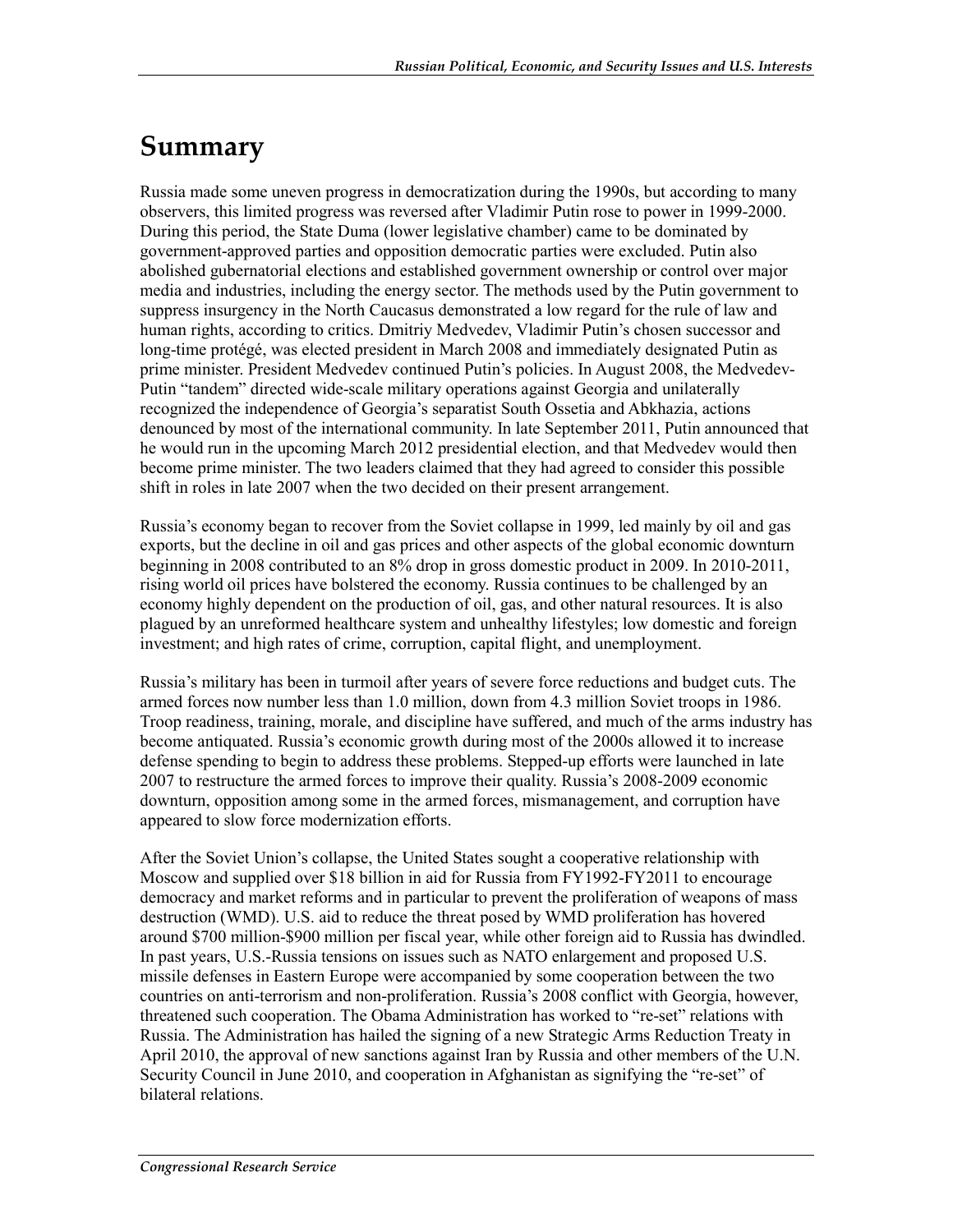## **Summary**

Russia made some uneven progress in democratization during the 1990s, but according to many observers, this limited progress was reversed after Vladimir Putin rose to power in 1999-2000. During this period, the State Duma (lower legislative chamber) came to be dominated by government-approved parties and opposition democratic parties were excluded. Putin also abolished gubernatorial elections and established government ownership or control over major media and industries, including the energy sector. The methods used by the Putin government to suppress insurgency in the North Caucasus demonstrated a low regard for the rule of law and human rights, according to critics. Dmitriy Medvedev, Vladimir Putin's chosen successor and long-time protégé, was elected president in March 2008 and immediately designated Putin as prime minister. President Medvedev continued Putin's policies. In August 2008, the Medvedev-Putin "tandem" directed wide-scale military operations against Georgia and unilaterally recognized the independence of Georgia's separatist South Ossetia and Abkhazia, actions denounced by most of the international community. In late September 2011, Putin announced that he would run in the upcoming March 2012 presidential election, and that Medvedev would then become prime minister. The two leaders claimed that they had agreed to consider this possible shift in roles in late 2007 when the two decided on their present arrangement.

Russia's economy began to recover from the Soviet collapse in 1999, led mainly by oil and gas exports, but the decline in oil and gas prices and other aspects of the global economic downturn beginning in 2008 contributed to an 8% drop in gross domestic product in 2009. In 2010-2011, rising world oil prices have bolstered the economy. Russia continues to be challenged by an economy highly dependent on the production of oil, gas, and other natural resources. It is also plagued by an unreformed healthcare system and unhealthy lifestyles; low domestic and foreign investment; and high rates of crime, corruption, capital flight, and unemployment.

Russia's military has been in turmoil after years of severe force reductions and budget cuts. The armed forces now number less than 1.0 million, down from 4.3 million Soviet troops in 1986. Troop readiness, training, morale, and discipline have suffered, and much of the arms industry has become antiquated. Russia's economic growth during most of the 2000s allowed it to increase defense spending to begin to address these problems. Stepped-up efforts were launched in late 2007 to restructure the armed forces to improve their quality. Russia's 2008-2009 economic downturn, opposition among some in the armed forces, mismanagement, and corruption have appeared to slow force modernization efforts.

After the Soviet Union's collapse, the United States sought a cooperative relationship with Moscow and supplied over \$18 billion in aid for Russia from FY1992-FY2011 to encourage democracy and market reforms and in particular to prevent the proliferation of weapons of mass destruction (WMD). U.S. aid to reduce the threat posed by WMD proliferation has hovered around \$700 million-\$900 million per fiscal year, while other foreign aid to Russia has dwindled. In past years, U.S.-Russia tensions on issues such as NATO enlargement and proposed U.S. missile defenses in Eastern Europe were accompanied by some cooperation between the two countries on anti-terrorism and non-proliferation. Russia's 2008 conflict with Georgia, however, threatened such cooperation. The Obama Administration has worked to "re-set" relations with Russia. The Administration has hailed the signing of a new Strategic Arms Reduction Treaty in April 2010, the approval of new sanctions against Iran by Russia and other members of the U.N. Security Council in June 2010, and cooperation in Afghanistan as signifying the "re-set" of bilateral relations.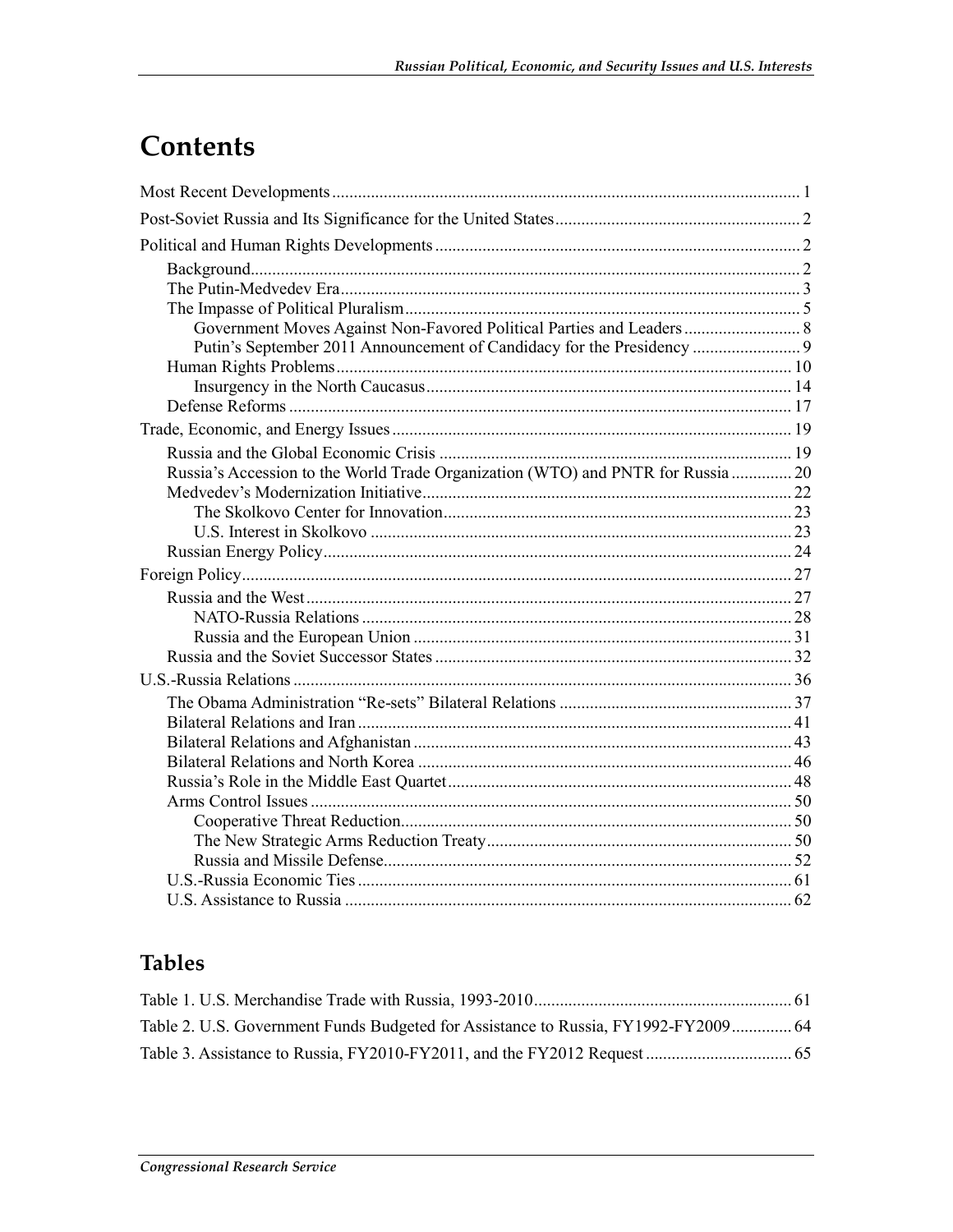## Contents

| Government Moves Against Non-Favored Political Parties and Leaders  8            |  |
|----------------------------------------------------------------------------------|--|
|                                                                                  |  |
|                                                                                  |  |
|                                                                                  |  |
|                                                                                  |  |
|                                                                                  |  |
|                                                                                  |  |
| Russia's Accession to the World Trade Organization (WTO) and PNTR for Russia  20 |  |
|                                                                                  |  |
|                                                                                  |  |
|                                                                                  |  |
|                                                                                  |  |
|                                                                                  |  |
|                                                                                  |  |
|                                                                                  |  |
|                                                                                  |  |
|                                                                                  |  |
|                                                                                  |  |
|                                                                                  |  |
|                                                                                  |  |
|                                                                                  |  |
|                                                                                  |  |
|                                                                                  |  |
|                                                                                  |  |
|                                                                                  |  |
|                                                                                  |  |
|                                                                                  |  |
|                                                                                  |  |
|                                                                                  |  |

## **Tables**

| Table 2. U.S. Government Funds Budgeted for Assistance to Russia, FY1992-FY2009 64 |  |
|------------------------------------------------------------------------------------|--|
|                                                                                    |  |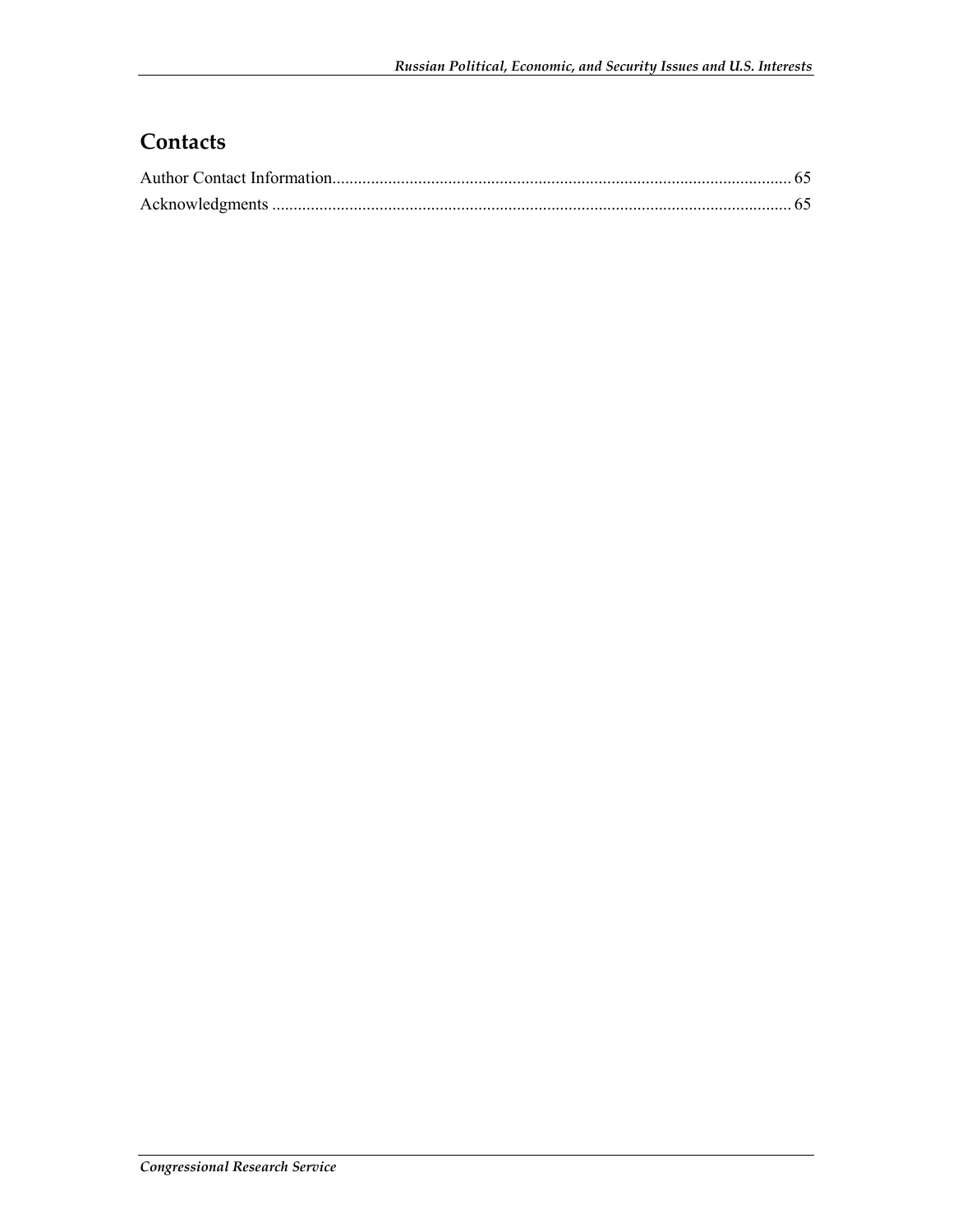## **Contacts**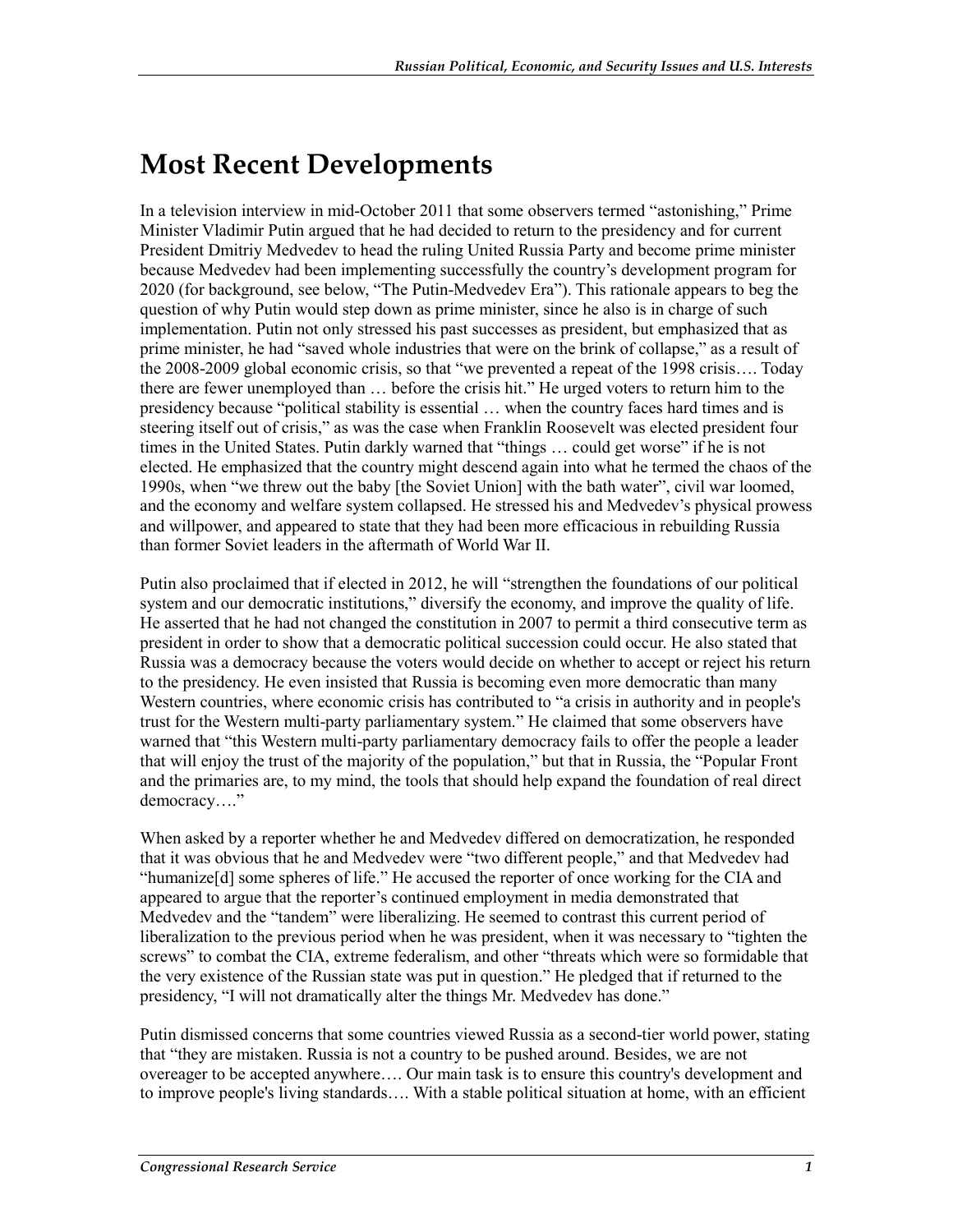## **Most Recent Developments**

In a television interview in mid-October 2011 that some observers termed "astonishing," Prime Minister Vladimir Putin argued that he had decided to return to the presidency and for current President Dmitriy Medvedev to head the ruling United Russia Party and become prime minister because Medvedev had been implementing successfully the country's development program for 2020 (for background, see below, "The Putin-Medvedev Era"). This rationale appears to beg the question of why Putin would step down as prime minister, since he also is in charge of such implementation. Putin not only stressed his past successes as president, but emphasized that as prime minister, he had "saved whole industries that were on the brink of collapse," as a result of the 2008-2009 global economic crisis, so that "we prevented a repeat of the 1998 crisis…. Today there are fewer unemployed than … before the crisis hit." He urged voters to return him to the presidency because "political stability is essential … when the country faces hard times and is steering itself out of crisis," as was the case when Franklin Roosevelt was elected president four times in the United States. Putin darkly warned that "things … could get worse" if he is not elected. He emphasized that the country might descend again into what he termed the chaos of the 1990s, when "we threw out the baby [the Soviet Union] with the bath water", civil war loomed, and the economy and welfare system collapsed. He stressed his and Medvedev's physical prowess and willpower, and appeared to state that they had been more efficacious in rebuilding Russia than former Soviet leaders in the aftermath of World War II.

Putin also proclaimed that if elected in 2012, he will "strengthen the foundations of our political system and our democratic institutions," diversify the economy, and improve the quality of life. He asserted that he had not changed the constitution in 2007 to permit a third consecutive term as president in order to show that a democratic political succession could occur. He also stated that Russia was a democracy because the voters would decide on whether to accept or reject his return to the presidency. He even insisted that Russia is becoming even more democratic than many Western countries, where economic crisis has contributed to "a crisis in authority and in people's trust for the Western multi-party parliamentary system." He claimed that some observers have warned that "this Western multi-party parliamentary democracy fails to offer the people a leader that will enjoy the trust of the majority of the population," but that in Russia, the "Popular Front and the primaries are, to my mind, the tools that should help expand the foundation of real direct democracy…."

When asked by a reporter whether he and Medvedev differed on democratization, he responded that it was obvious that he and Medvedev were "two different people," and that Medvedev had "humanize[d] some spheres of life." He accused the reporter of once working for the CIA and appeared to argue that the reporter's continued employment in media demonstrated that Medvedev and the "tandem" were liberalizing. He seemed to contrast this current period of liberalization to the previous period when he was president, when it was necessary to "tighten the screws" to combat the CIA, extreme federalism, and other "threats which were so formidable that the very existence of the Russian state was put in question." He pledged that if returned to the presidency, "I will not dramatically alter the things Mr. Medvedev has done."

Putin dismissed concerns that some countries viewed Russia as a second-tier world power, stating that "they are mistaken. Russia is not a country to be pushed around. Besides, we are not overeager to be accepted anywhere…. Our main task is to ensure this country's development and to improve people's living standards…. With a stable political situation at home, with an efficient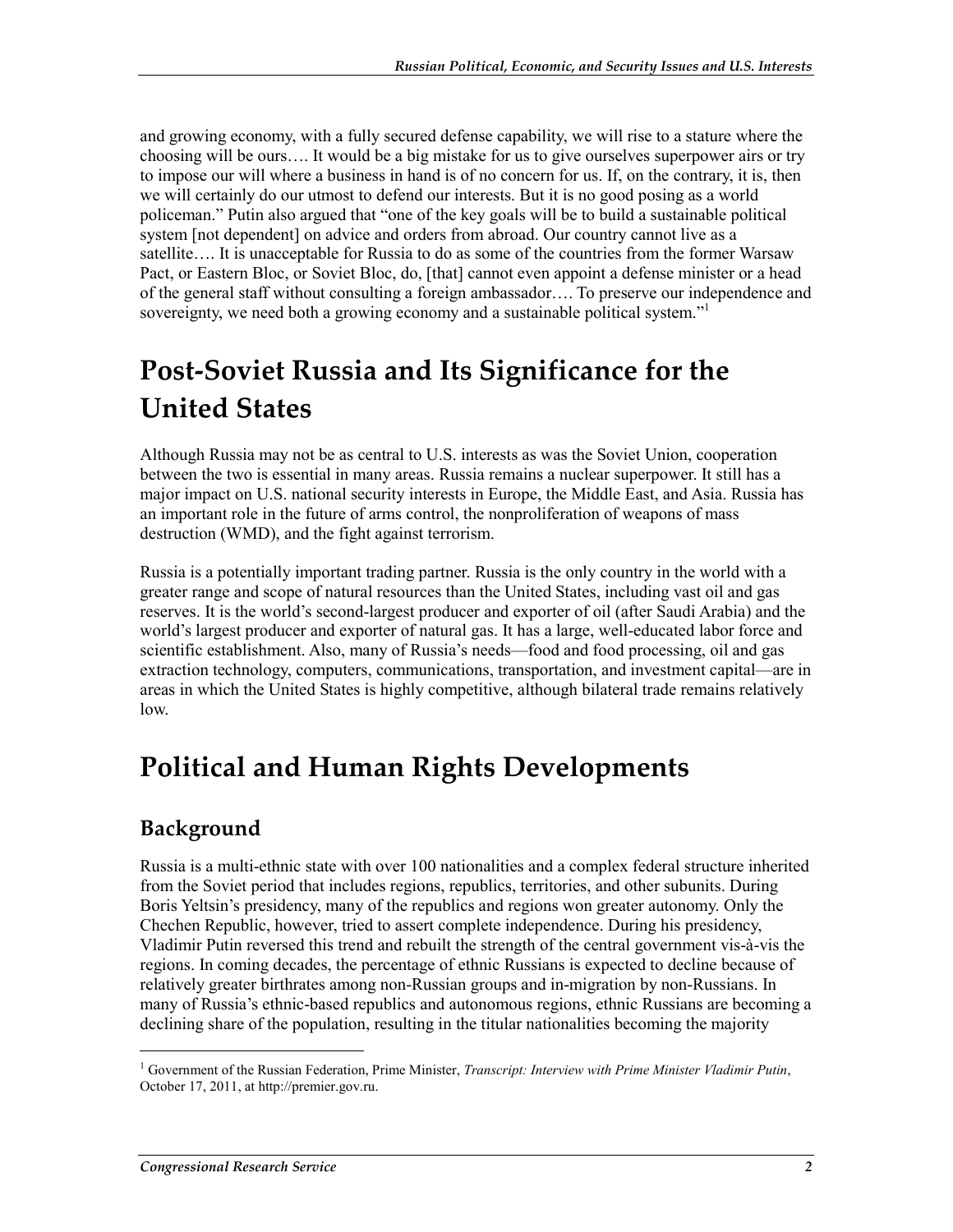and growing economy, with a fully secured defense capability, we will rise to a stature where the choosing will be ours…. It would be a big mistake for us to give ourselves superpower airs or try to impose our will where a business in hand is of no concern for us. If, on the contrary, it is, then we will certainly do our utmost to defend our interests. But it is no good posing as a world policeman." Putin also argued that "one of the key goals will be to build a sustainable political system [not dependent] on advice and orders from abroad. Our country cannot live as a satellite…. It is unacceptable for Russia to do as some of the countries from the former Warsaw Pact, or Eastern Bloc, or Soviet Bloc, do, [that] cannot even appoint a defense minister or a head of the general staff without consulting a foreign ambassador…. To preserve our independence and sovereignty, we need both a growing economy and a sustainable political system."<sup>1</sup>

## **Post-Soviet Russia and Its Significance for the United States**

Although Russia may not be as central to U.S. interests as was the Soviet Union, cooperation between the two is essential in many areas. Russia remains a nuclear superpower. It still has a major impact on U.S. national security interests in Europe, the Middle East, and Asia. Russia has an important role in the future of arms control, the nonproliferation of weapons of mass destruction (WMD), and the fight against terrorism.

Russia is a potentially important trading partner. Russia is the only country in the world with a greater range and scope of natural resources than the United States, including vast oil and gas reserves. It is the world's second-largest producer and exporter of oil (after Saudi Arabia) and the world's largest producer and exporter of natural gas. It has a large, well-educated labor force and scientific establishment. Also, many of Russia's needs—food and food processing, oil and gas extraction technology, computers, communications, transportation, and investment capital—are in areas in which the United States is highly competitive, although bilateral trade remains relatively low.

## **Political and Human Rights Developments**

## **Background**

1

Russia is a multi-ethnic state with over 100 nationalities and a complex federal structure inherited from the Soviet period that includes regions, republics, territories, and other subunits. During Boris Yeltsin's presidency, many of the republics and regions won greater autonomy. Only the Chechen Republic, however, tried to assert complete independence. During his presidency, Vladimir Putin reversed this trend and rebuilt the strength of the central government vis-à-vis the regions. In coming decades, the percentage of ethnic Russians is expected to decline because of relatively greater birthrates among non-Russian groups and in-migration by non-Russians. In many of Russia's ethnic-based republics and autonomous regions, ethnic Russians are becoming a declining share of the population, resulting in the titular nationalities becoming the majority

<sup>1</sup> Government of the Russian Federation, Prime Minister, *Transcript: Interview with Prime Minister Vladimir Putin*, October 17, 2011, at http://premier.gov.ru.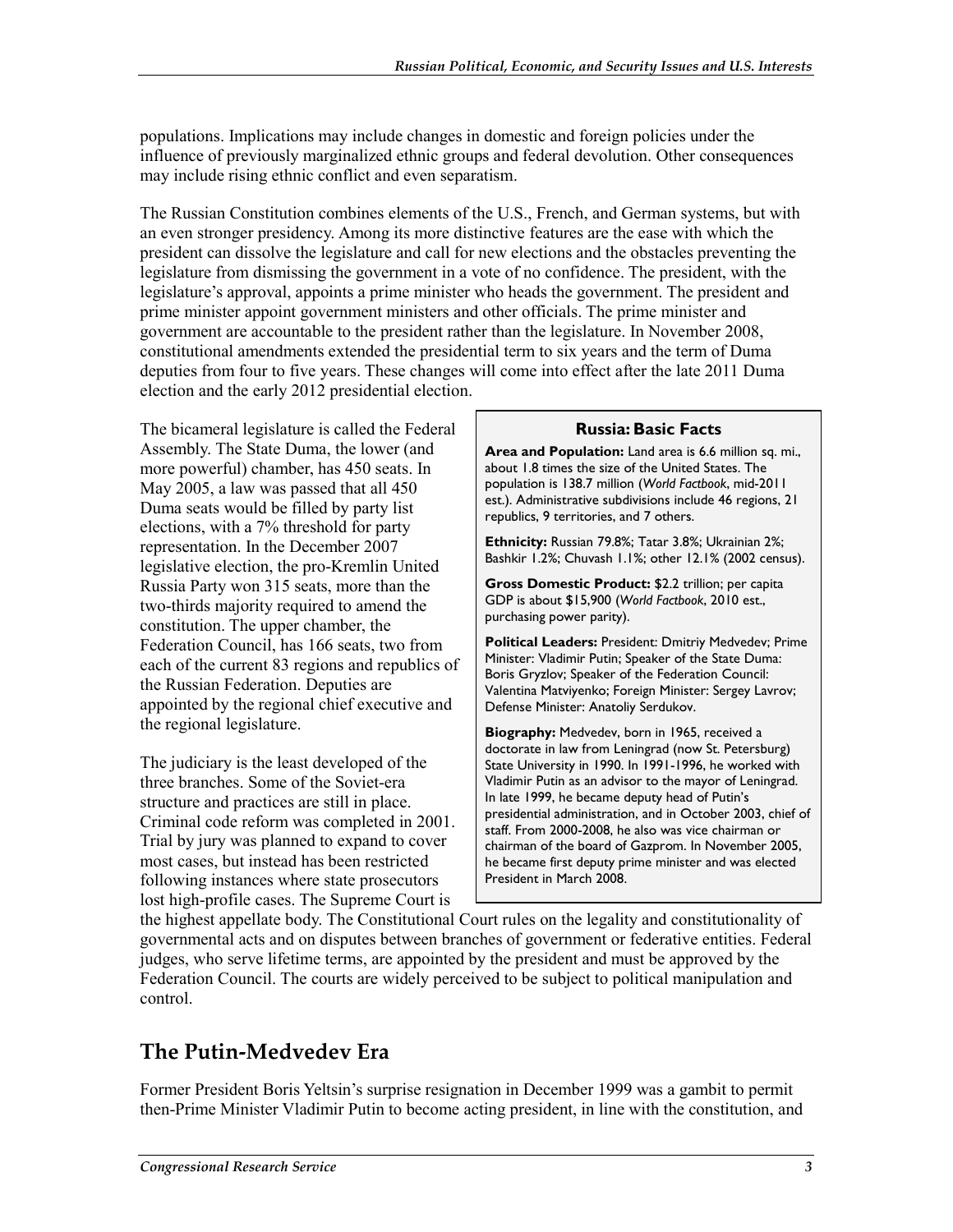populations. Implications may include changes in domestic and foreign policies under the influence of previously marginalized ethnic groups and federal devolution. Other consequences may include rising ethnic conflict and even separatism.

The Russian Constitution combines elements of the U.S., French, and German systems, but with an even stronger presidency. Among its more distinctive features are the ease with which the president can dissolve the legislature and call for new elections and the obstacles preventing the legislature from dismissing the government in a vote of no confidence. The president, with the legislature's approval, appoints a prime minister who heads the government. The president and prime minister appoint government ministers and other officials. The prime minister and government are accountable to the president rather than the legislature. In November 2008, constitutional amendments extended the presidential term to six years and the term of Duma deputies from four to five years. These changes will come into effect after the late 2011 Duma election and the early 2012 presidential election.

The bicameral legislature is called the Federal Assembly. The State Duma, the lower (and more powerful) chamber, has 450 seats. In May 2005, a law was passed that all 450 Duma seats would be filled by party list elections, with a 7% threshold for party representation. In the December 2007 legislative election, the pro-Kremlin United Russia Party won 315 seats, more than the two-thirds majority required to amend the constitution. The upper chamber, the Federation Council, has 166 seats, two from each of the current 83 regions and republics of the Russian Federation. Deputies are appointed by the regional chief executive and the regional legislature.

The judiciary is the least developed of the three branches. Some of the Soviet-era structure and practices are still in place. Criminal code reform was completed in 2001. Trial by jury was planned to expand to cover most cases, but instead has been restricted following instances where state prosecutors lost high-profile cases. The Supreme Court is

#### **Russia: Basic Facts**

**Area and Population:** Land area is 6.6 million sq. mi., about 1.8 times the size of the United States. The population is 138.7 million (*World Factbook*, mid-2011 est.). Administrative subdivisions include 46 regions, 21 republics, 9 territories, and 7 others.

**Ethnicity:** Russian 79.8%; Tatar 3.8%; Ukrainian 2%; Bashkir 1.2%; Chuvash 1.1%; other 12.1% (2002 census).

**Gross Domestic Product:** \$2.2 trillion; per capita GDP is about \$15,900 (*World Factbook*, 2010 est., purchasing power parity).

**Political Leaders:** President: Dmitriy Medvedev; Prime Minister: Vladimir Putin; Speaker of the State Duma: Boris Gryzlov; Speaker of the Federation Council: Valentina Matviyenko; Foreign Minister: Sergey Lavrov; Defense Minister: Anatoliy Serdukov.

**Biography:** Medvedev, born in 1965, received a doctorate in law from Leningrad (now St. Petersburg) State University in 1990. In 1991-1996, he worked with Vladimir Putin as an advisor to the mayor of Leningrad. In late 1999, he became deputy head of Putin's presidential administration, and in October 2003, chief of staff. From 2000-2008, he also was vice chairman or chairman of the board of Gazprom. In November 2005, he became first deputy prime minister and was elected President in March 2008.

the highest appellate body. The Constitutional Court rules on the legality and constitutionality of governmental acts and on disputes between branches of government or federative entities. Federal judges, who serve lifetime terms, are appointed by the president and must be approved by the Federation Council. The courts are widely perceived to be subject to political manipulation and control.

## **The Putin-Medvedev Era**

Former President Boris Yeltsin's surprise resignation in December 1999 was a gambit to permit then-Prime Minister Vladimir Putin to become acting president, in line with the constitution, and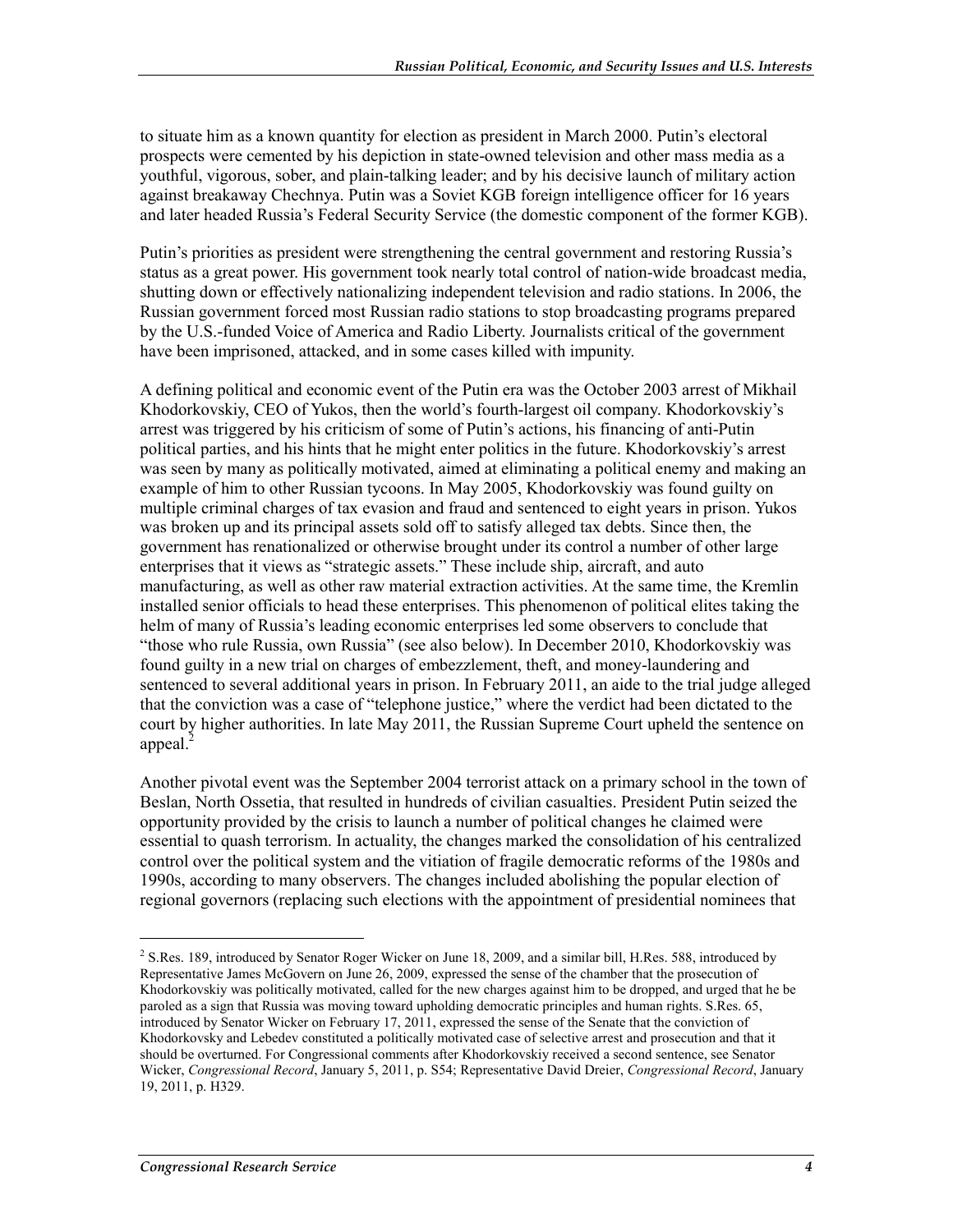to situate him as a known quantity for election as president in March 2000. Putin's electoral prospects were cemented by his depiction in state-owned television and other mass media as a youthful, vigorous, sober, and plain-talking leader; and by his decisive launch of military action against breakaway Chechnya. Putin was a Soviet KGB foreign intelligence officer for 16 years and later headed Russia's Federal Security Service (the domestic component of the former KGB).

Putin's priorities as president were strengthening the central government and restoring Russia's status as a great power. His government took nearly total control of nation-wide broadcast media, shutting down or effectively nationalizing independent television and radio stations. In 2006, the Russian government forced most Russian radio stations to stop broadcasting programs prepared by the U.S.-funded Voice of America and Radio Liberty. Journalists critical of the government have been imprisoned, attacked, and in some cases killed with impunity.

A defining political and economic event of the Putin era was the October 2003 arrest of Mikhail Khodorkovskiy, CEO of Yukos, then the world's fourth-largest oil company. Khodorkovskiy's arrest was triggered by his criticism of some of Putin's actions, his financing of anti-Putin political parties, and his hints that he might enter politics in the future. Khodorkovskiy's arrest was seen by many as politically motivated, aimed at eliminating a political enemy and making an example of him to other Russian tycoons. In May 2005, Khodorkovskiy was found guilty on multiple criminal charges of tax evasion and fraud and sentenced to eight years in prison. Yukos was broken up and its principal assets sold off to satisfy alleged tax debts. Since then, the government has renationalized or otherwise brought under its control a number of other large enterprises that it views as "strategic assets." These include ship, aircraft, and auto manufacturing, as well as other raw material extraction activities. At the same time, the Kremlin installed senior officials to head these enterprises. This phenomenon of political elites taking the helm of many of Russia's leading economic enterprises led some observers to conclude that "those who rule Russia, own Russia" (see also below). In December 2010, Khodorkovskiy was found guilty in a new trial on charges of embezzlement, theft, and money-laundering and sentenced to several additional years in prison. In February 2011, an aide to the trial judge alleged that the conviction was a case of "telephone justice," where the verdict had been dictated to the court by higher authorities. In late May 2011, the Russian Supreme Court upheld the sentence on appeal. $^{2}$ 

Another pivotal event was the September 2004 terrorist attack on a primary school in the town of Beslan, North Ossetia, that resulted in hundreds of civilian casualties. President Putin seized the opportunity provided by the crisis to launch a number of political changes he claimed were essential to quash terrorism. In actuality, the changes marked the consolidation of his centralized control over the political system and the vitiation of fragile democratic reforms of the 1980s and 1990s, according to many observers. The changes included abolishing the popular election of regional governors (replacing such elections with the appointment of presidential nominees that

 $\overline{a}$ 

<sup>&</sup>lt;sup>2</sup> S.Res. 189, introduced by Senator Roger Wicker on June 18, 2009, and a similar bill, H.Res. 588, introduced by Representative James McGovern on June 26, 2009, expressed the sense of the chamber that the prosecution of Khodorkovskiy was politically motivated, called for the new charges against him to be dropped, and urged that he be paroled as a sign that Russia was moving toward upholding democratic principles and human rights. S.Res. 65, introduced by Senator Wicker on February 17, 2011, expressed the sense of the Senate that the conviction of Khodorkovsky and Lebedev constituted a politically motivated case of selective arrest and prosecution and that it should be overturned. For Congressional comments after Khodorkovskiy received a second sentence, see Senator Wicker, *Congressional Record*, January 5, 2011, p. S54; Representative David Dreier, *Congressional Record*, January 19, 2011, p. H329.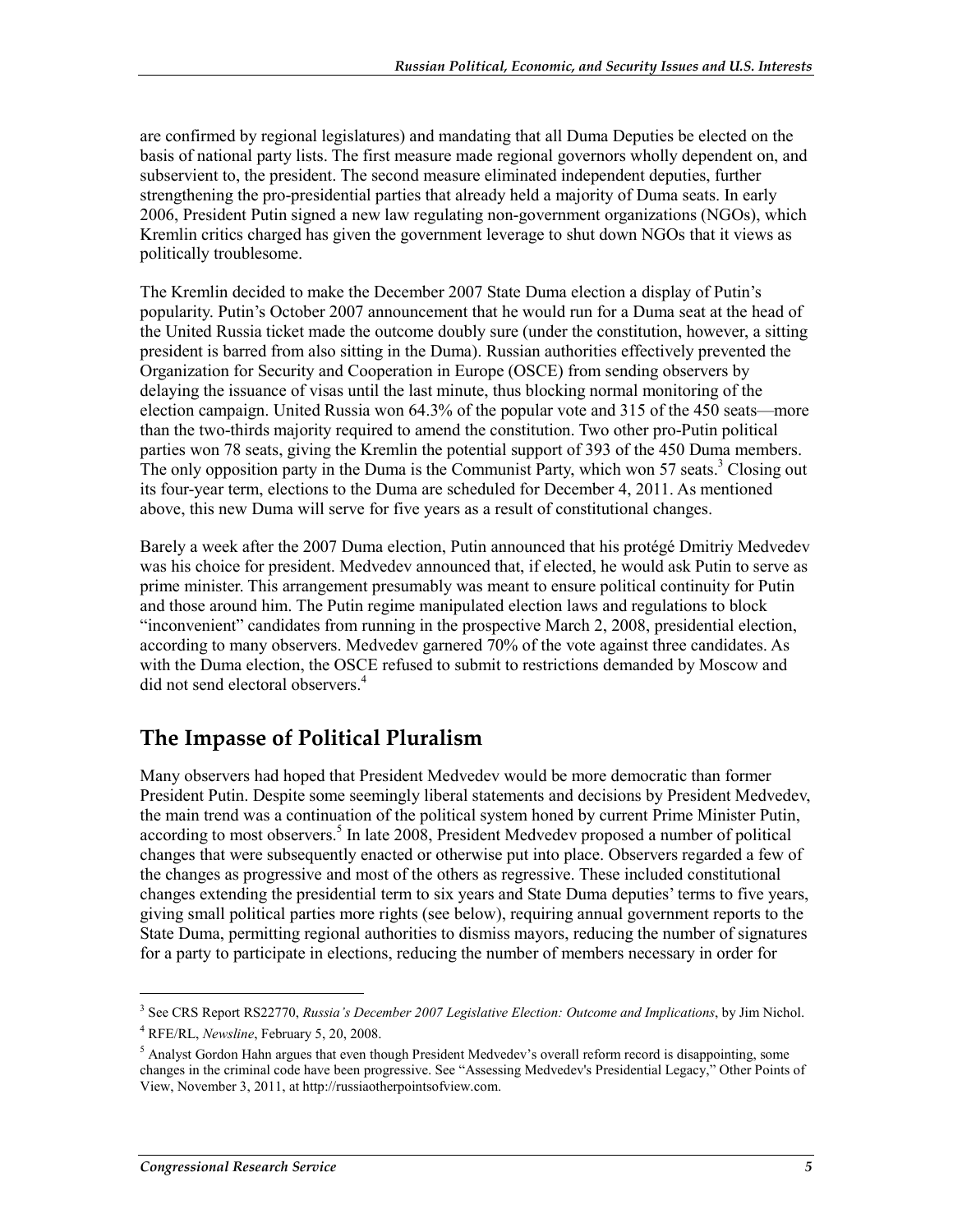are confirmed by regional legislatures) and mandating that all Duma Deputies be elected on the basis of national party lists. The first measure made regional governors wholly dependent on, and subservient to, the president. The second measure eliminated independent deputies, further strengthening the pro-presidential parties that already held a majority of Duma seats. In early 2006, President Putin signed a new law regulating non-government organizations (NGOs), which Kremlin critics charged has given the government leverage to shut down NGOs that it views as politically troublesome.

The Kremlin decided to make the December 2007 State Duma election a display of Putin's popularity. Putin's October 2007 announcement that he would run for a Duma seat at the head of the United Russia ticket made the outcome doubly sure (under the constitution, however, a sitting president is barred from also sitting in the Duma). Russian authorities effectively prevented the Organization for Security and Cooperation in Europe (OSCE) from sending observers by delaying the issuance of visas until the last minute, thus blocking normal monitoring of the election campaign. United Russia won 64.3% of the popular vote and 315 of the 450 seats—more than the two-thirds majority required to amend the constitution. Two other pro-Putin political parties won 78 seats, giving the Kremlin the potential support of 393 of the 450 Duma members. The only opposition party in the Duma is the Communist Party, which won 57 seats.<sup>3</sup> Closing out its four-year term, elections to the Duma are scheduled for December 4, 2011. As mentioned above, this new Duma will serve for five years as a result of constitutional changes.

Barely a week after the 2007 Duma election, Putin announced that his protégé Dmitriy Medvedev was his choice for president. Medvedev announced that, if elected, he would ask Putin to serve as prime minister. This arrangement presumably was meant to ensure political continuity for Putin and those around him. The Putin regime manipulated election laws and regulations to block "inconvenient" candidates from running in the prospective March 2, 2008, presidential election, according to many observers. Medvedev garnered 70% of the vote against three candidates. As with the Duma election, the OSCE refused to submit to restrictions demanded by Moscow and did not send electoral observers.<sup>4</sup>

## **The Impasse of Political Pluralism**

Many observers had hoped that President Medvedev would be more democratic than former President Putin. Despite some seemingly liberal statements and decisions by President Medvedev, the main trend was a continuation of the political system honed by current Prime Minister Putin, according to most observers.<sup>5</sup> In late 2008, President Medvedev proposed a number of political changes that were subsequently enacted or otherwise put into place. Observers regarded a few of the changes as progressive and most of the others as regressive. These included constitutional changes extending the presidential term to six years and State Duma deputies' terms to five years, giving small political parties more rights (see below), requiring annual government reports to the State Duma, permitting regional authorities to dismiss mayors, reducing the number of signatures for a party to participate in elections, reducing the number of members necessary in order for

<sup>&</sup>lt;sup>3</sup> See CRS Report RS22770, *Russia's December 2007 Legislative Election: Outcome and Implications*, by Jim Nichol. 4 RFE/RL, *Newsline*, February 5, 20, 2008.

<sup>&</sup>lt;sup>5</sup> Analyst Gordon Hahn argues that even though President Medvedev's overall reform record is disappointing, some changes in the criminal code have been progressive. See "Assessing Medvedev's Presidential Legacy," Other Points of View, November 3, 2011, at http://russiaotherpointsofview.com.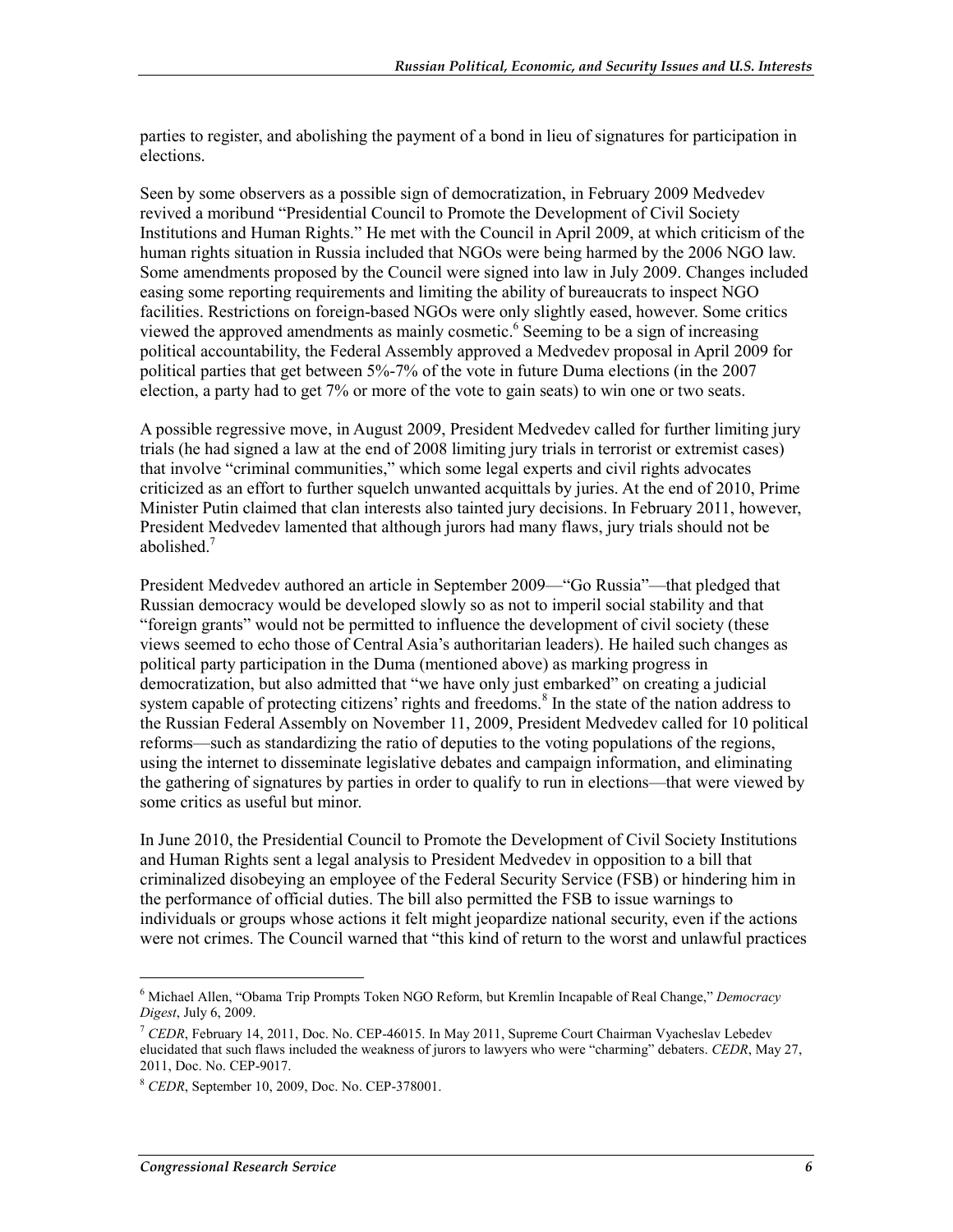parties to register, and abolishing the payment of a bond in lieu of signatures for participation in elections.

Seen by some observers as a possible sign of democratization, in February 2009 Medvedev revived a moribund "Presidential Council to Promote the Development of Civil Society Institutions and Human Rights." He met with the Council in April 2009, at which criticism of the human rights situation in Russia included that NGOs were being harmed by the 2006 NGO law. Some amendments proposed by the Council were signed into law in July 2009. Changes included easing some reporting requirements and limiting the ability of bureaucrats to inspect NGO facilities. Restrictions on foreign-based NGOs were only slightly eased, however. Some critics viewed the approved amendments as mainly cosmetic.<sup>6</sup> Seeming to be a sign of increasing political accountability, the Federal Assembly approved a Medvedev proposal in April 2009 for political parties that get between 5%-7% of the vote in future Duma elections (in the 2007 election, a party had to get 7% or more of the vote to gain seats) to win one or two seats.

A possible regressive move, in August 2009, President Medvedev called for further limiting jury trials (he had signed a law at the end of 2008 limiting jury trials in terrorist or extremist cases) that involve "criminal communities," which some legal experts and civil rights advocates criticized as an effort to further squelch unwanted acquittals by juries. At the end of 2010, Prime Minister Putin claimed that clan interests also tainted jury decisions. In February 2011, however, President Medvedev lamented that although jurors had many flaws, jury trials should not be abolished $<sup>7</sup>$ </sup>

President Medvedev authored an article in September 2009—"Go Russia"—that pledged that Russian democracy would be developed slowly so as not to imperil social stability and that "foreign grants" would not be permitted to influence the development of civil society (these views seemed to echo those of Central Asia's authoritarian leaders). He hailed such changes as political party participation in the Duma (mentioned above) as marking progress in democratization, but also admitted that "we have only just embarked" on creating a judicial system capable of protecting citizens' rights and freedoms.<sup>8</sup> In the state of the nation address to the Russian Federal Assembly on November 11, 2009, President Medvedev called for 10 political reforms—such as standardizing the ratio of deputies to the voting populations of the regions, using the internet to disseminate legislative debates and campaign information, and eliminating the gathering of signatures by parties in order to qualify to run in elections—that were viewed by some critics as useful but minor.

In June 2010, the Presidential Council to Promote the Development of Civil Society Institutions and Human Rights sent a legal analysis to President Medvedev in opposition to a bill that criminalized disobeying an employee of the Federal Security Service (FSB) or hindering him in the performance of official duties. The bill also permitted the FSB to issue warnings to individuals or groups whose actions it felt might jeopardize national security, even if the actions were not crimes. The Council warned that "this kind of return to the worst and unlawful practices

 $\overline{a}$ 

<sup>6</sup> Michael Allen, "Obama Trip Prompts Token NGO Reform, but Kremlin Incapable of Real Change," *Democracy Digest*, July 6, 2009.

<sup>7</sup> *CEDR*, February 14, 2011, Doc. No. CEP-46015. In May 2011, Supreme Court Chairman Vyacheslav Lebedev elucidated that such flaws included the weakness of jurors to lawyers who were "charming" debaters. *CEDR*, May 27, 2011, Doc. No. CEP-9017.

<sup>8</sup> *CEDR*, September 10, 2009, Doc. No. CEP-378001.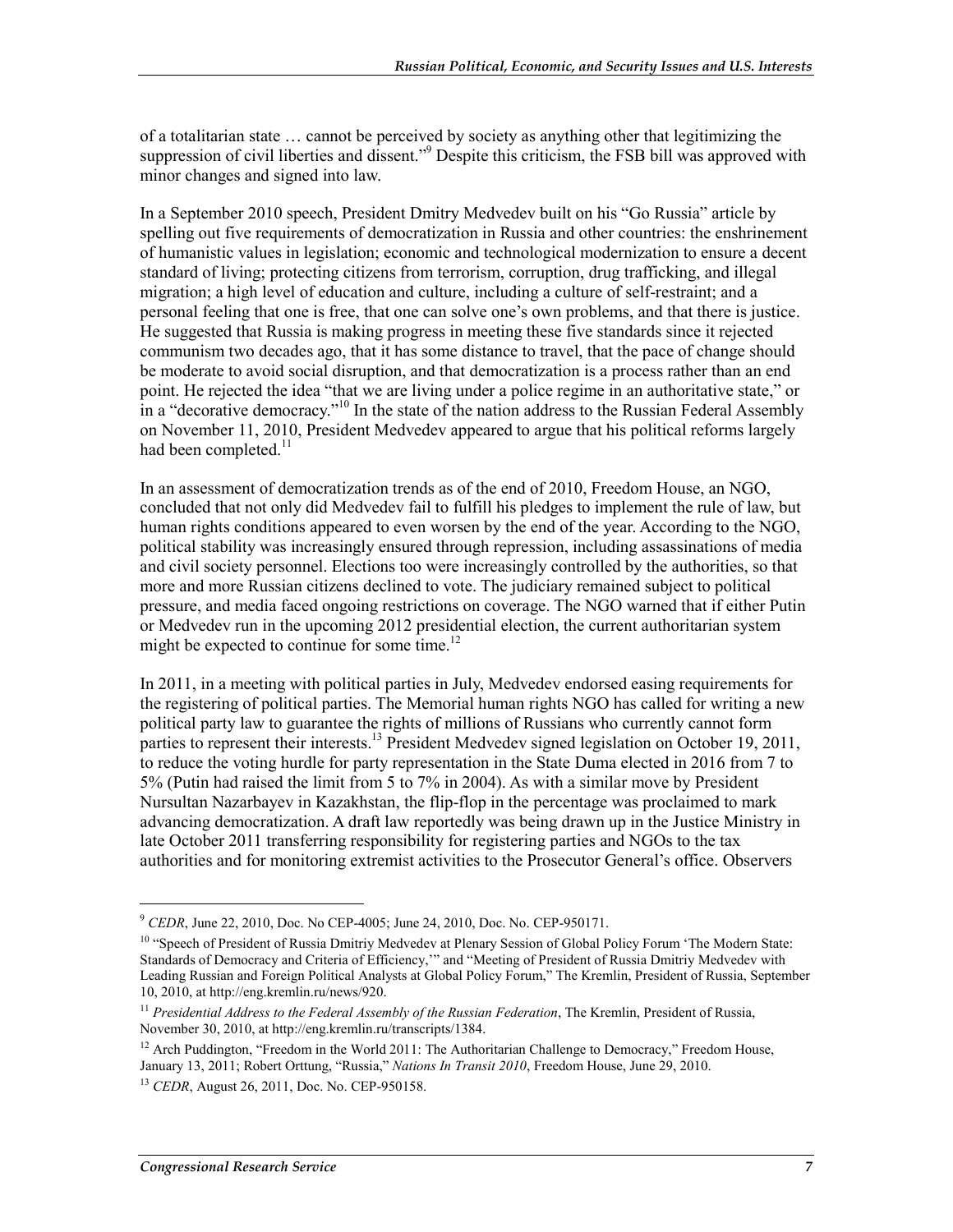of a totalitarian state … cannot be perceived by society as anything other that legitimizing the suppression of civil liberties and dissent."<sup>9</sup> Despite this criticism, the FSB bill was approved with minor changes and signed into law.

In a September 2010 speech, President Dmitry Medvedev built on his "Go Russia" article by spelling out five requirements of democratization in Russia and other countries: the enshrinement of humanistic values in legislation; economic and technological modernization to ensure a decent standard of living; protecting citizens from terrorism, corruption, drug trafficking, and illegal migration; a high level of education and culture, including a culture of self-restraint; and a personal feeling that one is free, that one can solve one's own problems, and that there is justice. He suggested that Russia is making progress in meeting these five standards since it rejected communism two decades ago, that it has some distance to travel, that the pace of change should be moderate to avoid social disruption, and that democratization is a process rather than an end point. He rejected the idea "that we are living under a police regime in an authoritative state," or in a "decorative democracy."<sup>10</sup> In the state of the nation address to the Russian Federal Assembly on November 11, 2010, President Medvedev appeared to argue that his political reforms largely had been completed. $11$ 

In an assessment of democratization trends as of the end of 2010, Freedom House, an NGO, concluded that not only did Medvedev fail to fulfill his pledges to implement the rule of law, but human rights conditions appeared to even worsen by the end of the year. According to the NGO, political stability was increasingly ensured through repression, including assassinations of media and civil society personnel. Elections too were increasingly controlled by the authorities, so that more and more Russian citizens declined to vote. The judiciary remained subject to political pressure, and media faced ongoing restrictions on coverage. The NGO warned that if either Putin or Medvedev run in the upcoming 2012 presidential election, the current authoritarian system might be expected to continue for some time.<sup>12</sup>

In 2011, in a meeting with political parties in July, Medvedev endorsed easing requirements for the registering of political parties. The Memorial human rights NGO has called for writing a new political party law to guarantee the rights of millions of Russians who currently cannot form parties to represent their interests.<sup>13</sup> President Medvedev signed legislation on October 19, 2011, to reduce the voting hurdle for party representation in the State Duma elected in 2016 from 7 to 5% (Putin had raised the limit from 5 to 7% in 2004). As with a similar move by President Nursultan Nazarbayev in Kazakhstan, the flip-flop in the percentage was proclaimed to mark advancing democratization. A draft law reportedly was being drawn up in the Justice Ministry in late October 2011 transferring responsibility for registering parties and NGOs to the tax authorities and for monitoring extremist activities to the Prosecutor General's office. Observers

<sup>&</sup>lt;sup>9</sup> *CEDR*, June 22, 2010, Doc. No CEP-4005; June 24, 2010, Doc. No. CEP-950171.

<sup>&</sup>lt;sup>10</sup> "Speech of President of Russia Dmitriy Medvedev at Plenary Session of Global Policy Forum 'The Modern State: Standards of Democracy and Criteria of Efficiency,'" and "Meeting of President of Russia Dmitriy Medvedev with Leading Russian and Foreign Political Analysts at Global Policy Forum," The Kremlin, President of Russia, September 10, 2010, at http://eng.kremlin.ru/news/920.

<sup>11</sup> *Presidential Address to the Federal Assembly of the Russian Federation*, The Kremlin, President of Russia, November 30, 2010, at http://eng.kremlin.ru/transcripts/1384.

<sup>&</sup>lt;sup>12</sup> Arch Puddington, "Freedom in the World 2011: The Authoritarian Challenge to Democracy," Freedom House, January 13, 2011; Robert Orttung, "Russia," *Nations In Transit 2010*, Freedom House, June 29, 2010.

<sup>13</sup> *CEDR*, August 26, 2011, Doc. No. CEP-950158.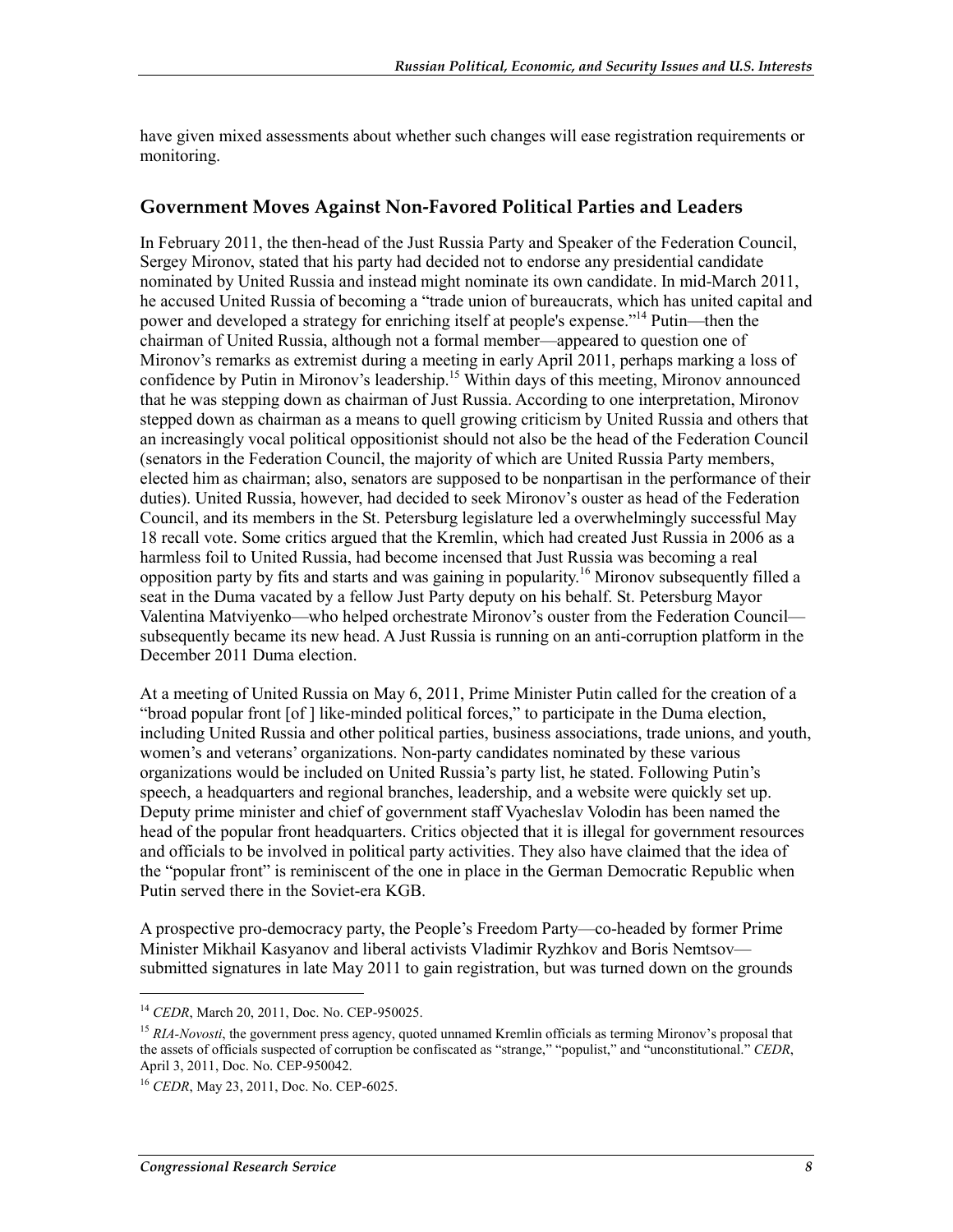have given mixed assessments about whether such changes will ease registration requirements or monitoring.

#### **Government Moves Against Non-Favored Political Parties and Leaders**

In February 2011, the then-head of the Just Russia Party and Speaker of the Federation Council, Sergey Mironov, stated that his party had decided not to endorse any presidential candidate nominated by United Russia and instead might nominate its own candidate. In mid-March 2011, he accused United Russia of becoming a "trade union of bureaucrats, which has united capital and power and developed a strategy for enriching itself at people's expense."14 Putin—then the chairman of United Russia, although not a formal member—appeared to question one of Mironov's remarks as extremist during a meeting in early April 2011, perhaps marking a loss of confidence by Putin in Mironov's leadership.<sup>15</sup> Within days of this meeting, Mironov announced that he was stepping down as chairman of Just Russia. According to one interpretation, Mironov stepped down as chairman as a means to quell growing criticism by United Russia and others that an increasingly vocal political oppositionist should not also be the head of the Federation Council (senators in the Federation Council, the majority of which are United Russia Party members, elected him as chairman; also, senators are supposed to be nonpartisan in the performance of their duties). United Russia, however, had decided to seek Mironov's ouster as head of the Federation Council, and its members in the St. Petersburg legislature led a overwhelmingly successful May 18 recall vote. Some critics argued that the Kremlin, which had created Just Russia in 2006 as a harmless foil to United Russia, had become incensed that Just Russia was becoming a real opposition party by fits and starts and was gaining in popularity.<sup>16</sup> Mironov subsequently filled a seat in the Duma vacated by a fellow Just Party deputy on his behalf. St. Petersburg Mayor Valentina Matviyenko—who helped orchestrate Mironov's ouster from the Federation Council subsequently became its new head. A Just Russia is running on an anti-corruption platform in the December 2011 Duma election.

At a meeting of United Russia on May 6, 2011, Prime Minister Putin called for the creation of a "broad popular front [of ] like-minded political forces," to participate in the Duma election, including United Russia and other political parties, business associations, trade unions, and youth, women's and veterans' organizations. Non-party candidates nominated by these various organizations would be included on United Russia's party list, he stated. Following Putin's speech, a headquarters and regional branches, leadership, and a website were quickly set up. Deputy prime minister and chief of government staff Vyacheslav Volodin has been named the head of the popular front headquarters. Critics objected that it is illegal for government resources and officials to be involved in political party activities. They also have claimed that the idea of the "popular front" is reminiscent of the one in place in the German Democratic Republic when Putin served there in the Soviet-era KGB.

A prospective pro-democracy party, the People's Freedom Party—co-headed by former Prime Minister Mikhail Kasyanov and liberal activists Vladimir Ryzhkov and Boris Nemtsov submitted signatures in late May 2011 to gain registration, but was turned down on the grounds

<sup>14</sup> *CEDR*, March 20, 2011, Doc. No. CEP-950025.

<sup>&</sup>lt;sup>15</sup> *RIA-Novosti*, the government press agency, quoted unnamed Kremlin officials as terming Mironov's proposal that the assets of officials suspected of corruption be confiscated as "strange," "populist," and "unconstitutional." *CEDR*, April 3, 2011, Doc. No. CEP-950042.

<sup>16</sup> *CEDR*, May 23, 2011, Doc. No. CEP-6025.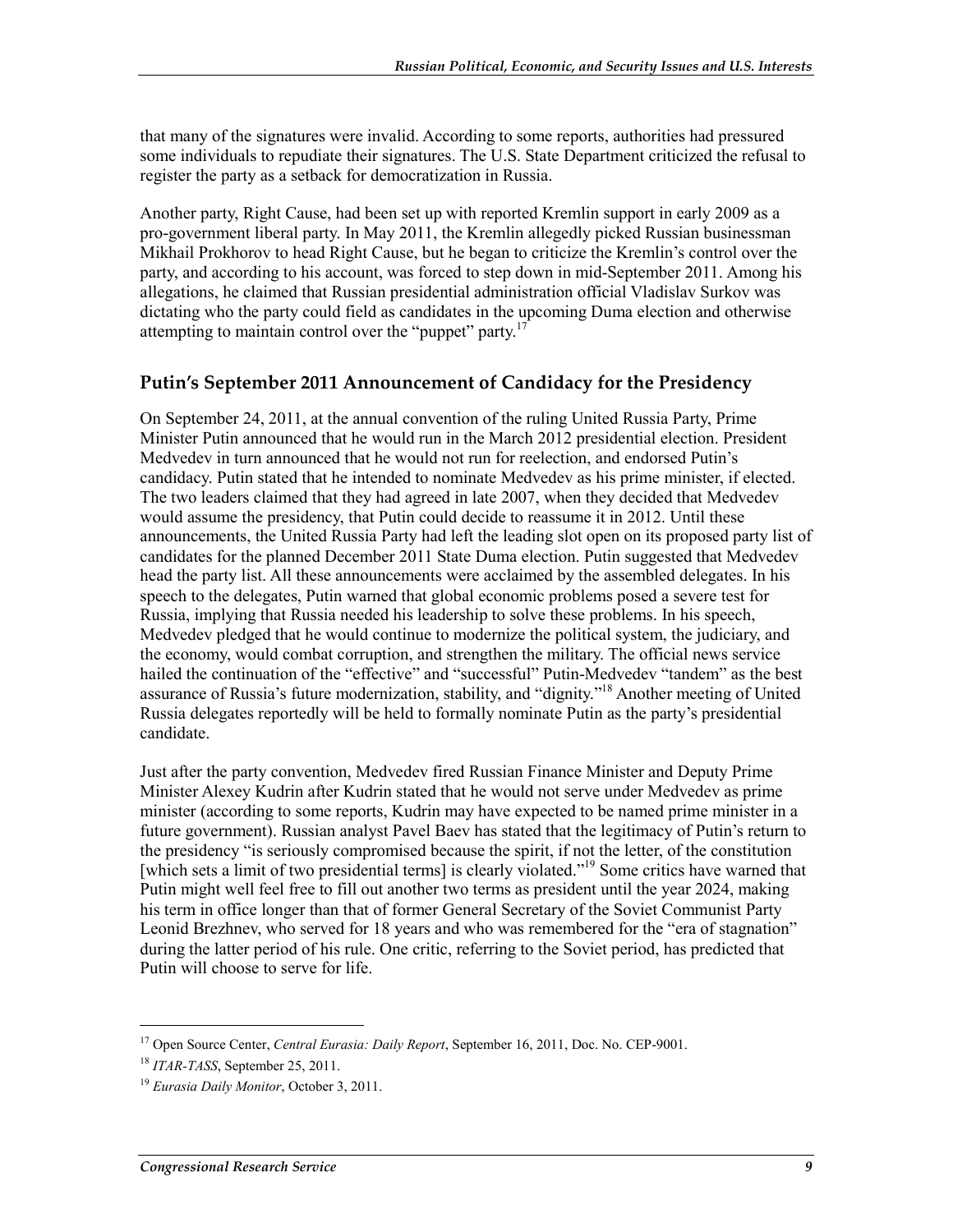that many of the signatures were invalid. According to some reports, authorities had pressured some individuals to repudiate their signatures. The U.S. State Department criticized the refusal to register the party as a setback for democratization in Russia.

Another party, Right Cause, had been set up with reported Kremlin support in early 2009 as a pro-government liberal party. In May 2011, the Kremlin allegedly picked Russian businessman Mikhail Prokhorov to head Right Cause, but he began to criticize the Kremlin's control over the party, and according to his account, was forced to step down in mid-September 2011. Among his allegations, he claimed that Russian presidential administration official Vladislav Surkov was dictating who the party could field as candidates in the upcoming Duma election and otherwise attempting to maintain control over the "puppet" party.<sup>1</sup>

#### **Putin's September 2011 Announcement of Candidacy for the Presidency**

On September 24, 2011, at the annual convention of the ruling United Russia Party, Prime Minister Putin announced that he would run in the March 2012 presidential election. President Medvedev in turn announced that he would not run for reelection, and endorsed Putin's candidacy. Putin stated that he intended to nominate Medvedev as his prime minister, if elected. The two leaders claimed that they had agreed in late 2007, when they decided that Medvedev would assume the presidency, that Putin could decide to reassume it in 2012. Until these announcements, the United Russia Party had left the leading slot open on its proposed party list of candidates for the planned December 2011 State Duma election. Putin suggested that Medvedev head the party list. All these announcements were acclaimed by the assembled delegates. In his speech to the delegates, Putin warned that global economic problems posed a severe test for Russia, implying that Russia needed his leadership to solve these problems. In his speech, Medvedev pledged that he would continue to modernize the political system, the judiciary, and the economy, would combat corruption, and strengthen the military. The official news service hailed the continuation of the "effective" and "successful" Putin-Medvedev "tandem" as the best assurance of Russia's future modernization, stability, and "dignity."18 Another meeting of United Russia delegates reportedly will be held to formally nominate Putin as the party's presidential candidate.

Just after the party convention, Medvedev fired Russian Finance Minister and Deputy Prime Minister Alexey Kudrin after Kudrin stated that he would not serve under Medvedev as prime minister (according to some reports, Kudrin may have expected to be named prime minister in a future government). Russian analyst Pavel Baev has stated that the legitimacy of Putin's return to the presidency "is seriously compromised because the spirit, if not the letter, of the constitution [which sets a limit of two presidential terms] is clearly violated."<sup>19</sup> Some critics have warned that Putin might well feel free to fill out another two terms as president until the year 2024, making his term in office longer than that of former General Secretary of the Soviet Communist Party Leonid Brezhnev, who served for 18 years and who was remembered for the "era of stagnation" during the latter period of his rule. One critic, referring to the Soviet period, has predicted that Putin will choose to serve for life.

<sup>17</sup> Open Source Center, *Central Eurasia: Daily Report*, September 16, 2011, Doc. No. CEP-9001.

<sup>18</sup> *ITAR-TASS*, September 25, 2011.

<sup>19</sup> *Eurasia Daily Monitor*, October 3, 2011.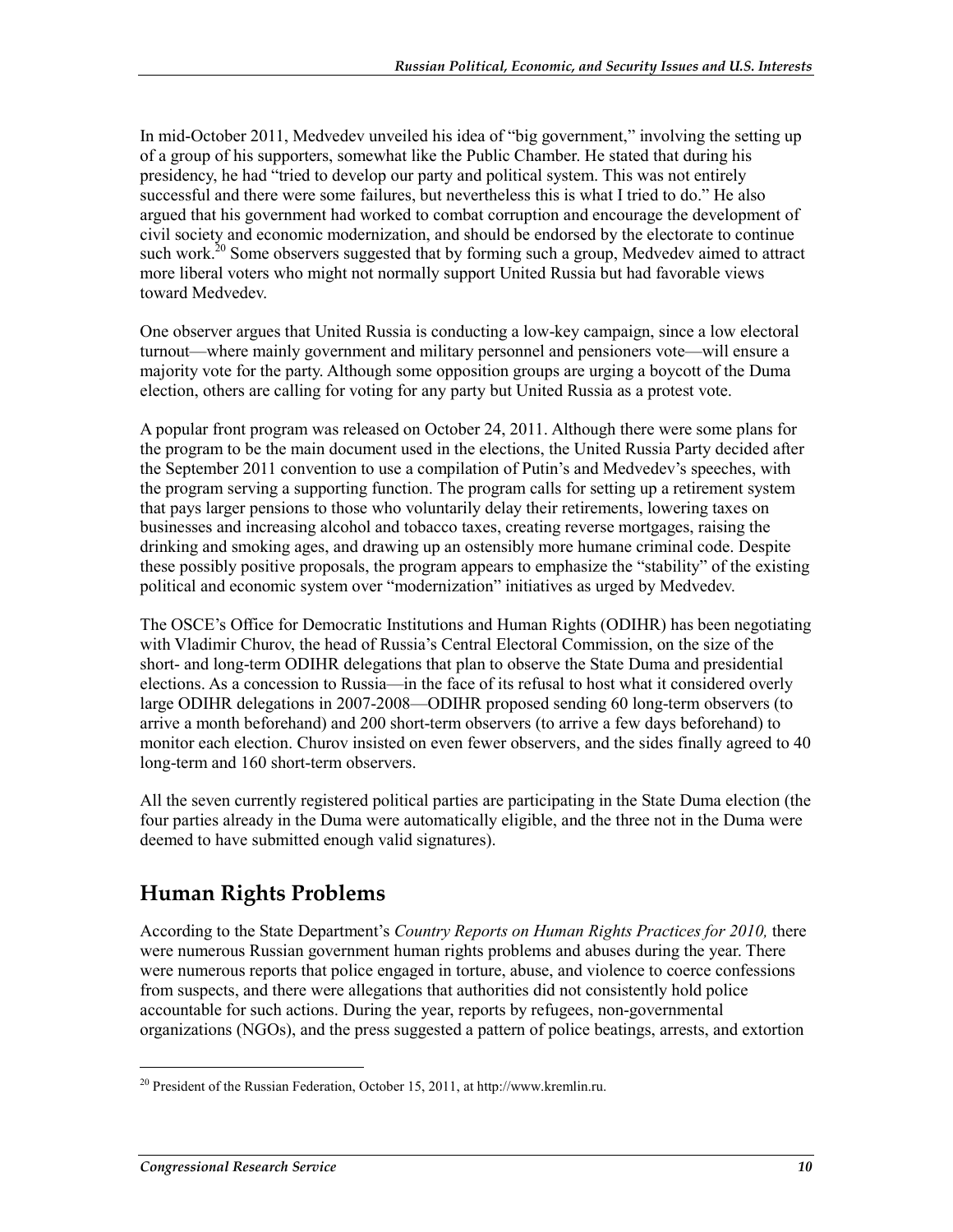In mid-October 2011, Medvedev unveiled his idea of "big government," involving the setting up of a group of his supporters, somewhat like the Public Chamber. He stated that during his presidency, he had "tried to develop our party and political system. This was not entirely successful and there were some failures, but nevertheless this is what I tried to do." He also argued that his government had worked to combat corruption and encourage the development of civil society and economic modernization, and should be endorsed by the electorate to continue such work.<sup>20</sup> Some observers suggested that by forming such a group, Medvedev aimed to attract more liberal voters who might not normally support United Russia but had favorable views toward Medvedev.

One observer argues that United Russia is conducting a low-key campaign, since a low electoral turnout—where mainly government and military personnel and pensioners vote—will ensure a majority vote for the party. Although some opposition groups are urging a boycott of the Duma election, others are calling for voting for any party but United Russia as a protest vote.

A popular front program was released on October 24, 2011. Although there were some plans for the program to be the main document used in the elections, the United Russia Party decided after the September 2011 convention to use a compilation of Putin's and Medvedev's speeches, with the program serving a supporting function. The program calls for setting up a retirement system that pays larger pensions to those who voluntarily delay their retirements, lowering taxes on businesses and increasing alcohol and tobacco taxes, creating reverse mortgages, raising the drinking and smoking ages, and drawing up an ostensibly more humane criminal code. Despite these possibly positive proposals, the program appears to emphasize the "stability" of the existing political and economic system over "modernization" initiatives as urged by Medvedev.

The OSCE's Office for Democratic Institutions and Human Rights (ODIHR) has been negotiating with Vladimir Churov, the head of Russia's Central Electoral Commission, on the size of the short- and long-term ODIHR delegations that plan to observe the State Duma and presidential elections. As a concession to Russia—in the face of its refusal to host what it considered overly large ODIHR delegations in 2007-2008—ODIHR proposed sending 60 long-term observers (to arrive a month beforehand) and 200 short-term observers (to arrive a few days beforehand) to monitor each election. Churov insisted on even fewer observers, and the sides finally agreed to 40 long-term and 160 short-term observers.

All the seven currently registered political parties are participating in the State Duma election (the four parties already in the Duma were automatically eligible, and the three not in the Duma were deemed to have submitted enough valid signatures).

## **Human Rights Problems**

According to the State Department's *Country Reports on Human Rights Practices for 2010,* there were numerous Russian government human rights problems and abuses during the year. There were numerous reports that police engaged in torture, abuse, and violence to coerce confessions from suspects, and there were allegations that authorities did not consistently hold police accountable for such actions. During the year, reports by refugees, non-governmental organizations (NGOs), and the press suggested a pattern of police beatings, arrests, and extortion

<sup>&</sup>lt;sup>20</sup> President of the Russian Federation, October 15, 2011, at http://www.kremlin.ru.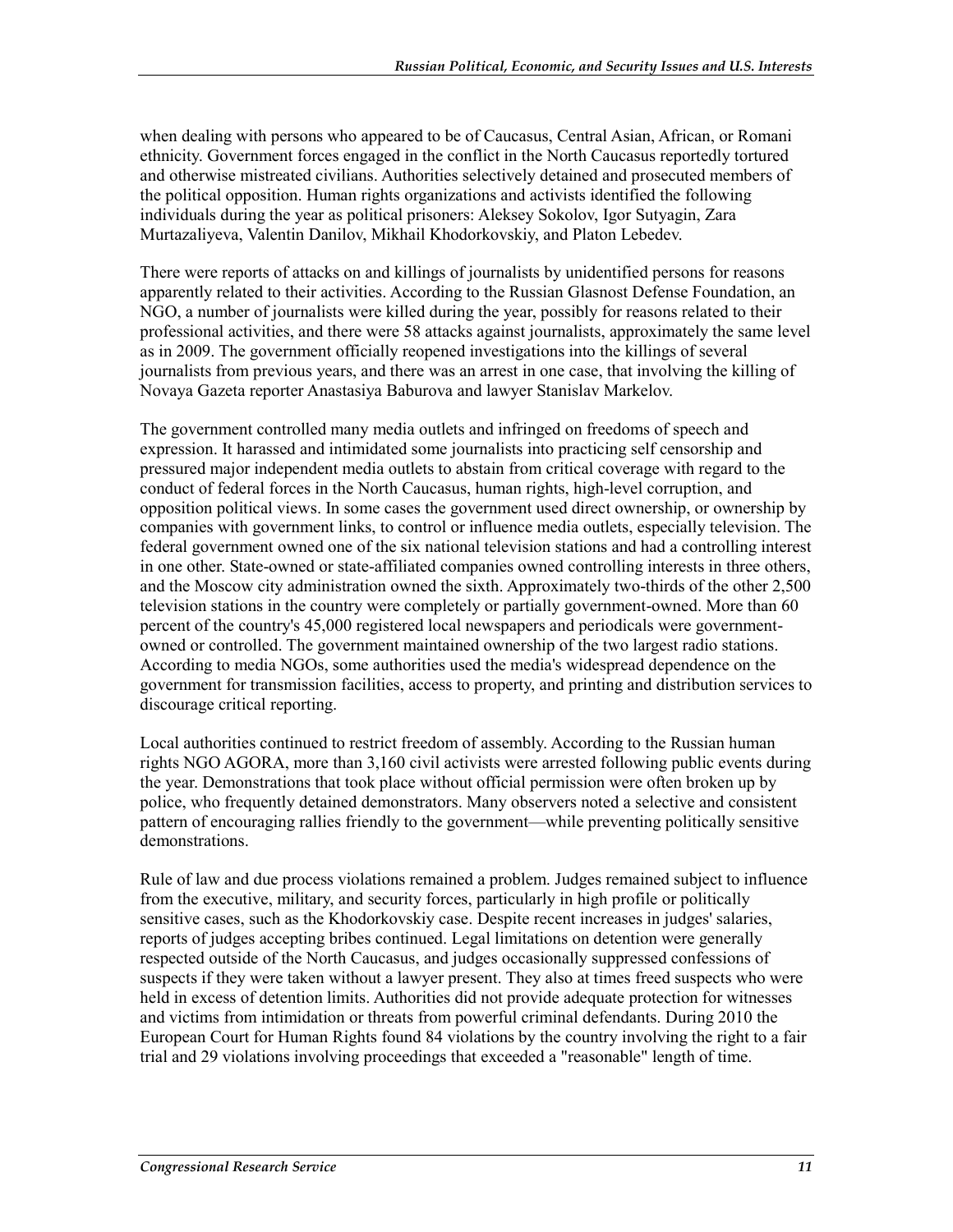when dealing with persons who appeared to be of Caucasus, Central Asian, African, or Romani ethnicity. Government forces engaged in the conflict in the North Caucasus reportedly tortured and otherwise mistreated civilians. Authorities selectively detained and prosecuted members of the political opposition. Human rights organizations and activists identified the following individuals during the year as political prisoners: Aleksey Sokolov, Igor Sutyagin, Zara Murtazaliyeva, Valentin Danilov, Mikhail Khodorkovskiy, and Platon Lebedev.

There were reports of attacks on and killings of journalists by unidentified persons for reasons apparently related to their activities. According to the Russian Glasnost Defense Foundation, an NGO, a number of journalists were killed during the year, possibly for reasons related to their professional activities, and there were 58 attacks against journalists, approximately the same level as in 2009. The government officially reopened investigations into the killings of several journalists from previous years, and there was an arrest in one case, that involving the killing of Novaya Gazeta reporter Anastasiya Baburova and lawyer Stanislav Markelov.

The government controlled many media outlets and infringed on freedoms of speech and expression. It harassed and intimidated some journalists into practicing self censorship and pressured major independent media outlets to abstain from critical coverage with regard to the conduct of federal forces in the North Caucasus, human rights, high-level corruption, and opposition political views. In some cases the government used direct ownership, or ownership by companies with government links, to control or influence media outlets, especially television. The federal government owned one of the six national television stations and had a controlling interest in one other. State-owned or state-affiliated companies owned controlling interests in three others, and the Moscow city administration owned the sixth. Approximately two-thirds of the other 2,500 television stations in the country were completely or partially government-owned. More than 60 percent of the country's 45,000 registered local newspapers and periodicals were governmentowned or controlled. The government maintained ownership of the two largest radio stations. According to media NGOs, some authorities used the media's widespread dependence on the government for transmission facilities, access to property, and printing and distribution services to discourage critical reporting.

Local authorities continued to restrict freedom of assembly. According to the Russian human rights NGO AGORA, more than 3,160 civil activists were arrested following public events during the year. Demonstrations that took place without official permission were often broken up by police, who frequently detained demonstrators. Many observers noted a selective and consistent pattern of encouraging rallies friendly to the government—while preventing politically sensitive demonstrations.

Rule of law and due process violations remained a problem. Judges remained subject to influence from the executive, military, and security forces, particularly in high profile or politically sensitive cases, such as the Khodorkovskiy case. Despite recent increases in judges' salaries, reports of judges accepting bribes continued. Legal limitations on detention were generally respected outside of the North Caucasus, and judges occasionally suppressed confessions of suspects if they were taken without a lawyer present. They also at times freed suspects who were held in excess of detention limits. Authorities did not provide adequate protection for witnesses and victims from intimidation or threats from powerful criminal defendants. During 2010 the European Court for Human Rights found 84 violations by the country involving the right to a fair trial and 29 violations involving proceedings that exceeded a "reasonable" length of time.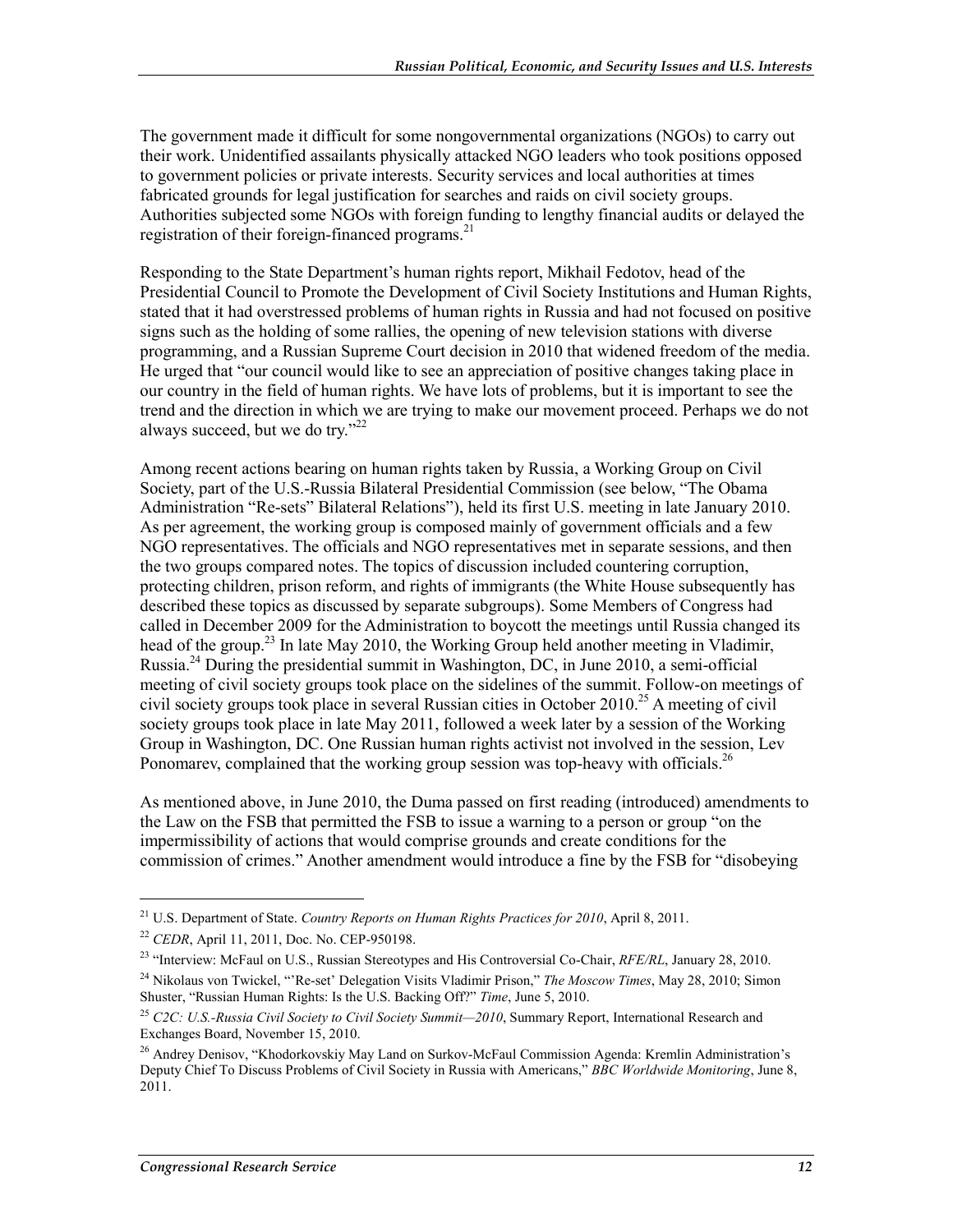The government made it difficult for some nongovernmental organizations (NGOs) to carry out their work. Unidentified assailants physically attacked NGO leaders who took positions opposed to government policies or private interests. Security services and local authorities at times fabricated grounds for legal justification for searches and raids on civil society groups. Authorities subjected some NGOs with foreign funding to lengthy financial audits or delayed the registration of their foreign-financed programs. $^{21}$ 

Responding to the State Department's human rights report, Mikhail Fedotov, head of the Presidential Council to Promote the Development of Civil Society Institutions and Human Rights, stated that it had overstressed problems of human rights in Russia and had not focused on positive signs such as the holding of some rallies, the opening of new television stations with diverse programming, and a Russian Supreme Court decision in 2010 that widened freedom of the media. He urged that "our council would like to see an appreciation of positive changes taking place in our country in the field of human rights. We have lots of problems, but it is important to see the trend and the direction in which we are trying to make our movement proceed. Perhaps we do not always succeed, but we do try."<sup>22</sup>

Among recent actions bearing on human rights taken by Russia, a Working Group on Civil Society, part of the U.S.-Russia Bilateral Presidential Commission (see below, "The Obama Administration "Re-sets" Bilateral Relations"), held its first U.S. meeting in late January 2010. As per agreement, the working group is composed mainly of government officials and a few NGO representatives. The officials and NGO representatives met in separate sessions, and then the two groups compared notes. The topics of discussion included countering corruption, protecting children, prison reform, and rights of immigrants (the White House subsequently has described these topics as discussed by separate subgroups). Some Members of Congress had called in December 2009 for the Administration to boycott the meetings until Russia changed its head of the group.<sup>23</sup> In late May 2010, the Working Group held another meeting in Vladimir, Russia.24 During the presidential summit in Washington, DC, in June 2010, a semi-official meeting of civil society groups took place on the sidelines of the summit. Follow-on meetings of civil society groups took place in several Russian cities in October 2010.25 A meeting of civil society groups took place in late May 2011, followed a week later by a session of the Working Group in Washington, DC. One Russian human rights activist not involved in the session, Lev Ponomarev, complained that the working group session was top-heavy with officials.<sup>26</sup>

As mentioned above, in June 2010, the Duma passed on first reading (introduced) amendments to the Law on the FSB that permitted the FSB to issue a warning to a person or group "on the impermissibility of actions that would comprise grounds and create conditions for the commission of crimes." Another amendment would introduce a fine by the FSB for "disobeying

<sup>21</sup> U.S. Department of State. *Country Reports on Human Rights Practices for 2010*, April 8, 2011.

<sup>22</sup> *CEDR*, April 11, 2011, Doc. No. CEP-950198.

<sup>23 &</sup>quot;Interview: McFaul on U.S., Russian Stereotypes and His Controversial Co-Chair, *RFE/RL*, January 28, 2010.

<sup>24</sup> Nikolaus von Twickel, "'Re-set' Delegation Visits Vladimir Prison," *The Moscow Times*, May 28, 2010; Simon Shuster, "Russian Human Rights: Is the U.S. Backing Off?" *Time*, June 5, 2010.

<sup>25</sup> *C2C: U.S.-Russia Civil Society to Civil Society Summit—2010*, Summary Report, International Research and Exchanges Board, November 15, 2010.

<sup>&</sup>lt;sup>26</sup> Andrey Denisov, "Khodorkovskiy May Land on Surkov-McFaul Commission Agenda: Kremlin Administration's Deputy Chief To Discuss Problems of Civil Society in Russia with Americans," *BBC Worldwide Monitoring*, June 8, 2011.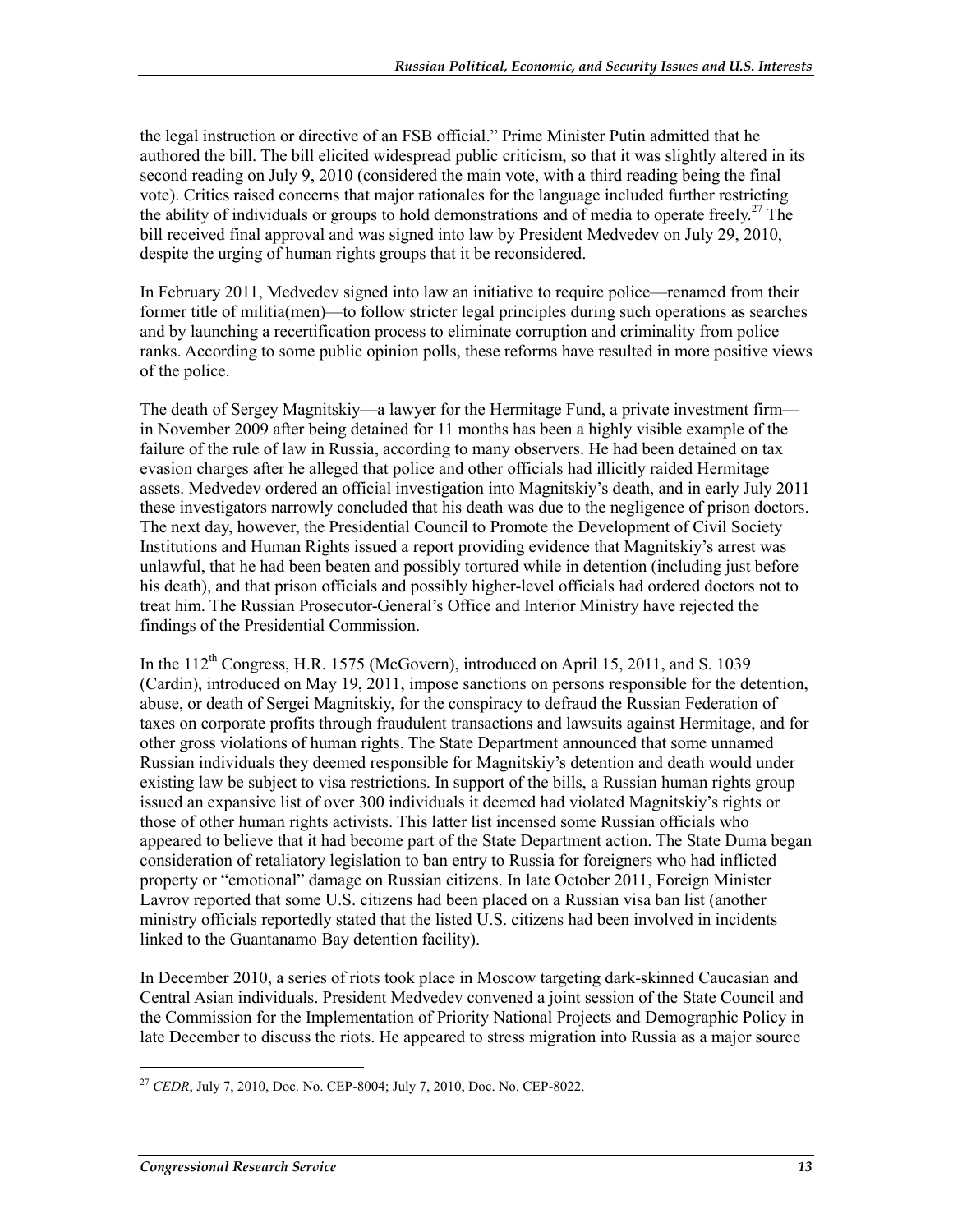the legal instruction or directive of an FSB official." Prime Minister Putin admitted that he authored the bill. The bill elicited widespread public criticism, so that it was slightly altered in its second reading on July 9, 2010 (considered the main vote, with a third reading being the final vote). Critics raised concerns that major rationales for the language included further restricting the ability of individuals or groups to hold demonstrations and of media to operate freely.<sup>27</sup> The bill received final approval and was signed into law by President Medvedev on July 29, 2010, despite the urging of human rights groups that it be reconsidered.

In February 2011, Medvedev signed into law an initiative to require police—renamed from their former title of militia(men)—to follow stricter legal principles during such operations as searches and by launching a recertification process to eliminate corruption and criminality from police ranks. According to some public opinion polls, these reforms have resulted in more positive views of the police.

The death of Sergey Magnitskiy—a lawyer for the Hermitage Fund, a private investment firm in November 2009 after being detained for 11 months has been a highly visible example of the failure of the rule of law in Russia, according to many observers. He had been detained on tax evasion charges after he alleged that police and other officials had illicitly raided Hermitage assets. Medvedev ordered an official investigation into Magnitskiy's death, and in early July 2011 these investigators narrowly concluded that his death was due to the negligence of prison doctors. The next day, however, the Presidential Council to Promote the Development of Civil Society Institutions and Human Rights issued a report providing evidence that Magnitskiy's arrest was unlawful, that he had been beaten and possibly tortured while in detention (including just before his death), and that prison officials and possibly higher-level officials had ordered doctors not to treat him. The Russian Prosecutor-General's Office and Interior Ministry have rejected the findings of the Presidential Commission.

In the  $112^{th}$  Congress, H.R. 1575 (McGovern), introduced on April 15, 2011, and S. 1039 (Cardin), introduced on May 19, 2011, impose sanctions on persons responsible for the detention, abuse, or death of Sergei Magnitskiy, for the conspiracy to defraud the Russian Federation of taxes on corporate profits through fraudulent transactions and lawsuits against Hermitage, and for other gross violations of human rights. The State Department announced that some unnamed Russian individuals they deemed responsible for Magnitskiy's detention and death would under existing law be subject to visa restrictions. In support of the bills, a Russian human rights group issued an expansive list of over 300 individuals it deemed had violated Magnitskiy's rights or those of other human rights activists. This latter list incensed some Russian officials who appeared to believe that it had become part of the State Department action. The State Duma began consideration of retaliatory legislation to ban entry to Russia for foreigners who had inflicted property or "emotional" damage on Russian citizens. In late October 2011, Foreign Minister Lavrov reported that some U.S. citizens had been placed on a Russian visa ban list (another ministry officials reportedly stated that the listed U.S. citizens had been involved in incidents linked to the Guantanamo Bay detention facility).

In December 2010, a series of riots took place in Moscow targeting dark-skinned Caucasian and Central Asian individuals. President Medvedev convened a joint session of the State Council and the Commission for the Implementation of Priority National Projects and Demographic Policy in late December to discuss the riots. He appeared to stress migration into Russia as a major source

<sup>27</sup> *CEDR*, July 7, 2010, Doc. No. CEP-8004; July 7, 2010, Doc. No. CEP-8022.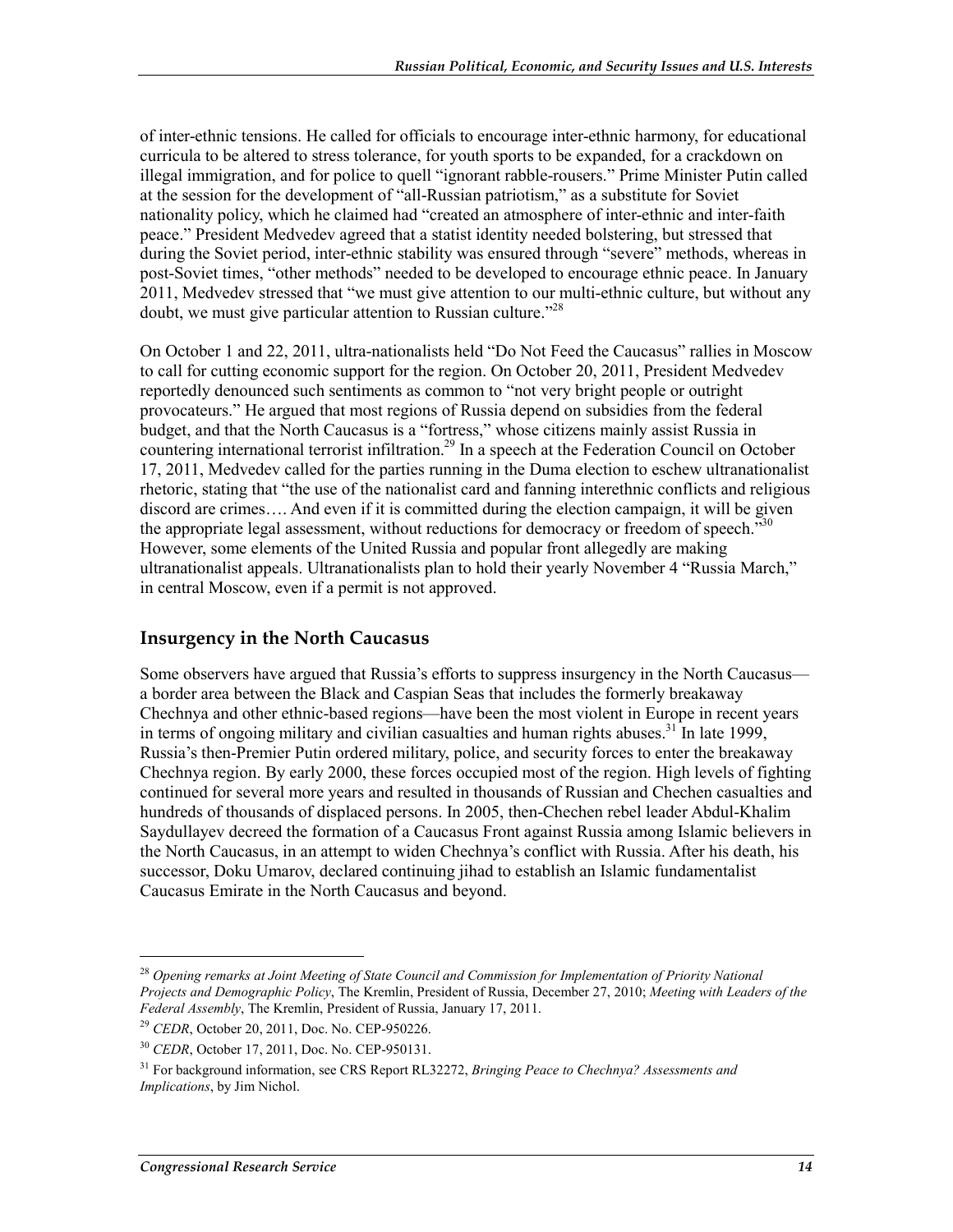of inter-ethnic tensions. He called for officials to encourage inter-ethnic harmony, for educational curricula to be altered to stress tolerance, for youth sports to be expanded, for a crackdown on illegal immigration, and for police to quell "ignorant rabble-rousers." Prime Minister Putin called at the session for the development of "all-Russian patriotism," as a substitute for Soviet nationality policy, which he claimed had "created an atmosphere of inter-ethnic and inter-faith peace." President Medvedev agreed that a statist identity needed bolstering, but stressed that during the Soviet period, inter-ethnic stability was ensured through "severe" methods, whereas in post-Soviet times, "other methods" needed to be developed to encourage ethnic peace. In January 2011, Medvedev stressed that "we must give attention to our multi-ethnic culture, but without any doubt, we must give particular attention to Russian culture.<sup> $28$ </sup>

On October 1 and 22, 2011, ultra-nationalists held "Do Not Feed the Caucasus" rallies in Moscow to call for cutting economic support for the region. On October 20, 2011, President Medvedev reportedly denounced such sentiments as common to "not very bright people or outright provocateurs." He argued that most regions of Russia depend on subsidies from the federal budget, and that the North Caucasus is a "fortress," whose citizens mainly assist Russia in countering international terrorist infiltration.<sup>29</sup> In a speech at the Federation Council on October 17, 2011, Medvedev called for the parties running in the Duma election to eschew ultranationalist rhetoric, stating that "the use of the nationalist card and fanning interethnic conflicts and religious discord are crimes…. And even if it is committed during the election campaign, it will be given the appropriate legal assessment, without reductions for democracy or freedom of speech."<sup>30</sup> However, some elements of the United Russia and popular front allegedly are making ultranationalist appeals. Ultranationalists plan to hold their yearly November 4 "Russia March," in central Moscow, even if a permit is not approved.

#### **Insurgency in the North Caucasus**

Some observers have argued that Russia's efforts to suppress insurgency in the North Caucasus a border area between the Black and Caspian Seas that includes the formerly breakaway Chechnya and other ethnic-based regions—have been the most violent in Europe in recent years in terms of ongoing military and civilian casualties and human rights abuses.<sup>31</sup> In late 1999, Russia's then-Premier Putin ordered military, police, and security forces to enter the breakaway Chechnya region. By early 2000, these forces occupied most of the region. High levels of fighting continued for several more years and resulted in thousands of Russian and Chechen casualties and hundreds of thousands of displaced persons. In 2005, then-Chechen rebel leader Abdul-Khalim Saydullayev decreed the formation of a Caucasus Front against Russia among Islamic believers in the North Caucasus, in an attempt to widen Chechnya's conflict with Russia. After his death, his successor, Doku Umarov, declared continuing jihad to establish an Islamic fundamentalist Caucasus Emirate in the North Caucasus and beyond.

<sup>28</sup> *Opening remarks at Joint Meeting of State Council and Commission for Implementation of Priority National Projects and Demographic Policy*, The Kremlin, President of Russia, December 27, 2010; *Meeting with Leaders of the Federal Assembly*, The Kremlin, President of Russia, January 17, 2011.

<sup>29</sup> *CEDR*, October 20, 2011, Doc. No. CEP-950226.

<sup>30</sup> *CEDR*, October 17, 2011, Doc. No. CEP-950131.

<sup>31</sup> For background information, see CRS Report RL32272, *Bringing Peace to Chechnya? Assessments and Implications*, by Jim Nichol.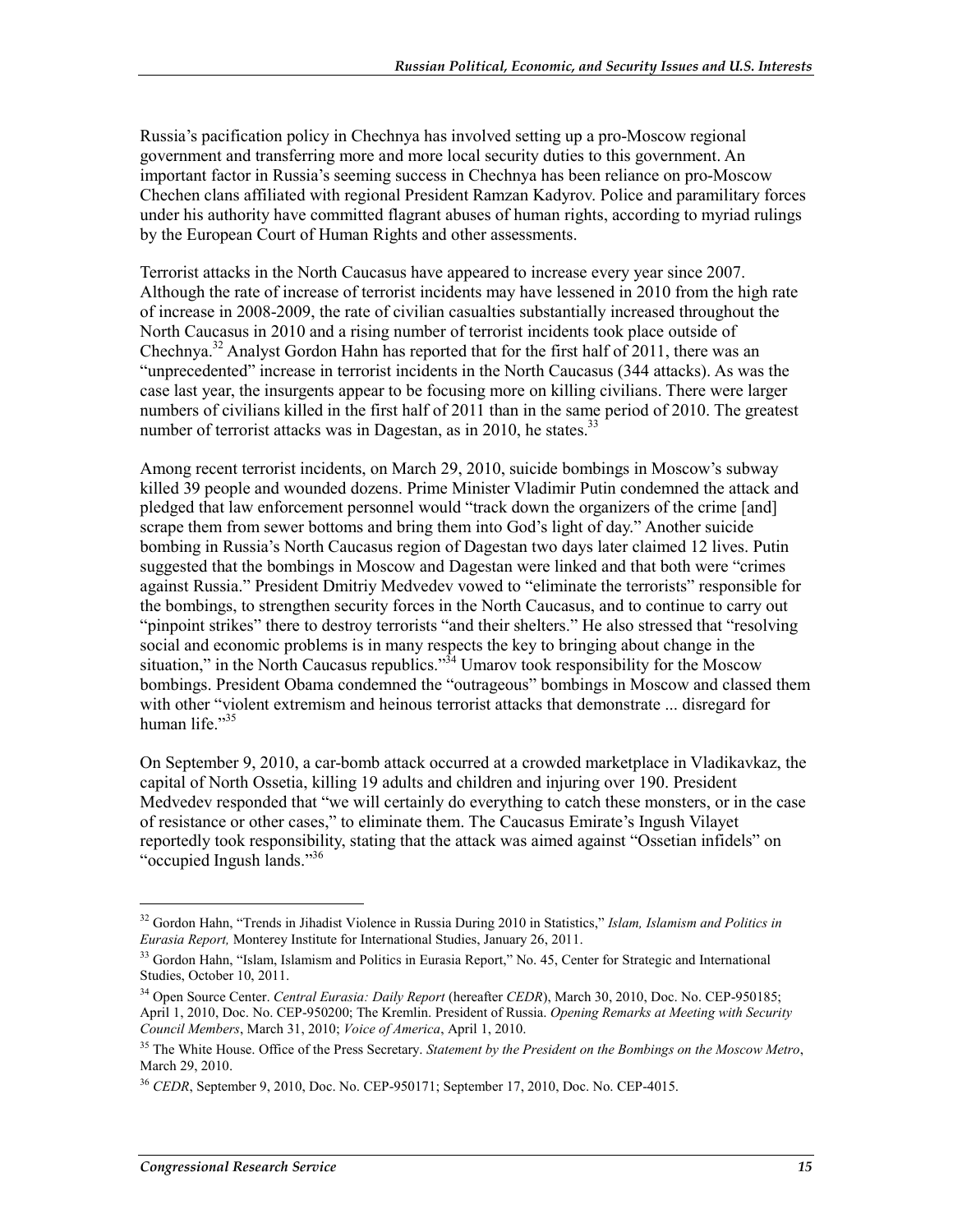Russia's pacification policy in Chechnya has involved setting up a pro-Moscow regional government and transferring more and more local security duties to this government. An important factor in Russia's seeming success in Chechnya has been reliance on pro-Moscow Chechen clans affiliated with regional President Ramzan Kadyrov. Police and paramilitary forces under his authority have committed flagrant abuses of human rights, according to myriad rulings by the European Court of Human Rights and other assessments.

Terrorist attacks in the North Caucasus have appeared to increase every year since 2007. Although the rate of increase of terrorist incidents may have lessened in 2010 from the high rate of increase in 2008-2009, the rate of civilian casualties substantially increased throughout the North Caucasus in 2010 and a rising number of terrorist incidents took place outside of Chechnya.<sup>32</sup> Analyst Gordon Hahn has reported that for the first half of 2011, there was an "unprecedented" increase in terrorist incidents in the North Caucasus (344 attacks). As was the case last year, the insurgents appear to be focusing more on killing civilians. There were larger numbers of civilians killed in the first half of 2011 than in the same period of 2010. The greatest number of terrorist attacks was in Dagestan, as in 2010, he states.<sup>33</sup>

Among recent terrorist incidents, on March 29, 2010, suicide bombings in Moscow's subway killed 39 people and wounded dozens. Prime Minister Vladimir Putin condemned the attack and pledged that law enforcement personnel would "track down the organizers of the crime [and] scrape them from sewer bottoms and bring them into God's light of day." Another suicide bombing in Russia's North Caucasus region of Dagestan two days later claimed 12 lives. Putin suggested that the bombings in Moscow and Dagestan were linked and that both were "crimes against Russia." President Dmitriy Medvedev vowed to "eliminate the terrorists" responsible for the bombings, to strengthen security forces in the North Caucasus, and to continue to carry out "pinpoint strikes" there to destroy terrorists "and their shelters." He also stressed that "resolving social and economic problems is in many respects the key to bringing about change in the situation," in the North Caucasus republics."<sup>34</sup> Umarov took responsibility for the Moscow bombings. President Obama condemned the "outrageous" bombings in Moscow and classed them with other "violent extremism and heinous terrorist attacks that demonstrate ... disregard for human life."<sup>35</sup>

On September 9, 2010, a car-bomb attack occurred at a crowded marketplace in Vladikavkaz, the capital of North Ossetia, killing 19 adults and children and injuring over 190. President Medvedev responded that "we will certainly do everything to catch these monsters, or in the case of resistance or other cases," to eliminate them. The Caucasus Emirate's Ingush Vilayet reportedly took responsibility, stating that the attack was aimed against "Ossetian infidels" on "occupied Ingush lands."36

<sup>32</sup> Gordon Hahn, "Trends in Jihadist Violence in Russia During 2010 in Statistics," *Islam, Islamism and Politics in Eurasia Report,* Monterey Institute for International Studies, January 26, 2011.

<sup>&</sup>lt;sup>33</sup> Gordon Hahn, "Islam, Islamism and Politics in Eurasia Report," No. 45, Center for Strategic and International Studies, October 10, 2011.

<sup>34</sup> Open Source Center. *Central Eurasia: Daily Report* (hereafter *CEDR*), March 30, 2010, Doc. No. CEP-950185; April 1, 2010, Doc. No. CEP-950200; The Kremlin. President of Russia. *Opening Remarks at Meeting with Security Council Members*, March 31, 2010; *Voice of America*, April 1, 2010.

<sup>35</sup> The White House. Office of the Press Secretary. *Statement by the President on the Bombings on the Moscow Metro*, March 29, 2010.

<sup>36</sup> *CEDR*, September 9, 2010, Doc. No. CEP-950171; September 17, 2010, Doc. No. CEP-4015.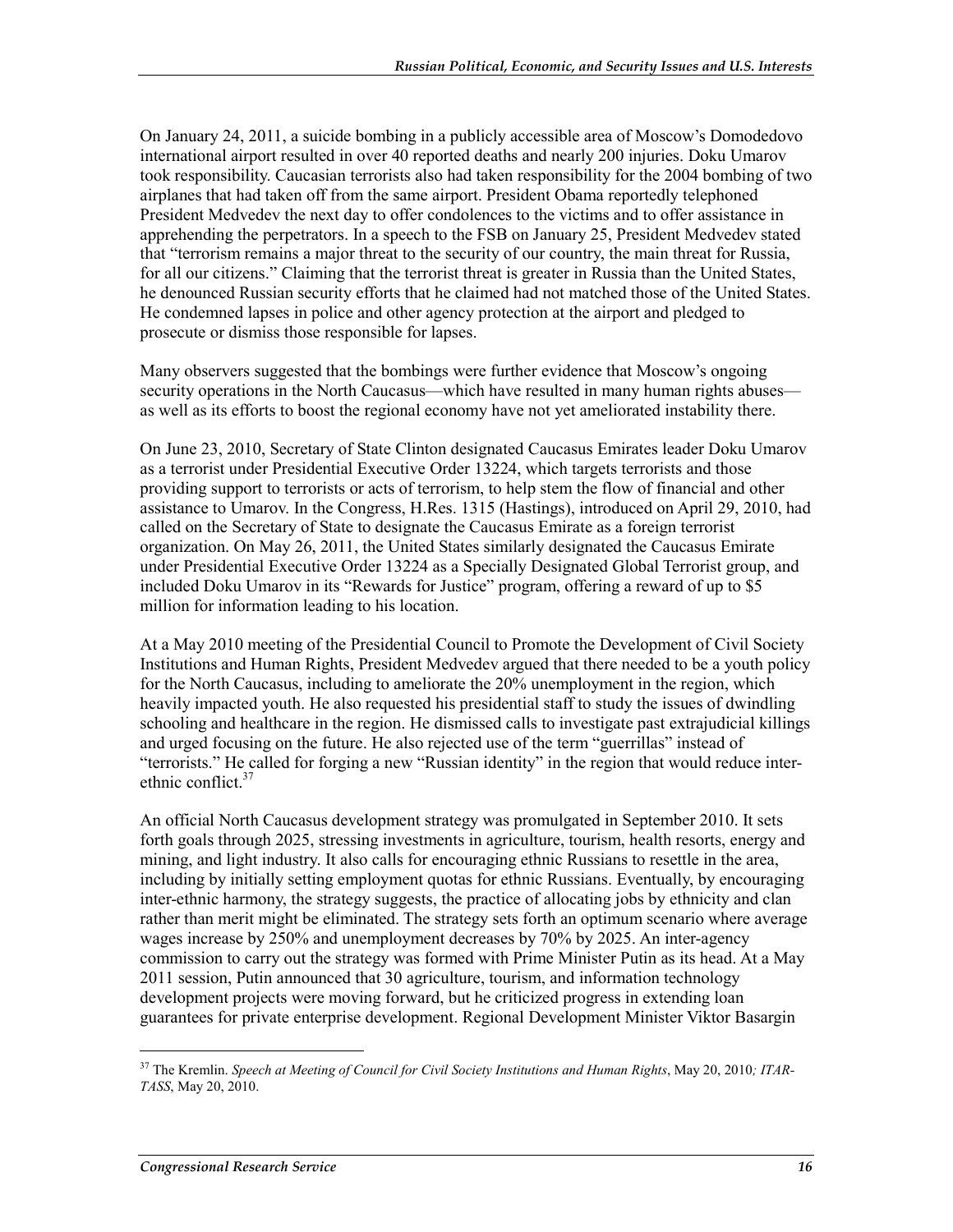On January 24, 2011, a suicide bombing in a publicly accessible area of Moscow's Domodedovo international airport resulted in over 40 reported deaths and nearly 200 injuries. Doku Umarov took responsibility. Caucasian terrorists also had taken responsibility for the 2004 bombing of two airplanes that had taken off from the same airport. President Obama reportedly telephoned President Medvedev the next day to offer condolences to the victims and to offer assistance in apprehending the perpetrators. In a speech to the FSB on January 25, President Medvedev stated that "terrorism remains a major threat to the security of our country, the main threat for Russia, for all our citizens." Claiming that the terrorist threat is greater in Russia than the United States, he denounced Russian security efforts that he claimed had not matched those of the United States. He condemned lapses in police and other agency protection at the airport and pledged to prosecute or dismiss those responsible for lapses.

Many observers suggested that the bombings were further evidence that Moscow's ongoing security operations in the North Caucasus—which have resulted in many human rights abuses as well as its efforts to boost the regional economy have not yet ameliorated instability there.

On June 23, 2010, Secretary of State Clinton designated Caucasus Emirates leader Doku Umarov as a terrorist under Presidential Executive Order 13224, which targets terrorists and those providing support to terrorists or acts of terrorism, to help stem the flow of financial and other assistance to Umarov. In the Congress, H.Res. 1315 (Hastings), introduced on April 29, 2010, had called on the Secretary of State to designate the Caucasus Emirate as a foreign terrorist organization. On May 26, 2011, the United States similarly designated the Caucasus Emirate under Presidential Executive Order 13224 as a Specially Designated Global Terrorist group, and included Doku Umarov in its "Rewards for Justice" program, offering a reward of up to \$5 million for information leading to his location.

At a May 2010 meeting of the Presidential Council to Promote the Development of Civil Society Institutions and Human Rights, President Medvedev argued that there needed to be a youth policy for the North Caucasus, including to ameliorate the 20% unemployment in the region, which heavily impacted youth. He also requested his presidential staff to study the issues of dwindling schooling and healthcare in the region. He dismissed calls to investigate past extrajudicial killings and urged focusing on the future. He also rejected use of the term "guerrillas" instead of "terrorists." He called for forging a new "Russian identity" in the region that would reduce interethnic conflict. $37$ 

An official North Caucasus development strategy was promulgated in September 2010. It sets forth goals through 2025, stressing investments in agriculture, tourism, health resorts, energy and mining, and light industry. It also calls for encouraging ethnic Russians to resettle in the area, including by initially setting employment quotas for ethnic Russians. Eventually, by encouraging inter-ethnic harmony, the strategy suggests, the practice of allocating jobs by ethnicity and clan rather than merit might be eliminated. The strategy sets forth an optimum scenario where average wages increase by 250% and unemployment decreases by 70% by 2025. An inter-agency commission to carry out the strategy was formed with Prime Minister Putin as its head. At a May 2011 session, Putin announced that 30 agriculture, tourism, and information technology development projects were moving forward, but he criticized progress in extending loan guarantees for private enterprise development. Regional Development Minister Viktor Basargin

<sup>37</sup> The Kremlin. *Speech at Meeting of Council for Civil Society Institutions and Human Rights*, May 20, 2010*; ITAR-TASS*, May 20, 2010.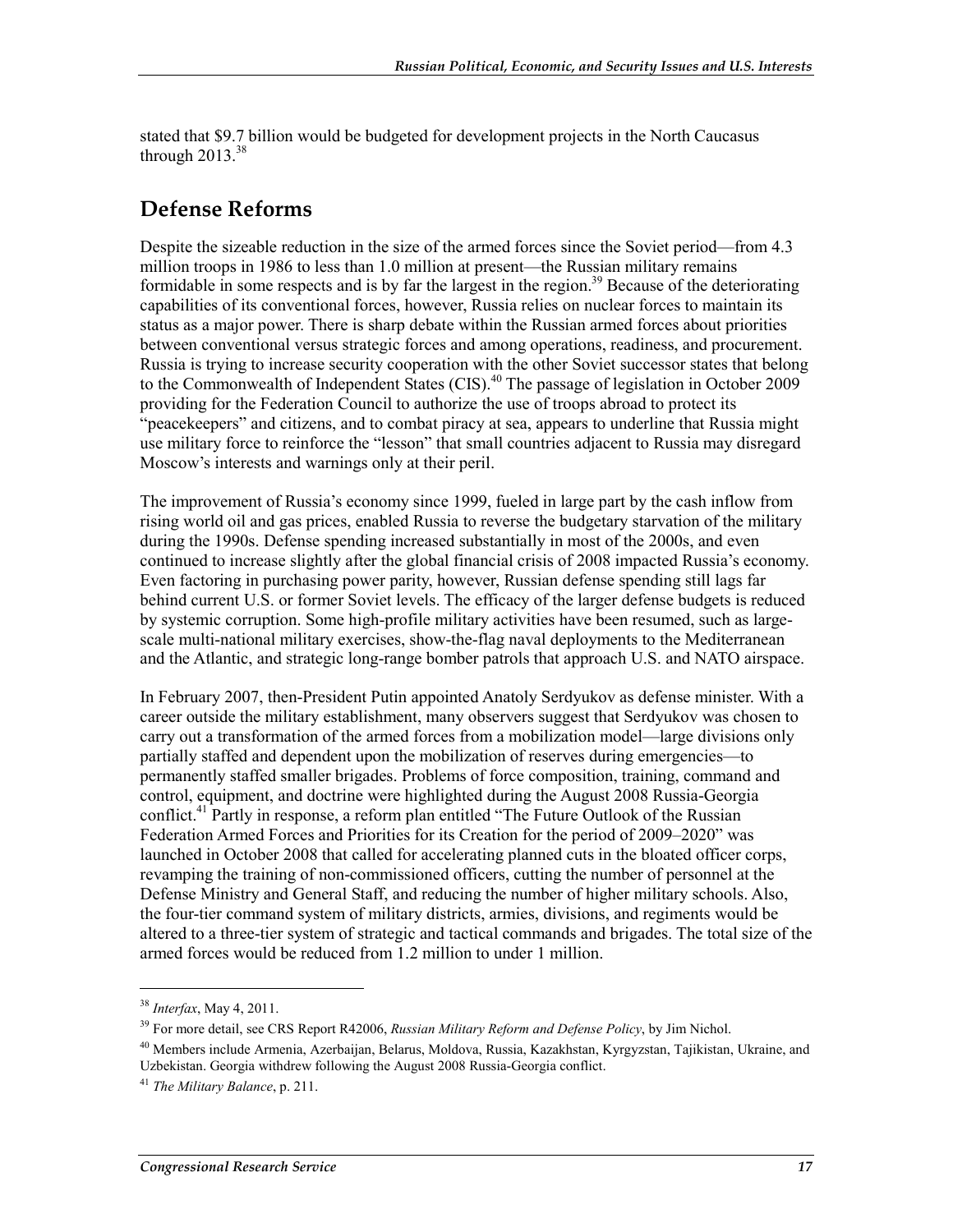stated that \$9.7 billion would be budgeted for development projects in the North Caucasus through  $2013.^{38}$ 

### **Defense Reforms**

Despite the sizeable reduction in the size of the armed forces since the Soviet period—from 4.3 million troops in 1986 to less than 1.0 million at present—the Russian military remains formidable in some respects and is by far the largest in the region.<sup>39</sup> Because of the deteriorating capabilities of its conventional forces, however, Russia relies on nuclear forces to maintain its status as a major power. There is sharp debate within the Russian armed forces about priorities between conventional versus strategic forces and among operations, readiness, and procurement. Russia is trying to increase security cooperation with the other Soviet successor states that belong to the Commonwealth of Independent States  $(CIS)$ .<sup>40</sup> The passage of legislation in October 2009 providing for the Federation Council to authorize the use of troops abroad to protect its "peacekeepers" and citizens, and to combat piracy at sea, appears to underline that Russia might use military force to reinforce the "lesson" that small countries adjacent to Russia may disregard Moscow's interests and warnings only at their peril.

The improvement of Russia's economy since 1999, fueled in large part by the cash inflow from rising world oil and gas prices, enabled Russia to reverse the budgetary starvation of the military during the 1990s. Defense spending increased substantially in most of the 2000s, and even continued to increase slightly after the global financial crisis of 2008 impacted Russia's economy. Even factoring in purchasing power parity, however, Russian defense spending still lags far behind current U.S. or former Soviet levels. The efficacy of the larger defense budgets is reduced by systemic corruption. Some high-profile military activities have been resumed, such as largescale multi-national military exercises, show-the-flag naval deployments to the Mediterranean and the Atlantic, and strategic long-range bomber patrols that approach U.S. and NATO airspace.

In February 2007, then-President Putin appointed Anatoly Serdyukov as defense minister. With a career outside the military establishment, many observers suggest that Serdyukov was chosen to carry out a transformation of the armed forces from a mobilization model—large divisions only partially staffed and dependent upon the mobilization of reserves during emergencies—to permanently staffed smaller brigades. Problems of force composition, training, command and control, equipment, and doctrine were highlighted during the August 2008 Russia-Georgia conflict.<sup>41</sup> Partly in response, a reform plan entitled "The Future Outlook of the Russian" Federation Armed Forces and Priorities for its Creation for the period of 2009–2020" was launched in October 2008 that called for accelerating planned cuts in the bloated officer corps, revamping the training of non-commissioned officers, cutting the number of personnel at the Defense Ministry and General Staff, and reducing the number of higher military schools. Also, the four-tier command system of military districts, armies, divisions, and regiments would be altered to a three-tier system of strategic and tactical commands and brigades. The total size of the armed forces would be reduced from 1.2 million to under 1 million.

<sup>38</sup> *Interfax*, May 4, 2011.

<sup>39</sup> For more detail, see CRS Report R42006, *Russian Military Reform and Defense Policy*, by Jim Nichol.

<sup>40</sup> Members include Armenia, Azerbaijan, Belarus, Moldova, Russia, Kazakhstan, Kyrgyzstan, Tajikistan, Ukraine, and Uzbekistan. Georgia withdrew following the August 2008 Russia-Georgia conflict.

<sup>41</sup> *The Military Balance*, p. 211.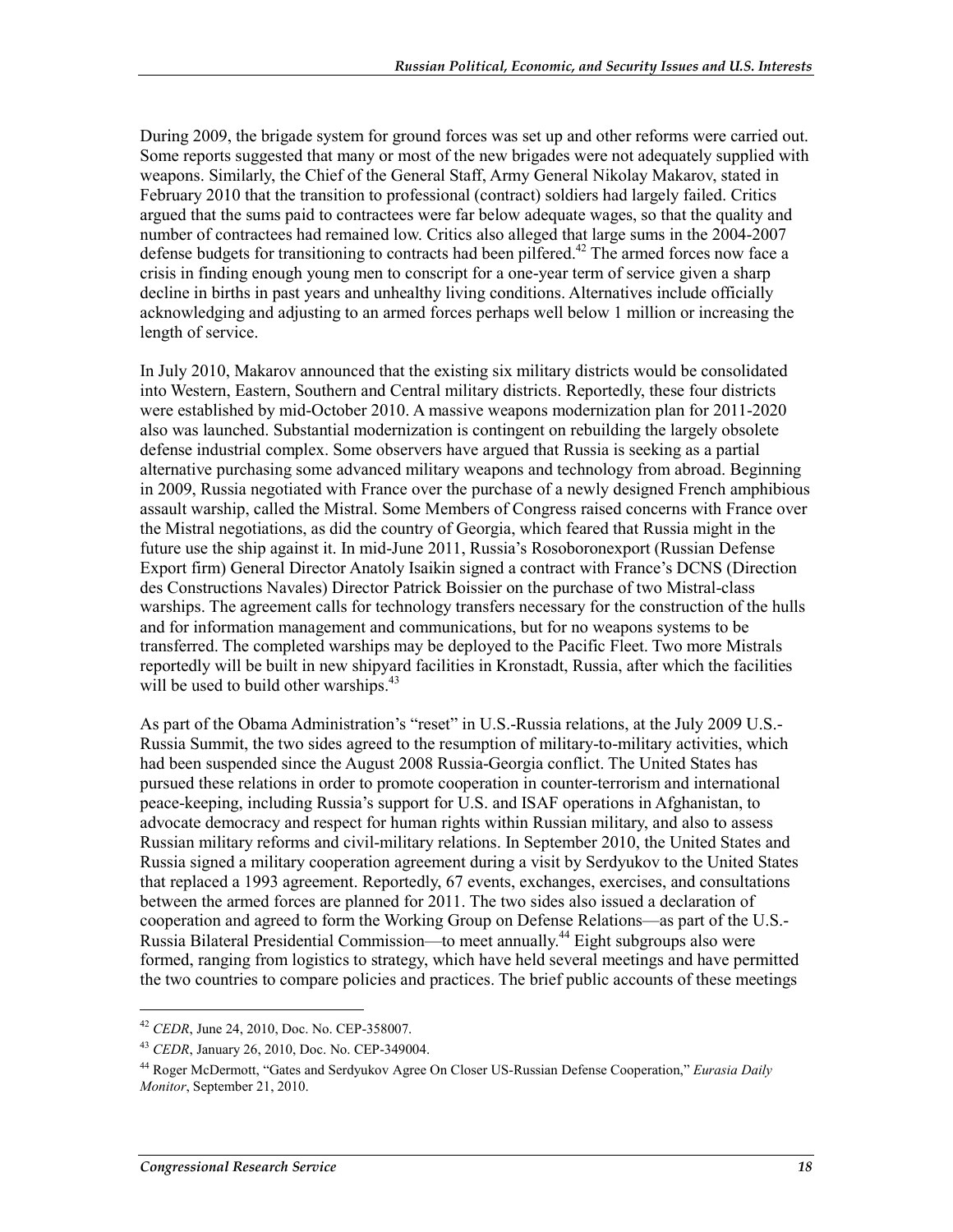During 2009, the brigade system for ground forces was set up and other reforms were carried out. Some reports suggested that many or most of the new brigades were not adequately supplied with weapons. Similarly, the Chief of the General Staff, Army General Nikolay Makarov, stated in February 2010 that the transition to professional (contract) soldiers had largely failed. Critics argued that the sums paid to contractees were far below adequate wages, so that the quality and number of contractees had remained low. Critics also alleged that large sums in the 2004-2007 defense budgets for transitioning to contracts had been pilfered.<sup>42</sup> The armed forces now face a crisis in finding enough young men to conscript for a one-year term of service given a sharp decline in births in past years and unhealthy living conditions. Alternatives include officially acknowledging and adjusting to an armed forces perhaps well below 1 million or increasing the length of service.

In July 2010, Makarov announced that the existing six military districts would be consolidated into Western, Eastern, Southern and Central military districts. Reportedly, these four districts were established by mid-October 2010. A massive weapons modernization plan for 2011-2020 also was launched. Substantial modernization is contingent on rebuilding the largely obsolete defense industrial complex. Some observers have argued that Russia is seeking as a partial alternative purchasing some advanced military weapons and technology from abroad. Beginning in 2009, Russia negotiated with France over the purchase of a newly designed French amphibious assault warship, called the Mistral. Some Members of Congress raised concerns with France over the Mistral negotiations, as did the country of Georgia, which feared that Russia might in the future use the ship against it. In mid-June 2011, Russia's Rosoboronexport (Russian Defense Export firm) General Director Anatoly Isaikin signed a contract with France's DCNS (Direction des Constructions Navales) Director Patrick Boissier on the purchase of two Mistral-class warships. The agreement calls for technology transfers necessary for the construction of the hulls and for information management and communications, but for no weapons systems to be transferred. The completed warships may be deployed to the Pacific Fleet. Two more Mistrals reportedly will be built in new shipyard facilities in Kronstadt, Russia, after which the facilities will be used to build other warships.<sup>43</sup>

As part of the Obama Administration's "reset" in U.S.-Russia relations, at the July 2009 U.S.- Russia Summit, the two sides agreed to the resumption of military-to-military activities, which had been suspended since the August 2008 Russia-Georgia conflict. The United States has pursued these relations in order to promote cooperation in counter-terrorism and international peace-keeping, including Russia's support for U.S. and ISAF operations in Afghanistan, to advocate democracy and respect for human rights within Russian military, and also to assess Russian military reforms and civil-military relations. In September 2010, the United States and Russia signed a military cooperation agreement during a visit by Serdyukov to the United States that replaced a 1993 agreement. Reportedly, 67 events, exchanges, exercises, and consultations between the armed forces are planned for 2011. The two sides also issued a declaration of cooperation and agreed to form the Working Group on Defense Relations—as part of the U.S.- Russia Bilateral Presidential Commission—to meet annually.44 Eight subgroups also were formed, ranging from logistics to strategy, which have held several meetings and have permitted the two countries to compare policies and practices. The brief public accounts of these meetings

<sup>42</sup> *CEDR*, June 24, 2010, Doc. No. CEP-358007.

<sup>43</sup> *CEDR*, January 26, 2010, Doc. No. CEP-349004.

<sup>44</sup> Roger McDermott, "Gates and Serdyukov Agree On Closer US-Russian Defense Cooperation," *Eurasia Daily Monitor*, September 21, 2010.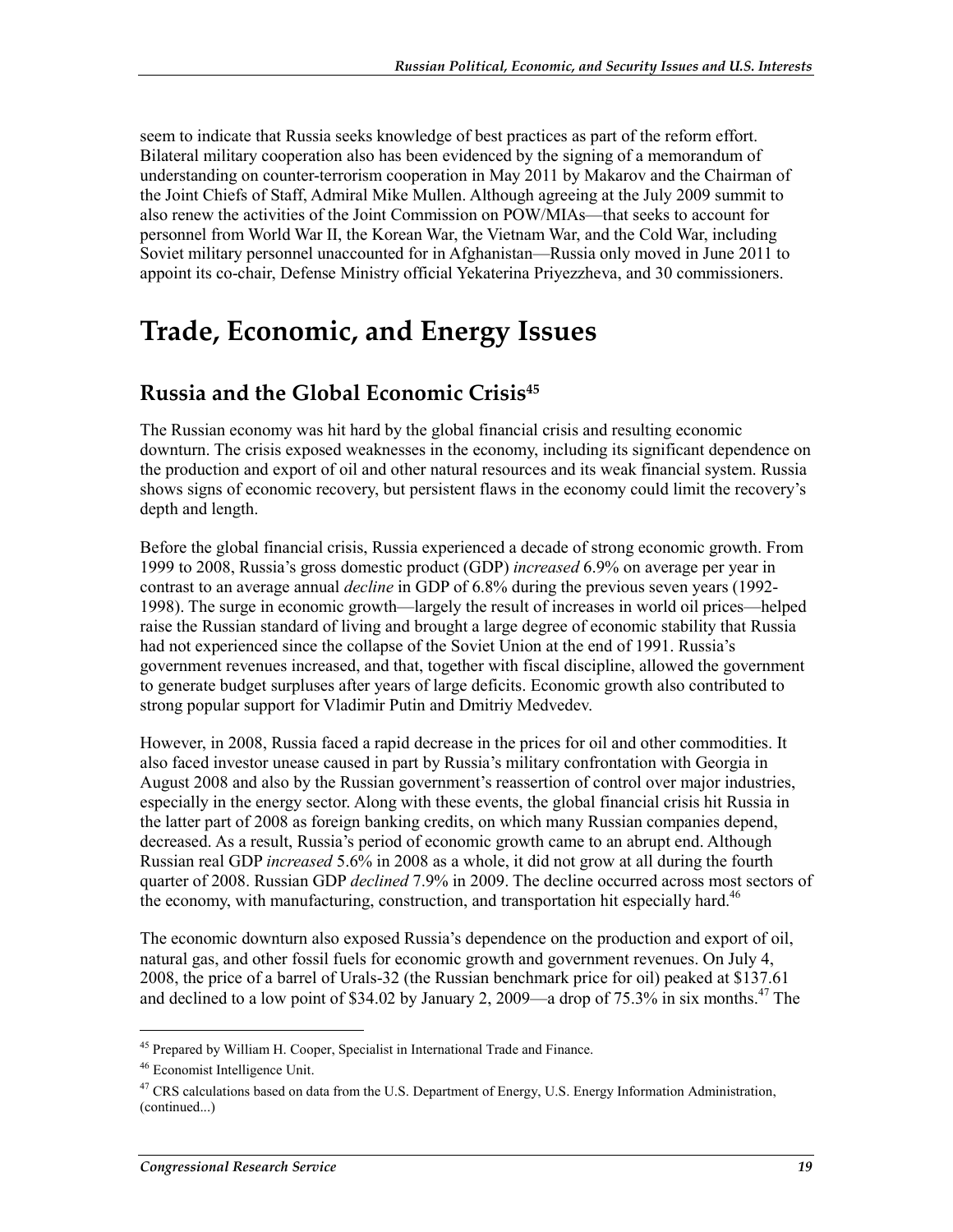seem to indicate that Russia seeks knowledge of best practices as part of the reform effort. Bilateral military cooperation also has been evidenced by the signing of a memorandum of understanding on counter-terrorism cooperation in May 2011 by Makarov and the Chairman of the Joint Chiefs of Staff, Admiral Mike Mullen. Although agreeing at the July 2009 summit to also renew the activities of the Joint Commission on POW/MIAs—that seeks to account for personnel from World War II, the Korean War, the Vietnam War, and the Cold War, including Soviet military personnel unaccounted for in Afghanistan—Russia only moved in June 2011 to appoint its co-chair, Defense Ministry official Yekaterina Priyezzheva, and 30 commissioners.

## **Trade, Economic, and Energy Issues**

## **Russia and the Global Economic Crisis45**

The Russian economy was hit hard by the global financial crisis and resulting economic downturn. The crisis exposed weaknesses in the economy, including its significant dependence on the production and export of oil and other natural resources and its weak financial system. Russia shows signs of economic recovery, but persistent flaws in the economy could limit the recovery's depth and length.

Before the global financial crisis, Russia experienced a decade of strong economic growth. From 1999 to 2008, Russia's gross domestic product (GDP) *increased* 6.9% on average per year in contrast to an average annual *decline* in GDP of 6.8% during the previous seven years (1992- 1998). The surge in economic growth—largely the result of increases in world oil prices—helped raise the Russian standard of living and brought a large degree of economic stability that Russia had not experienced since the collapse of the Soviet Union at the end of 1991. Russia's government revenues increased, and that, together with fiscal discipline, allowed the government to generate budget surpluses after years of large deficits. Economic growth also contributed to strong popular support for Vladimir Putin and Dmitriy Medvedev.

However, in 2008, Russia faced a rapid decrease in the prices for oil and other commodities. It also faced investor unease caused in part by Russia's military confrontation with Georgia in August 2008 and also by the Russian government's reassertion of control over major industries, especially in the energy sector. Along with these events, the global financial crisis hit Russia in the latter part of 2008 as foreign banking credits, on which many Russian companies depend, decreased. As a result, Russia's period of economic growth came to an abrupt end. Although Russian real GDP *increased* 5.6% in 2008 as a whole, it did not grow at all during the fourth quarter of 2008. Russian GDP *declined* 7.9% in 2009. The decline occurred across most sectors of the economy, with manufacturing, construction, and transportation hit especially hard.<sup>46</sup>

The economic downturn also exposed Russia's dependence on the production and export of oil, natural gas, and other fossil fuels for economic growth and government revenues. On July 4, 2008, the price of a barrel of Urals-32 (the Russian benchmark price for oil) peaked at \$137.61 and declined to a low point of \$34.02 by January 2, 2009—a drop of 75.3% in six months.<sup>47</sup> The

<sup>&</sup>lt;sup>45</sup> Prepared by William H. Cooper, Specialist in International Trade and Finance.

<sup>46</sup> Economist Intelligence Unit.

 $^{47}$  CRS calculations based on data from the U.S. Department of Energy, U.S. Energy Information Administration, (continued...)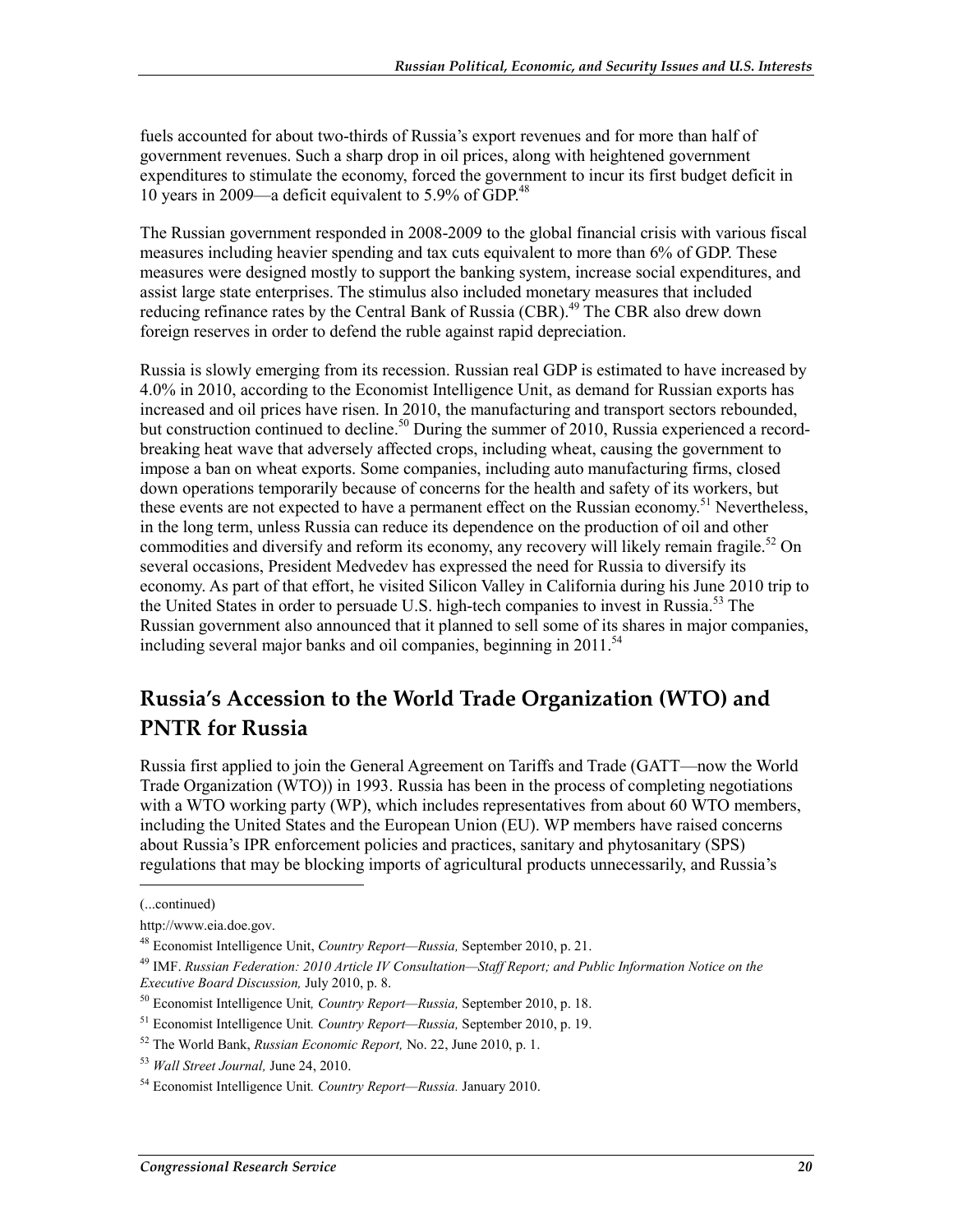fuels accounted for about two-thirds of Russia's export revenues and for more than half of government revenues. Such a sharp drop in oil prices, along with heightened government expenditures to stimulate the economy, forced the government to incur its first budget deficit in 10 years in 2009—a deficit equivalent to 5.9% of GDP. $^{48}$ 

The Russian government responded in 2008-2009 to the global financial crisis with various fiscal measures including heavier spending and tax cuts equivalent to more than 6% of GDP. These measures were designed mostly to support the banking system, increase social expenditures, and assist large state enterprises. The stimulus also included monetary measures that included reducing refinance rates by the Central Bank of Russia (CBR).<sup>49</sup> The CBR also drew down foreign reserves in order to defend the ruble against rapid depreciation.

Russia is slowly emerging from its recession. Russian real GDP is estimated to have increased by 4.0% in 2010, according to the Economist Intelligence Unit, as demand for Russian exports has increased and oil prices have risen. In 2010, the manufacturing and transport sectors rebounded, but construction continued to decline.<sup>50</sup> During the summer of 2010, Russia experienced a recordbreaking heat wave that adversely affected crops, including wheat, causing the government to impose a ban on wheat exports. Some companies, including auto manufacturing firms, closed down operations temporarily because of concerns for the health and safety of its workers, but these events are not expected to have a permanent effect on the Russian economy.<sup>51</sup> Nevertheless, in the long term, unless Russia can reduce its dependence on the production of oil and other commodities and diversify and reform its economy, any recovery will likely remain fragile.<sup>52</sup> On several occasions, President Medvedev has expressed the need for Russia to diversify its economy. As part of that effort, he visited Silicon Valley in California during his June 2010 trip to the United States in order to persuade U.S. high-tech companies to invest in Russia.53 The Russian government also announced that it planned to sell some of its shares in major companies, including several major banks and oil companies, beginning in  $2011$ <sup>54</sup>

## **Russia's Accession to the World Trade Organization (WTO) and PNTR for Russia**

Russia first applied to join the General Agreement on Tariffs and Trade (GATT—now the World Trade Organization (WTO)) in 1993. Russia has been in the process of completing negotiations with a WTO working party (WP), which includes representatives from about 60 WTO members, including the United States and the European Union (EU). WP members have raised concerns about Russia's IPR enforcement policies and practices, sanitary and phytosanitary (SPS) regulations that may be blocking imports of agricultural products unnecessarily, and Russia's

<sup>(...</sup>continued)

http://www.eia.doe.gov.

<sup>48</sup> Economist Intelligence Unit, *Country Report—Russia,* September 2010, p. 21.

<sup>49</sup> IMF. *Russian Federation: 2010 Article IV Consultation—Staff Report; and Public Information Notice on the Executive Board Discussion,* July 2010, p. 8.

<sup>50</sup> Economist Intelligence Unit*, Country Report—Russia,* September 2010, p. 18.

<sup>51</sup> Economist Intelligence Unit*. Country Report—Russia,* September 2010, p. 19.

<sup>52</sup> The World Bank, *Russian Economic Report,* No. 22, June 2010, p. 1.

<sup>53</sup> *Wall Street Journal,* June 24, 2010.

<sup>54</sup> Economist Intelligence Unit*. Country Report—Russia.* January 2010.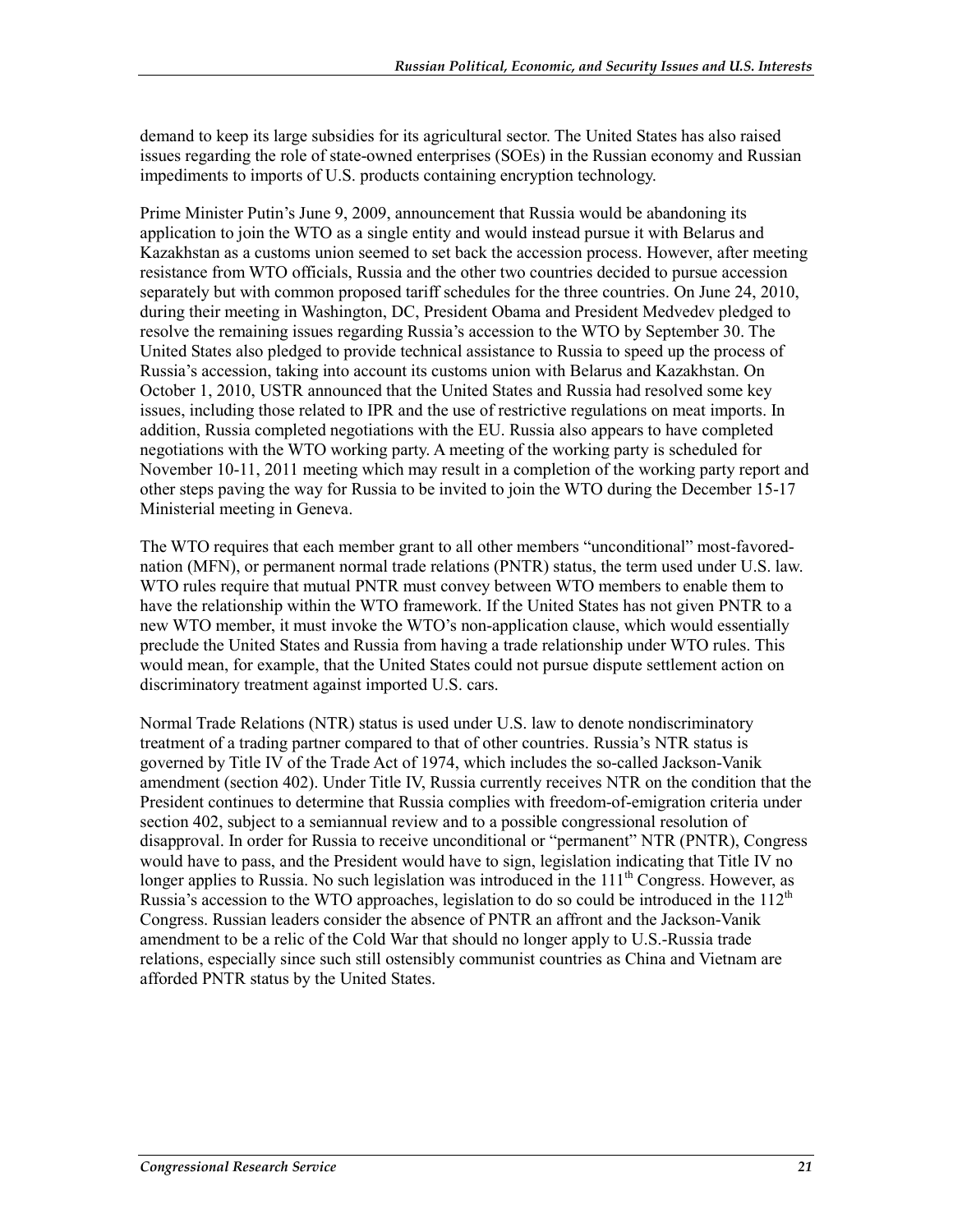demand to keep its large subsidies for its agricultural sector. The United States has also raised issues regarding the role of state-owned enterprises (SOEs) in the Russian economy and Russian impediments to imports of U.S. products containing encryption technology.

Prime Minister Putin's June 9, 2009, announcement that Russia would be abandoning its application to join the WTO as a single entity and would instead pursue it with Belarus and Kazakhstan as a customs union seemed to set back the accession process. However, after meeting resistance from WTO officials, Russia and the other two countries decided to pursue accession separately but with common proposed tariff schedules for the three countries. On June 24, 2010, during their meeting in Washington, DC, President Obama and President Medvedev pledged to resolve the remaining issues regarding Russia's accession to the WTO by September 30. The United States also pledged to provide technical assistance to Russia to speed up the process of Russia's accession, taking into account its customs union with Belarus and Kazakhstan. On October 1, 2010, USTR announced that the United States and Russia had resolved some key issues, including those related to IPR and the use of restrictive regulations on meat imports. In addition, Russia completed negotiations with the EU. Russia also appears to have completed negotiations with the WTO working party. A meeting of the working party is scheduled for November 10-11, 2011 meeting which may result in a completion of the working party report and other steps paving the way for Russia to be invited to join the WTO during the December 15-17 Ministerial meeting in Geneva.

The WTO requires that each member grant to all other members "unconditional" most-favorednation (MFN), or permanent normal trade relations (PNTR) status, the term used under U.S. law. WTO rules require that mutual PNTR must convey between WTO members to enable them to have the relationship within the WTO framework. If the United States has not given PNTR to a new WTO member, it must invoke the WTO's non-application clause, which would essentially preclude the United States and Russia from having a trade relationship under WTO rules. This would mean, for example, that the United States could not pursue dispute settlement action on discriminatory treatment against imported U.S. cars.

Normal Trade Relations (NTR) status is used under U.S. law to denote nondiscriminatory treatment of a trading partner compared to that of other countries. Russia's NTR status is governed by Title IV of the Trade Act of 1974, which includes the so-called Jackson-Vanik amendment (section 402). Under Title IV, Russia currently receives NTR on the condition that the President continues to determine that Russia complies with freedom-of-emigration criteria under section 402, subject to a semiannual review and to a possible congressional resolution of disapproval. In order for Russia to receive unconditional or "permanent" NTR (PNTR), Congress would have to pass, and the President would have to sign, legislation indicating that Title IV no longer applies to Russia. No such legislation was introduced in the  $111<sup>th</sup>$  Congress. However, as Russia's accession to the WTO approaches, legislation to do so could be introduced in the  $112<sup>th</sup>$ Congress. Russian leaders consider the absence of PNTR an affront and the Jackson-Vanik amendment to be a relic of the Cold War that should no longer apply to U.S.-Russia trade relations, especially since such still ostensibly communist countries as China and Vietnam are afforded PNTR status by the United States.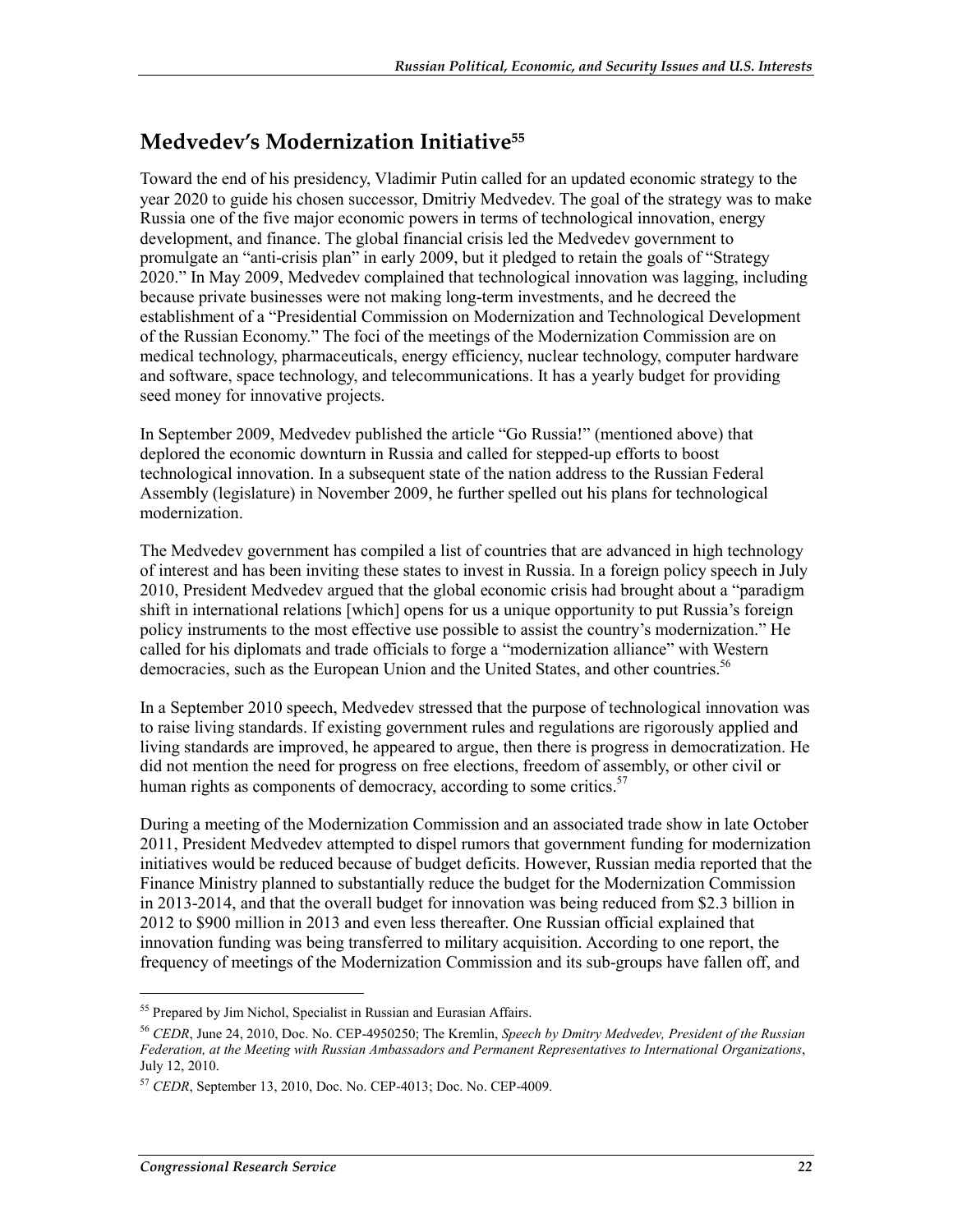## **Medvedev's Modernization Initiative55**

Toward the end of his presidency, Vladimir Putin called for an updated economic strategy to the year 2020 to guide his chosen successor, Dmitriy Medvedev. The goal of the strategy was to make Russia one of the five major economic powers in terms of technological innovation, energy development, and finance. The global financial crisis led the Medvedev government to promulgate an "anti-crisis plan" in early 2009, but it pledged to retain the goals of "Strategy 2020." In May 2009, Medvedev complained that technological innovation was lagging, including because private businesses were not making long-term investments, and he decreed the establishment of a "Presidential Commission on Modernization and Technological Development of the Russian Economy." The foci of the meetings of the Modernization Commission are on medical technology, pharmaceuticals, energy efficiency, nuclear technology, computer hardware and software, space technology, and telecommunications. It has a yearly budget for providing seed money for innovative projects.

In September 2009, Medvedev published the article "Go Russia!" (mentioned above) that deplored the economic downturn in Russia and called for stepped-up efforts to boost technological innovation. In a subsequent state of the nation address to the Russian Federal Assembly (legislature) in November 2009, he further spelled out his plans for technological modernization.

The Medvedev government has compiled a list of countries that are advanced in high technology of interest and has been inviting these states to invest in Russia. In a foreign policy speech in July 2010, President Medvedev argued that the global economic crisis had brought about a "paradigm shift in international relations [which] opens for us a unique opportunity to put Russia's foreign policy instruments to the most effective use possible to assist the country's modernization." He called for his diplomats and trade officials to forge a "modernization alliance" with Western democracies, such as the European Union and the United States, and other countries.<sup>56</sup>

In a September 2010 speech, Medvedev stressed that the purpose of technological innovation was to raise living standards. If existing government rules and regulations are rigorously applied and living standards are improved, he appeared to argue, then there is progress in democratization. He did not mention the need for progress on free elections, freedom of assembly, or other civil or human rights as components of democracy, according to some critics.<sup>57</sup>

During a meeting of the Modernization Commission and an associated trade show in late October 2011, President Medvedev attempted to dispel rumors that government funding for modernization initiatives would be reduced because of budget deficits. However, Russian media reported that the Finance Ministry planned to substantially reduce the budget for the Modernization Commission in 2013-2014, and that the overall budget for innovation was being reduced from \$2.3 billion in 2012 to \$900 million in 2013 and even less thereafter. One Russian official explained that innovation funding was being transferred to military acquisition. According to one report, the frequency of meetings of the Modernization Commission and its sub-groups have fallen off, and

<sup>&</sup>lt;sup>55</sup> Prepared by Jim Nichol, Specialist in Russian and Eurasian Affairs.

<sup>56</sup> *CEDR*, June 24, 2010, Doc. No. CEP-4950250; The Kremlin, *Speech by Dmitry Medvedev, President of the Russian Federation, at the Meeting with Russian Ambassadors and Permanent Representatives to International Organizations*, July 12, 2010.

<sup>57</sup> *CEDR*, September 13, 2010, Doc. No. CEP-4013; Doc. No. CEP-4009.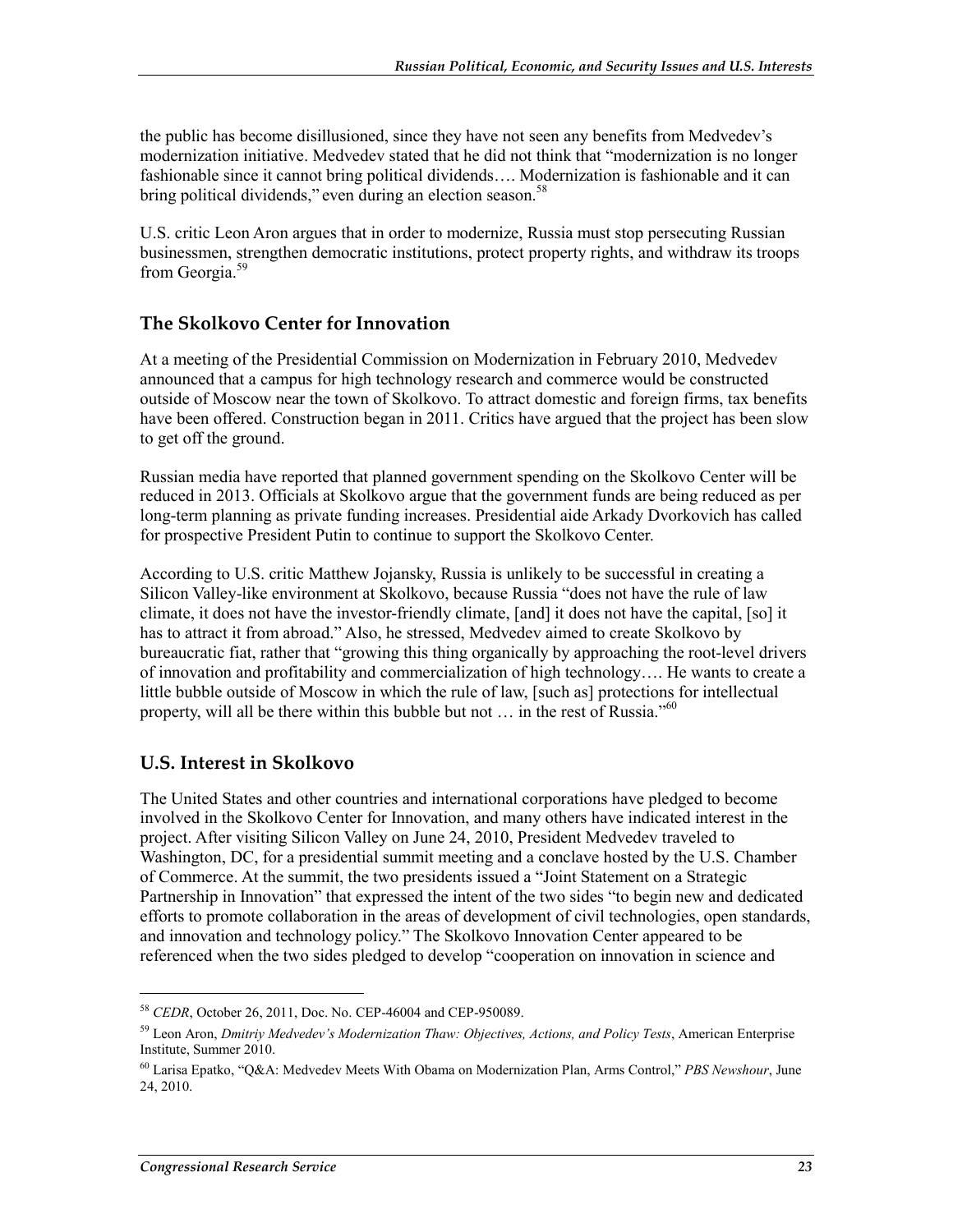the public has become disillusioned, since they have not seen any benefits from Medvedev's modernization initiative. Medvedev stated that he did not think that "modernization is no longer fashionable since it cannot bring political dividends…. Modernization is fashionable and it can bring political dividends," even during an election season.<sup>58</sup>

U.S. critic Leon Aron argues that in order to modernize, Russia must stop persecuting Russian businessmen, strengthen democratic institutions, protect property rights, and withdraw its troops from Georgia.<sup>59</sup>

#### **The Skolkovo Center for Innovation**

At a meeting of the Presidential Commission on Modernization in February 2010, Medvedev announced that a campus for high technology research and commerce would be constructed outside of Moscow near the town of Skolkovo. To attract domestic and foreign firms, tax benefits have been offered. Construction began in 2011. Critics have argued that the project has been slow to get off the ground.

Russian media have reported that planned government spending on the Skolkovo Center will be reduced in 2013. Officials at Skolkovo argue that the government funds are being reduced as per long-term planning as private funding increases. Presidential aide Arkady Dvorkovich has called for prospective President Putin to continue to support the Skolkovo Center.

According to U.S. critic Matthew Jojansky, Russia is unlikely to be successful in creating a Silicon Valley-like environment at Skolkovo, because Russia "does not have the rule of law climate, it does not have the investor-friendly climate, [and] it does not have the capital, [so] it has to attract it from abroad." Also, he stressed, Medvedev aimed to create Skolkovo by bureaucratic fiat, rather that "growing this thing organically by approaching the root-level drivers of innovation and profitability and commercialization of high technology…. He wants to create a little bubble outside of Moscow in which the rule of law, [such as] protections for intellectual property, will all be there within this bubble but not ... in the rest of Russia."<sup>60</sup>

#### **U.S. Interest in Skolkovo**

The United States and other countries and international corporations have pledged to become involved in the Skolkovo Center for Innovation, and many others have indicated interest in the project. After visiting Silicon Valley on June 24, 2010, President Medvedev traveled to Washington, DC, for a presidential summit meeting and a conclave hosted by the U.S. Chamber of Commerce. At the summit, the two presidents issued a "Joint Statement on a Strategic Partnership in Innovation" that expressed the intent of the two sides "to begin new and dedicated efforts to promote collaboration in the areas of development of civil technologies, open standards, and innovation and technology policy." The Skolkovo Innovation Center appeared to be referenced when the two sides pledged to develop "cooperation on innovation in science and

<sup>58</sup> *CEDR*, October 26, 2011, Doc. No. CEP-46004 and CEP-950089.

<sup>59</sup> Leon Aron, *Dmitriy Medvedev's Modernization Thaw: Objectives, Actions, and Policy Tests*, American Enterprise Institute, Summer 2010.

<sup>60</sup> Larisa Epatko, "Q&A: Medvedev Meets With Obama on Modernization Plan, Arms Control," *PBS Newshour*, June 24, 2010.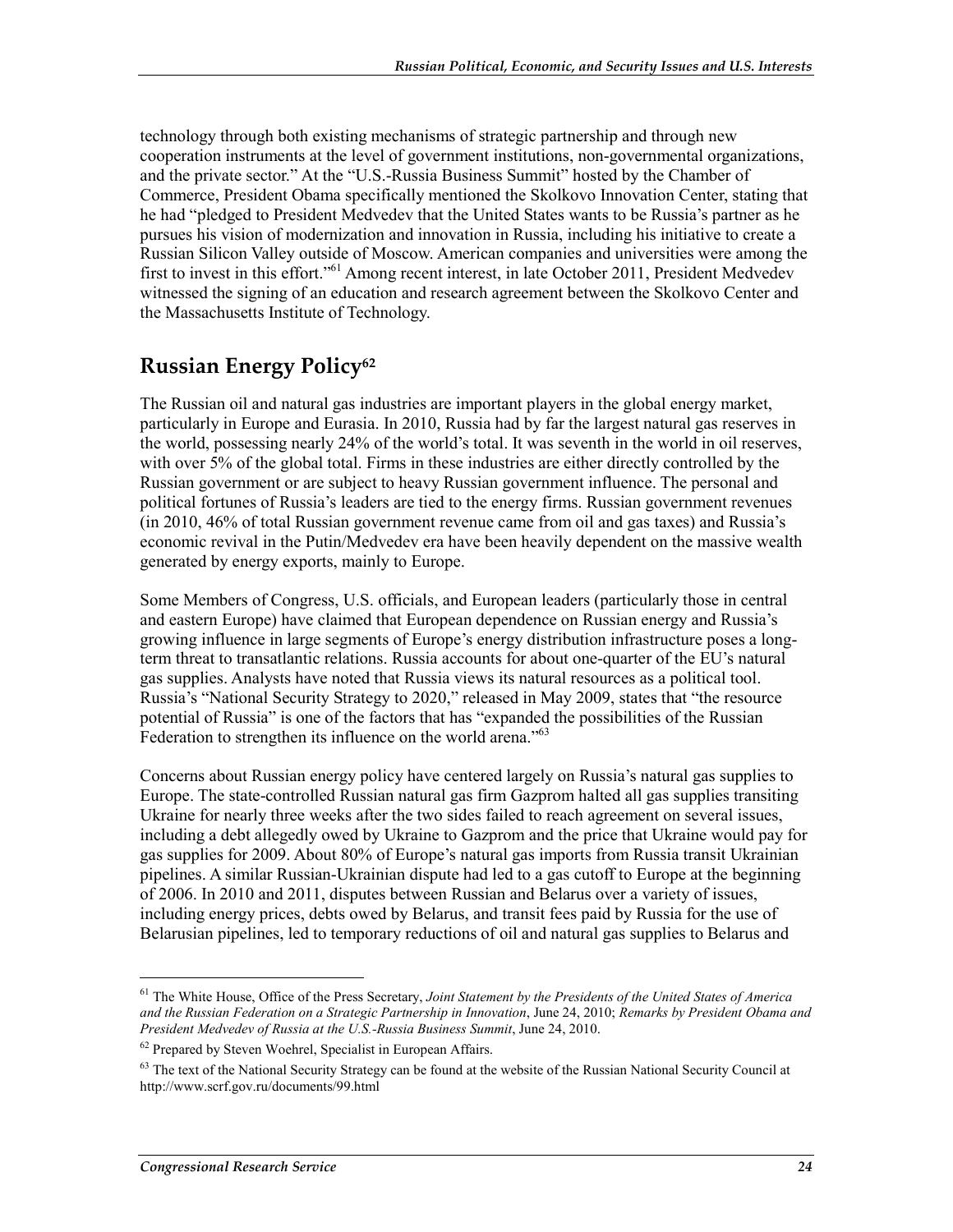technology through both existing mechanisms of strategic partnership and through new cooperation instruments at the level of government institutions, non-governmental organizations, and the private sector." At the "U.S.-Russia Business Summit" hosted by the Chamber of Commerce, President Obama specifically mentioned the Skolkovo Innovation Center, stating that he had "pledged to President Medvedev that the United States wants to be Russia's partner as he pursues his vision of modernization and innovation in Russia, including his initiative to create a Russian Silicon Valley outside of Moscow. American companies and universities were among the first to invest in this effort."61 Among recent interest, in late October 2011, President Medvedev witnessed the signing of an education and research agreement between the Skolkovo Center and the Massachusetts Institute of Technology.

## **Russian Energy Policy62**

The Russian oil and natural gas industries are important players in the global energy market, particularly in Europe and Eurasia. In 2010, Russia had by far the largest natural gas reserves in the world, possessing nearly 24% of the world's total. It was seventh in the world in oil reserves, with over 5% of the global total. Firms in these industries are either directly controlled by the Russian government or are subject to heavy Russian government influence. The personal and political fortunes of Russia's leaders are tied to the energy firms. Russian government revenues (in 2010, 46% of total Russian government revenue came from oil and gas taxes) and Russia's economic revival in the Putin/Medvedev era have been heavily dependent on the massive wealth generated by energy exports, mainly to Europe.

Some Members of Congress, U.S. officials, and European leaders (particularly those in central and eastern Europe) have claimed that European dependence on Russian energy and Russia's growing influence in large segments of Europe's energy distribution infrastructure poses a longterm threat to transatlantic relations. Russia accounts for about one-quarter of the EU's natural gas supplies. Analysts have noted that Russia views its natural resources as a political tool. Russia's "National Security Strategy to 2020," released in May 2009, states that "the resource potential of Russia" is one of the factors that has "expanded the possibilities of the Russian Federation to strengthen its influence on the world arena."<sup>63</sup>

Concerns about Russian energy policy have centered largely on Russia's natural gas supplies to Europe. The state-controlled Russian natural gas firm Gazprom halted all gas supplies transiting Ukraine for nearly three weeks after the two sides failed to reach agreement on several issues, including a debt allegedly owed by Ukraine to Gazprom and the price that Ukraine would pay for gas supplies for 2009. About 80% of Europe's natural gas imports from Russia transit Ukrainian pipelines. A similar Russian-Ukrainian dispute had led to a gas cutoff to Europe at the beginning of 2006. In 2010 and 2011, disputes between Russian and Belarus over a variety of issues, including energy prices, debts owed by Belarus, and transit fees paid by Russia for the use of Belarusian pipelines, led to temporary reductions of oil and natural gas supplies to Belarus and

 $\overline{a}$ 

<sup>61</sup> The White House, Office of the Press Secretary, *Joint Statement by the Presidents of the United States of America and the Russian Federation on a Strategic Partnership in Innovation*, June 24, 2010; *Remarks by President Obama and President Medvedev of Russia at the U.S.-Russia Business Summit*, June 24, 2010.

<sup>&</sup>lt;sup>62</sup> Prepared by Steven Woehrel, Specialist in European Affairs.

 $63$  The text of the National Security Strategy can be found at the website of the Russian National Security Council at http://www.scrf.gov.ru/documents/99.html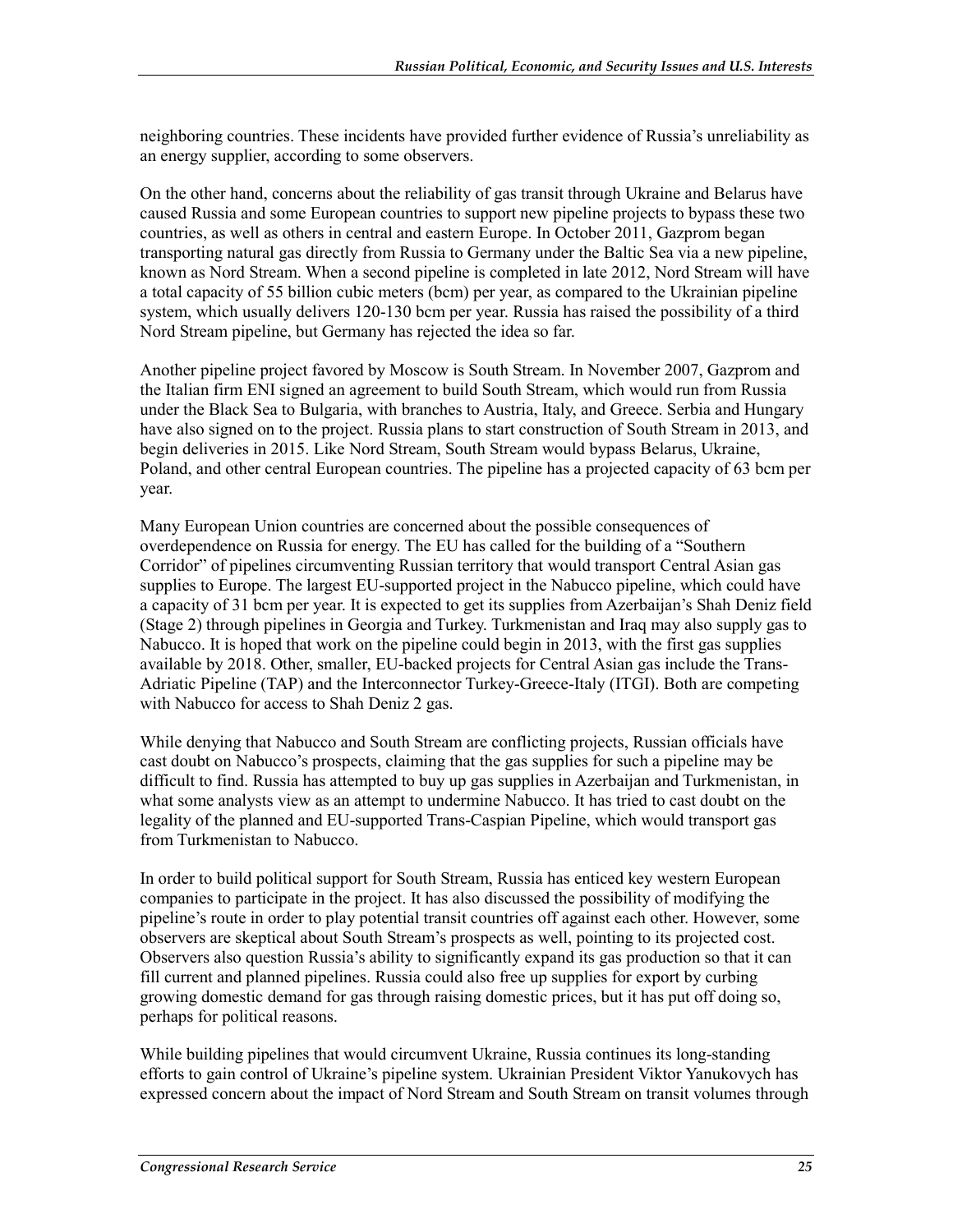neighboring countries. These incidents have provided further evidence of Russia's unreliability as an energy supplier, according to some observers.

On the other hand, concerns about the reliability of gas transit through Ukraine and Belarus have caused Russia and some European countries to support new pipeline projects to bypass these two countries, as well as others in central and eastern Europe. In October 2011, Gazprom began transporting natural gas directly from Russia to Germany under the Baltic Sea via a new pipeline, known as Nord Stream. When a second pipeline is completed in late 2012, Nord Stream will have a total capacity of 55 billion cubic meters (bcm) per year, as compared to the Ukrainian pipeline system, which usually delivers 120-130 bcm per year. Russia has raised the possibility of a third Nord Stream pipeline, but Germany has rejected the idea so far.

Another pipeline project favored by Moscow is South Stream. In November 2007, Gazprom and the Italian firm ENI signed an agreement to build South Stream, which would run from Russia under the Black Sea to Bulgaria, with branches to Austria, Italy, and Greece. Serbia and Hungary have also signed on to the project. Russia plans to start construction of South Stream in 2013, and begin deliveries in 2015. Like Nord Stream, South Stream would bypass Belarus, Ukraine, Poland, and other central European countries. The pipeline has a projected capacity of 63 bcm per year.

Many European Union countries are concerned about the possible consequences of overdependence on Russia for energy. The EU has called for the building of a "Southern Corridor" of pipelines circumventing Russian territory that would transport Central Asian gas supplies to Europe. The largest EU-supported project in the Nabucco pipeline, which could have a capacity of 31 bcm per year. It is expected to get its supplies from Azerbaijan's Shah Deniz field (Stage 2) through pipelines in Georgia and Turkey. Turkmenistan and Iraq may also supply gas to Nabucco. It is hoped that work on the pipeline could begin in 2013, with the first gas supplies available by 2018. Other, smaller, EU-backed projects for Central Asian gas include the Trans-Adriatic Pipeline (TAP) and the Interconnector Turkey-Greece-Italy (ITGI). Both are competing with Nabucco for access to Shah Deniz 2 gas.

While denying that Nabucco and South Stream are conflicting projects, Russian officials have cast doubt on Nabucco's prospects, claiming that the gas supplies for such a pipeline may be difficult to find. Russia has attempted to buy up gas supplies in Azerbaijan and Turkmenistan, in what some analysts view as an attempt to undermine Nabucco. It has tried to cast doubt on the legality of the planned and EU-supported Trans-Caspian Pipeline, which would transport gas from Turkmenistan to Nabucco.

In order to build political support for South Stream, Russia has enticed key western European companies to participate in the project. It has also discussed the possibility of modifying the pipeline's route in order to play potential transit countries off against each other. However, some observers are skeptical about South Stream's prospects as well, pointing to its projected cost. Observers also question Russia's ability to significantly expand its gas production so that it can fill current and planned pipelines. Russia could also free up supplies for export by curbing growing domestic demand for gas through raising domestic prices, but it has put off doing so, perhaps for political reasons.

While building pipelines that would circumvent Ukraine, Russia continues its long-standing efforts to gain control of Ukraine's pipeline system. Ukrainian President Viktor Yanukovych has expressed concern about the impact of Nord Stream and South Stream on transit volumes through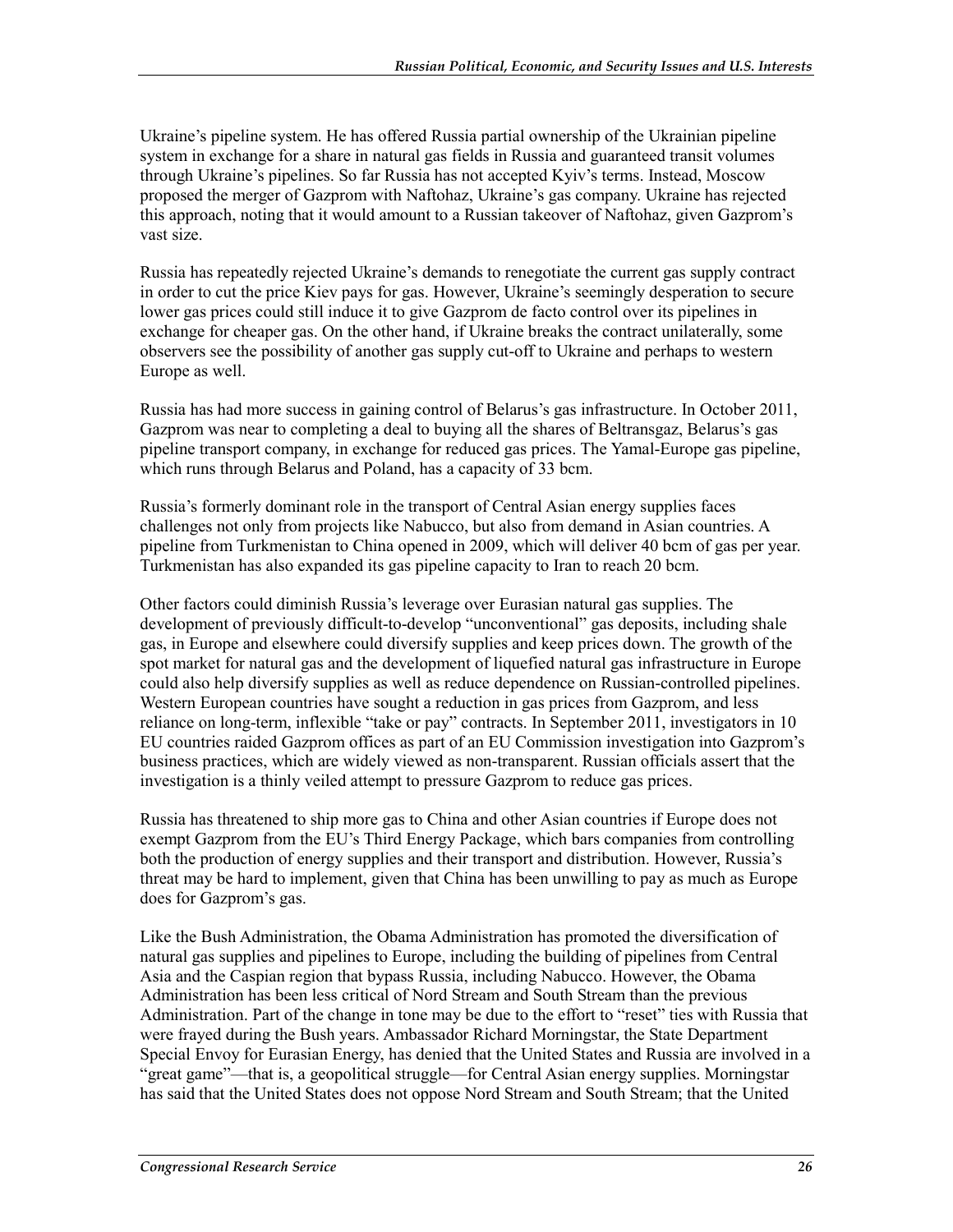Ukraine's pipeline system. He has offered Russia partial ownership of the Ukrainian pipeline system in exchange for a share in natural gas fields in Russia and guaranteed transit volumes through Ukraine's pipelines. So far Russia has not accepted Kyiv's terms. Instead, Moscow proposed the merger of Gazprom with Naftohaz, Ukraine's gas company. Ukraine has rejected this approach, noting that it would amount to a Russian takeover of Naftohaz, given Gazprom's vast size.

Russia has repeatedly rejected Ukraine's demands to renegotiate the current gas supply contract in order to cut the price Kiev pays for gas. However, Ukraine's seemingly desperation to secure lower gas prices could still induce it to give Gazprom de facto control over its pipelines in exchange for cheaper gas. On the other hand, if Ukraine breaks the contract unilaterally, some observers see the possibility of another gas supply cut-off to Ukraine and perhaps to western Europe as well.

Russia has had more success in gaining control of Belarus's gas infrastructure. In October 2011, Gazprom was near to completing a deal to buying all the shares of Beltransgaz, Belarus's gas pipeline transport company, in exchange for reduced gas prices. The Yamal-Europe gas pipeline, which runs through Belarus and Poland, has a capacity of 33 bcm.

Russia's formerly dominant role in the transport of Central Asian energy supplies faces challenges not only from projects like Nabucco, but also from demand in Asian countries. A pipeline from Turkmenistan to China opened in 2009, which will deliver 40 bcm of gas per year. Turkmenistan has also expanded its gas pipeline capacity to Iran to reach 20 bcm.

Other factors could diminish Russia's leverage over Eurasian natural gas supplies. The development of previously difficult-to-develop "unconventional" gas deposits, including shale gas, in Europe and elsewhere could diversify supplies and keep prices down. The growth of the spot market for natural gas and the development of liquefied natural gas infrastructure in Europe could also help diversify supplies as well as reduce dependence on Russian-controlled pipelines. Western European countries have sought a reduction in gas prices from Gazprom, and less reliance on long-term, inflexible "take or pay" contracts. In September 2011, investigators in 10 EU countries raided Gazprom offices as part of an EU Commission investigation into Gazprom's business practices, which are widely viewed as non-transparent. Russian officials assert that the investigation is a thinly veiled attempt to pressure Gazprom to reduce gas prices.

Russia has threatened to ship more gas to China and other Asian countries if Europe does not exempt Gazprom from the EU's Third Energy Package, which bars companies from controlling both the production of energy supplies and their transport and distribution. However, Russia's threat may be hard to implement, given that China has been unwilling to pay as much as Europe does for Gazprom's gas.

Like the Bush Administration, the Obama Administration has promoted the diversification of natural gas supplies and pipelines to Europe, including the building of pipelines from Central Asia and the Caspian region that bypass Russia, including Nabucco. However, the Obama Administration has been less critical of Nord Stream and South Stream than the previous Administration. Part of the change in tone may be due to the effort to "reset" ties with Russia that were frayed during the Bush years. Ambassador Richard Morningstar, the State Department Special Envoy for Eurasian Energy, has denied that the United States and Russia are involved in a "great game"—that is, a geopolitical struggle—for Central Asian energy supplies. Morningstar has said that the United States does not oppose Nord Stream and South Stream; that the United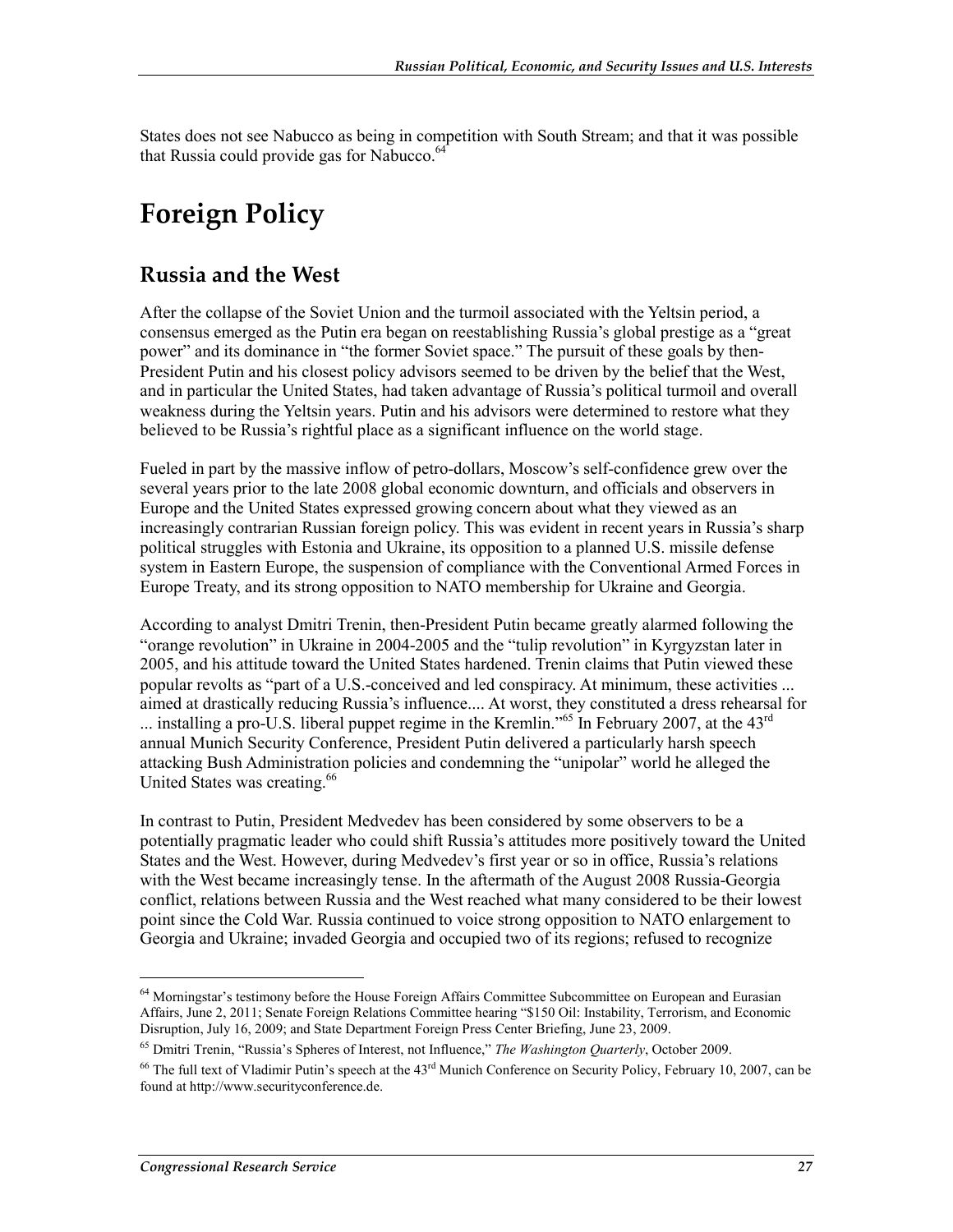States does not see Nabucco as being in competition with South Stream; and that it was possible that Russia could provide gas for Nabucco. $64$ 

## **Foreign Policy**

### **Russia and the West**

After the collapse of the Soviet Union and the turmoil associated with the Yeltsin period, a consensus emerged as the Putin era began on reestablishing Russia's global prestige as a "great power" and its dominance in "the former Soviet space." The pursuit of these goals by then-President Putin and his closest policy advisors seemed to be driven by the belief that the West, and in particular the United States, had taken advantage of Russia's political turmoil and overall weakness during the Yeltsin years. Putin and his advisors were determined to restore what they believed to be Russia's rightful place as a significant influence on the world stage.

Fueled in part by the massive inflow of petro-dollars, Moscow's self-confidence grew over the several years prior to the late 2008 global economic downturn, and officials and observers in Europe and the United States expressed growing concern about what they viewed as an increasingly contrarian Russian foreign policy. This was evident in recent years in Russia's sharp political struggles with Estonia and Ukraine, its opposition to a planned U.S. missile defense system in Eastern Europe, the suspension of compliance with the Conventional Armed Forces in Europe Treaty, and its strong opposition to NATO membership for Ukraine and Georgia.

According to analyst Dmitri Trenin, then-President Putin became greatly alarmed following the "orange revolution" in Ukraine in 2004-2005 and the "tulip revolution" in Kyrgyzstan later in 2005, and his attitude toward the United States hardened. Trenin claims that Putin viewed these popular revolts as "part of a U.S.-conceived and led conspiracy. At minimum, these activities ... aimed at drastically reducing Russia's influence.... At worst, they constituted a dress rehearsal for ... installing a pro-U.S. liberal puppet regime in the Kremlin."<sup>65</sup> In February 2007, at the 43<sup>rd</sup> annual Munich Security Conference, President Putin delivered a particularly harsh speech attacking Bush Administration policies and condemning the "unipolar" world he alleged the United States was creating.<sup>66</sup>

In contrast to Putin, President Medvedev has been considered by some observers to be a potentially pragmatic leader who could shift Russia's attitudes more positively toward the United States and the West. However, during Medvedev's first year or so in office, Russia's relations with the West became increasingly tense. In the aftermath of the August 2008 Russia-Georgia conflict, relations between Russia and the West reached what many considered to be their lowest point since the Cold War. Russia continued to voice strong opposition to NATO enlargement to Georgia and Ukraine; invaded Georgia and occupied two of its regions; refused to recognize

 $\overline{a}$ 

<sup>&</sup>lt;sup>64</sup> Morningstar's testimony before the House Foreign Affairs Committee Subcommittee on European and Eurasian Affairs, June 2, 2011; Senate Foreign Relations Committee hearing "\$150 Oil: Instability, Terrorism, and Economic Disruption, July 16, 2009; and State Department Foreign Press Center Briefing, June 23, 2009.

<sup>65</sup> Dmitri Trenin, "Russia's Spheres of Interest, not Influence," *The Washington Quarterly*, October 2009.

 $66$  The full text of Vladimir Putin's speech at the  $43<sup>rd</sup>$  Munich Conference on Security Policy, February 10, 2007, can be found at http://www.securityconference.de.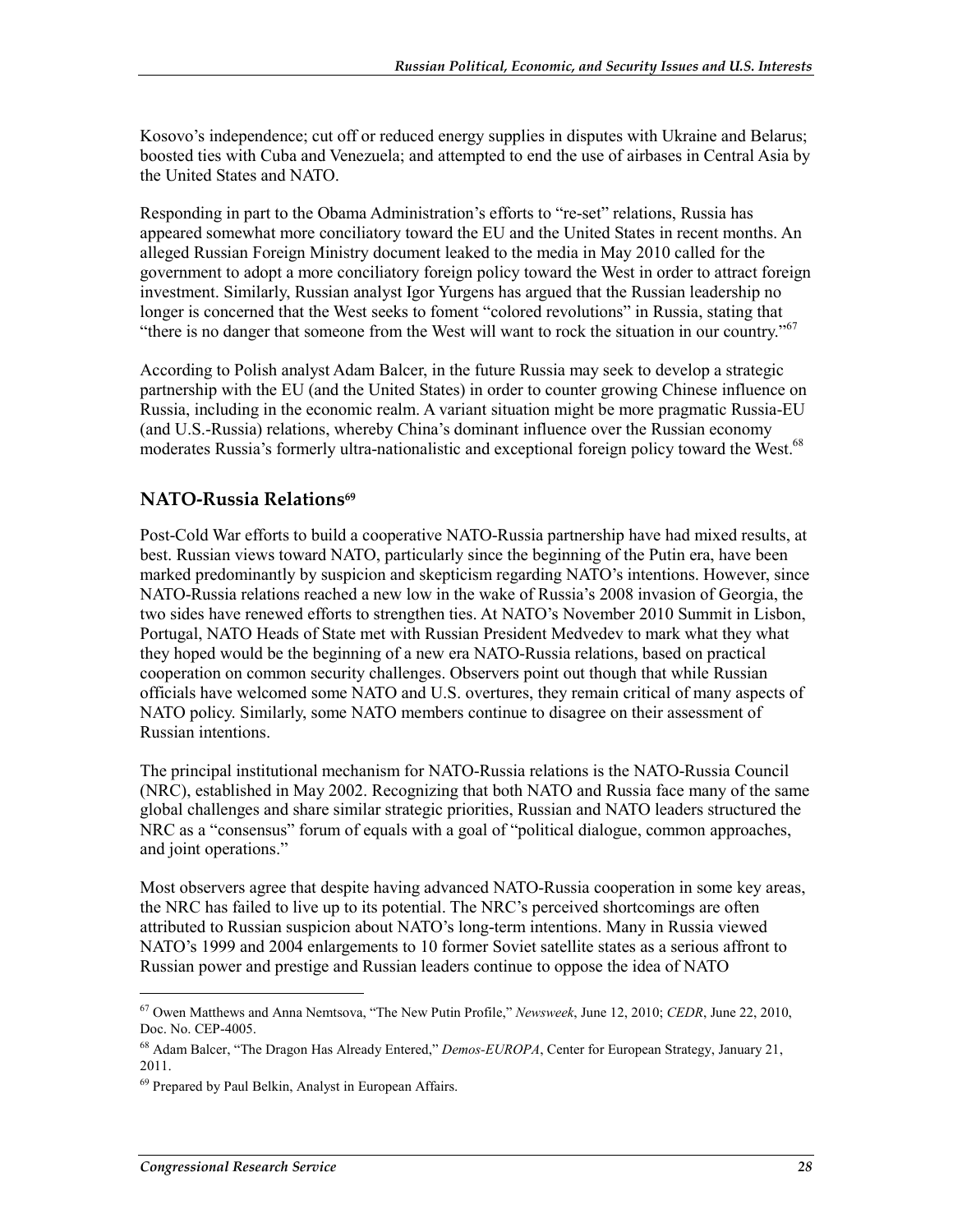Kosovo's independence; cut off or reduced energy supplies in disputes with Ukraine and Belarus; boosted ties with Cuba and Venezuela; and attempted to end the use of airbases in Central Asia by the United States and NATO.

Responding in part to the Obama Administration's efforts to "re-set" relations, Russia has appeared somewhat more conciliatory toward the EU and the United States in recent months. An alleged Russian Foreign Ministry document leaked to the media in May 2010 called for the government to adopt a more conciliatory foreign policy toward the West in order to attract foreign investment. Similarly, Russian analyst Igor Yurgens has argued that the Russian leadership no longer is concerned that the West seeks to foment "colored revolutions" in Russia, stating that "there is no danger that someone from the West will want to rock the situation in our country."67

According to Polish analyst Adam Balcer, in the future Russia may seek to develop a strategic partnership with the EU (and the United States) in order to counter growing Chinese influence on Russia, including in the economic realm. A variant situation might be more pragmatic Russia-EU (and U.S.-Russia) relations, whereby China's dominant influence over the Russian economy moderates Russia's formerly ultra-nationalistic and exceptional foreign policy toward the West.<sup>68</sup>

#### **NATO-Russia Relations<sup>69</sup>**

Post-Cold War efforts to build a cooperative NATO-Russia partnership have had mixed results, at best. Russian views toward NATO, particularly since the beginning of the Putin era, have been marked predominantly by suspicion and skepticism regarding NATO's intentions. However, since NATO-Russia relations reached a new low in the wake of Russia's 2008 invasion of Georgia, the two sides have renewed efforts to strengthen ties. At NATO's November 2010 Summit in Lisbon, Portugal, NATO Heads of State met with Russian President Medvedev to mark what they what they hoped would be the beginning of a new era NATO-Russia relations, based on practical cooperation on common security challenges. Observers point out though that while Russian officials have welcomed some NATO and U.S. overtures, they remain critical of many aspects of NATO policy. Similarly, some NATO members continue to disagree on their assessment of Russian intentions.

The principal institutional mechanism for NATO-Russia relations is the NATO-Russia Council (NRC), established in May 2002. Recognizing that both NATO and Russia face many of the same global challenges and share similar strategic priorities, Russian and NATO leaders structured the NRC as a "consensus" forum of equals with a goal of "political dialogue, common approaches, and joint operations."

Most observers agree that despite having advanced NATO-Russia cooperation in some key areas, the NRC has failed to live up to its potential. The NRC's perceived shortcomings are often attributed to Russian suspicion about NATO's long-term intentions. Many in Russia viewed NATO's 1999 and 2004 enlargements to 10 former Soviet satellite states as a serious affront to Russian power and prestige and Russian leaders continue to oppose the idea of NATO

<sup>67</sup> Owen Matthews and Anna Nemtsova, "The New Putin Profile," *Newsweek*, June 12, 2010; *CEDR*, June 22, 2010, Doc. No. CEP-4005.

<sup>68</sup> Adam Balcer, "The Dragon Has Already Entered," *Demos-EUROPA*, Center for European Strategy, January 21, 2011.

<sup>69</sup> Prepared by Paul Belkin, Analyst in European Affairs.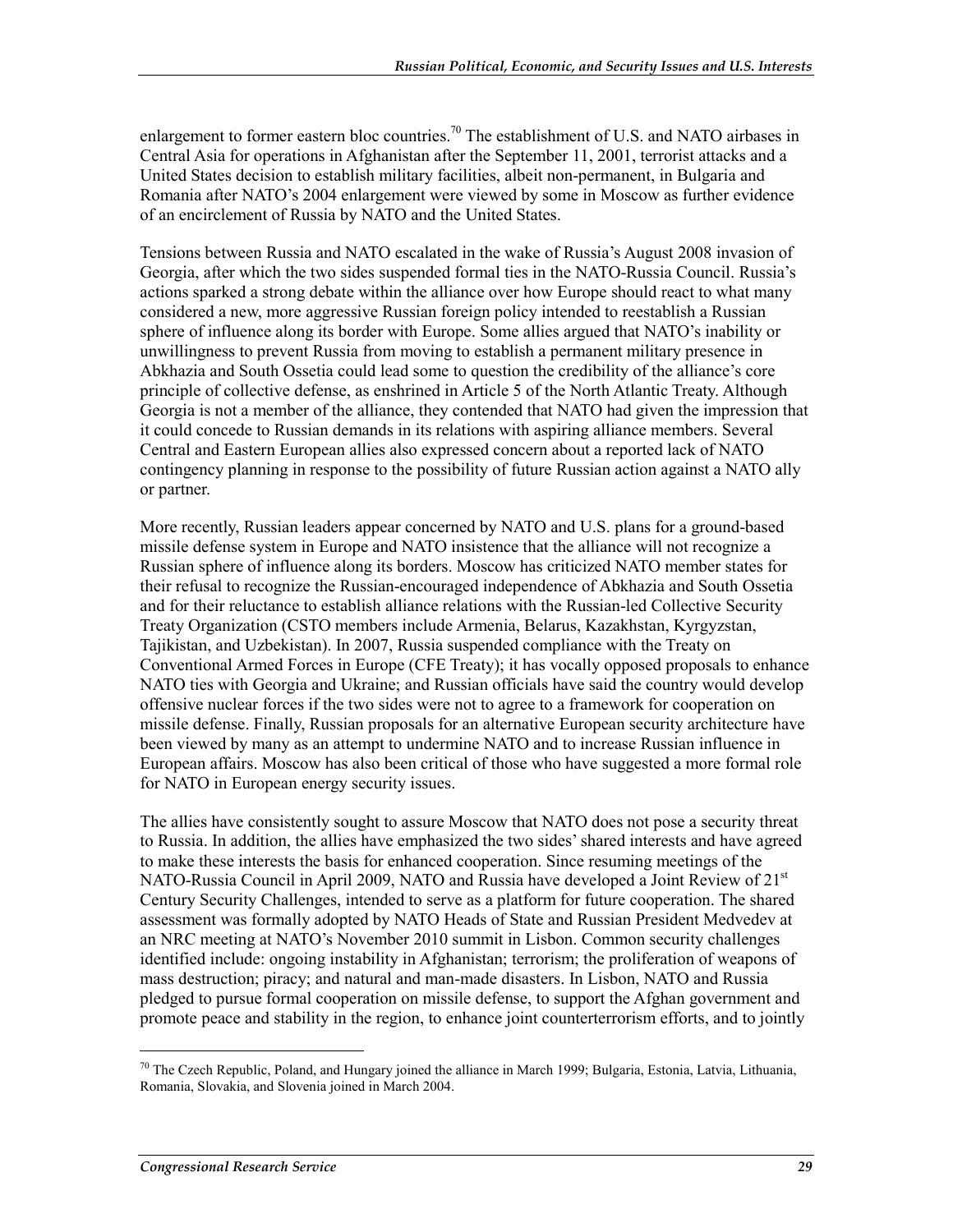enlargement to former eastern bloc countries.<sup>70</sup> The establishment of U.S. and NATO airbases in Central Asia for operations in Afghanistan after the September 11, 2001, terrorist attacks and a United States decision to establish military facilities, albeit non-permanent, in Bulgaria and Romania after NATO's 2004 enlargement were viewed by some in Moscow as further evidence of an encirclement of Russia by NATO and the United States.

Tensions between Russia and NATO escalated in the wake of Russia's August 2008 invasion of Georgia, after which the two sides suspended formal ties in the NATO-Russia Council. Russia's actions sparked a strong debate within the alliance over how Europe should react to what many considered a new, more aggressive Russian foreign policy intended to reestablish a Russian sphere of influence along its border with Europe. Some allies argued that NATO's inability or unwillingness to prevent Russia from moving to establish a permanent military presence in Abkhazia and South Ossetia could lead some to question the credibility of the alliance's core principle of collective defense, as enshrined in Article 5 of the North Atlantic Treaty. Although Georgia is not a member of the alliance, they contended that NATO had given the impression that it could concede to Russian demands in its relations with aspiring alliance members. Several Central and Eastern European allies also expressed concern about a reported lack of NATO contingency planning in response to the possibility of future Russian action against a NATO ally or partner.

More recently, Russian leaders appear concerned by NATO and U.S. plans for a ground-based missile defense system in Europe and NATO insistence that the alliance will not recognize a Russian sphere of influence along its borders. Moscow has criticized NATO member states for their refusal to recognize the Russian-encouraged independence of Abkhazia and South Ossetia and for their reluctance to establish alliance relations with the Russian-led Collective Security Treaty Organization (CSTO members include Armenia, Belarus, Kazakhstan, Kyrgyzstan, Tajikistan, and Uzbekistan). In 2007, Russia suspended compliance with the Treaty on Conventional Armed Forces in Europe (CFE Treaty); it has vocally opposed proposals to enhance NATO ties with Georgia and Ukraine; and Russian officials have said the country would develop offensive nuclear forces if the two sides were not to agree to a framework for cooperation on missile defense. Finally, Russian proposals for an alternative European security architecture have been viewed by many as an attempt to undermine NATO and to increase Russian influence in European affairs. Moscow has also been critical of those who have suggested a more formal role for NATO in European energy security issues.

The allies have consistently sought to assure Moscow that NATO does not pose a security threat to Russia. In addition, the allies have emphasized the two sides' shared interests and have agreed to make these interests the basis for enhanced cooperation. Since resuming meetings of the NATO-Russia Council in April 2009, NATO and Russia have developed a Joint Review of 21<sup>st</sup> Century Security Challenges, intended to serve as a platform for future cooperation. The shared assessment was formally adopted by NATO Heads of State and Russian President Medvedev at an NRC meeting at NATO's November 2010 summit in Lisbon. Common security challenges identified include: ongoing instability in Afghanistan; terrorism; the proliferation of weapons of mass destruction; piracy; and natural and man-made disasters. In Lisbon, NATO and Russia pledged to pursue formal cooperation on missile defense, to support the Afghan government and promote peace and stability in the region, to enhance joint counterterrorism efforts, and to jointly

 $70$  The Czech Republic, Poland, and Hungary joined the alliance in March 1999; Bulgaria, Estonia, Latvia, Lithuania, Romania, Slovakia, and Slovenia joined in March 2004.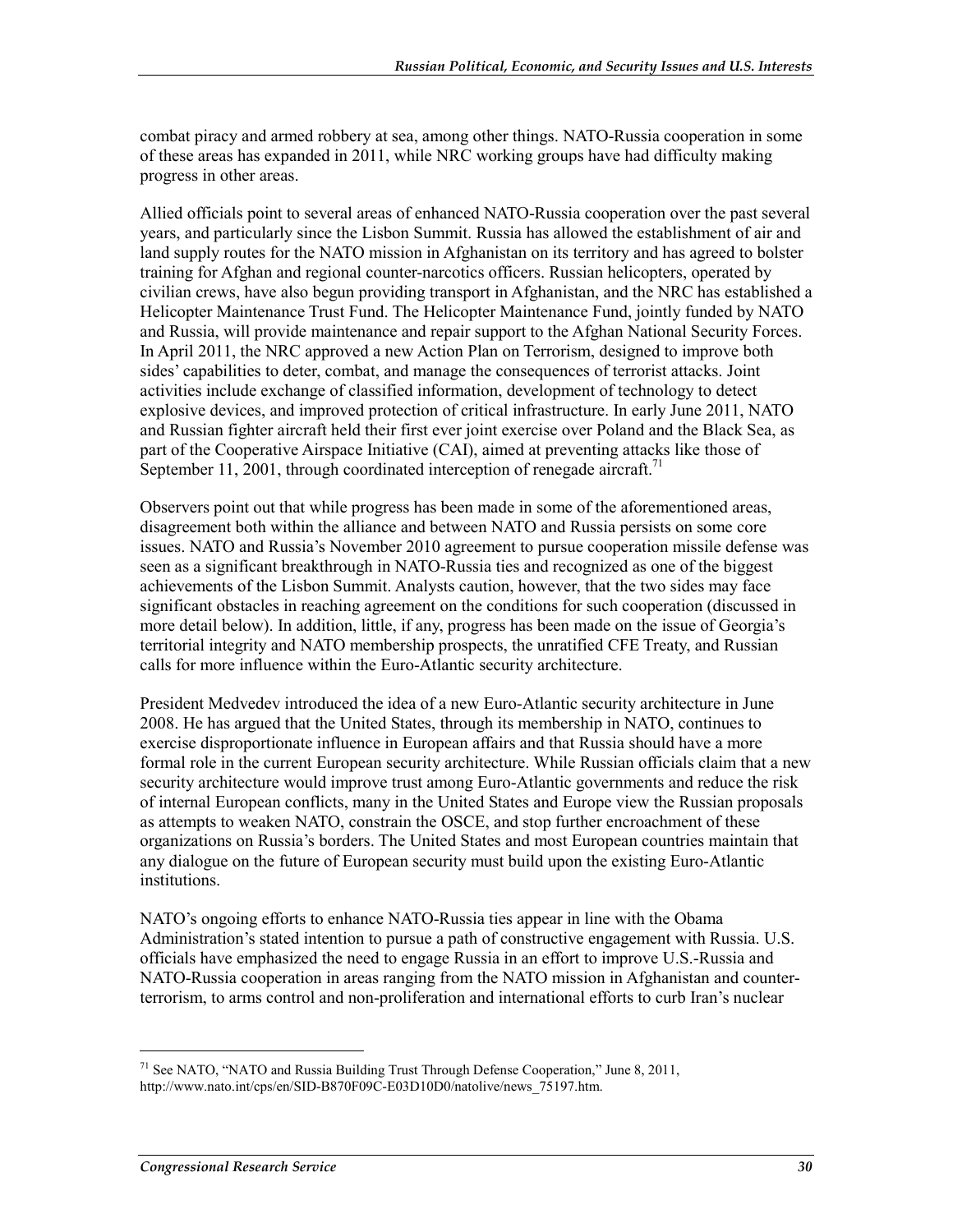combat piracy and armed robbery at sea, among other things. NATO-Russia cooperation in some of these areas has expanded in 2011, while NRC working groups have had difficulty making progress in other areas.

Allied officials point to several areas of enhanced NATO-Russia cooperation over the past several years, and particularly since the Lisbon Summit. Russia has allowed the establishment of air and land supply routes for the NATO mission in Afghanistan on its territory and has agreed to bolster training for Afghan and regional counter-narcotics officers. Russian helicopters, operated by civilian crews, have also begun providing transport in Afghanistan, and the NRC has established a Helicopter Maintenance Trust Fund. The Helicopter Maintenance Fund, jointly funded by NATO and Russia, will provide maintenance and repair support to the Afghan National Security Forces. In April 2011, the NRC approved a new Action Plan on Terrorism, designed to improve both sides' capabilities to deter, combat, and manage the consequences of terrorist attacks. Joint activities include exchange of classified information, development of technology to detect explosive devices, and improved protection of critical infrastructure. In early June 2011, NATO and Russian fighter aircraft held their first ever joint exercise over Poland and the Black Sea, as part of the Cooperative Airspace Initiative (CAI), aimed at preventing attacks like those of September 11, 2001, through coordinated interception of renegade aircraft.<sup>71</sup>

Observers point out that while progress has been made in some of the aforementioned areas, disagreement both within the alliance and between NATO and Russia persists on some core issues. NATO and Russia's November 2010 agreement to pursue cooperation missile defense was seen as a significant breakthrough in NATO-Russia ties and recognized as one of the biggest achievements of the Lisbon Summit. Analysts caution, however, that the two sides may face significant obstacles in reaching agreement on the conditions for such cooperation (discussed in more detail below). In addition, little, if any, progress has been made on the issue of Georgia's territorial integrity and NATO membership prospects, the unratified CFE Treaty, and Russian calls for more influence within the Euro-Atlantic security architecture.

President Medvedev introduced the idea of a new Euro-Atlantic security architecture in June 2008. He has argued that the United States, through its membership in NATO, continues to exercise disproportionate influence in European affairs and that Russia should have a more formal role in the current European security architecture. While Russian officials claim that a new security architecture would improve trust among Euro-Atlantic governments and reduce the risk of internal European conflicts, many in the United States and Europe view the Russian proposals as attempts to weaken NATO, constrain the OSCE, and stop further encroachment of these organizations on Russia's borders. The United States and most European countries maintain that any dialogue on the future of European security must build upon the existing Euro-Atlantic institutions.

NATO's ongoing efforts to enhance NATO-Russia ties appear in line with the Obama Administration's stated intention to pursue a path of constructive engagement with Russia. U.S. officials have emphasized the need to engage Russia in an effort to improve U.S.-Russia and NATO-Russia cooperation in areas ranging from the NATO mission in Afghanistan and counterterrorism, to arms control and non-proliferation and international efforts to curb Iran's nuclear

<sup>71</sup> See NATO, "NATO and Russia Building Trust Through Defense Cooperation," June 8, 2011, http://www.nato.int/cps/en/SID-B870F09C-E03D10D0/natolive/news\_75197.htm.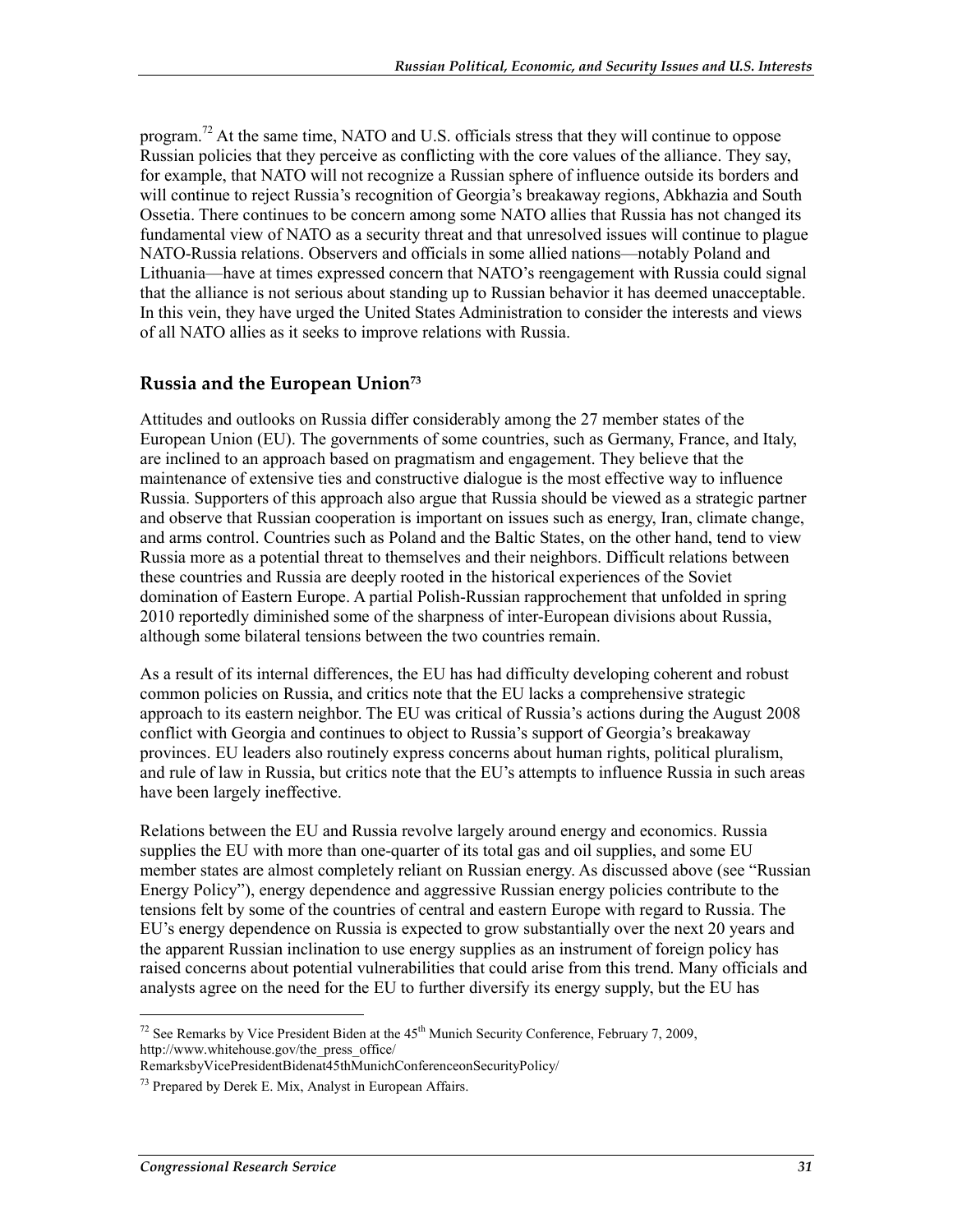program.<sup>72</sup> At the same time, NATO and U.S. officials stress that they will continue to oppose Russian policies that they perceive as conflicting with the core values of the alliance. They say, for example, that NATO will not recognize a Russian sphere of influence outside its borders and will continue to reject Russia's recognition of Georgia's breakaway regions, Abkhazia and South Ossetia. There continues to be concern among some NATO allies that Russia has not changed its fundamental view of NATO as a security threat and that unresolved issues will continue to plague NATO-Russia relations. Observers and officials in some allied nations—notably Poland and Lithuania—have at times expressed concern that NATO's reengagement with Russia could signal that the alliance is not serious about standing up to Russian behavior it has deemed unacceptable. In this vein, they have urged the United States Administration to consider the interests and views of all NATO allies as it seeks to improve relations with Russia.

#### **Russia and the European Union73**

Attitudes and outlooks on Russia differ considerably among the 27 member states of the European Union (EU). The governments of some countries, such as Germany, France, and Italy, are inclined to an approach based on pragmatism and engagement. They believe that the maintenance of extensive ties and constructive dialogue is the most effective way to influence Russia. Supporters of this approach also argue that Russia should be viewed as a strategic partner and observe that Russian cooperation is important on issues such as energy, Iran, climate change, and arms control. Countries such as Poland and the Baltic States, on the other hand, tend to view Russia more as a potential threat to themselves and their neighbors. Difficult relations between these countries and Russia are deeply rooted in the historical experiences of the Soviet domination of Eastern Europe. A partial Polish-Russian rapprochement that unfolded in spring 2010 reportedly diminished some of the sharpness of inter-European divisions about Russia, although some bilateral tensions between the two countries remain.

As a result of its internal differences, the EU has had difficulty developing coherent and robust common policies on Russia, and critics note that the EU lacks a comprehensive strategic approach to its eastern neighbor. The EU was critical of Russia's actions during the August 2008 conflict with Georgia and continues to object to Russia's support of Georgia's breakaway provinces. EU leaders also routinely express concerns about human rights, political pluralism, and rule of law in Russia, but critics note that the EU's attempts to influence Russia in such areas have been largely ineffective.

Relations between the EU and Russia revolve largely around energy and economics. Russia supplies the EU with more than one-quarter of its total gas and oil supplies, and some EU member states are almost completely reliant on Russian energy. As discussed above (see "Russian Energy Policy"), energy dependence and aggressive Russian energy policies contribute to the tensions felt by some of the countries of central and eastern Europe with regard to Russia. The EU's energy dependence on Russia is expected to grow substantially over the next 20 years and the apparent Russian inclination to use energy supplies as an instrument of foreign policy has raised concerns about potential vulnerabilities that could arise from this trend. Many officials and analysts agree on the need for the EU to further diversify its energy supply, but the EU has

<sup>&</sup>lt;sup>72</sup> See Remarks by Vice President Biden at the  $45<sup>th</sup>$  Munich Security Conference, February 7, 2009, http://www.whitehouse.gov/the\_press\_office/

RemarksbyVicePresidentBidenat45thMunichConferenceonSecurityPolicy/

 $73$  Prepared by Derek E. Mix, Analyst in European Affairs.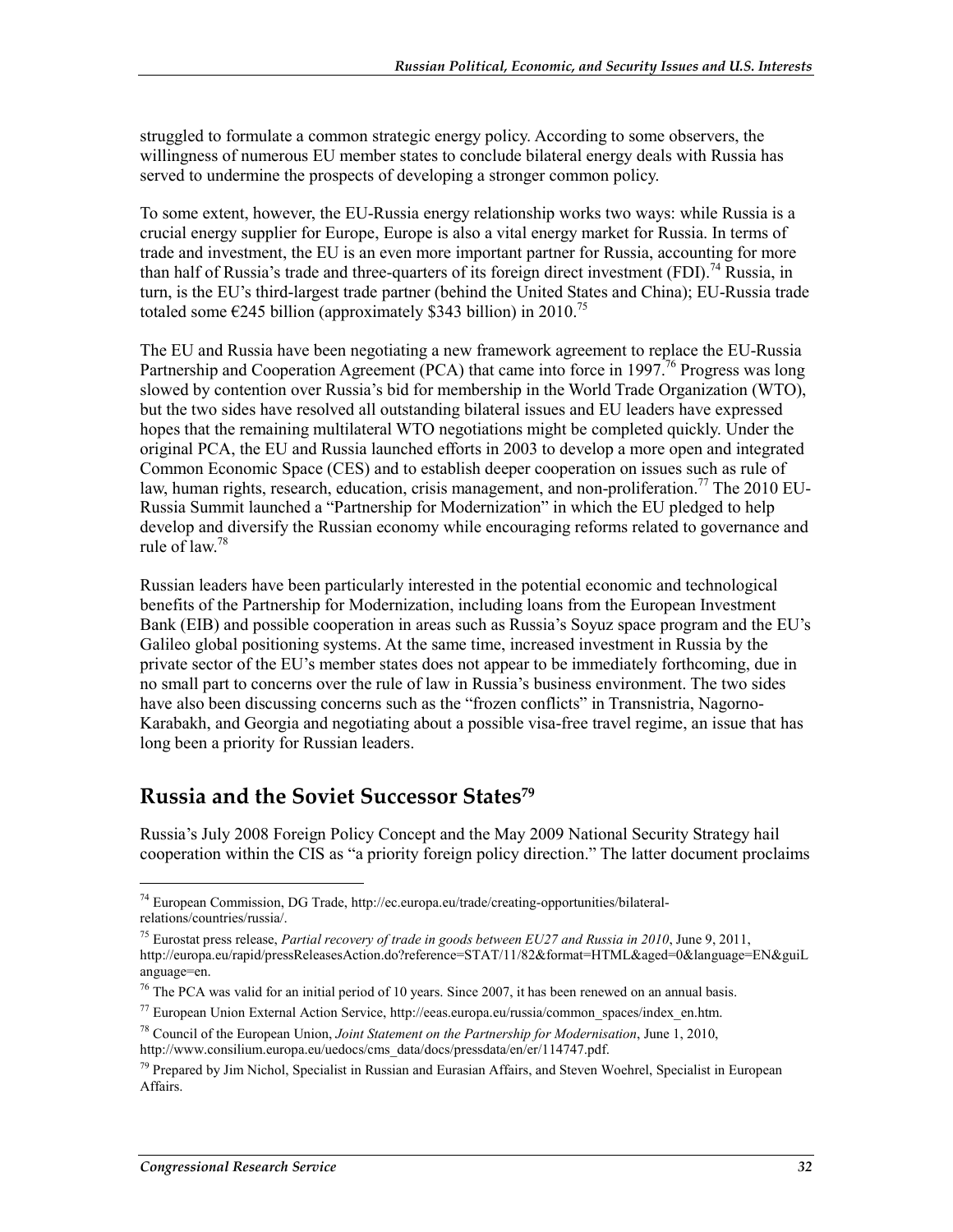struggled to formulate a common strategic energy policy. According to some observers, the willingness of numerous EU member states to conclude bilateral energy deals with Russia has served to undermine the prospects of developing a stronger common policy.

To some extent, however, the EU-Russia energy relationship works two ways: while Russia is a crucial energy supplier for Europe, Europe is also a vital energy market for Russia. In terms of trade and investment, the EU is an even more important partner for Russia, accounting for more than half of Russia's trade and three-quarters of its foreign direct investment (FDI).<sup>74</sup> Russia, in turn, is the EU's third-largest trade partner (behind the United States and China); EU-Russia trade totaled some  $\epsilon$ 245 billion (approximately \$343 billion) in 2010.<sup>75</sup>

The EU and Russia have been negotiating a new framework agreement to replace the EU-Russia Partnership and Cooperation Agreement (PCA) that came into force in 1997.<sup>76</sup> Progress was long slowed by contention over Russia's bid for membership in the World Trade Organization (WTO), but the two sides have resolved all outstanding bilateral issues and EU leaders have expressed hopes that the remaining multilateral WTO negotiations might be completed quickly. Under the original PCA, the EU and Russia launched efforts in 2003 to develop a more open and integrated Common Economic Space (CES) and to establish deeper cooperation on issues such as rule of law, human rights, research, education, crisis management, and non-proliferation.<sup>77</sup> The 2010 EU-Russia Summit launched a "Partnership for Modernization" in which the EU pledged to help develop and diversify the Russian economy while encouraging reforms related to governance and rule of  $\log^{78}$ 

Russian leaders have been particularly interested in the potential economic and technological benefits of the Partnership for Modernization, including loans from the European Investment Bank (EIB) and possible cooperation in areas such as Russia's Soyuz space program and the EU's Galileo global positioning systems. At the same time, increased investment in Russia by the private sector of the EU's member states does not appear to be immediately forthcoming, due in no small part to concerns over the rule of law in Russia's business environment. The two sides have also been discussing concerns such as the "frozen conflicts" in Transnistria, Nagorno-Karabakh, and Georgia and negotiating about a possible visa-free travel regime, an issue that has long been a priority for Russian leaders.

### **Russia and the Soviet Successor States79**

Russia's July 2008 Foreign Policy Concept and the May 2009 National Security Strategy hail cooperation within the CIS as "a priority foreign policy direction." The latter document proclaims

 $\overline{a}$ 

<sup>74</sup> European Commission, DG Trade, http://ec.europa.eu/trade/creating-opportunities/bilateralrelations/countries/russia/.

<sup>75</sup> Eurostat press release, *Partial recovery of trade in goods between EU27 and Russia in 2010*, June 9, 2011, http://europa.eu/rapid/pressReleasesAction.do?reference=STAT/11/82&format=HTML&aged=0&language=EN&guiL anguage=en.

<sup>&</sup>lt;sup>76</sup> The PCA was valid for an initial period of 10 years. Since 2007, it has been renewed on an annual basis.

<sup>77</sup> European Union External Action Service, http://eeas.europa.eu/russia/common\_spaces/index\_en.htm.

<sup>78</sup> Council of the European Union, *Joint Statement on the Partnership for Modernisation*, June 1, 2010, http://www.consilium.europa.eu/uedocs/cms\_data/docs/pressdata/en/er/114747.pdf.

 $79$  Prepared by Jim Nichol, Specialist in Russian and Eurasian Affairs, and Steven Woehrel, Specialist in European Affairs.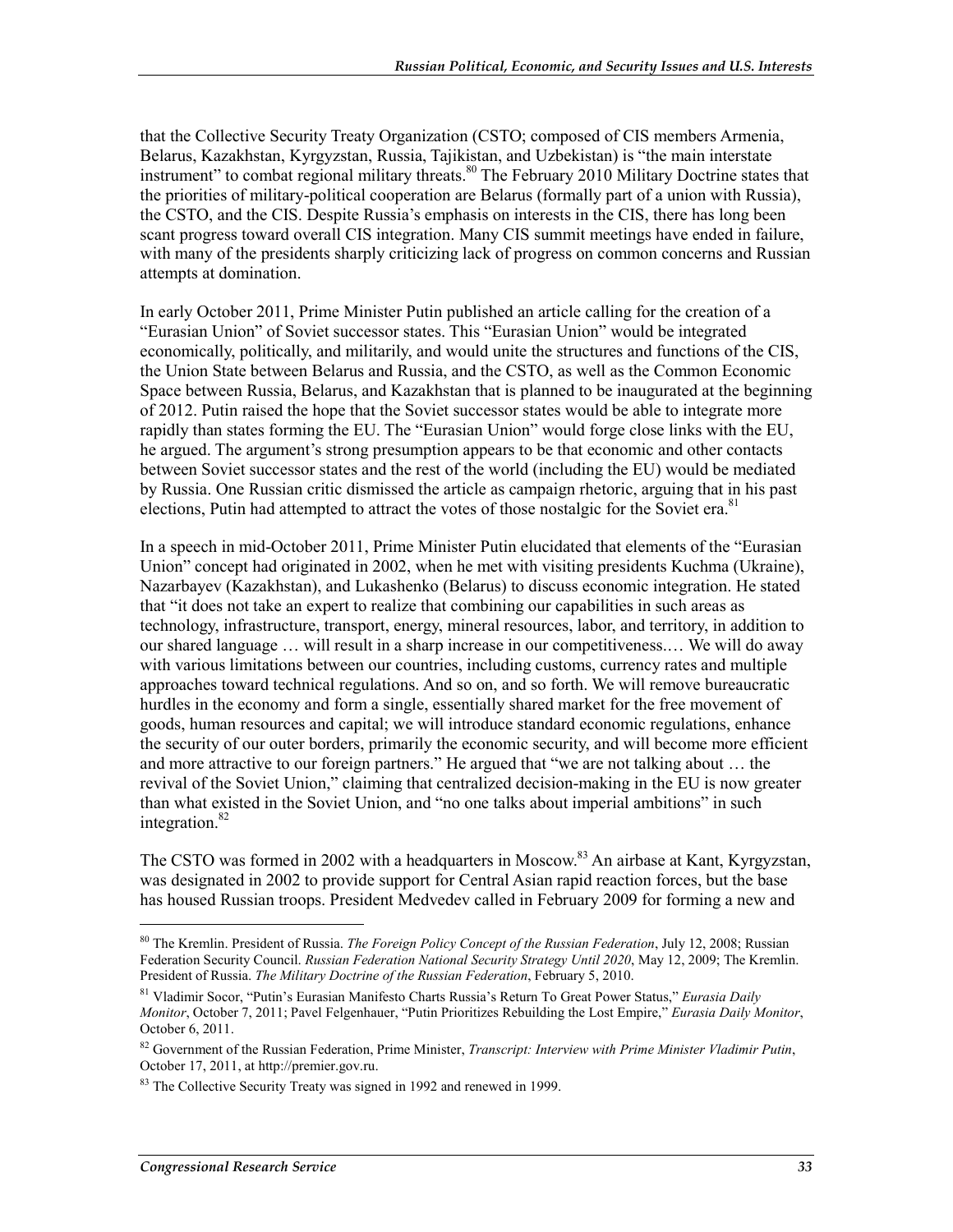that the Collective Security Treaty Organization (CSTO; composed of CIS members Armenia, Belarus, Kazakhstan, Kyrgyzstan, Russia, Tajikistan, and Uzbekistan) is "the main interstate instrument" to combat regional military threats.<sup>80</sup> The February 2010 Military Doctrine states that the priorities of military-political cooperation are Belarus (formally part of a union with Russia), the CSTO, and the CIS. Despite Russia's emphasis on interests in the CIS, there has long been scant progress toward overall CIS integration. Many CIS summit meetings have ended in failure, with many of the presidents sharply criticizing lack of progress on common concerns and Russian attempts at domination.

In early October 2011, Prime Minister Putin published an article calling for the creation of a "Eurasian Union" of Soviet successor states. This "Eurasian Union" would be integrated economically, politically, and militarily, and would unite the structures and functions of the CIS, the Union State between Belarus and Russia, and the CSTO, as well as the Common Economic Space between Russia, Belarus, and Kazakhstan that is planned to be inaugurated at the beginning of 2012. Putin raised the hope that the Soviet successor states would be able to integrate more rapidly than states forming the EU. The "Eurasian Union" would forge close links with the EU, he argued. The argument's strong presumption appears to be that economic and other contacts between Soviet successor states and the rest of the world (including the EU) would be mediated by Russia. One Russian critic dismissed the article as campaign rhetoric, arguing that in his past elections. Putin had attempted to attract the votes of those nostalgic for the Soviet era.<sup>81</sup>

In a speech in mid-October 2011, Prime Minister Putin elucidated that elements of the "Eurasian Union" concept had originated in 2002, when he met with visiting presidents Kuchma (Ukraine), Nazarbayev (Kazakhstan), and Lukashenko (Belarus) to discuss economic integration. He stated that "it does not take an expert to realize that combining our capabilities in such areas as technology, infrastructure, transport, energy, mineral resources, labor, and territory, in addition to our shared language … will result in a sharp increase in our competitiveness.… We will do away with various limitations between our countries, including customs, currency rates and multiple approaches toward technical regulations. And so on, and so forth. We will remove bureaucratic hurdles in the economy and form a single, essentially shared market for the free movement of goods, human resources and capital; we will introduce standard economic regulations, enhance the security of our outer borders, primarily the economic security, and will become more efficient and more attractive to our foreign partners." He argued that "we are not talking about … the revival of the Soviet Union," claiming that centralized decision-making in the EU is now greater than what existed in the Soviet Union, and "no one talks about imperial ambitions" in such integration.<sup>82</sup>

The CSTO was formed in 2002 with a headquarters in Moscow.<sup>83</sup> An airbase at Kant, Kyrgyzstan, was designated in 2002 to provide support for Central Asian rapid reaction forces, but the base has housed Russian troops. President Medvedev called in February 2009 for forming a new and

 $\overline{a}$ 

<sup>80</sup> The Kremlin. President of Russia. *The Foreign Policy Concept of the Russian Federation*, July 12, 2008; Russian Federation Security Council. *Russian Federation National Security Strategy Until 2020*, May 12, 2009; The Kremlin. President of Russia. *The Military Doctrine of the Russian Federation*, February 5, 2010.

<sup>81</sup> Vladimir Socor, "Putin's Eurasian Manifesto Charts Russia's Return To Great Power Status," *Eurasia Daily Monitor*, October 7, 2011; Pavel Felgenhauer, "Putin Prioritizes Rebuilding the Lost Empire," *Eurasia Daily Monitor*, October 6, 2011.

<sup>82</sup> Government of the Russian Federation, Prime Minister, *Transcript: Interview with Prime Minister Vladimir Putin*, October 17, 2011, at http://premier.gov.ru.

<sup>&</sup>lt;sup>83</sup> The Collective Security Treaty was signed in 1992 and renewed in 1999.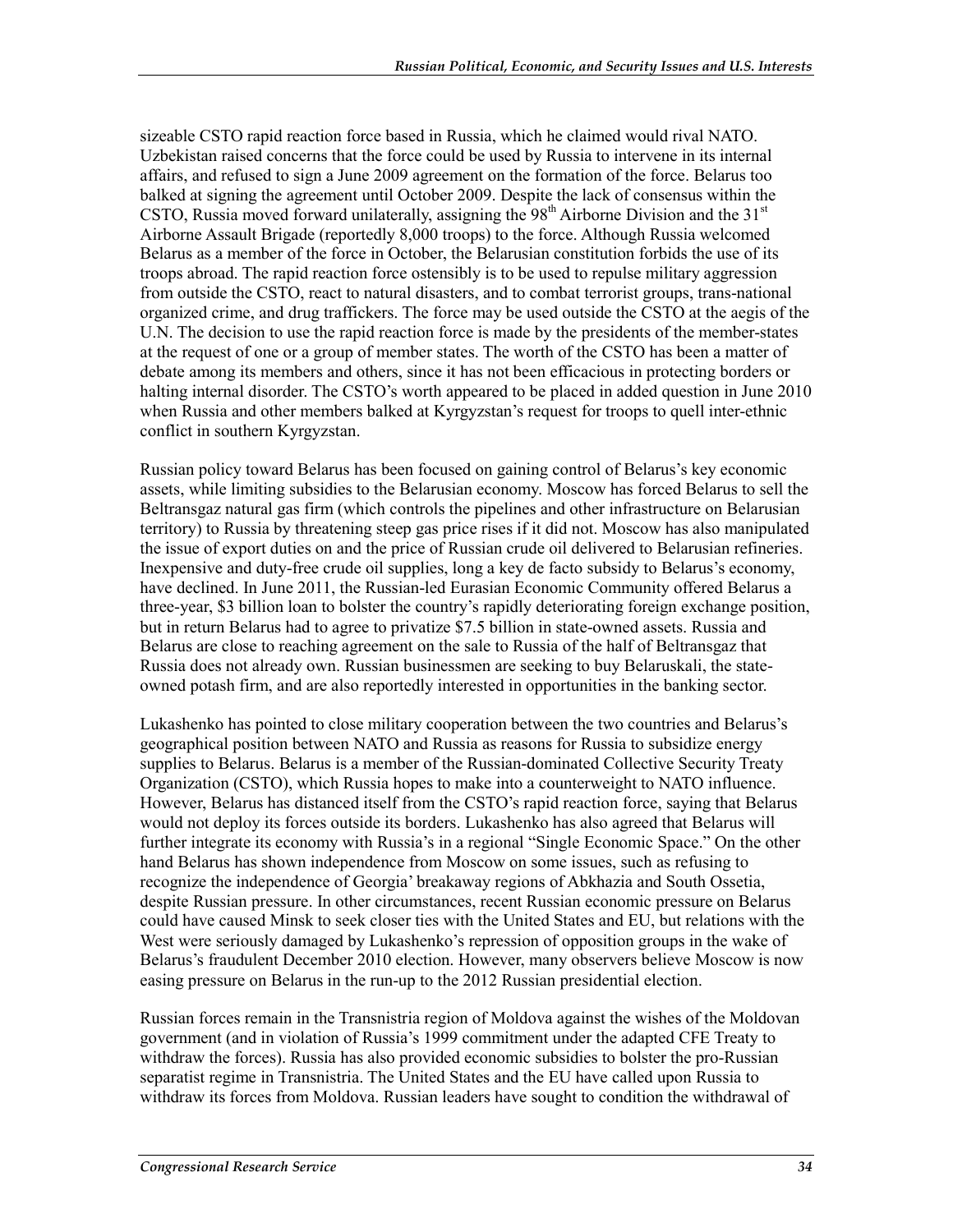sizeable CSTO rapid reaction force based in Russia, which he claimed would rival NATO. Uzbekistan raised concerns that the force could be used by Russia to intervene in its internal affairs, and refused to sign a June 2009 agreement on the formation of the force. Belarus too balked at signing the agreement until October 2009. Despite the lack of consensus within the CSTO, Russia moved forward unilaterally, assigning the  $98<sup>th</sup>$  Airborne Division and the 31<sup>st</sup> Airborne Assault Brigade (reportedly 8,000 troops) to the force. Although Russia welcomed Belarus as a member of the force in October, the Belarusian constitution forbids the use of its troops abroad. The rapid reaction force ostensibly is to be used to repulse military aggression from outside the CSTO, react to natural disasters, and to combat terrorist groups, trans-national organized crime, and drug traffickers. The force may be used outside the CSTO at the aegis of the U.N. The decision to use the rapid reaction force is made by the presidents of the member-states at the request of one or a group of member states. The worth of the CSTO has been a matter of debate among its members and others, since it has not been efficacious in protecting borders or halting internal disorder. The CSTO's worth appeared to be placed in added question in June 2010 when Russia and other members balked at Kyrgyzstan's request for troops to quell inter-ethnic conflict in southern Kyrgyzstan.

Russian policy toward Belarus has been focused on gaining control of Belarus's key economic assets, while limiting subsidies to the Belarusian economy. Moscow has forced Belarus to sell the Beltransgaz natural gas firm (which controls the pipelines and other infrastructure on Belarusian territory) to Russia by threatening steep gas price rises if it did not. Moscow has also manipulated the issue of export duties on and the price of Russian crude oil delivered to Belarusian refineries. Inexpensive and duty-free crude oil supplies, long a key de facto subsidy to Belarus's economy, have declined. In June 2011, the Russian-led Eurasian Economic Community offered Belarus a three-year, \$3 billion loan to bolster the country's rapidly deteriorating foreign exchange position, but in return Belarus had to agree to privatize \$7.5 billion in state-owned assets. Russia and Belarus are close to reaching agreement on the sale to Russia of the half of Beltransgaz that Russia does not already own. Russian businessmen are seeking to buy Belaruskali, the stateowned potash firm, and are also reportedly interested in opportunities in the banking sector.

Lukashenko has pointed to close military cooperation between the two countries and Belarus's geographical position between NATO and Russia as reasons for Russia to subsidize energy supplies to Belarus. Belarus is a member of the Russian-dominated Collective Security Treaty Organization (CSTO), which Russia hopes to make into a counterweight to NATO influence. However, Belarus has distanced itself from the CSTO's rapid reaction force, saying that Belarus would not deploy its forces outside its borders. Lukashenko has also agreed that Belarus will further integrate its economy with Russia's in a regional "Single Economic Space." On the other hand Belarus has shown independence from Moscow on some issues, such as refusing to recognize the independence of Georgia' breakaway regions of Abkhazia and South Ossetia, despite Russian pressure. In other circumstances, recent Russian economic pressure on Belarus could have caused Minsk to seek closer ties with the United States and EU, but relations with the West were seriously damaged by Lukashenko's repression of opposition groups in the wake of Belarus's fraudulent December 2010 election. However, many observers believe Moscow is now easing pressure on Belarus in the run-up to the 2012 Russian presidential election.

Russian forces remain in the Transnistria region of Moldova against the wishes of the Moldovan government (and in violation of Russia's 1999 commitment under the adapted CFE Treaty to withdraw the forces). Russia has also provided economic subsidies to bolster the pro-Russian separatist regime in Transnistria. The United States and the EU have called upon Russia to withdraw its forces from Moldova. Russian leaders have sought to condition the withdrawal of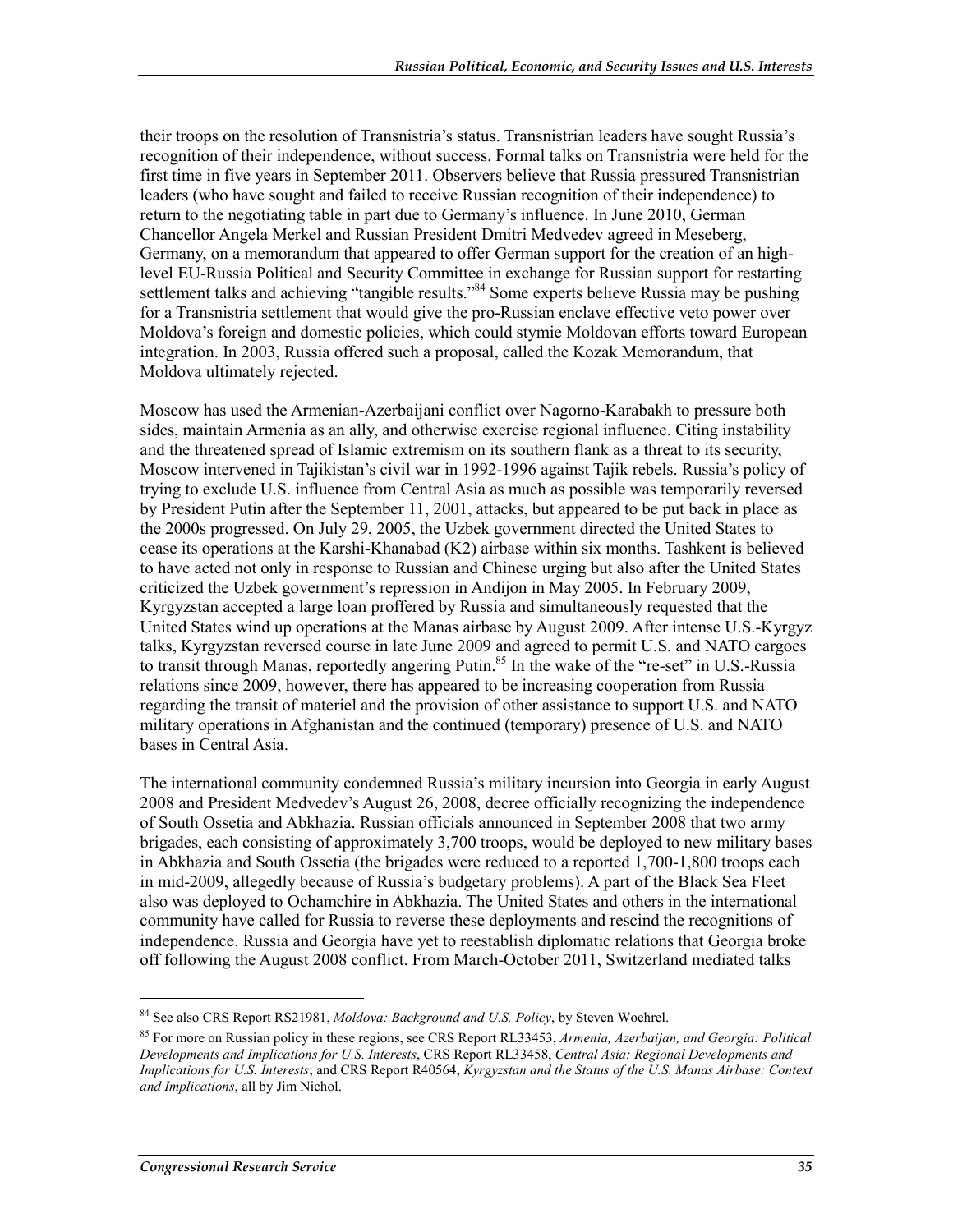their troops on the resolution of Transnistria's status. Transnistrian leaders have sought Russia's recognition of their independence, without success. Formal talks on Transnistria were held for the first time in five years in September 2011. Observers believe that Russia pressured Transnistrian leaders (who have sought and failed to receive Russian recognition of their independence) to return to the negotiating table in part due to Germany's influence. In June 2010, German Chancellor Angela Merkel and Russian President Dmitri Medvedev agreed in Meseberg, Germany, on a memorandum that appeared to offer German support for the creation of an highlevel EU-Russia Political and Security Committee in exchange for Russian support for restarting settlement talks and achieving "tangible results."<sup>84</sup> Some experts believe Russia may be pushing for a Transnistria settlement that would give the pro-Russian enclave effective veto power over Moldova's foreign and domestic policies, which could stymie Moldovan efforts toward European integration. In 2003, Russia offered such a proposal, called the Kozak Memorandum, that Moldova ultimately rejected.

Moscow has used the Armenian-Azerbaijani conflict over Nagorno-Karabakh to pressure both sides, maintain Armenia as an ally, and otherwise exercise regional influence. Citing instability and the threatened spread of Islamic extremism on its southern flank as a threat to its security, Moscow intervened in Tajikistan's civil war in 1992-1996 against Tajik rebels. Russia's policy of trying to exclude U.S. influence from Central Asia as much as possible was temporarily reversed by President Putin after the September 11, 2001, attacks, but appeared to be put back in place as the 2000s progressed. On July 29, 2005, the Uzbek government directed the United States to cease its operations at the Karshi-Khanabad (K2) airbase within six months. Tashkent is believed to have acted not only in response to Russian and Chinese urging but also after the United States criticized the Uzbek government's repression in Andijon in May 2005. In February 2009, Kyrgyzstan accepted a large loan proffered by Russia and simultaneously requested that the United States wind up operations at the Manas airbase by August 2009. After intense U.S.-Kyrgyz talks, Kyrgyzstan reversed course in late June 2009 and agreed to permit U.S. and NATO cargoes to transit through Manas, reportedly angering Putin.<sup>85</sup> In the wake of the "re-set" in U.S.-Russia relations since 2009, however, there has appeared to be increasing cooperation from Russia regarding the transit of materiel and the provision of other assistance to support U.S. and NATO military operations in Afghanistan and the continued (temporary) presence of U.S. and NATO bases in Central Asia.

The international community condemned Russia's military incursion into Georgia in early August 2008 and President Medvedev's August 26, 2008, decree officially recognizing the independence of South Ossetia and Abkhazia. Russian officials announced in September 2008 that two army brigades, each consisting of approximately 3,700 troops, would be deployed to new military bases in Abkhazia and South Ossetia (the brigades were reduced to a reported 1,700-1,800 troops each in mid-2009, allegedly because of Russia's budgetary problems). A part of the Black Sea Fleet also was deployed to Ochamchire in Abkhazia. The United States and others in the international community have called for Russia to reverse these deployments and rescind the recognitions of independence. Russia and Georgia have yet to reestablish diplomatic relations that Georgia broke off following the August 2008 conflict. From March-October 2011, Switzerland mediated talks

<sup>84</sup> See also CRS Report RS21981, *Moldova: Background and U.S. Policy*, by Steven Woehrel.

<sup>85</sup> For more on Russian policy in these regions, see CRS Report RL33453, *Armenia, Azerbaijan, and Georgia: Political Developments and Implications for U.S. Interests*, CRS Report RL33458, *Central Asia: Regional Developments and Implications for U.S. Interests*; and CRS Report R40564, *Kyrgyzstan and the Status of the U.S. Manas Airbase: Context and Implications*, all by Jim Nichol.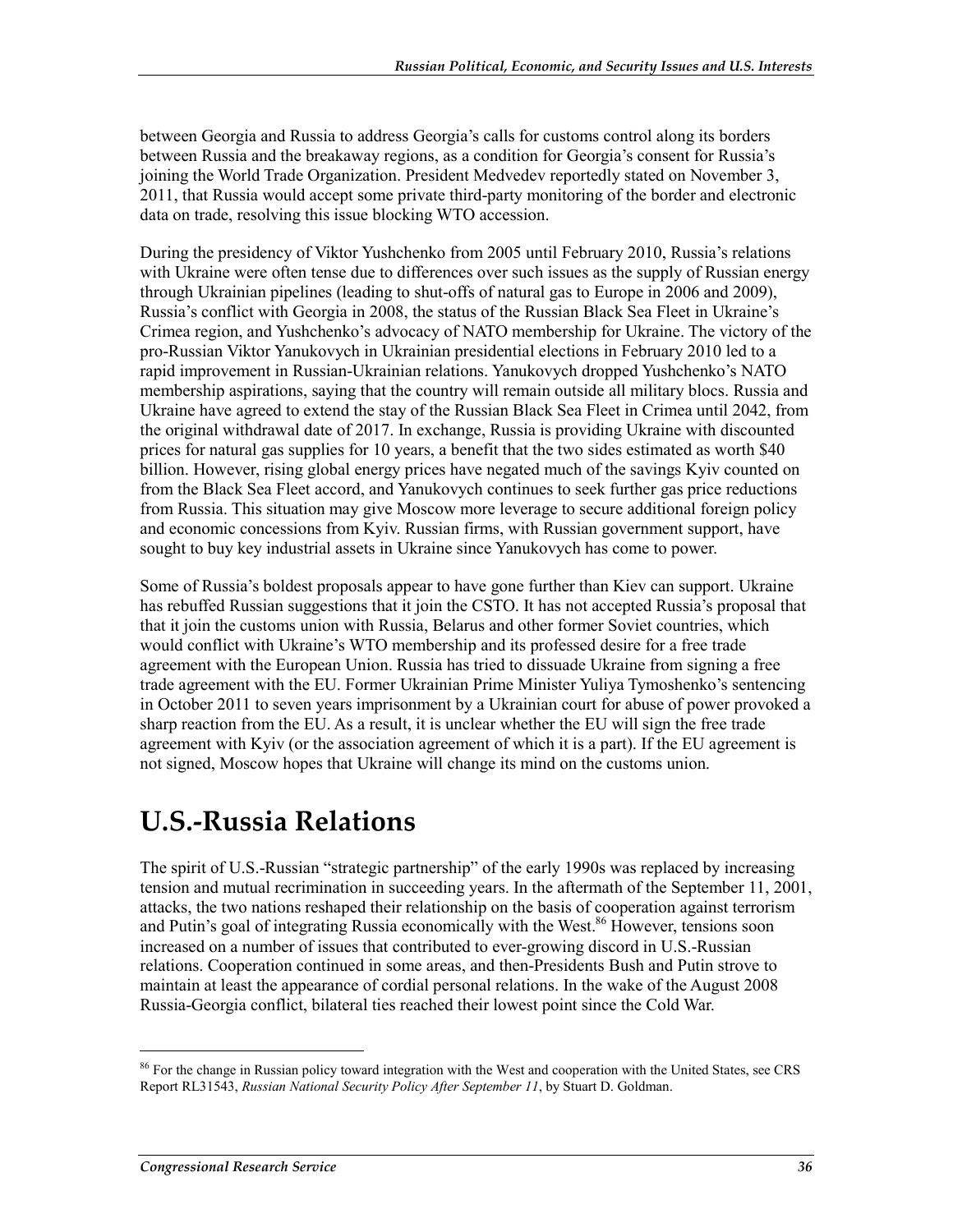between Georgia and Russia to address Georgia's calls for customs control along its borders between Russia and the breakaway regions, as a condition for Georgia's consent for Russia's joining the World Trade Organization. President Medvedev reportedly stated on November 3, 2011, that Russia would accept some private third-party monitoring of the border and electronic data on trade, resolving this issue blocking WTO accession.

During the presidency of Viktor Yushchenko from 2005 until February 2010, Russia's relations with Ukraine were often tense due to differences over such issues as the supply of Russian energy through Ukrainian pipelines (leading to shut-offs of natural gas to Europe in 2006 and 2009), Russia's conflict with Georgia in 2008, the status of the Russian Black Sea Fleet in Ukraine's Crimea region, and Yushchenko's advocacy of NATO membership for Ukraine. The victory of the pro-Russian Viktor Yanukovych in Ukrainian presidential elections in February 2010 led to a rapid improvement in Russian-Ukrainian relations. Yanukovych dropped Yushchenko's NATO membership aspirations, saying that the country will remain outside all military blocs. Russia and Ukraine have agreed to extend the stay of the Russian Black Sea Fleet in Crimea until 2042, from the original withdrawal date of 2017. In exchange, Russia is providing Ukraine with discounted prices for natural gas supplies for 10 years, a benefit that the two sides estimated as worth \$40 billion. However, rising global energy prices have negated much of the savings Kyiv counted on from the Black Sea Fleet accord, and Yanukovych continues to seek further gas price reductions from Russia. This situation may give Moscow more leverage to secure additional foreign policy and economic concessions from Kyiv. Russian firms, with Russian government support, have sought to buy key industrial assets in Ukraine since Yanukovych has come to power.

Some of Russia's boldest proposals appear to have gone further than Kiev can support. Ukraine has rebuffed Russian suggestions that it join the CSTO. It has not accepted Russia's proposal that that it join the customs union with Russia, Belarus and other former Soviet countries, which would conflict with Ukraine's WTO membership and its professed desire for a free trade agreement with the European Union. Russia has tried to dissuade Ukraine from signing a free trade agreement with the EU. Former Ukrainian Prime Minister Yuliya Tymoshenko's sentencing in October 2011 to seven years imprisonment by a Ukrainian court for abuse of power provoked a sharp reaction from the EU. As a result, it is unclear whether the EU will sign the free trade agreement with Kyiv (or the association agreement of which it is a part). If the EU agreement is not signed, Moscow hopes that Ukraine will change its mind on the customs union.

## **U.S.-Russia Relations**

The spirit of U.S.-Russian "strategic partnership" of the early 1990s was replaced by increasing tension and mutual recrimination in succeeding years. In the aftermath of the September 11, 2001, attacks, the two nations reshaped their relationship on the basis of cooperation against terrorism and Putin's goal of integrating Russia economically with the West.<sup>86</sup> However, tensions soon increased on a number of issues that contributed to ever-growing discord in U.S.-Russian relations. Cooperation continued in some areas, and then-Presidents Bush and Putin strove to maintain at least the appearance of cordial personal relations. In the wake of the August 2008 Russia-Georgia conflict, bilateral ties reached their lowest point since the Cold War.

<sup>&</sup>lt;sup>86</sup> For the change in Russian policy toward integration with the West and cooperation with the United States, see CRS Report RL31543, *Russian National Security Policy After September 11*, by Stuart D. Goldman.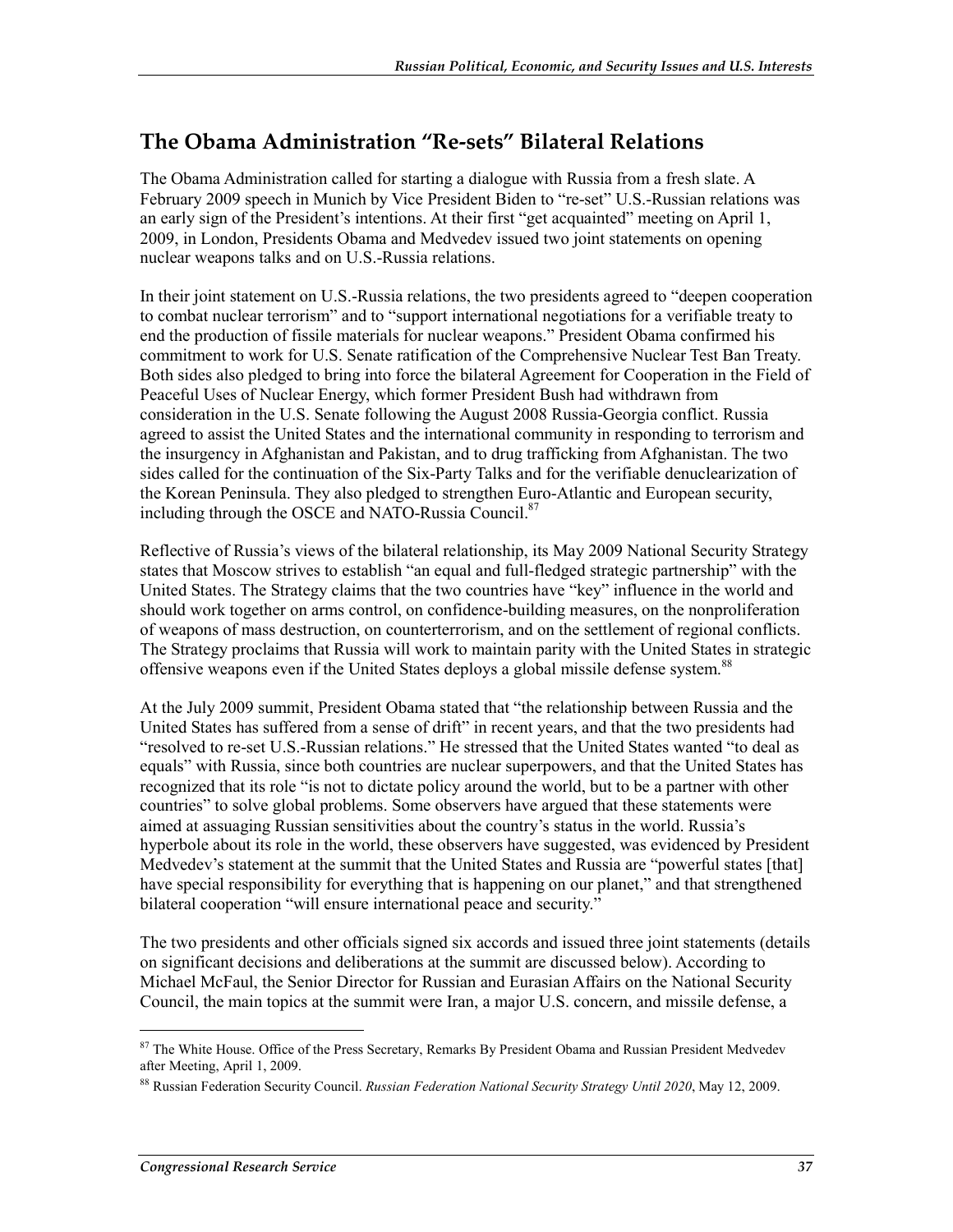## **The Obama Administration "Re-sets" Bilateral Relations**

The Obama Administration called for starting a dialogue with Russia from a fresh slate. A February 2009 speech in Munich by Vice President Biden to "re-set" U.S.-Russian relations was an early sign of the President's intentions. At their first "get acquainted" meeting on April 1, 2009, in London, Presidents Obama and Medvedev issued two joint statements on opening nuclear weapons talks and on U.S.-Russia relations.

In their joint statement on U.S.-Russia relations, the two presidents agreed to "deepen cooperation to combat nuclear terrorism" and to "support international negotiations for a verifiable treaty to end the production of fissile materials for nuclear weapons." President Obama confirmed his commitment to work for U.S. Senate ratification of the Comprehensive Nuclear Test Ban Treaty. Both sides also pledged to bring into force the bilateral Agreement for Cooperation in the Field of Peaceful Uses of Nuclear Energy, which former President Bush had withdrawn from consideration in the U.S. Senate following the August 2008 Russia-Georgia conflict. Russia agreed to assist the United States and the international community in responding to terrorism and the insurgency in Afghanistan and Pakistan, and to drug trafficking from Afghanistan. The two sides called for the continuation of the Six-Party Talks and for the verifiable denuclearization of the Korean Peninsula. They also pledged to strengthen Euro-Atlantic and European security, including through the OSCE and NATO-Russia Council.<sup>87</sup>

Reflective of Russia's views of the bilateral relationship, its May 2009 National Security Strategy states that Moscow strives to establish "an equal and full-fledged strategic partnership" with the United States. The Strategy claims that the two countries have "key" influence in the world and should work together on arms control, on confidence-building measures, on the nonproliferation of weapons of mass destruction, on counterterrorism, and on the settlement of regional conflicts. The Strategy proclaims that Russia will work to maintain parity with the United States in strategic offensive weapons even if the United States deploys a global missile defense system.<sup>88</sup>

At the July 2009 summit, President Obama stated that "the relationship between Russia and the United States has suffered from a sense of drift" in recent years, and that the two presidents had "resolved to re-set U.S.-Russian relations." He stressed that the United States wanted "to deal as equals" with Russia, since both countries are nuclear superpowers, and that the United States has recognized that its role "is not to dictate policy around the world, but to be a partner with other countries" to solve global problems. Some observers have argued that these statements were aimed at assuaging Russian sensitivities about the country's status in the world. Russia's hyperbole about its role in the world, these observers have suggested, was evidenced by President Medvedev's statement at the summit that the United States and Russia are "powerful states [that] have special responsibility for everything that is happening on our planet," and that strengthened bilateral cooperation "will ensure international peace and security."

The two presidents and other officials signed six accords and issued three joint statements (details on significant decisions and deliberations at the summit are discussed below). According to Michael McFaul, the Senior Director for Russian and Eurasian Affairs on the National Security Council, the main topics at the summit were Iran, a major U.S. concern, and missile defense, a

<sup>&</sup>lt;sup>87</sup> The White House. Office of the Press Secretary, Remarks By President Obama and Russian President Medvedev after Meeting, April 1, 2009.

<sup>88</sup> Russian Federation Security Council. *Russian Federation National Security Strategy Until 2020*, May 12, 2009.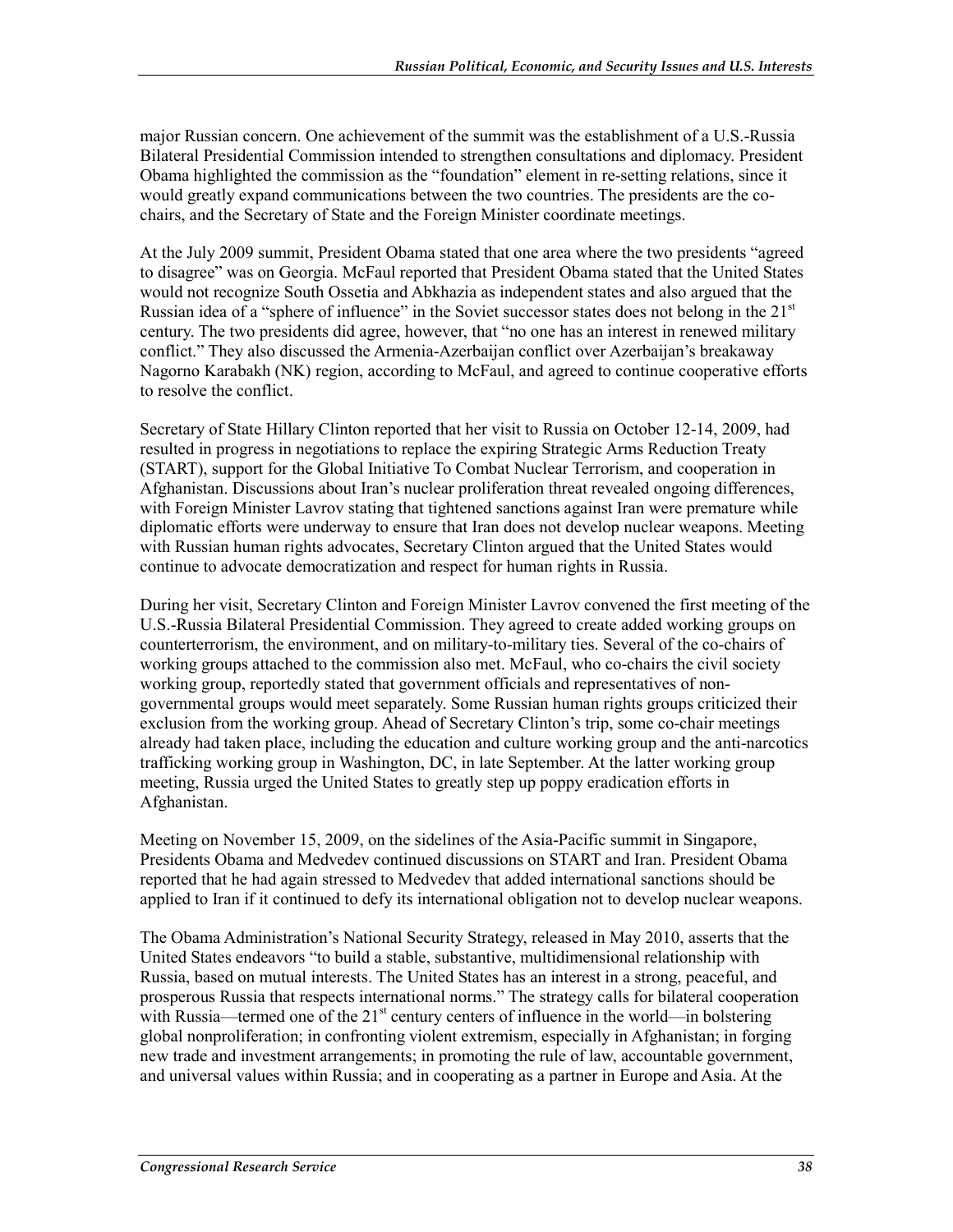major Russian concern. One achievement of the summit was the establishment of a U.S.-Russia Bilateral Presidential Commission intended to strengthen consultations and diplomacy. President Obama highlighted the commission as the "foundation" element in re-setting relations, since it would greatly expand communications between the two countries. The presidents are the cochairs, and the Secretary of State and the Foreign Minister coordinate meetings.

At the July 2009 summit, President Obama stated that one area where the two presidents "agreed to disagree" was on Georgia. McFaul reported that President Obama stated that the United States would not recognize South Ossetia and Abkhazia as independent states and also argued that the Russian idea of a "sphere of influence" in the Soviet successor states does not belong in the 21<sup>st</sup> century. The two presidents did agree, however, that "no one has an interest in renewed military conflict." They also discussed the Armenia-Azerbaijan conflict over Azerbaijan's breakaway Nagorno Karabakh (NK) region, according to McFaul, and agreed to continue cooperative efforts to resolve the conflict.

Secretary of State Hillary Clinton reported that her visit to Russia on October 12-14, 2009, had resulted in progress in negotiations to replace the expiring Strategic Arms Reduction Treaty (START), support for the Global Initiative To Combat Nuclear Terrorism, and cooperation in Afghanistan. Discussions about Iran's nuclear proliferation threat revealed ongoing differences, with Foreign Minister Lavrov stating that tightened sanctions against Iran were premature while diplomatic efforts were underway to ensure that Iran does not develop nuclear weapons. Meeting with Russian human rights advocates, Secretary Clinton argued that the United States would continue to advocate democratization and respect for human rights in Russia.

During her visit, Secretary Clinton and Foreign Minister Lavrov convened the first meeting of the U.S.-Russia Bilateral Presidential Commission. They agreed to create added working groups on counterterrorism, the environment, and on military-to-military ties. Several of the co-chairs of working groups attached to the commission also met. McFaul, who co-chairs the civil society working group, reportedly stated that government officials and representatives of nongovernmental groups would meet separately. Some Russian human rights groups criticized their exclusion from the working group. Ahead of Secretary Clinton's trip, some co-chair meetings already had taken place, including the education and culture working group and the anti-narcotics trafficking working group in Washington, DC, in late September. At the latter working group meeting, Russia urged the United States to greatly step up poppy eradication efforts in Afghanistan.

Meeting on November 15, 2009, on the sidelines of the Asia-Pacific summit in Singapore, Presidents Obama and Medvedev continued discussions on START and Iran. President Obama reported that he had again stressed to Medvedev that added international sanctions should be applied to Iran if it continued to defy its international obligation not to develop nuclear weapons.

The Obama Administration's National Security Strategy, released in May 2010, asserts that the United States endeavors "to build a stable, substantive, multidimensional relationship with Russia, based on mutual interests. The United States has an interest in a strong, peaceful, and prosperous Russia that respects international norms." The strategy calls for bilateral cooperation with Russia—termed one of the  $21<sup>st</sup>$  century centers of influence in the world—in bolstering global nonproliferation; in confronting violent extremism, especially in Afghanistan; in forging new trade and investment arrangements; in promoting the rule of law, accountable government, and universal values within Russia; and in cooperating as a partner in Europe and Asia. At the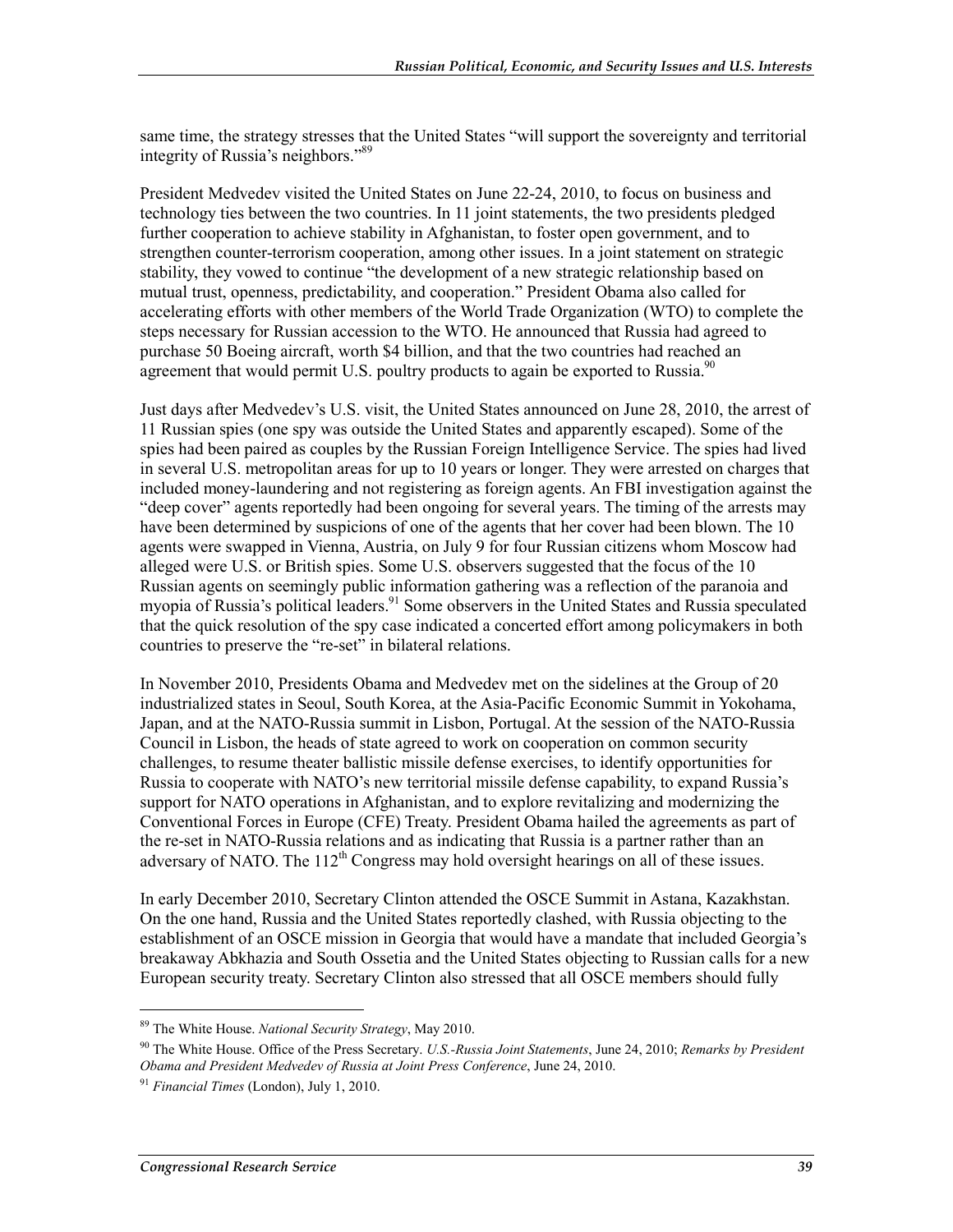same time, the strategy stresses that the United States "will support the sovereignty and territorial integrity of Russia's neighbors."89

President Medvedev visited the United States on June 22-24, 2010, to focus on business and technology ties between the two countries. In 11 joint statements, the two presidents pledged further cooperation to achieve stability in Afghanistan, to foster open government, and to strengthen counter-terrorism cooperation, among other issues. In a joint statement on strategic stability, they vowed to continue "the development of a new strategic relationship based on mutual trust, openness, predictability, and cooperation." President Obama also called for accelerating efforts with other members of the World Trade Organization (WTO) to complete the steps necessary for Russian accession to the WTO. He announced that Russia had agreed to purchase 50 Boeing aircraft, worth \$4 billion, and that the two countries had reached an agreement that would permit U.S. poultry products to again be exported to Russia.<sup>90</sup>

Just days after Medvedev's U.S. visit, the United States announced on June 28, 2010, the arrest of 11 Russian spies (one spy was outside the United States and apparently escaped). Some of the spies had been paired as couples by the Russian Foreign Intelligence Service. The spies had lived in several U.S. metropolitan areas for up to 10 years or longer. They were arrested on charges that included money-laundering and not registering as foreign agents. An FBI investigation against the "deep cover" agents reportedly had been ongoing for several years. The timing of the arrests may have been determined by suspicions of one of the agents that her cover had been blown. The 10 agents were swapped in Vienna, Austria, on July 9 for four Russian citizens whom Moscow had alleged were U.S. or British spies. Some U.S. observers suggested that the focus of the 10 Russian agents on seemingly public information gathering was a reflection of the paranoia and myopia of Russia's political leaders.<sup>91</sup> Some observers in the United States and Russia speculated that the quick resolution of the spy case indicated a concerted effort among policymakers in both countries to preserve the "re-set" in bilateral relations.

In November 2010, Presidents Obama and Medvedev met on the sidelines at the Group of 20 industrialized states in Seoul, South Korea, at the Asia-Pacific Economic Summit in Yokohama, Japan, and at the NATO-Russia summit in Lisbon, Portugal. At the session of the NATO-Russia Council in Lisbon, the heads of state agreed to work on cooperation on common security challenges, to resume theater ballistic missile defense exercises, to identify opportunities for Russia to cooperate with NATO's new territorial missile defense capability, to expand Russia's support for NATO operations in Afghanistan, and to explore revitalizing and modernizing the Conventional Forces in Europe (CFE) Treaty. President Obama hailed the agreements as part of the re-set in NATO-Russia relations and as indicating that Russia is a partner rather than an adversary of NATO. The  $112<sup>th</sup>$  Congress may hold oversight hearings on all of these issues.

In early December 2010, Secretary Clinton attended the OSCE Summit in Astana, Kazakhstan. On the one hand, Russia and the United States reportedly clashed, with Russia objecting to the establishment of an OSCE mission in Georgia that would have a mandate that included Georgia's breakaway Abkhazia and South Ossetia and the United States objecting to Russian calls for a new European security treaty. Secretary Clinton also stressed that all OSCE members should fully

<sup>89</sup> The White House. *National Security Strategy*, May 2010.

<sup>90</sup> The White House. Office of the Press Secretary. *U.S.-Russia Joint Statements*, June 24, 2010; *Remarks by President Obama and President Medvedev of Russia at Joint Press Conference*, June 24, 2010.

<sup>91</sup> *Financial Times* (London), July 1, 2010.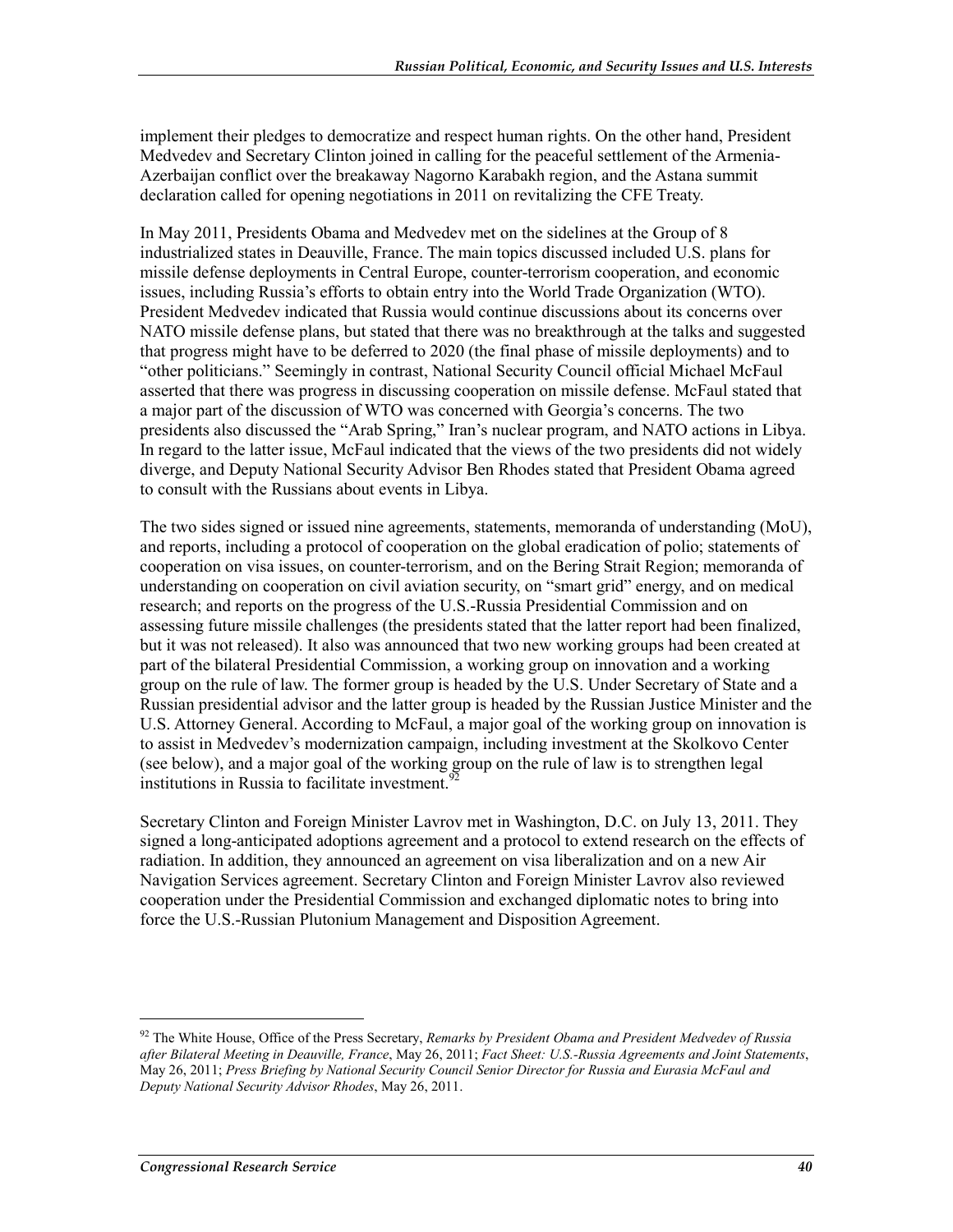implement their pledges to democratize and respect human rights. On the other hand, President Medvedev and Secretary Clinton joined in calling for the peaceful settlement of the Armenia-Azerbaijan conflict over the breakaway Nagorno Karabakh region, and the Astana summit declaration called for opening negotiations in 2011 on revitalizing the CFE Treaty.

In May 2011, Presidents Obama and Medvedev met on the sidelines at the Group of 8 industrialized states in Deauville, France. The main topics discussed included U.S. plans for missile defense deployments in Central Europe, counter-terrorism cooperation, and economic issues, including Russia's efforts to obtain entry into the World Trade Organization (WTO). President Medvedev indicated that Russia would continue discussions about its concerns over NATO missile defense plans, but stated that there was no breakthrough at the talks and suggested that progress might have to be deferred to 2020 (the final phase of missile deployments) and to "other politicians." Seemingly in contrast, National Security Council official Michael McFaul asserted that there was progress in discussing cooperation on missile defense. McFaul stated that a major part of the discussion of WTO was concerned with Georgia's concerns. The two presidents also discussed the "Arab Spring," Iran's nuclear program, and NATO actions in Libya. In regard to the latter issue, McFaul indicated that the views of the two presidents did not widely diverge, and Deputy National Security Advisor Ben Rhodes stated that President Obama agreed to consult with the Russians about events in Libya.

The two sides signed or issued nine agreements, statements, memoranda of understanding (MoU), and reports, including a protocol of cooperation on the global eradication of polio; statements of cooperation on visa issues, on counter-terrorism, and on the Bering Strait Region; memoranda of understanding on cooperation on civil aviation security, on "smart grid" energy, and on medical research; and reports on the progress of the U.S.-Russia Presidential Commission and on assessing future missile challenges (the presidents stated that the latter report had been finalized, but it was not released). It also was announced that two new working groups had been created at part of the bilateral Presidential Commission, a working group on innovation and a working group on the rule of law. The former group is headed by the U.S. Under Secretary of State and a Russian presidential advisor and the latter group is headed by the Russian Justice Minister and the U.S. Attorney General. According to McFaul, a major goal of the working group on innovation is to assist in Medvedev's modernization campaign, including investment at the Skolkovo Center (see below), and a major goal of the working group on the rule of law is to strengthen legal institutions in Russia to facilitate investment.<sup>9</sup>

Secretary Clinton and Foreign Minister Lavrov met in Washington, D.C. on July 13, 2011. They signed a long-anticipated adoptions agreement and a protocol to extend research on the effects of radiation. In addition, they announced an agreement on visa liberalization and on a new Air Navigation Services agreement. Secretary Clinton and Foreign Minister Lavrov also reviewed cooperation under the Presidential Commission and exchanged diplomatic notes to bring into force the U.S.-Russian Plutonium Management and Disposition Agreement.

<sup>92</sup> The White House, Office of the Press Secretary, *Remarks by President Obama and President Medvedev of Russia after Bilateral Meeting in Deauville, France*, May 26, 2011; *Fact Sheet: U.S.-Russia Agreements and Joint Statements*, May 26, 2011; *Press Briefing by National Security Council Senior Director for Russia and Eurasia McFaul and Deputy National Security Advisor Rhodes*, May 26, 2011.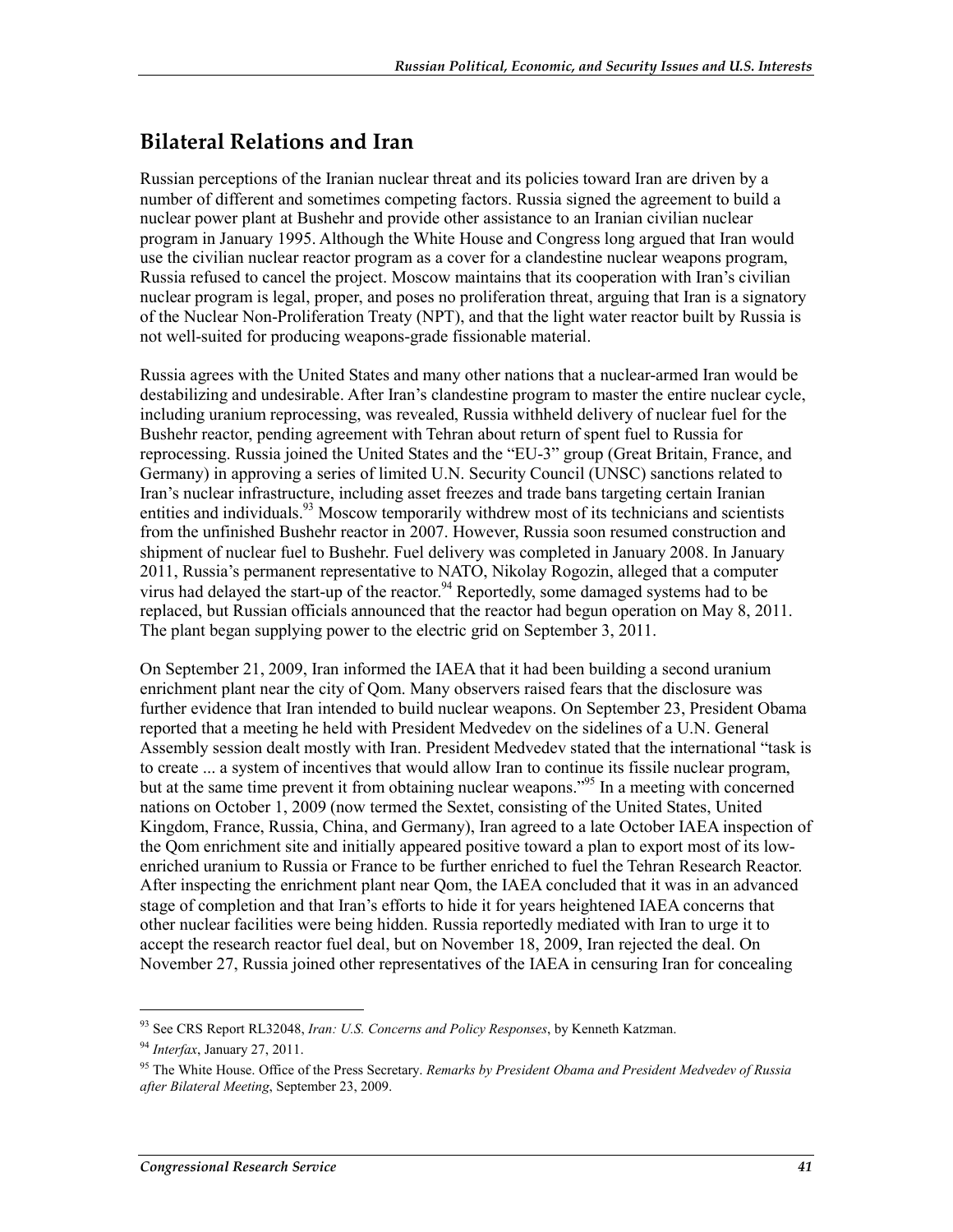## **Bilateral Relations and Iran**

Russian perceptions of the Iranian nuclear threat and its policies toward Iran are driven by a number of different and sometimes competing factors. Russia signed the agreement to build a nuclear power plant at Bushehr and provide other assistance to an Iranian civilian nuclear program in January 1995. Although the White House and Congress long argued that Iran would use the civilian nuclear reactor program as a cover for a clandestine nuclear weapons program, Russia refused to cancel the project. Moscow maintains that its cooperation with Iran's civilian nuclear program is legal, proper, and poses no proliferation threat, arguing that Iran is a signatory of the Nuclear Non-Proliferation Treaty (NPT), and that the light water reactor built by Russia is not well-suited for producing weapons-grade fissionable material.

Russia agrees with the United States and many other nations that a nuclear-armed Iran would be destabilizing and undesirable. After Iran's clandestine program to master the entire nuclear cycle, including uranium reprocessing, was revealed, Russia withheld delivery of nuclear fuel for the Bushehr reactor, pending agreement with Tehran about return of spent fuel to Russia for reprocessing. Russia joined the United States and the "EU-3" group (Great Britain, France, and Germany) in approving a series of limited U.N. Security Council (UNSC) sanctions related to Iran's nuclear infrastructure, including asset freezes and trade bans targeting certain Iranian entities and individuals.<sup>93</sup> Moscow temporarily withdrew most of its technicians and scientists from the unfinished Bushehr reactor in 2007. However, Russia soon resumed construction and shipment of nuclear fuel to Bushehr. Fuel delivery was completed in January 2008. In January 2011, Russia's permanent representative to NATO, Nikolay Rogozin, alleged that a computer virus had delayed the start-up of the reactor.<sup>94</sup> Reportedly, some damaged systems had to be replaced, but Russian officials announced that the reactor had begun operation on May 8, 2011. The plant began supplying power to the electric grid on September 3, 2011.

On September 21, 2009, Iran informed the IAEA that it had been building a second uranium enrichment plant near the city of Qom. Many observers raised fears that the disclosure was further evidence that Iran intended to build nuclear weapons. On September 23, President Obama reported that a meeting he held with President Medvedev on the sidelines of a U.N. General Assembly session dealt mostly with Iran. President Medvedev stated that the international "task is to create ... a system of incentives that would allow Iran to continue its fissile nuclear program, but at the same time prevent it from obtaining nuclear weapons."<sup>95</sup> In a meeting with concerned nations on October 1, 2009 (now termed the Sextet, consisting of the United States, United Kingdom, France, Russia, China, and Germany), Iran agreed to a late October IAEA inspection of the Qom enrichment site and initially appeared positive toward a plan to export most of its lowenriched uranium to Russia or France to be further enriched to fuel the Tehran Research Reactor. After inspecting the enrichment plant near Qom, the IAEA concluded that it was in an advanced stage of completion and that Iran's efforts to hide it for years heightened IAEA concerns that other nuclear facilities were being hidden. Russia reportedly mediated with Iran to urge it to accept the research reactor fuel deal, but on November 18, 2009, Iran rejected the deal. On November 27, Russia joined other representatives of the IAEA in censuring Iran for concealing

<sup>93</sup> See CRS Report RL32048, *Iran: U.S. Concerns and Policy Responses*, by Kenneth Katzman.

<sup>94</sup> *Interfax*, January 27, 2011.

<sup>95</sup> The White House. Office of the Press Secretary. *Remarks by President Obama and President Medvedev of Russia after Bilateral Meeting*, September 23, 2009.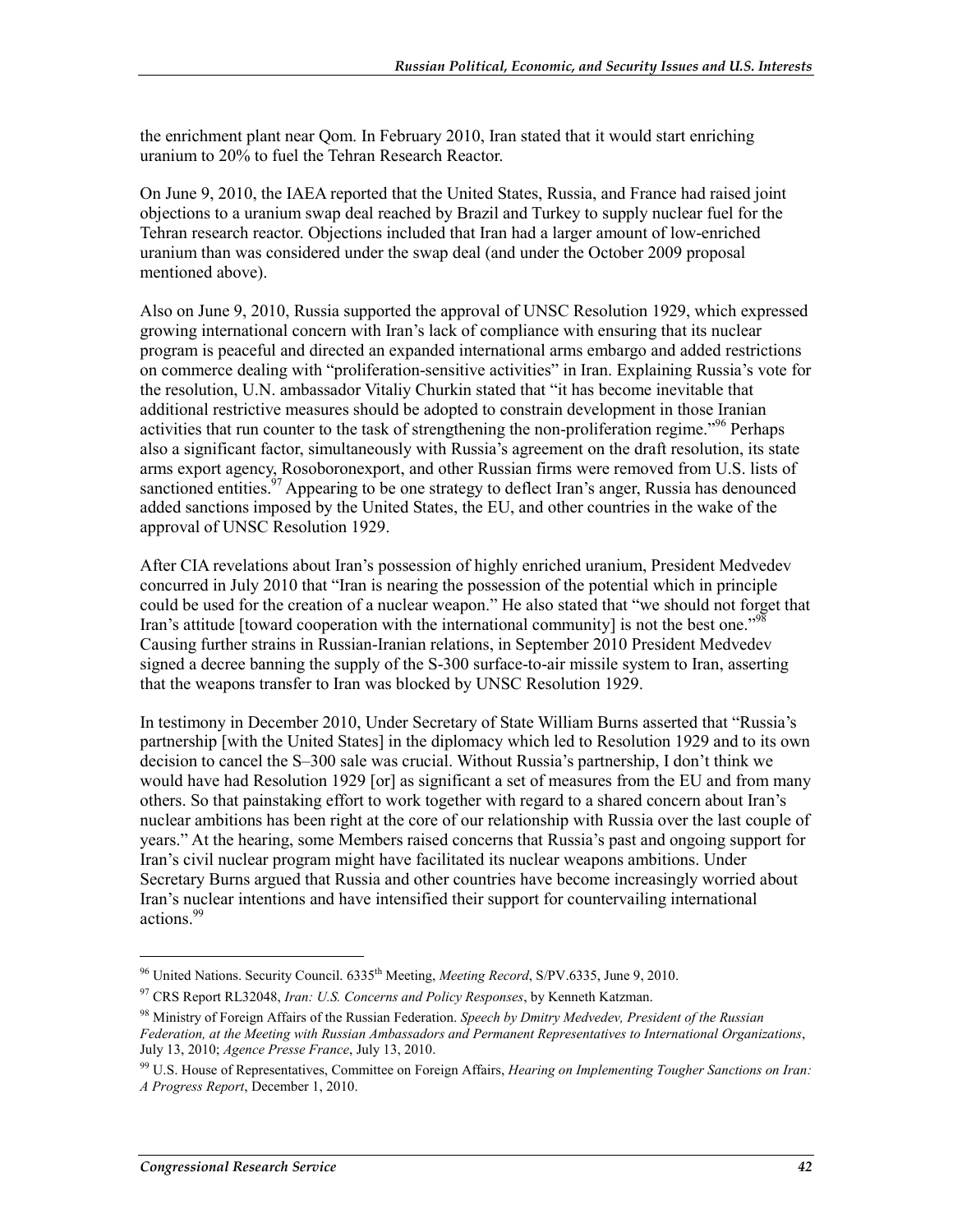the enrichment plant near Qom. In February 2010, Iran stated that it would start enriching uranium to 20% to fuel the Tehran Research Reactor.

On June 9, 2010, the IAEA reported that the United States, Russia, and France had raised joint objections to a uranium swap deal reached by Brazil and Turkey to supply nuclear fuel for the Tehran research reactor. Objections included that Iran had a larger amount of low-enriched uranium than was considered under the swap deal (and under the October 2009 proposal mentioned above).

Also on June 9, 2010, Russia supported the approval of UNSC Resolution 1929, which expressed growing international concern with Iran's lack of compliance with ensuring that its nuclear program is peaceful and directed an expanded international arms embargo and added restrictions on commerce dealing with "proliferation-sensitive activities" in Iran. Explaining Russia's vote for the resolution, U.N. ambassador Vitaliy Churkin stated that "it has become inevitable that additional restrictive measures should be adopted to constrain development in those Iranian activities that run counter to the task of strengthening the non-proliferation regime."<sup>96</sup> Perhaps also a significant factor, simultaneously with Russia's agreement on the draft resolution, its state arms export agency, Rosoboronexport, and other Russian firms were removed from U.S. lists of sanctioned entities.<sup>97</sup> Appearing to be one strategy to deflect Iran's anger, Russia has denounced added sanctions imposed by the United States, the EU, and other countries in the wake of the approval of UNSC Resolution 1929.

After CIA revelations about Iran's possession of highly enriched uranium, President Medvedev concurred in July 2010 that "Iran is nearing the possession of the potential which in principle could be used for the creation of a nuclear weapon." He also stated that "we should not forget that Iran's attitude [toward cooperation with the international community] is not the best one."<sup>98</sup> Causing further strains in Russian-Iranian relations, in September 2010 President Medvedev signed a decree banning the supply of the S-300 surface-to-air missile system to Iran, asserting that the weapons transfer to Iran was blocked by UNSC Resolution 1929.

In testimony in December 2010, Under Secretary of State William Burns asserted that "Russia's partnership [with the United States] in the diplomacy which led to Resolution 1929 and to its own decision to cancel the S–300 sale was crucial. Without Russia's partnership, I don't think we would have had Resolution 1929 [or] as significant a set of measures from the EU and from many others. So that painstaking effort to work together with regard to a shared concern about Iran's nuclear ambitions has been right at the core of our relationship with Russia over the last couple of years." At the hearing, some Members raised concerns that Russia's past and ongoing support for Iran's civil nuclear program might have facilitated its nuclear weapons ambitions. Under Secretary Burns argued that Russia and other countries have become increasingly worried about Iran's nuclear intentions and have intensified their support for countervailing international actions.99

<sup>&</sup>lt;sup>96</sup> United Nations. Security Council. 6335<sup>th</sup> Meeting, *Meeting Record*, S/PV.6335, June 9, 2010.

<sup>97</sup> CRS Report RL32048, *Iran: U.S. Concerns and Policy Responses*, by Kenneth Katzman.

<sup>98</sup> Ministry of Foreign Affairs of the Russian Federation. *Speech by Dmitry Medvedev, President of the Russian Federation, at the Meeting with Russian Ambassadors and Permanent Representatives to International Organizations*, July 13, 2010; *Agence Presse France*, July 13, 2010.

<sup>99</sup> U.S. House of Representatives, Committee on Foreign Affairs, *Hearing on Implementing Tougher Sanctions on Iran: A Progress Report*, December 1, 2010.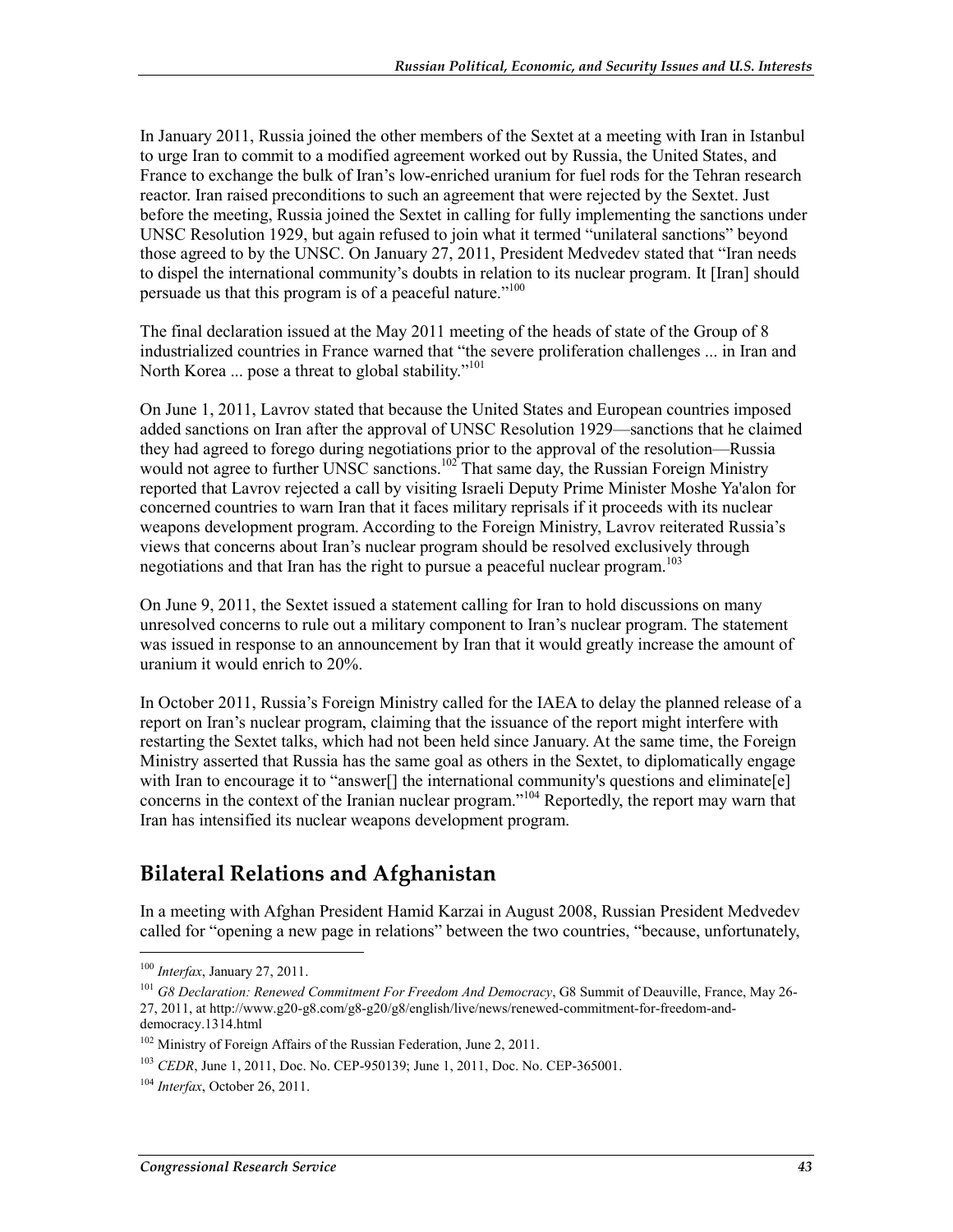In January 2011, Russia joined the other members of the Sextet at a meeting with Iran in Istanbul to urge Iran to commit to a modified agreement worked out by Russia, the United States, and France to exchange the bulk of Iran's low-enriched uranium for fuel rods for the Tehran research reactor. Iran raised preconditions to such an agreement that were rejected by the Sextet. Just before the meeting, Russia joined the Sextet in calling for fully implementing the sanctions under UNSC Resolution 1929, but again refused to join what it termed "unilateral sanctions" beyond those agreed to by the UNSC. On January 27, 2011, President Medvedev stated that "Iran needs to dispel the international community's doubts in relation to its nuclear program. It [Iran] should persuade us that this program is of a peaceful nature."<sup>100</sup>

The final declaration issued at the May 2011 meeting of the heads of state of the Group of 8 industrialized countries in France warned that "the severe proliferation challenges ... in Iran and North Korea ... pose a threat to global stability."<sup>101</sup>

On June 1, 2011, Lavrov stated that because the United States and European countries imposed added sanctions on Iran after the approval of UNSC Resolution 1929—sanctions that he claimed they had agreed to forego during negotiations prior to the approval of the resolution—Russia would not agree to further UNSC sanctions.<sup>102</sup> That same day, the Russian Foreign Ministry reported that Lavrov rejected a call by visiting Israeli Deputy Prime Minister Moshe Ya'alon for concerned countries to warn Iran that it faces military reprisals if it proceeds with its nuclear weapons development program. According to the Foreign Ministry, Lavrov reiterated Russia's views that concerns about Iran's nuclear program should be resolved exclusively through negotiations and that Iran has the right to pursue a peaceful nuclear program.<sup>103</sup>

On June 9, 2011, the Sextet issued a statement calling for Iran to hold discussions on many unresolved concerns to rule out a military component to Iran's nuclear program. The statement was issued in response to an announcement by Iran that it would greatly increase the amount of uranium it would enrich to 20%.

In October 2011, Russia's Foreign Ministry called for the IAEA to delay the planned release of a report on Iran's nuclear program, claiming that the issuance of the report might interfere with restarting the Sextet talks, which had not been held since January. At the same time, the Foreign Ministry asserted that Russia has the same goal as others in the Sextet, to diplomatically engage with Iran to encourage it to "answer<sup>[]</sup> the international community's questions and eliminate<sup>[e]</sup> concerns in the context of the Iranian nuclear program."104 Reportedly, the report may warn that Iran has intensified its nuclear weapons development program.

## **Bilateral Relations and Afghanistan**

In a meeting with Afghan President Hamid Karzai in August 2008, Russian President Medvedev called for "opening a new page in relations" between the two countries, "because, unfortunately,

<sup>100</sup> *Interfax*, January 27, 2011.

<sup>&</sup>lt;sup>101</sup> *G8 Declaration: Renewed Commitment For Freedom And Democracy*, G8 Summit of Deauville, France, May 26-27, 2011, at http://www.g20-g8.com/g8-g20/g8/english/live/news/renewed-commitment-for-freedom-anddemocracy.1314.html

<sup>&</sup>lt;sup>102</sup> Ministry of Foreign Affairs of the Russian Federation, June 2, 2011.

<sup>103</sup> *CEDR*, June 1, 2011, Doc. No. CEP-950139; June 1, 2011, Doc. No. CEP-365001.

<sup>104</sup> *Interfax*, October 26, 2011.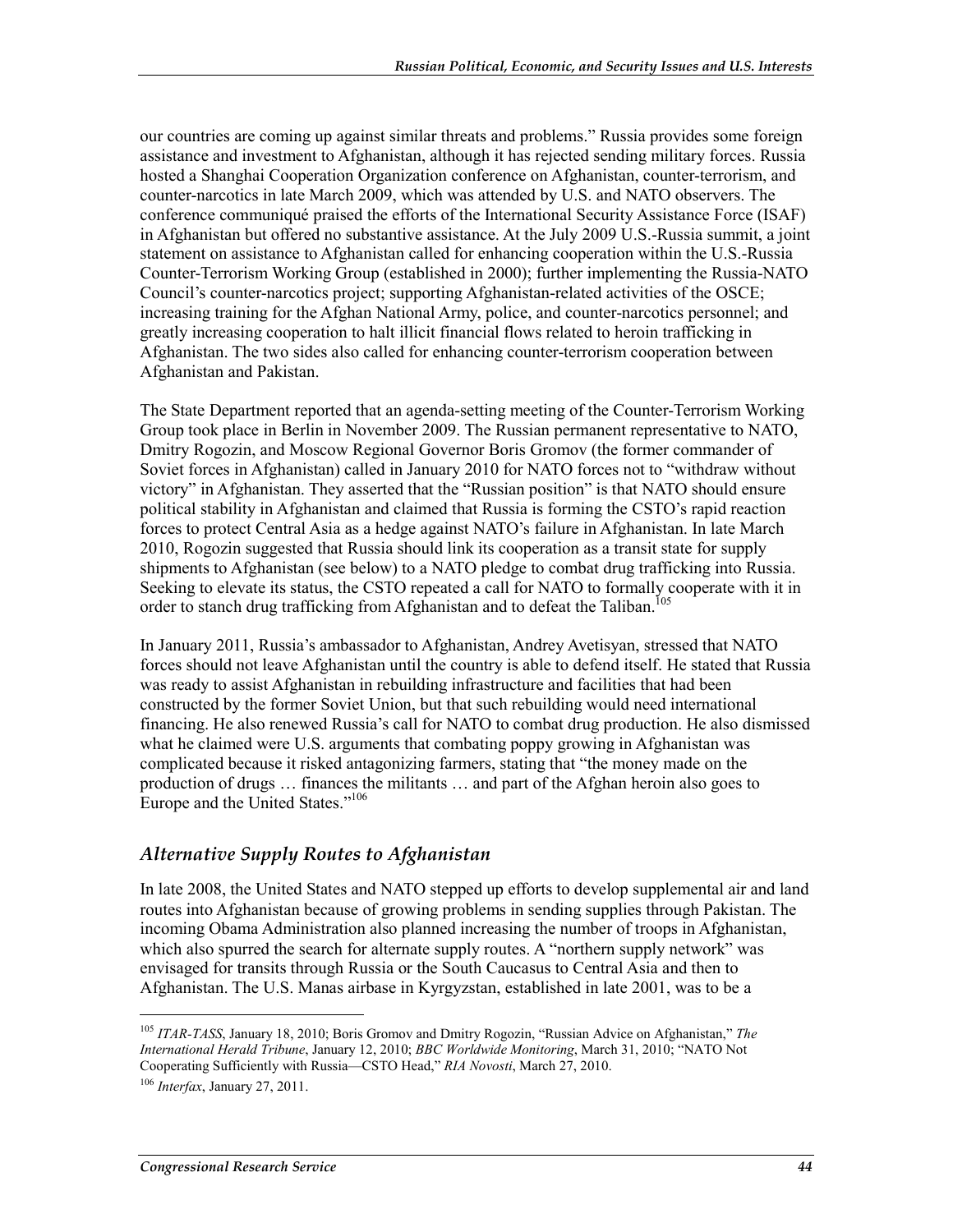our countries are coming up against similar threats and problems." Russia provides some foreign assistance and investment to Afghanistan, although it has rejected sending military forces. Russia hosted a Shanghai Cooperation Organization conference on Afghanistan, counter-terrorism, and counter-narcotics in late March 2009, which was attended by U.S. and NATO observers. The conference communiqué praised the efforts of the International Security Assistance Force (ISAF) in Afghanistan but offered no substantive assistance. At the July 2009 U.S.-Russia summit, a joint statement on assistance to Afghanistan called for enhancing cooperation within the U.S.-Russia Counter-Terrorism Working Group (established in 2000); further implementing the Russia-NATO Council's counter-narcotics project; supporting Afghanistan-related activities of the OSCE; increasing training for the Afghan National Army, police, and counter-narcotics personnel; and greatly increasing cooperation to halt illicit financial flows related to heroin trafficking in Afghanistan. The two sides also called for enhancing counter-terrorism cooperation between Afghanistan and Pakistan.

The State Department reported that an agenda-setting meeting of the Counter-Terrorism Working Group took place in Berlin in November 2009. The Russian permanent representative to NATO, Dmitry Rogozin, and Moscow Regional Governor Boris Gromov (the former commander of Soviet forces in Afghanistan) called in January 2010 for NATO forces not to "withdraw without victory" in Afghanistan. They asserted that the "Russian position" is that NATO should ensure political stability in Afghanistan and claimed that Russia is forming the CSTO's rapid reaction forces to protect Central Asia as a hedge against NATO's failure in Afghanistan. In late March 2010, Rogozin suggested that Russia should link its cooperation as a transit state for supply shipments to Afghanistan (see below) to a NATO pledge to combat drug trafficking into Russia. Seeking to elevate its status, the CSTO repeated a call for NATO to formally cooperate with it in order to stanch drug trafficking from Afghanistan and to defeat the Taliban.<sup>105</sup>

In January 2011, Russia's ambassador to Afghanistan, Andrey Avetisyan, stressed that NATO forces should not leave Afghanistan until the country is able to defend itself. He stated that Russia was ready to assist Afghanistan in rebuilding infrastructure and facilities that had been constructed by the former Soviet Union, but that such rebuilding would need international financing. He also renewed Russia's call for NATO to combat drug production. He also dismissed what he claimed were U.S. arguments that combating poppy growing in Afghanistan was complicated because it risked antagonizing farmers, stating that "the money made on the production of drugs … finances the militants … and part of the Afghan heroin also goes to Europe and the United States."<sup>106</sup>

#### *Alternative Supply Routes to Afghanistan*

In late 2008, the United States and NATO stepped up efforts to develop supplemental air and land routes into Afghanistan because of growing problems in sending supplies through Pakistan. The incoming Obama Administration also planned increasing the number of troops in Afghanistan, which also spurred the search for alternate supply routes. A "northern supply network" was envisaged for transits through Russia or the South Caucasus to Central Asia and then to Afghanistan. The U.S. Manas airbase in Kyrgyzstan, established in late 2001, was to be a

<sup>105</sup> *ITAR-TASS*, January 18, 2010; Boris Gromov and Dmitry Rogozin, "Russian Advice on Afghanistan," *The International Herald Tribune*, January 12, 2010; *BBC Worldwide Monitoring*, March 31, 2010; "NATO Not Cooperating Sufficiently with Russia—CSTO Head," *RIA Novosti*, March 27, 2010.

<sup>106</sup> *Interfax*, January 27, 2011.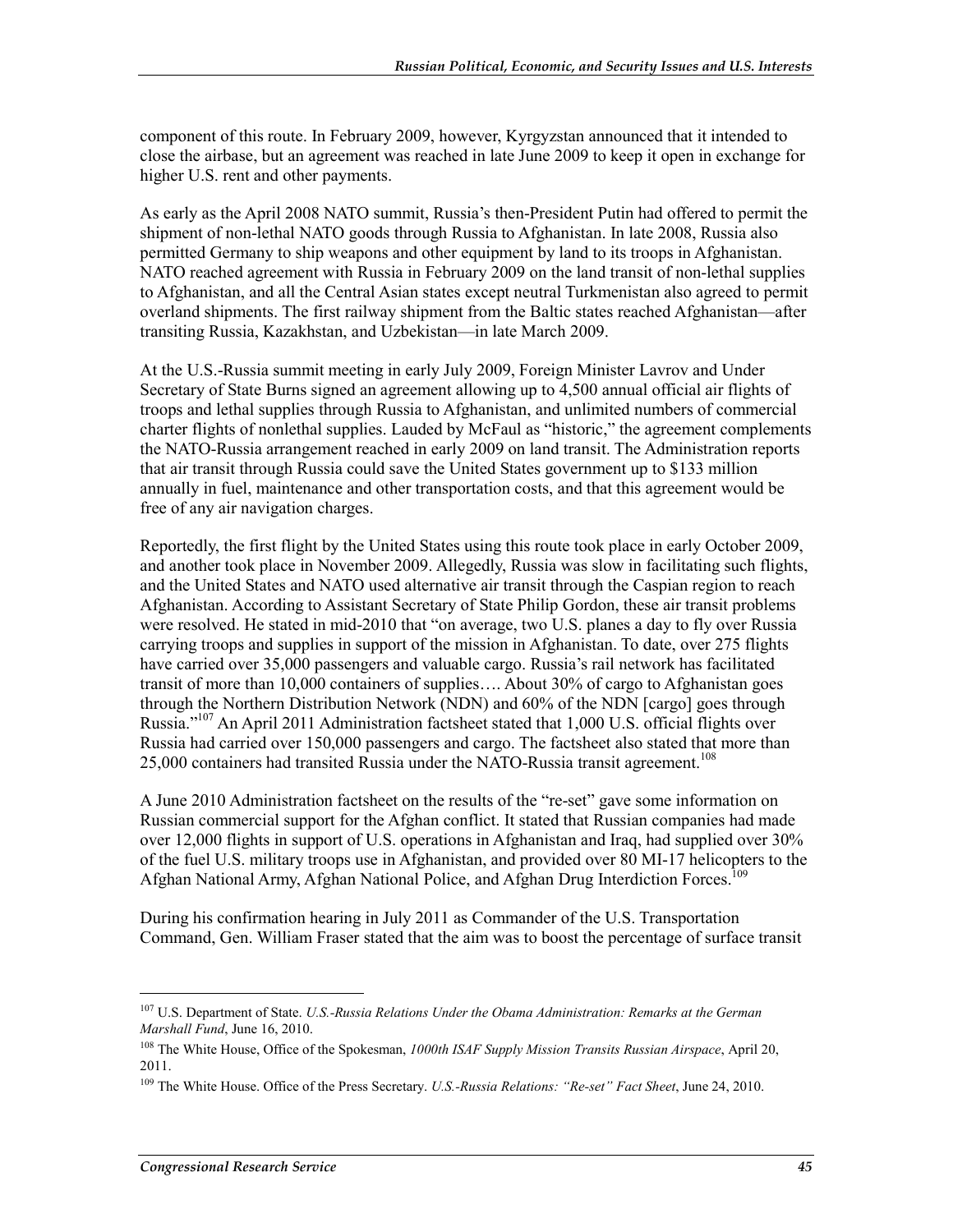component of this route. In February 2009, however, Kyrgyzstan announced that it intended to close the airbase, but an agreement was reached in late June 2009 to keep it open in exchange for higher U.S. rent and other payments.

As early as the April 2008 NATO summit, Russia's then-President Putin had offered to permit the shipment of non-lethal NATO goods through Russia to Afghanistan. In late 2008, Russia also permitted Germany to ship weapons and other equipment by land to its troops in Afghanistan. NATO reached agreement with Russia in February 2009 on the land transit of non-lethal supplies to Afghanistan, and all the Central Asian states except neutral Turkmenistan also agreed to permit overland shipments. The first railway shipment from the Baltic states reached Afghanistan—after transiting Russia, Kazakhstan, and Uzbekistan—in late March 2009.

At the U.S.-Russia summit meeting in early July 2009, Foreign Minister Lavrov and Under Secretary of State Burns signed an agreement allowing up to 4,500 annual official air flights of troops and lethal supplies through Russia to Afghanistan, and unlimited numbers of commercial charter flights of nonlethal supplies. Lauded by McFaul as "historic," the agreement complements the NATO-Russia arrangement reached in early 2009 on land transit. The Administration reports that air transit through Russia could save the United States government up to \$133 million annually in fuel, maintenance and other transportation costs, and that this agreement would be free of any air navigation charges.

Reportedly, the first flight by the United States using this route took place in early October 2009, and another took place in November 2009. Allegedly, Russia was slow in facilitating such flights, and the United States and NATO used alternative air transit through the Caspian region to reach Afghanistan. According to Assistant Secretary of State Philip Gordon, these air transit problems were resolved. He stated in mid-2010 that "on average, two U.S. planes a day to fly over Russia carrying troops and supplies in support of the mission in Afghanistan. To date, over 275 flights have carried over 35,000 passengers and valuable cargo. Russia's rail network has facilitated transit of more than 10,000 containers of supplies…. About 30% of cargo to Afghanistan goes through the Northern Distribution Network (NDN) and 60% of the NDN [cargo] goes through Russia."107 An April 2011 Administration factsheet stated that 1,000 U.S. official flights over Russia had carried over 150,000 passengers and cargo. The factsheet also stated that more than  $25,000$  containers had transited Russia under the NATO-Russia transit agreement.<sup>108</sup>

A June 2010 Administration factsheet on the results of the "re-set" gave some information on Russian commercial support for the Afghan conflict. It stated that Russian companies had made over 12,000 flights in support of U.S. operations in Afghanistan and Iraq, had supplied over 30% of the fuel U.S. military troops use in Afghanistan, and provided over 80 MI-17 helicopters to the Afghan National Army, Afghan National Police, and Afghan Drug Interdiction Forces.<sup>109</sup>

During his confirmation hearing in July 2011 as Commander of the U.S. Transportation Command, Gen. William Fraser stated that the aim was to boost the percentage of surface transit

<sup>107</sup> U.S. Department of State. *U.S.-Russia Relations Under the Obama Administration: Remarks at the German Marshall Fund*, June 16, 2010.

<sup>108</sup> The White House, Office of the Spokesman, *1000th ISAF Supply Mission Transits Russian Airspace*, April 20, 2011.

<sup>109</sup> The White House. Office of the Press Secretary. *U.S.-Russia Relations: "Re-set" Fact Sheet*, June 24, 2010.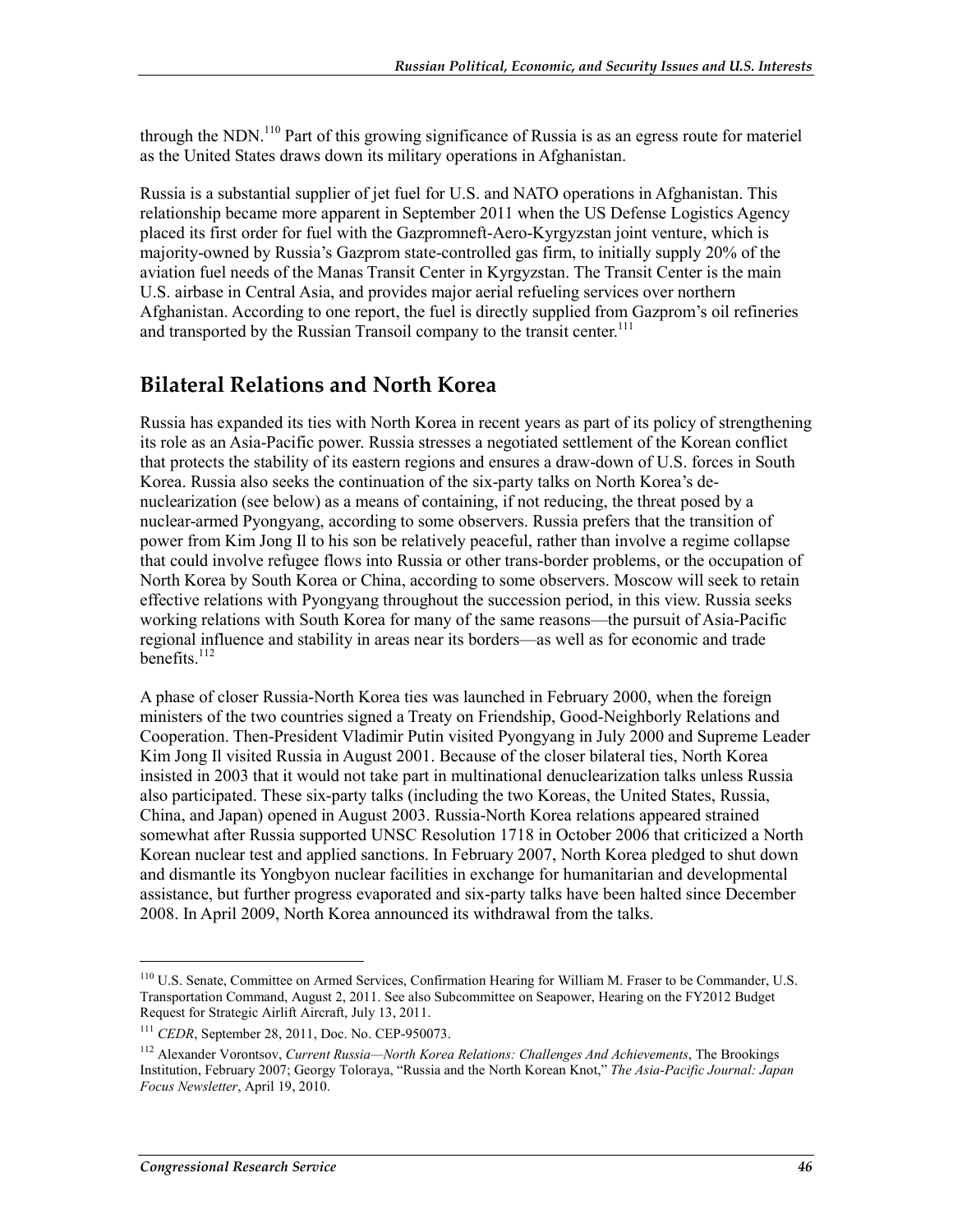through the NDN.<sup>110</sup> Part of this growing significance of Russia is as an egress route for materiel as the United States draws down its military operations in Afghanistan.

Russia is a substantial supplier of jet fuel for U.S. and NATO operations in Afghanistan. This relationship became more apparent in September 2011 when the US Defense Logistics Agency placed its first order for fuel with the Gazpromneft-Aero-Kyrgyzstan joint venture, which is majority-owned by Russia's Gazprom state-controlled gas firm, to initially supply 20% of the aviation fuel needs of the Manas Transit Center in Kyrgyzstan. The Transit Center is the main U.S. airbase in Central Asia, and provides major aerial refueling services over northern Afghanistan. According to one report, the fuel is directly supplied from Gazprom's oil refineries and transported by the Russian Transoil company to the transit center.<sup>111</sup>

## **Bilateral Relations and North Korea**

Russia has expanded its ties with North Korea in recent years as part of its policy of strengthening its role as an Asia-Pacific power. Russia stresses a negotiated settlement of the Korean conflict that protects the stability of its eastern regions and ensures a draw-down of U.S. forces in South Korea. Russia also seeks the continuation of the six-party talks on North Korea's denuclearization (see below) as a means of containing, if not reducing, the threat posed by a nuclear-armed Pyongyang, according to some observers. Russia prefers that the transition of power from Kim Jong Il to his son be relatively peaceful, rather than involve a regime collapse that could involve refugee flows into Russia or other trans-border problems, or the occupation of North Korea by South Korea or China, according to some observers. Moscow will seek to retain effective relations with Pyongyang throughout the succession period, in this view. Russia seeks working relations with South Korea for many of the same reasons—the pursuit of Asia-Pacific regional influence and stability in areas near its borders—as well as for economic and trade benefits. $112$ 

A phase of closer Russia-North Korea ties was launched in February 2000, when the foreign ministers of the two countries signed a Treaty on Friendship, Good-Neighborly Relations and Cooperation. Then-President Vladimir Putin visited Pyongyang in July 2000 and Supreme Leader Kim Jong Il visited Russia in August 2001. Because of the closer bilateral ties, North Korea insisted in 2003 that it would not take part in multinational denuclearization talks unless Russia also participated. These six-party talks (including the two Koreas, the United States, Russia, China, and Japan) opened in August 2003. Russia-North Korea relations appeared strained somewhat after Russia supported UNSC Resolution 1718 in October 2006 that criticized a North Korean nuclear test and applied sanctions. In February 2007, North Korea pledged to shut down and dismantle its Yongbyon nuclear facilities in exchange for humanitarian and developmental assistance, but further progress evaporated and six-party talks have been halted since December 2008. In April 2009, North Korea announced its withdrawal from the talks.

<sup>&</sup>lt;sup>110</sup> U.S. Senate, Committee on Armed Services, Confirmation Hearing for William M. Fraser to be Commander, U.S. Transportation Command, August 2, 2011. See also Subcommittee on Seapower, Hearing on the FY2012 Budget Request for Strategic Airlift Aircraft, July 13, 2011.

<sup>111</sup> *CEDR*, September 28, 2011, Doc. No. CEP-950073.

<sup>112</sup> Alexander Vorontsov, *Current Russia—North Korea Relations: Challenges And Achievements*, The Brookings Institution, February 2007; Georgy Toloraya, "Russia and the North Korean Knot," *The Asia-Pacific Journal: Japan Focus Newsletter*, April 19, 2010.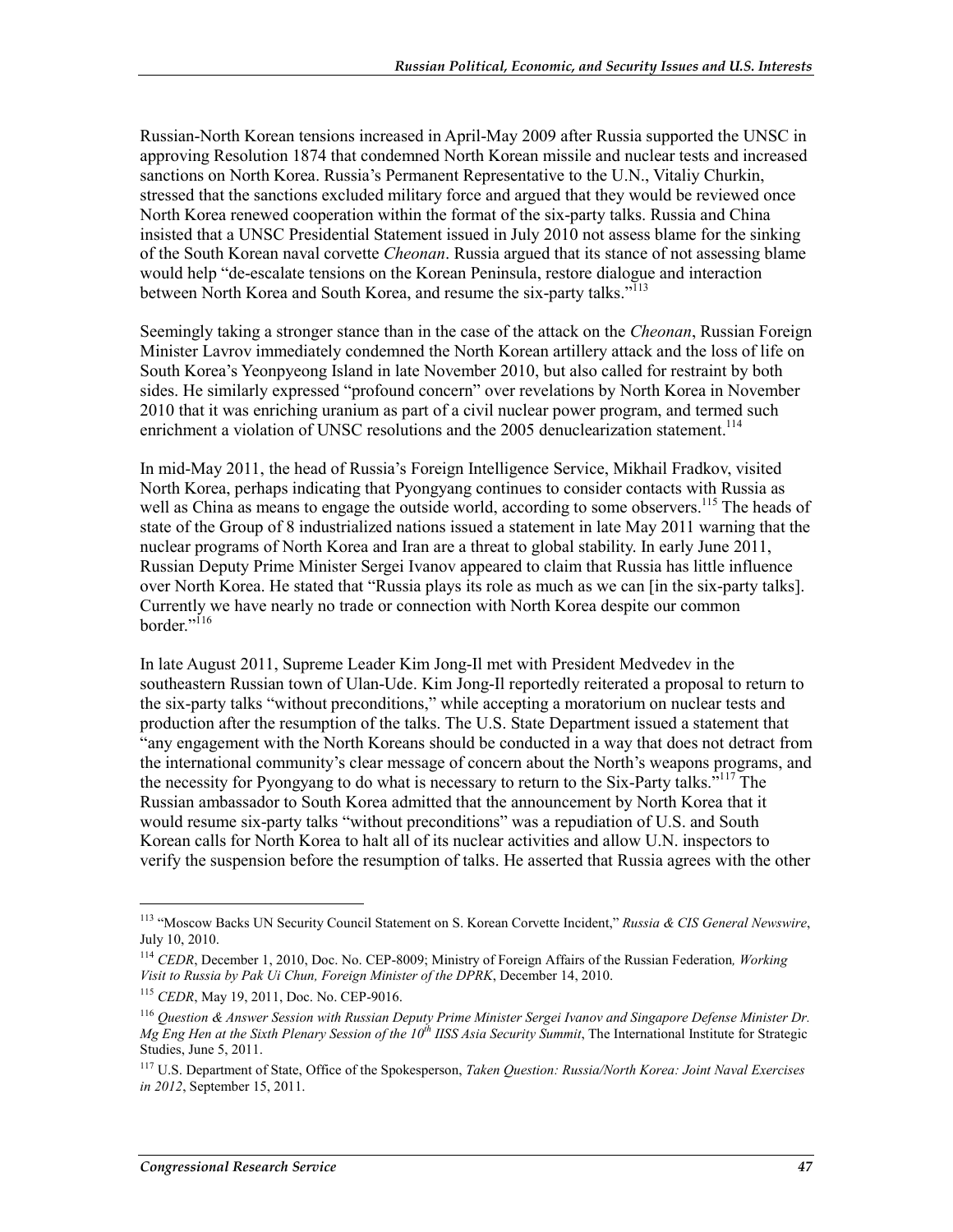Russian-North Korean tensions increased in April-May 2009 after Russia supported the UNSC in approving Resolution 1874 that condemned North Korean missile and nuclear tests and increased sanctions on North Korea. Russia's Permanent Representative to the U.N., Vitaliy Churkin, stressed that the sanctions excluded military force and argued that they would be reviewed once North Korea renewed cooperation within the format of the six-party talks. Russia and China insisted that a UNSC Presidential Statement issued in July 2010 not assess blame for the sinking of the South Korean naval corvette *Cheonan*. Russia argued that its stance of not assessing blame would help "de-escalate tensions on the Korean Peninsula, restore dialogue and interaction between North Korea and South Korea, and resume the six-party talks."<sup>113</sup>

Seemingly taking a stronger stance than in the case of the attack on the *Cheonan*, Russian Foreign Minister Lavrov immediately condemned the North Korean artillery attack and the loss of life on South Korea's Yeonpyeong Island in late November 2010, but also called for restraint by both sides. He similarly expressed "profound concern" over revelations by North Korea in November 2010 that it was enriching uranium as part of a civil nuclear power program, and termed such enrichment a violation of UNSC resolutions and the 2005 denuclearization statement.<sup>114</sup>

In mid-May 2011, the head of Russia's Foreign Intelligence Service, Mikhail Fradkov, visited North Korea, perhaps indicating that Pyongyang continues to consider contacts with Russia as well as China as means to engage the outside world, according to some observers.<sup>115</sup> The heads of state of the Group of 8 industrialized nations issued a statement in late May 2011 warning that the nuclear programs of North Korea and Iran are a threat to global stability. In early June 2011, Russian Deputy Prime Minister Sergei Ivanov appeared to claim that Russia has little influence over North Korea. He stated that "Russia plays its role as much as we can [in the six-party talks]. Currently we have nearly no trade or connection with North Korea despite our common border<sup>"116</sup>

In late August 2011, Supreme Leader Kim Jong-Il met with President Medvedev in the southeastern Russian town of Ulan-Ude. Kim Jong-Il reportedly reiterated a proposal to return to the six-party talks "without preconditions," while accepting a moratorium on nuclear tests and production after the resumption of the talks. The U.S. State Department issued a statement that "any engagement with the North Koreans should be conducted in a way that does not detract from the international community's clear message of concern about the North's weapons programs, and the necessity for Pyongyang to do what is necessary to return to the Six-Party talks.<sup>5117</sup> The Russian ambassador to South Korea admitted that the announcement by North Korea that it would resume six-party talks "without preconditions" was a repudiation of U.S. and South Korean calls for North Korea to halt all of its nuclear activities and allow U.N. inspectors to verify the suspension before the resumption of talks. He asserted that Russia agrees with the other

<sup>113 &</sup>quot;Moscow Backs UN Security Council Statement on S. Korean Corvette Incident," *Russia & CIS General Newswire*, July 10, 2010.

<sup>114</sup> *CEDR*, December 1, 2010, Doc. No. CEP-8009; Ministry of Foreign Affairs of the Russian Federation*, Working Visit to Russia by Pak Ui Chun, Foreign Minister of the DPRK*, December 14, 2010.

<sup>115</sup> *CEDR*, May 19, 2011, Doc. No. CEP-9016.

<sup>116</sup> *Question & Answer Session with Russian Deputy Prime Minister Sergei Ivanov and Singapore Defense Minister Dr. Mg Eng Hen at the Sixth Plenary Session of the 10<sup>th</sup> IISS Asia Security Summit*, The International Institute for Strategic Studies, June 5, 2011.

<sup>117</sup> U.S. Department of State, Office of the Spokesperson, *Taken Question: Russia/North Korea: Joint Naval Exercises in 2012*, September 15, 2011.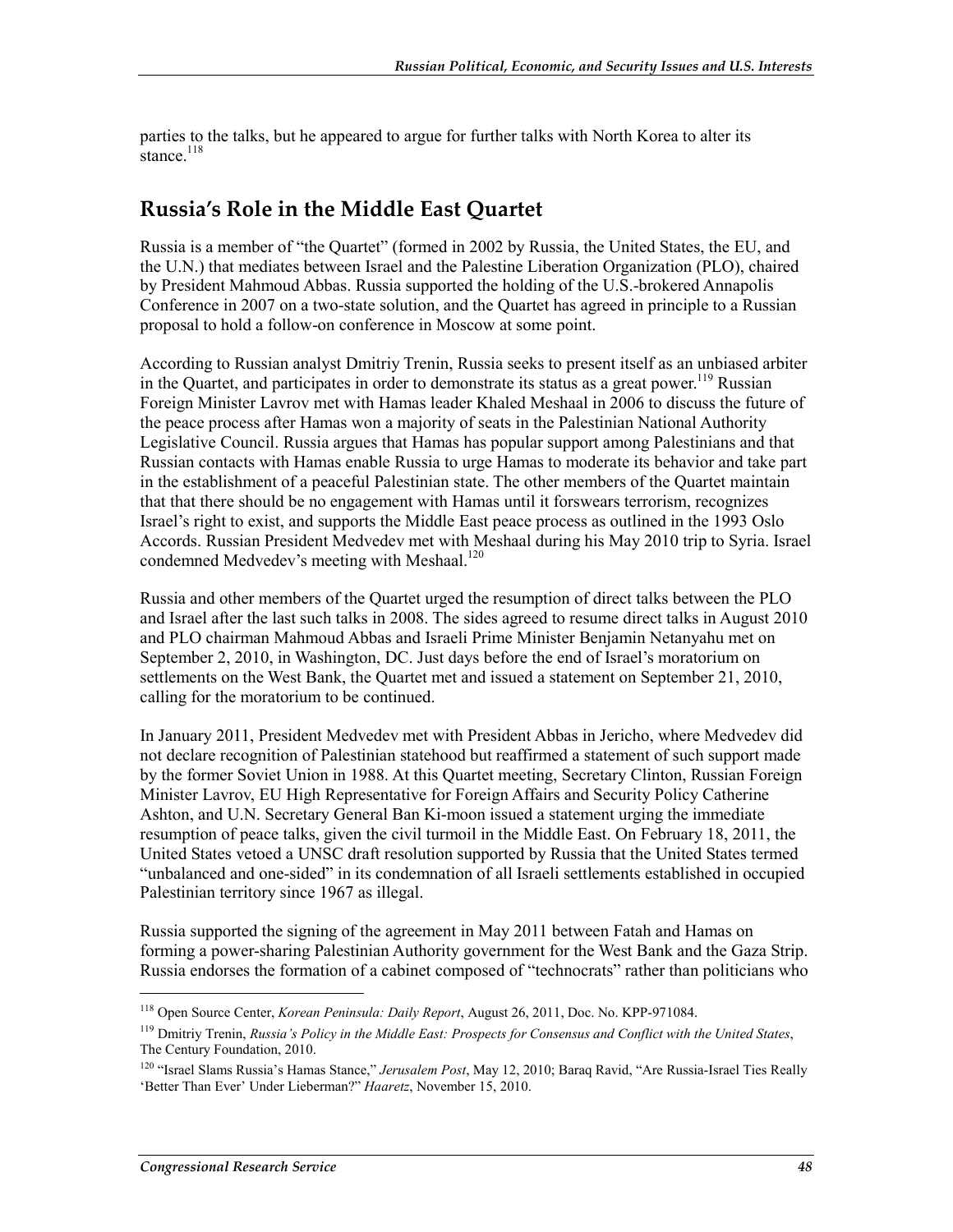parties to the talks, but he appeared to argue for further talks with North Korea to alter its stance.<sup>118</sup>

### **Russia's Role in the Middle East Quartet**

Russia is a member of "the Quartet" (formed in 2002 by Russia, the United States, the EU, and the U.N.) that mediates between Israel and the Palestine Liberation Organization (PLO), chaired by President Mahmoud Abbas. Russia supported the holding of the U.S.-brokered Annapolis Conference in 2007 on a two-state solution, and the Quartet has agreed in principle to a Russian proposal to hold a follow-on conference in Moscow at some point.

According to Russian analyst Dmitriy Trenin, Russia seeks to present itself as an unbiased arbiter in the Quartet, and participates in order to demonstrate its status as a great power.<sup>119</sup> Russian Foreign Minister Lavrov met with Hamas leader Khaled Meshaal in 2006 to discuss the future of the peace process after Hamas won a majority of seats in the Palestinian National Authority Legislative Council. Russia argues that Hamas has popular support among Palestinians and that Russian contacts with Hamas enable Russia to urge Hamas to moderate its behavior and take part in the establishment of a peaceful Palestinian state. The other members of the Quartet maintain that that there should be no engagement with Hamas until it forswears terrorism, recognizes Israel's right to exist, and supports the Middle East peace process as outlined in the 1993 Oslo Accords. Russian President Medvedev met with Meshaal during his May 2010 trip to Syria. Israel condemned Medvedev's meeting with Meshaal.<sup>120</sup>

Russia and other members of the Quartet urged the resumption of direct talks between the PLO and Israel after the last such talks in 2008. The sides agreed to resume direct talks in August 2010 and PLO chairman Mahmoud Abbas and Israeli Prime Minister Benjamin Netanyahu met on September 2, 2010, in Washington, DC. Just days before the end of Israel's moratorium on settlements on the West Bank, the Quartet met and issued a statement on September 21, 2010, calling for the moratorium to be continued.

In January 2011, President Medvedev met with President Abbas in Jericho, where Medvedev did not declare recognition of Palestinian statehood but reaffirmed a statement of such support made by the former Soviet Union in 1988. At this Quartet meeting, Secretary Clinton, Russian Foreign Minister Lavrov, EU High Representative for Foreign Affairs and Security Policy Catherine Ashton, and U.N. Secretary General Ban Ki-moon issued a statement urging the immediate resumption of peace talks, given the civil turmoil in the Middle East. On February 18, 2011, the United States vetoed a UNSC draft resolution supported by Russia that the United States termed "unbalanced and one-sided" in its condemnation of all Israeli settlements established in occupied Palestinian territory since 1967 as illegal.

Russia supported the signing of the agreement in May 2011 between Fatah and Hamas on forming a power-sharing Palestinian Authority government for the West Bank and the Gaza Strip. Russia endorses the formation of a cabinet composed of "technocrats" rather than politicians who

<sup>118</sup> Open Source Center, *Korean Peninsula: Daily Report*, August 26, 2011, Doc. No. KPP-971084.

<sup>119</sup> Dmitriy Trenin, *Russia's Policy in the Middle East: Prospects for Consensus and Conflict with the United States*, The Century Foundation, 2010.

<sup>120 &</sup>quot;Israel Slams Russia's Hamas Stance," *Jerusalem Post*, May 12, 2010; Baraq Ravid, "Are Russia-Israel Ties Really 'Better Than Ever' Under Lieberman?" *Haaretz*, November 15, 2010.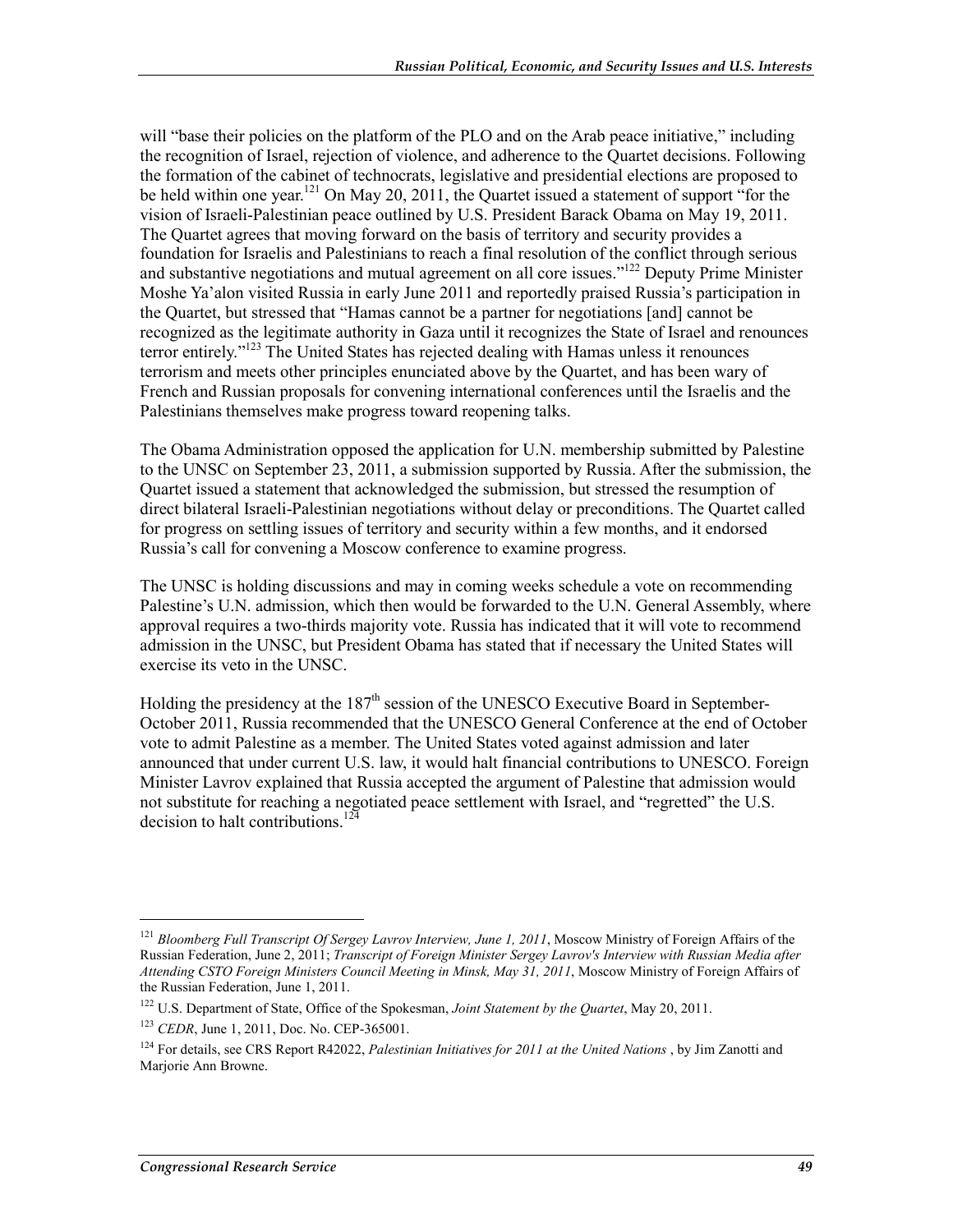will "base their policies on the platform of the PLO and on the Arab peace initiative," including the recognition of Israel, rejection of violence, and adherence to the Quartet decisions. Following the formation of the cabinet of technocrats, legislative and presidential elections are proposed to be held within one year.<sup>121</sup> On May 20, 2011, the Quartet issued a statement of support "for the vision of Israeli-Palestinian peace outlined by U.S. President Barack Obama on May 19, 2011. The Quartet agrees that moving forward on the basis of territory and security provides a foundation for Israelis and Palestinians to reach a final resolution of the conflict through serious and substantive negotiations and mutual agreement on all core issues."122 Deputy Prime Minister Moshe Ya'alon visited Russia in early June 2011 and reportedly praised Russia's participation in the Quartet, but stressed that "Hamas cannot be a partner for negotiations [and] cannot be recognized as the legitimate authority in Gaza until it recognizes the State of Israel and renounces terror entirely."123 The United States has rejected dealing with Hamas unless it renounces terrorism and meets other principles enunciated above by the Quartet, and has been wary of French and Russian proposals for convening international conferences until the Israelis and the Palestinians themselves make progress toward reopening talks.

The Obama Administration opposed the application for U.N. membership submitted by Palestine to the UNSC on September 23, 2011, a submission supported by Russia. After the submission, the Quartet issued a statement that acknowledged the submission, but stressed the resumption of direct bilateral Israeli-Palestinian negotiations without delay or preconditions. The Quartet called for progress on settling issues of territory and security within a few months, and it endorsed Russia's call for convening a Moscow conference to examine progress.

The UNSC is holding discussions and may in coming weeks schedule a vote on recommending Palestine's U.N. admission, which then would be forwarded to the U.N. General Assembly, where approval requires a two-thirds majority vote. Russia has indicated that it will vote to recommend admission in the UNSC, but President Obama has stated that if necessary the United States will exercise its veto in the UNSC.

Holding the presidency at the  $187<sup>th</sup>$  session of the UNESCO Executive Board in September-October 2011, Russia recommended that the UNESCO General Conference at the end of October vote to admit Palestine as a member. The United States voted against admission and later announced that under current U.S. law, it would halt financial contributions to UNESCO. Foreign Minister Lavrov explained that Russia accepted the argument of Palestine that admission would not substitute for reaching a negotiated peace settlement with Israel, and "regretted" the U.S. decision to halt contributions.<sup>124</sup>

 $\overline{a}$ 

<sup>&</sup>lt;sup>121</sup> Bloomberg Full Transcript Of Sergey Lavrov Interview, June 1, 2011, Moscow Ministry of Foreign Affairs of the Russian Federation, June 2, 2011; *Transcript of Foreign Minister Sergey Lavrov's Interview with Russian Media after Attending CSTO Foreign Ministers Council Meeting in Minsk, May 31, 2011*, Moscow Ministry of Foreign Affairs of the Russian Federation, June 1, 2011.

<sup>122</sup> U.S. Department of State, Office of the Spokesman, *Joint Statement by the Quartet*, May 20, 2011.

<sup>123</sup> *CEDR*, June 1, 2011, Doc. No. CEP-365001.

<sup>124</sup> For details, see CRS Report R42022, *Palestinian Initiatives for 2011 at the United Nations* , by Jim Zanotti and Marjorie Ann Browne.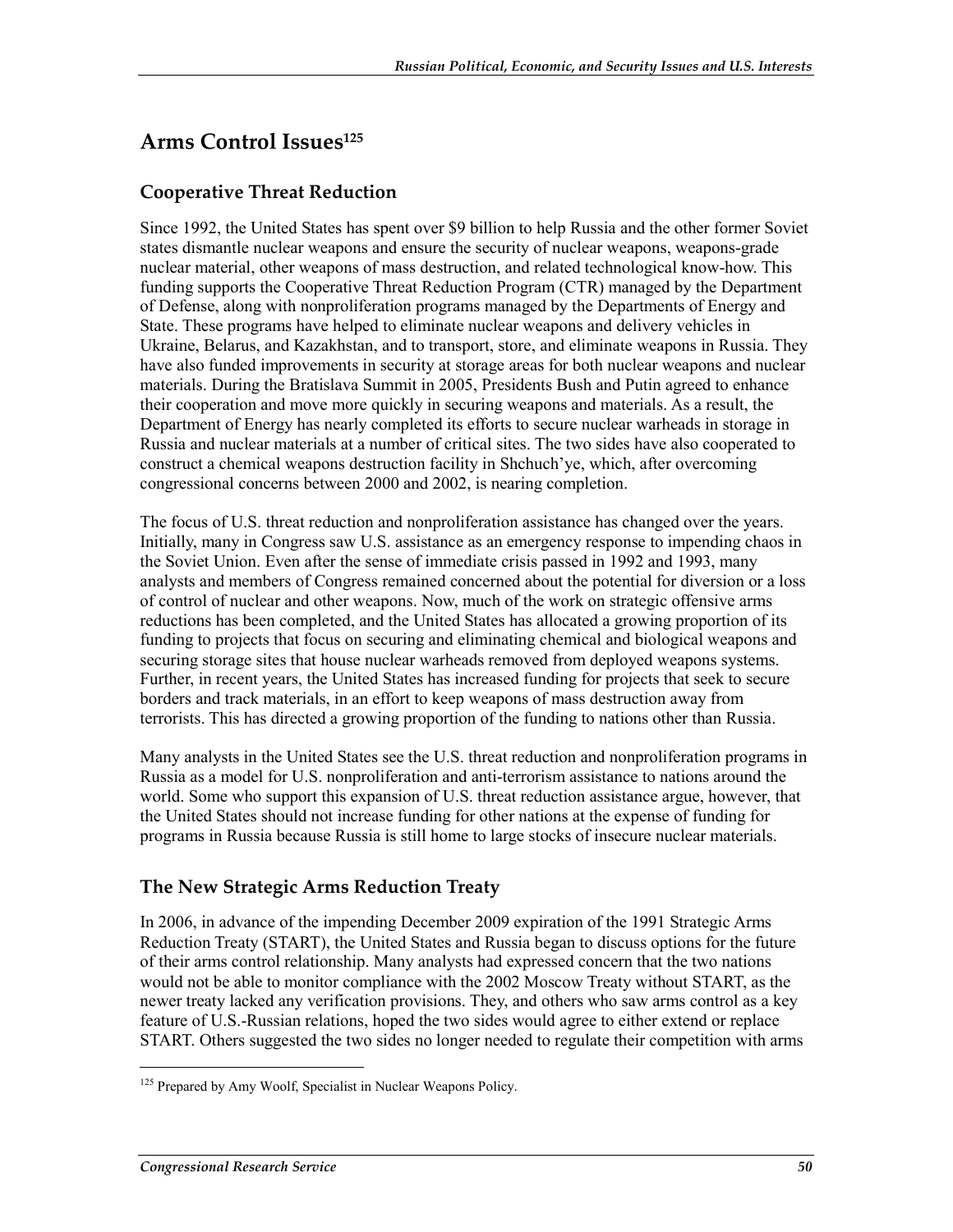## **Arms Control Issues125**

#### **Cooperative Threat Reduction**

Since 1992, the United States has spent over \$9 billion to help Russia and the other former Soviet states dismantle nuclear weapons and ensure the security of nuclear weapons, weapons-grade nuclear material, other weapons of mass destruction, and related technological know-how. This funding supports the Cooperative Threat Reduction Program (CTR) managed by the Department of Defense, along with nonproliferation programs managed by the Departments of Energy and State. These programs have helped to eliminate nuclear weapons and delivery vehicles in Ukraine, Belarus, and Kazakhstan, and to transport, store, and eliminate weapons in Russia. They have also funded improvements in security at storage areas for both nuclear weapons and nuclear materials. During the Bratislava Summit in 2005, Presidents Bush and Putin agreed to enhance their cooperation and move more quickly in securing weapons and materials. As a result, the Department of Energy has nearly completed its efforts to secure nuclear warheads in storage in Russia and nuclear materials at a number of critical sites. The two sides have also cooperated to construct a chemical weapons destruction facility in Shchuch'ye, which, after overcoming congressional concerns between 2000 and 2002, is nearing completion.

The focus of U.S. threat reduction and nonproliferation assistance has changed over the years. Initially, many in Congress saw U.S. assistance as an emergency response to impending chaos in the Soviet Union. Even after the sense of immediate crisis passed in 1992 and 1993, many analysts and members of Congress remained concerned about the potential for diversion or a loss of control of nuclear and other weapons. Now, much of the work on strategic offensive arms reductions has been completed, and the United States has allocated a growing proportion of its funding to projects that focus on securing and eliminating chemical and biological weapons and securing storage sites that house nuclear warheads removed from deployed weapons systems. Further, in recent years, the United States has increased funding for projects that seek to secure borders and track materials, in an effort to keep weapons of mass destruction away from terrorists. This has directed a growing proportion of the funding to nations other than Russia.

Many analysts in the United States see the U.S. threat reduction and nonproliferation programs in Russia as a model for U.S. nonproliferation and anti-terrorism assistance to nations around the world. Some who support this expansion of U.S. threat reduction assistance argue, however, that the United States should not increase funding for other nations at the expense of funding for programs in Russia because Russia is still home to large stocks of insecure nuclear materials.

#### **The New Strategic Arms Reduction Treaty**

In 2006, in advance of the impending December 2009 expiration of the 1991 Strategic Arms Reduction Treaty (START), the United States and Russia began to discuss options for the future of their arms control relationship. Many analysts had expressed concern that the two nations would not be able to monitor compliance with the 2002 Moscow Treaty without START, as the newer treaty lacked any verification provisions. They, and others who saw arms control as a key feature of U.S.-Russian relations, hoped the two sides would agree to either extend or replace START. Others suggested the two sides no longer needed to regulate their competition with arms

<sup>&</sup>lt;sup>125</sup> Prepared by Amy Woolf, Specialist in Nuclear Weapons Policy.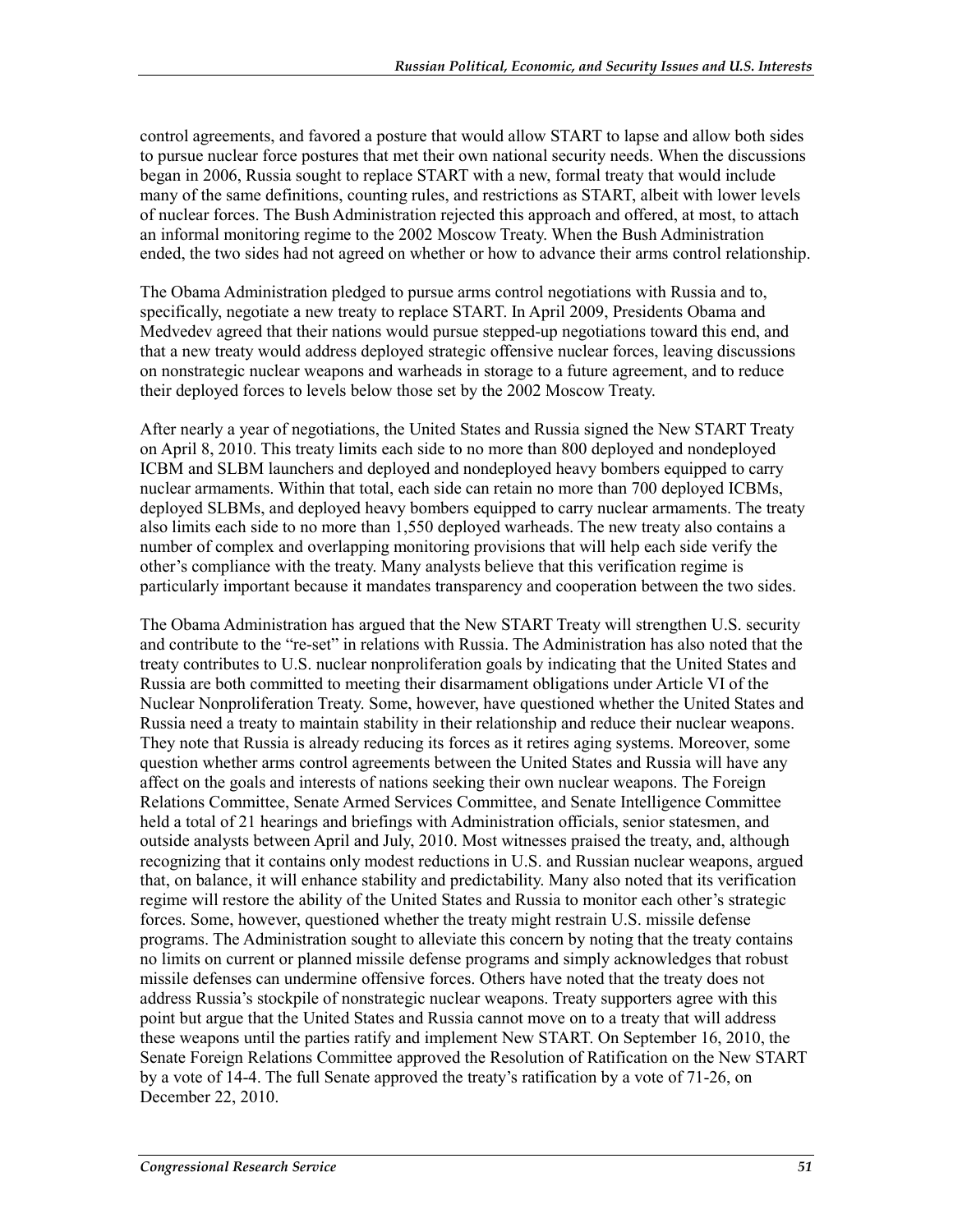control agreements, and favored a posture that would allow START to lapse and allow both sides to pursue nuclear force postures that met their own national security needs. When the discussions began in 2006, Russia sought to replace START with a new, formal treaty that would include many of the same definitions, counting rules, and restrictions as START, albeit with lower levels of nuclear forces. The Bush Administration rejected this approach and offered, at most, to attach an informal monitoring regime to the 2002 Moscow Treaty. When the Bush Administration ended, the two sides had not agreed on whether or how to advance their arms control relationship.

The Obama Administration pledged to pursue arms control negotiations with Russia and to, specifically, negotiate a new treaty to replace START. In April 2009, Presidents Obama and Medvedev agreed that their nations would pursue stepped-up negotiations toward this end, and that a new treaty would address deployed strategic offensive nuclear forces, leaving discussions on nonstrategic nuclear weapons and warheads in storage to a future agreement, and to reduce their deployed forces to levels below those set by the 2002 Moscow Treaty.

After nearly a year of negotiations, the United States and Russia signed the New START Treaty on April 8, 2010. This treaty limits each side to no more than 800 deployed and nondeployed ICBM and SLBM launchers and deployed and nondeployed heavy bombers equipped to carry nuclear armaments. Within that total, each side can retain no more than 700 deployed ICBMs, deployed SLBMs, and deployed heavy bombers equipped to carry nuclear armaments. The treaty also limits each side to no more than 1,550 deployed warheads. The new treaty also contains a number of complex and overlapping monitoring provisions that will help each side verify the other's compliance with the treaty. Many analysts believe that this verification regime is particularly important because it mandates transparency and cooperation between the two sides.

The Obama Administration has argued that the New START Treaty will strengthen U.S. security and contribute to the "re-set" in relations with Russia. The Administration has also noted that the treaty contributes to U.S. nuclear nonproliferation goals by indicating that the United States and Russia are both committed to meeting their disarmament obligations under Article VI of the Nuclear Nonproliferation Treaty. Some, however, have questioned whether the United States and Russia need a treaty to maintain stability in their relationship and reduce their nuclear weapons. They note that Russia is already reducing its forces as it retires aging systems. Moreover, some question whether arms control agreements between the United States and Russia will have any affect on the goals and interests of nations seeking their own nuclear weapons. The Foreign Relations Committee, Senate Armed Services Committee, and Senate Intelligence Committee held a total of 21 hearings and briefings with Administration officials, senior statesmen, and outside analysts between April and July, 2010. Most witnesses praised the treaty, and, although recognizing that it contains only modest reductions in U.S. and Russian nuclear weapons, argued that, on balance, it will enhance stability and predictability. Many also noted that its verification regime will restore the ability of the United States and Russia to monitor each other's strategic forces. Some, however, questioned whether the treaty might restrain U.S. missile defense programs. The Administration sought to alleviate this concern by noting that the treaty contains no limits on current or planned missile defense programs and simply acknowledges that robust missile defenses can undermine offensive forces. Others have noted that the treaty does not address Russia's stockpile of nonstrategic nuclear weapons. Treaty supporters agree with this point but argue that the United States and Russia cannot move on to a treaty that will address these weapons until the parties ratify and implement New START. On September 16, 2010, the Senate Foreign Relations Committee approved the Resolution of Ratification on the New START by a vote of 14-4. The full Senate approved the treaty's ratification by a vote of 71-26, on December 22, 2010.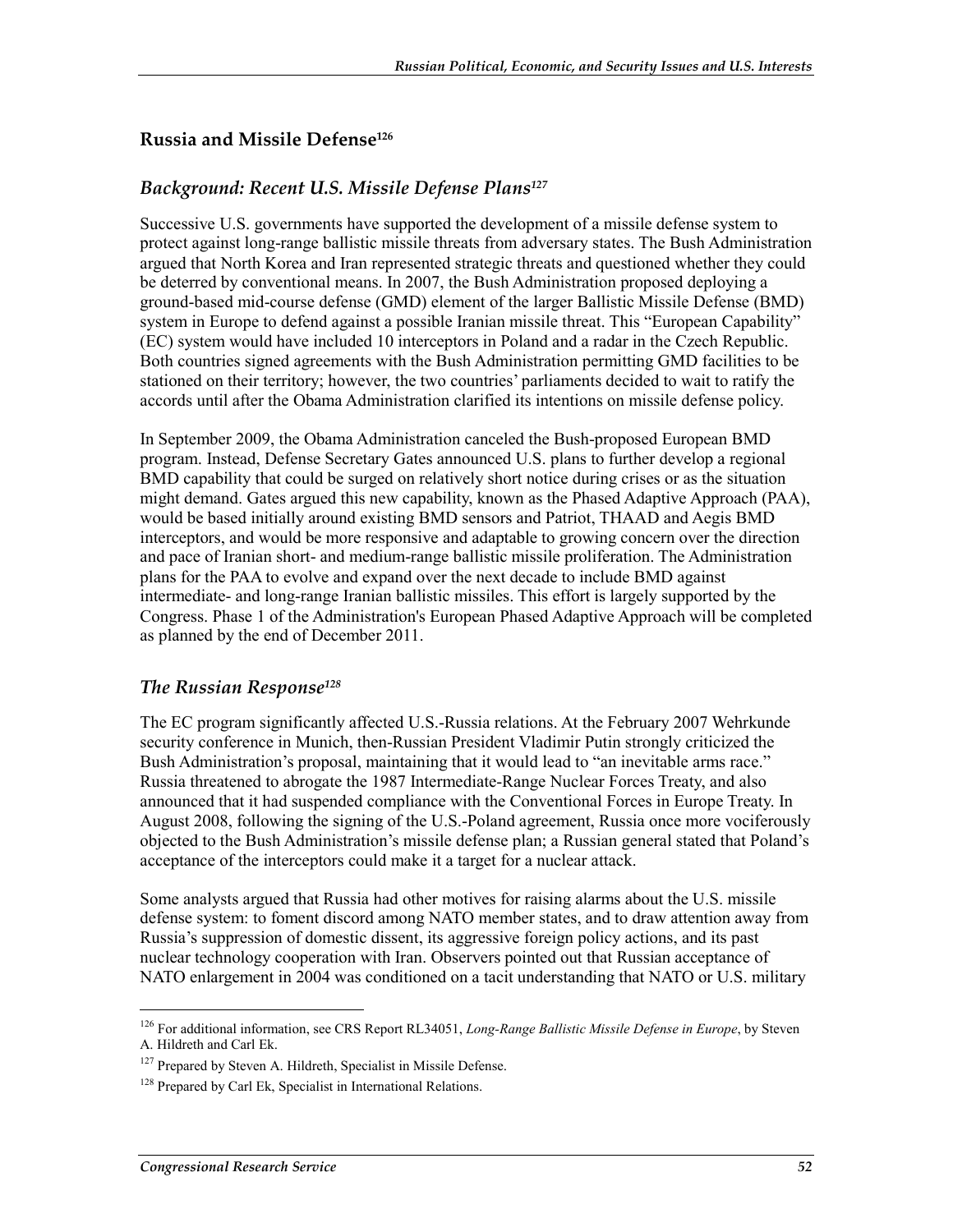#### **Russia and Missile Defense126**

#### *Background: Recent U.S. Missile Defense Plans127*

Successive U.S. governments have supported the development of a missile defense system to protect against long-range ballistic missile threats from adversary states. The Bush Administration argued that North Korea and Iran represented strategic threats and questioned whether they could be deterred by conventional means. In 2007, the Bush Administration proposed deploying a ground-based mid-course defense (GMD) element of the larger Ballistic Missile Defense (BMD) system in Europe to defend against a possible Iranian missile threat. This "European Capability" (EC) system would have included 10 interceptors in Poland and a radar in the Czech Republic. Both countries signed agreements with the Bush Administration permitting GMD facilities to be stationed on their territory; however, the two countries' parliaments decided to wait to ratify the accords until after the Obama Administration clarified its intentions on missile defense policy.

In September 2009, the Obama Administration canceled the Bush-proposed European BMD program. Instead, Defense Secretary Gates announced U.S. plans to further develop a regional BMD capability that could be surged on relatively short notice during crises or as the situation might demand. Gates argued this new capability, known as the Phased Adaptive Approach (PAA), would be based initially around existing BMD sensors and Patriot, THAAD and Aegis BMD interceptors, and would be more responsive and adaptable to growing concern over the direction and pace of Iranian short- and medium-range ballistic missile proliferation. The Administration plans for the PAA to evolve and expand over the next decade to include BMD against intermediate- and long-range Iranian ballistic missiles. This effort is largely supported by the Congress. Phase 1 of the Administration's European Phased Adaptive Approach will be completed as planned by the end of December 2011.

#### *The Russian Response128*

The EC program significantly affected U.S.-Russia relations. At the February 2007 Wehrkunde security conference in Munich, then-Russian President Vladimir Putin strongly criticized the Bush Administration's proposal, maintaining that it would lead to "an inevitable arms race." Russia threatened to abrogate the 1987 Intermediate-Range Nuclear Forces Treaty, and also announced that it had suspended compliance with the Conventional Forces in Europe Treaty. In August 2008, following the signing of the U.S.-Poland agreement, Russia once more vociferously objected to the Bush Administration's missile defense plan; a Russian general stated that Poland's acceptance of the interceptors could make it a target for a nuclear attack.

Some analysts argued that Russia had other motives for raising alarms about the U.S. missile defense system: to foment discord among NATO member states, and to draw attention away from Russia's suppression of domestic dissent, its aggressive foreign policy actions, and its past nuclear technology cooperation with Iran. Observers pointed out that Russian acceptance of NATO enlargement in 2004 was conditioned on a tacit understanding that NATO or U.S. military

<sup>&</sup>lt;sup>126</sup> For additional information, see CRS Report RL34051, *Long-Range Ballistic Missile Defense in Europe*, by Steven A. Hildreth and Carl Ek.

<sup>&</sup>lt;sup>127</sup> Prepared by Steven A. Hildreth, Specialist in Missile Defense.

<sup>&</sup>lt;sup>128</sup> Prepared by Carl Ek, Specialist in International Relations.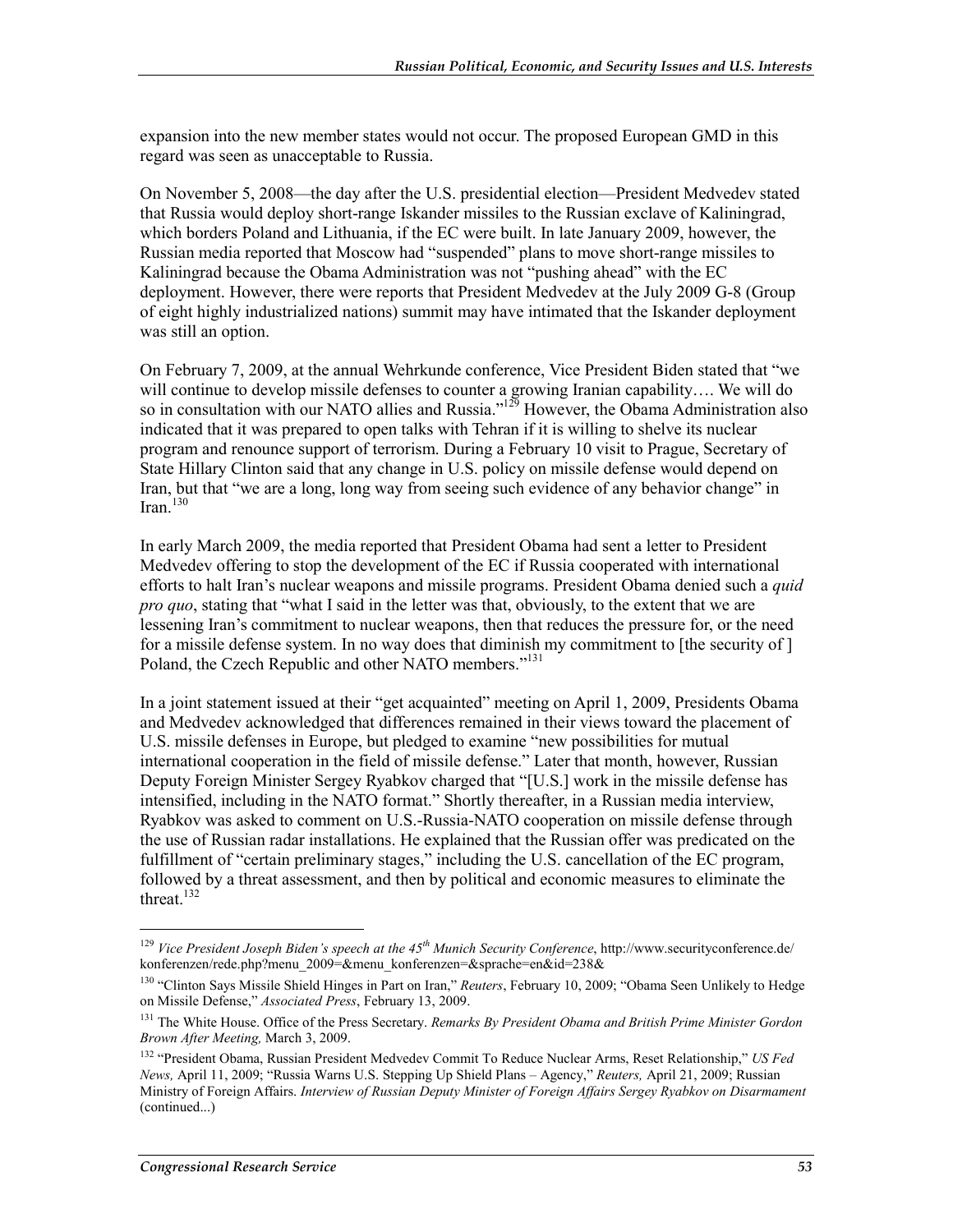expansion into the new member states would not occur. The proposed European GMD in this regard was seen as unacceptable to Russia.

On November 5, 2008—the day after the U.S. presidential election—President Medvedev stated that Russia would deploy short-range Iskander missiles to the Russian exclave of Kaliningrad, which borders Poland and Lithuania, if the EC were built. In late January 2009, however, the Russian media reported that Moscow had "suspended" plans to move short-range missiles to Kaliningrad because the Obama Administration was not "pushing ahead" with the EC deployment. However, there were reports that President Medvedev at the July 2009 G-8 (Group of eight highly industrialized nations) summit may have intimated that the Iskander deployment was still an option.

On February 7, 2009, at the annual Wehrkunde conference, Vice President Biden stated that "we will continue to develop missile defenses to counter a growing Iranian capability…. We will do so in consultation with our NATO allies and Russia."<sup>129</sup> However, the Obama Administration also indicated that it was prepared to open talks with Tehran if it is willing to shelve its nuclear program and renounce support of terrorism. During a February 10 visit to Prague, Secretary of State Hillary Clinton said that any change in U.S. policy on missile defense would depend on Iran, but that "we are a long, long way from seeing such evidence of any behavior change" in Iran. $130$ 

In early March 2009, the media reported that President Obama had sent a letter to President Medvedev offering to stop the development of the EC if Russia cooperated with international efforts to halt Iran's nuclear weapons and missile programs. President Obama denied such a *quid pro quo*, stating that "what I said in the letter was that, obviously, to the extent that we are lessening Iran's commitment to nuclear weapons, then that reduces the pressure for, or the need for a missile defense system. In no way does that diminish my commitment to [the security of ] Poland, the Czech Republic and other NATO members."<sup>131</sup>

In a joint statement issued at their "get acquainted" meeting on April 1, 2009, Presidents Obama and Medvedev acknowledged that differences remained in their views toward the placement of U.S. missile defenses in Europe, but pledged to examine "new possibilities for mutual international cooperation in the field of missile defense." Later that month, however, Russian Deputy Foreign Minister Sergey Ryabkov charged that "[U.S.] work in the missile defense has intensified, including in the NATO format." Shortly thereafter, in a Russian media interview, Ryabkov was asked to comment on U.S.-Russia-NATO cooperation on missile defense through the use of Russian radar installations. He explained that the Russian offer was predicated on the fulfillment of "certain preliminary stages," including the U.S. cancellation of the EC program, followed by a threat assessment, and then by political and economic measures to eliminate the threat. $132$ 

 $\overline{\phantom{a}}$ 

<sup>129</sup> *Vice President Joseph Biden's speech at the 45th Munich Security Conference*, http://www.securityconference.de/ konferenzen/rede.php?menu\_2009=&menu\_konferenzen=&sprache=en&id=238&

<sup>130 &</sup>quot;Clinton Says Missile Shield Hinges in Part on Iran," *Reuters*, February 10, 2009; "Obama Seen Unlikely to Hedge on Missile Defense," *Associated Press*, February 13, 2009.

<sup>131</sup> The White House. Office of the Press Secretary. *Remarks By President Obama and British Prime Minister Gordon Brown After Meeting,* March 3, 2009.

<sup>132 &</sup>quot;President Obama, Russian President Medvedev Commit To Reduce Nuclear Arms, Reset Relationship," *US Fed News,* April 11, 2009; "Russia Warns U.S. Stepping Up Shield Plans – Agency," *Reuters,* April 21, 2009; Russian Ministry of Foreign Affairs. *Interview of Russian Deputy Minister of Foreign Affairs Sergey Ryabkov on Disarmament*  (continued...)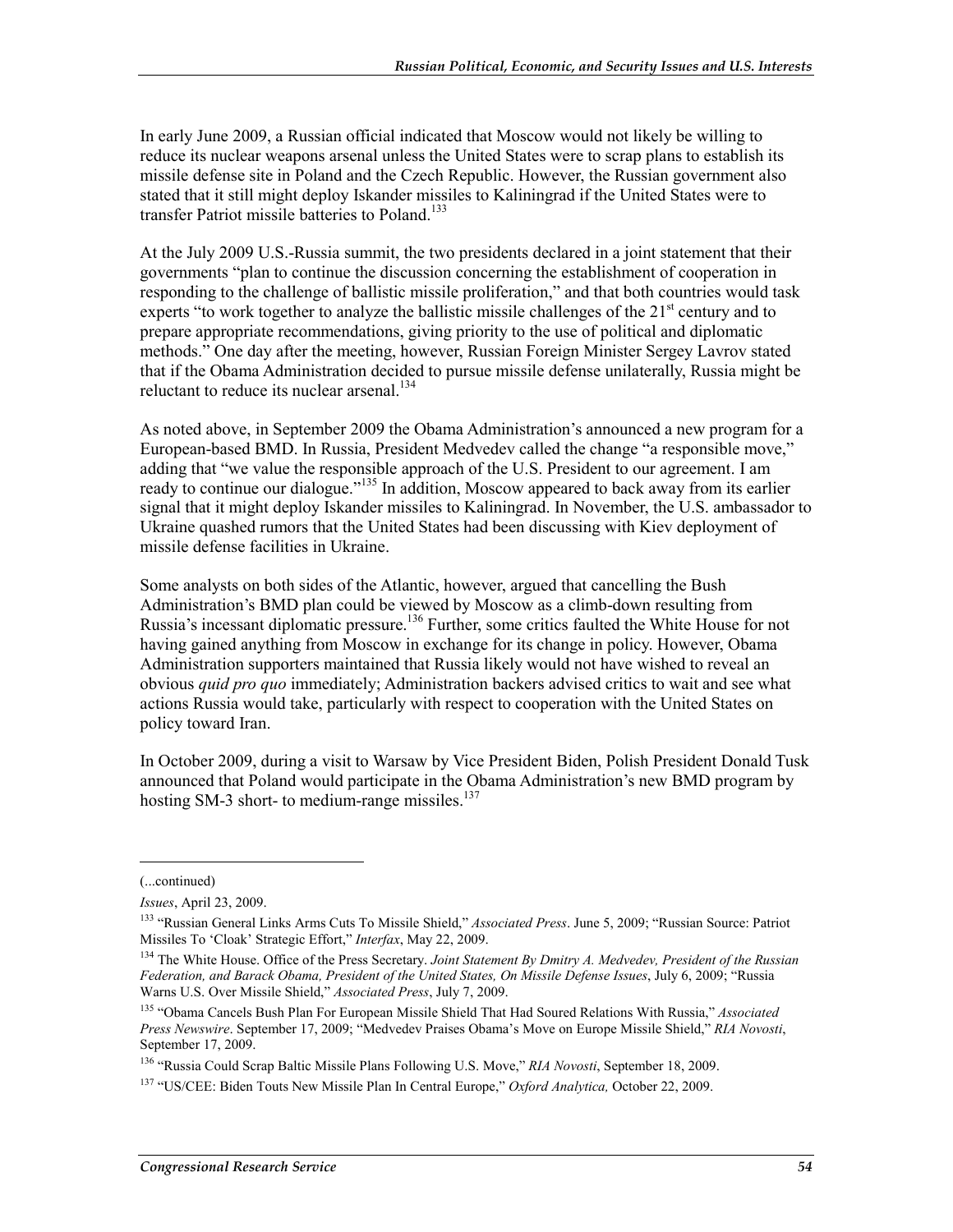In early June 2009, a Russian official indicated that Moscow would not likely be willing to reduce its nuclear weapons arsenal unless the United States were to scrap plans to establish its missile defense site in Poland and the Czech Republic. However, the Russian government also stated that it still might deploy Iskander missiles to Kaliningrad if the United States were to transfer Patriot missile batteries to Poland.133

At the July 2009 U.S.-Russia summit, the two presidents declared in a joint statement that their governments "plan to continue the discussion concerning the establishment of cooperation in responding to the challenge of ballistic missile proliferation," and that both countries would task experts "to work together to analyze the ballistic missile challenges of the  $21<sup>st</sup>$  century and to prepare appropriate recommendations, giving priority to the use of political and diplomatic methods." One day after the meeting, however, Russian Foreign Minister Sergey Lavrov stated that if the Obama Administration decided to pursue missile defense unilaterally, Russia might be reluctant to reduce its nuclear arsenal.<sup>134</sup>

As noted above, in September 2009 the Obama Administration's announced a new program for a European-based BMD. In Russia, President Medvedev called the change "a responsible move," adding that "we value the responsible approach of the U.S. President to our agreement. I am ready to continue our dialogue."<sup>135</sup> In addition, Moscow appeared to back away from its earlier signal that it might deploy Iskander missiles to Kaliningrad. In November, the U.S. ambassador to Ukraine quashed rumors that the United States had been discussing with Kiev deployment of missile defense facilities in Ukraine.

Some analysts on both sides of the Atlantic, however, argued that cancelling the Bush Administration's BMD plan could be viewed by Moscow as a climb-down resulting from Russia's incessant diplomatic pressure.<sup>136</sup> Further, some critics faulted the White House for not having gained anything from Moscow in exchange for its change in policy. However, Obama Administration supporters maintained that Russia likely would not have wished to reveal an obvious *quid pro quo* immediately; Administration backers advised critics to wait and see what actions Russia would take, particularly with respect to cooperation with the United States on policy toward Iran.

In October 2009, during a visit to Warsaw by Vice President Biden, Polish President Donald Tusk announced that Poland would participate in the Obama Administration's new BMD program by hosting SM-3 short- to medium-range missiles.<sup>137</sup>

<sup>(...</sup>continued)

*Issues*, April 23, 2009.

<sup>133 &</sup>quot;Russian General Links Arms Cuts To Missile Shield," *Associated Press*. June 5, 2009; "Russian Source: Patriot Missiles To 'Cloak' Strategic Effort," *Interfax*, May 22, 2009.

<sup>134</sup> The White House. Office of the Press Secretary. *Joint Statement By Dmitry A. Medvedev, President of the Russian Federation, and Barack Obama, President of the United States, On Missile Defense Issues*, July 6, 2009; "Russia Warns U.S. Over Missile Shield," *Associated Press*, July 7, 2009.

<sup>135 &</sup>quot;Obama Cancels Bush Plan For European Missile Shield That Had Soured Relations With Russia," *Associated Press Newswire*. September 17, 2009; "Medvedev Praises Obama's Move on Europe Missile Shield," *RIA Novosti*, September 17, 2009.

<sup>136 &</sup>quot;Russia Could Scrap Baltic Missile Plans Following U.S. Move," *RIA Novosti*, September 18, 2009.

<sup>137 &</sup>quot;US/CEE: Biden Touts New Missile Plan In Central Europe," *Oxford Analytica,* October 22, 2009.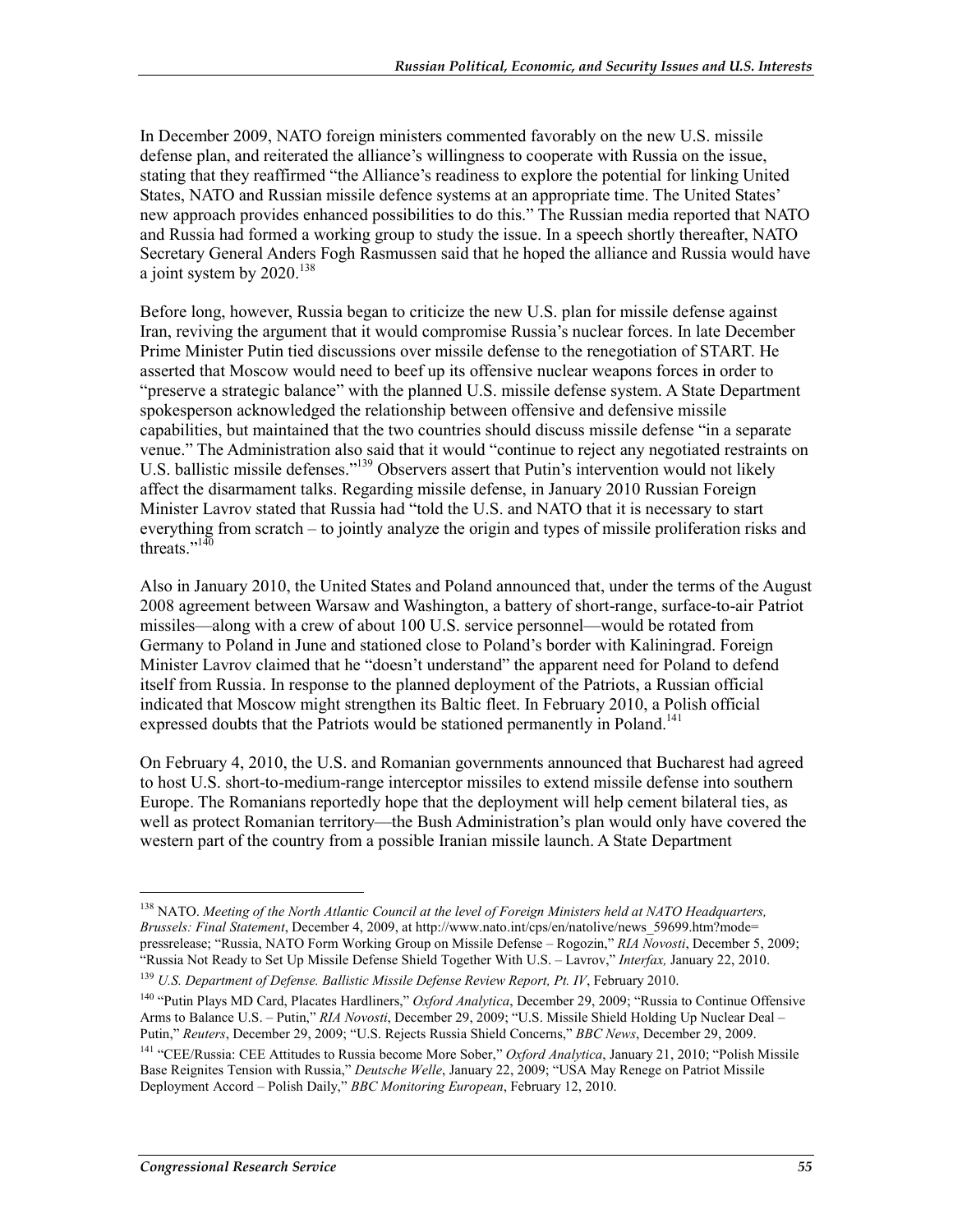In December 2009, NATO foreign ministers commented favorably on the new U.S. missile defense plan, and reiterated the alliance's willingness to cooperate with Russia on the issue, stating that they reaffirmed "the Alliance's readiness to explore the potential for linking United States, NATO and Russian missile defence systems at an appropriate time. The United States' new approach provides enhanced possibilities to do this." The Russian media reported that NATO and Russia had formed a working group to study the issue. In a speech shortly thereafter, NATO Secretary General Anders Fogh Rasmussen said that he hoped the alliance and Russia would have a joint system by  $2020$ .<sup>138</sup>

Before long, however, Russia began to criticize the new U.S. plan for missile defense against Iran, reviving the argument that it would compromise Russia's nuclear forces. In late December Prime Minister Putin tied discussions over missile defense to the renegotiation of START. He asserted that Moscow would need to beef up its offensive nuclear weapons forces in order to "preserve a strategic balance" with the planned U.S. missile defense system. A State Department spokesperson acknowledged the relationship between offensive and defensive missile capabilities, but maintained that the two countries should discuss missile defense "in a separate venue." The Administration also said that it would "continue to reject any negotiated restraints on U.S. ballistic missile defenses."139 Observers assert that Putin's intervention would not likely affect the disarmament talks. Regarding missile defense, in January 2010 Russian Foreign Minister Lavrov stated that Russia had "told the U.S. and NATO that it is necessary to start everything from scratch – to jointly analyze the origin and types of missile proliferation risks and threats."<sup>140</sup>

Also in January 2010, the United States and Poland announced that, under the terms of the August 2008 agreement between Warsaw and Washington, a battery of short-range, surface-to-air Patriot missiles—along with a crew of about 100 U.S. service personnel—would be rotated from Germany to Poland in June and stationed close to Poland's border with Kaliningrad. Foreign Minister Lavrov claimed that he "doesn't understand" the apparent need for Poland to defend itself from Russia. In response to the planned deployment of the Patriots, a Russian official indicated that Moscow might strengthen its Baltic fleet. In February 2010, a Polish official expressed doubts that the Patriots would be stationed permanently in Poland.<sup>141</sup>

On February 4, 2010, the U.S. and Romanian governments announced that Bucharest had agreed to host U.S. short-to-medium-range interceptor missiles to extend missile defense into southern Europe. The Romanians reportedly hope that the deployment will help cement bilateral ties, as well as protect Romanian territory—the Bush Administration's plan would only have covered the western part of the country from a possible Iranian missile launch. A State Department

 $\overline{\phantom{a}}$ 

<sup>138</sup> NATO. *Meeting of the North Atlantic Council at the level of Foreign Ministers held at NATO Headquarters, Brussels: Final Statement*, December 4, 2009, at http://www.nato.int/cps/en/natolive/news\_59699.htm?mode= pressrelease; "Russia, NATO Form Working Group on Missile Defense – Rogozin," *RIA Novosti*, December 5, 2009; "Russia Not Ready to Set Up Missile Defense Shield Together With U.S. – Lavrov," *Interfax,* January 22, 2010.

<sup>139</sup> *U.S. Department of Defense. Ballistic Missile Defense Review Report, Pt. IV*, February 2010.

<sup>140 &</sup>quot;Putin Plays MD Card, Placates Hardliners," *Oxford Analytica*, December 29, 2009; "Russia to Continue Offensive Arms to Balance U.S. – Putin," *RIA Novosti*, December 29, 2009; "U.S. Missile Shield Holding Up Nuclear Deal – Putin," *Reuters*, December 29, 2009; "U.S. Rejects Russia Shield Concerns," *BBC News*, December 29, 2009.

<sup>141 &</sup>quot;CEE/Russia: CEE Attitudes to Russia become More Sober," *Oxford Analytica*, January 21, 2010; "Polish Missile Base Reignites Tension with Russia," *Deutsche Welle*, January 22, 2009; "USA May Renege on Patriot Missile Deployment Accord – Polish Daily," *BBC Monitoring European*, February 12, 2010.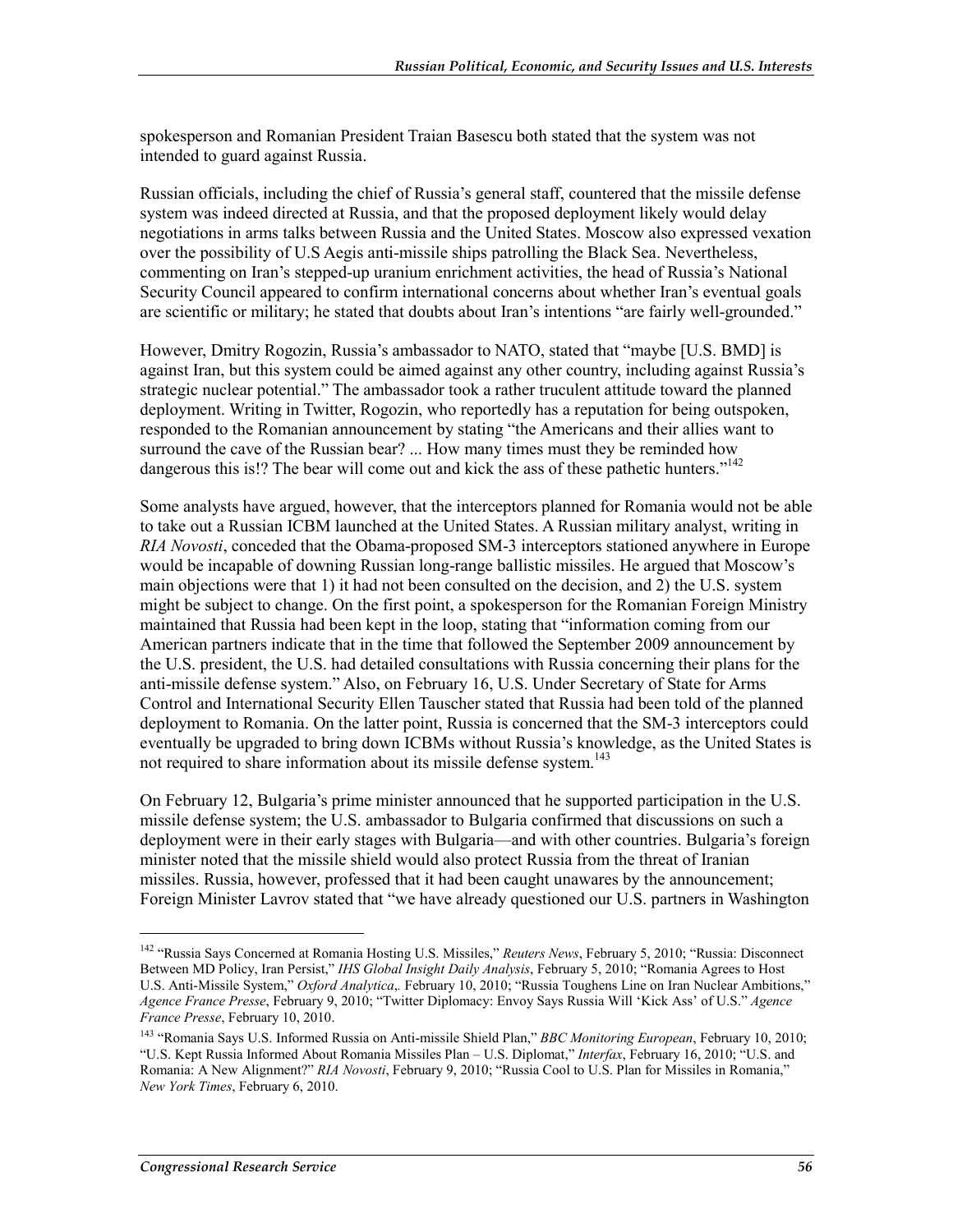spokesperson and Romanian President Traian Basescu both stated that the system was not intended to guard against Russia.

Russian officials, including the chief of Russia's general staff, countered that the missile defense system was indeed directed at Russia, and that the proposed deployment likely would delay negotiations in arms talks between Russia and the United States. Moscow also expressed vexation over the possibility of U.S Aegis anti-missile ships patrolling the Black Sea. Nevertheless, commenting on Iran's stepped-up uranium enrichment activities, the head of Russia's National Security Council appeared to confirm international concerns about whether Iran's eventual goals are scientific or military; he stated that doubts about Iran's intentions "are fairly well-grounded."

However, Dmitry Rogozin, Russia's ambassador to NATO, stated that "maybe [U.S. BMD] is against Iran, but this system could be aimed against any other country, including against Russia's strategic nuclear potential." The ambassador took a rather truculent attitude toward the planned deployment. Writing in Twitter, Rogozin, who reportedly has a reputation for being outspoken, responded to the Romanian announcement by stating "the Americans and their allies want to surround the cave of the Russian bear? ... How many times must they be reminded how dangerous this is!? The bear will come out and kick the ass of these pathetic hunters."<sup>142</sup>

Some analysts have argued, however, that the interceptors planned for Romania would not be able to take out a Russian ICBM launched at the United States. A Russian military analyst, writing in *RIA Novosti*, conceded that the Obama-proposed SM-3 interceptors stationed anywhere in Europe would be incapable of downing Russian long-range ballistic missiles. He argued that Moscow's main objections were that 1) it had not been consulted on the decision, and 2) the U.S. system might be subject to change. On the first point, a spokesperson for the Romanian Foreign Ministry maintained that Russia had been kept in the loop, stating that "information coming from our American partners indicate that in the time that followed the September 2009 announcement by the U.S. president, the U.S. had detailed consultations with Russia concerning their plans for the anti-missile defense system." Also, on February 16, U.S. Under Secretary of State for Arms Control and International Security Ellen Tauscher stated that Russia had been told of the planned deployment to Romania. On the latter point, Russia is concerned that the SM-3 interceptors could eventually be upgraded to bring down ICBMs without Russia's knowledge, as the United States is not required to share information about its missile defense system.<sup>143</sup>

On February 12, Bulgaria's prime minister announced that he supported participation in the U.S. missile defense system; the U.S. ambassador to Bulgaria confirmed that discussions on such a deployment were in their early stages with Bulgaria—and with other countries. Bulgaria's foreign minister noted that the missile shield would also protect Russia from the threat of Iranian missiles. Russia, however, professed that it had been caught unawares by the announcement; Foreign Minister Lavrov stated that "we have already questioned our U.S. partners in Washington

 $\overline{\phantom{a}}$ 

<sup>142 &</sup>quot;Russia Says Concerned at Romania Hosting U.S. Missiles," *Reuters News*, February 5, 2010; "Russia: Disconnect Between MD Policy, Iran Persist," *IHS Global Insight Daily Analysis*, February 5, 2010; "Romania Agrees to Host U.S. Anti-Missile System," *Oxford Analytica*,*.* February 10, 2010; "Russia Toughens Line on Iran Nuclear Ambitions," *Agence France Presse*, February 9, 2010; "Twitter Diplomacy: Envoy Says Russia Will 'Kick Ass' of U.S." *Agence France Presse*, February 10, 2010.

<sup>143 &</sup>quot;Romania Says U.S. Informed Russia on Anti-missile Shield Plan," *BBC Monitoring European*, February 10, 2010; "U.S. Kept Russia Informed About Romania Missiles Plan – U.S. Diplomat," *Interfax*, February 16, 2010; "U.S. and Romania: A New Alignment?" *RIA Novosti*, February 9, 2010; "Russia Cool to U.S. Plan for Missiles in Romania," *New York Times*, February 6, 2010.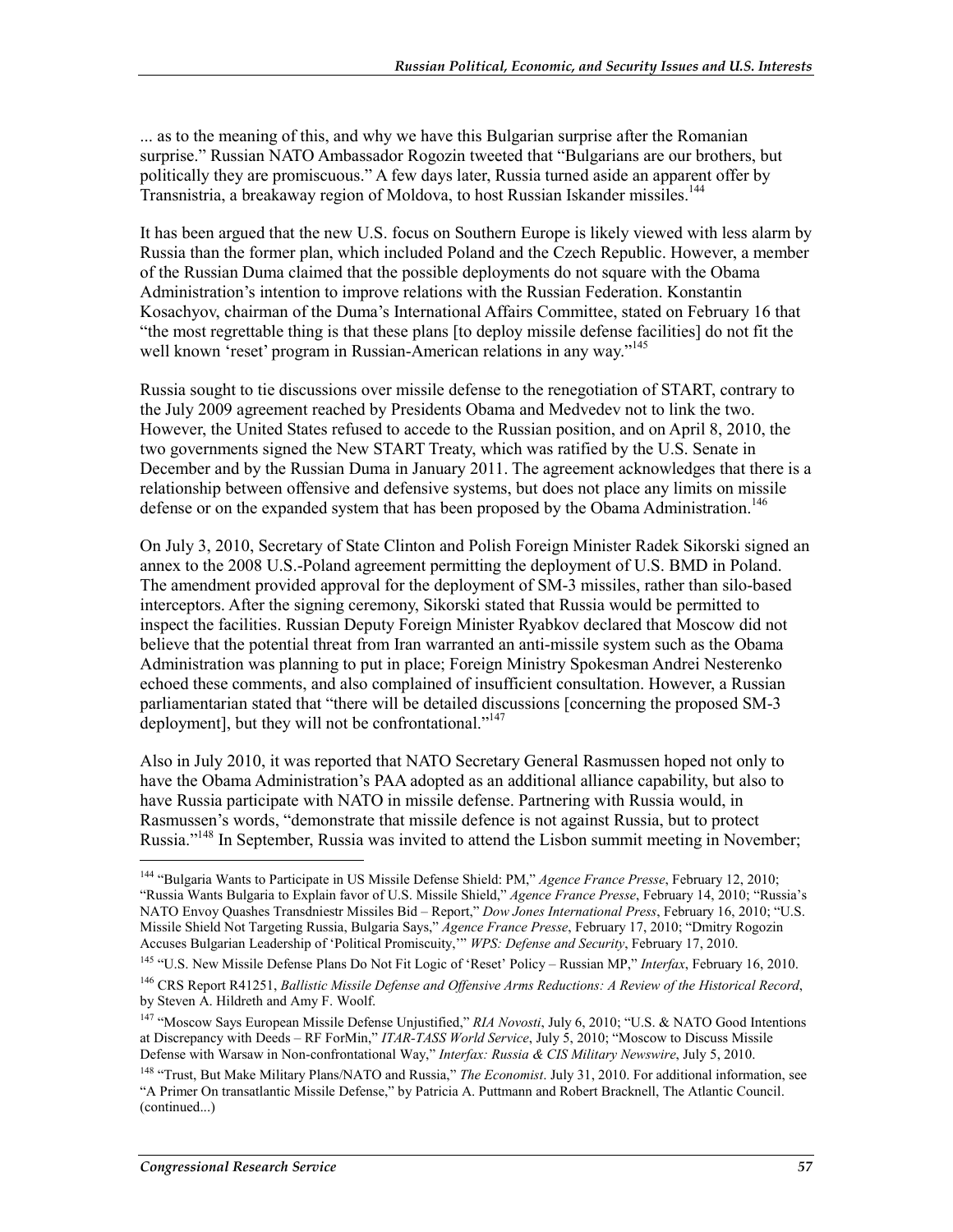... as to the meaning of this, and why we have this Bulgarian surprise after the Romanian surprise." Russian NATO Ambassador Rogozin tweeted that "Bulgarians are our brothers, but politically they are promiscuous." A few days later, Russia turned aside an apparent offer by Transnistria, a breakaway region of Moldova, to host Russian Iskander missiles.<sup>144</sup>

It has been argued that the new U.S. focus on Southern Europe is likely viewed with less alarm by Russia than the former plan, which included Poland and the Czech Republic. However, a member of the Russian Duma claimed that the possible deployments do not square with the Obama Administration's intention to improve relations with the Russian Federation. Konstantin Kosachyov, chairman of the Duma's International Affairs Committee, stated on February 16 that "the most regrettable thing is that these plans [to deploy missile defense facilities] do not fit the well known 'reset' program in Russian-American relations in any way."145

Russia sought to tie discussions over missile defense to the renegotiation of START, contrary to the July 2009 agreement reached by Presidents Obama and Medvedev not to link the two. However, the United States refused to accede to the Russian position, and on April 8, 2010, the two governments signed the New START Treaty, which was ratified by the U.S. Senate in December and by the Russian Duma in January 2011. The agreement acknowledges that there is a relationship between offensive and defensive systems, but does not place any limits on missile defense or on the expanded system that has been proposed by the Obama Administration.<sup>146</sup>

On July 3, 2010, Secretary of State Clinton and Polish Foreign Minister Radek Sikorski signed an annex to the 2008 U.S.-Poland agreement permitting the deployment of U.S. BMD in Poland. The amendment provided approval for the deployment of SM-3 missiles, rather than silo-based interceptors. After the signing ceremony, Sikorski stated that Russia would be permitted to inspect the facilities. Russian Deputy Foreign Minister Ryabkov declared that Moscow did not believe that the potential threat from Iran warranted an anti-missile system such as the Obama Administration was planning to put in place; Foreign Ministry Spokesman Andrei Nesterenko echoed these comments, and also complained of insufficient consultation. However, a Russian parliamentarian stated that "there will be detailed discussions [concerning the proposed SM-3 deployment], but they will not be confrontational."<sup>147</sup>

Also in July 2010, it was reported that NATO Secretary General Rasmussen hoped not only to have the Obama Administration's PAA adopted as an additional alliance capability, but also to have Russia participate with NATO in missile defense. Partnering with Russia would, in Rasmussen's words, "demonstrate that missile defence is not against Russia, but to protect Russia."<sup>148</sup> In September, Russia was invited to attend the Lisbon summit meeting in November;

<sup>144 &</sup>quot;Bulgaria Wants to Participate in US Missile Defense Shield: PM," *Agence France Presse*, February 12, 2010; "Russia Wants Bulgaria to Explain favor of U.S. Missile Shield," *Agence France Presse*, February 14, 2010; "Russia's NATO Envoy Quashes Transdniestr Missiles Bid – Report," *Dow Jones International Press*, February 16, 2010; "U.S. Missile Shield Not Targeting Russia, Bulgaria Says," *Agence France Presse*, February 17, 2010; "Dmitry Rogozin Accuses Bulgarian Leadership of 'Political Promiscuity,'" *WPS: Defense and Security*, February 17, 2010.

<sup>145 &</sup>quot;U.S. New Missile Defense Plans Do Not Fit Logic of 'Reset' Policy – Russian MP," *Interfax*, February 16, 2010. 146 CRS Report R41251, *Ballistic Missile Defense and Offensive Arms Reductions: A Review of the Historical Record*, by Steven A. Hildreth and Amy F. Woolf.

<sup>147 &</sup>quot;Moscow Says European Missile Defense Unjustified," *RIA Novosti*, July 6, 2010; "U.S. & NATO Good Intentions at Discrepancy with Deeds – RF ForMin," *ITAR-TASS World Service*, July 5, 2010; "Moscow to Discuss Missile Defense with Warsaw in Non-confrontational Way," *Interfax: Russia & CIS Military Newswire*, July 5, 2010.

<sup>148 &</sup>quot;Trust, But Make Military Plans/NATO and Russia," *The Economist*. July 31, 2010. For additional information, see "A Primer On transatlantic Missile Defense," by Patricia A. Puttmann and Robert Bracknell, The Atlantic Council. (continued...)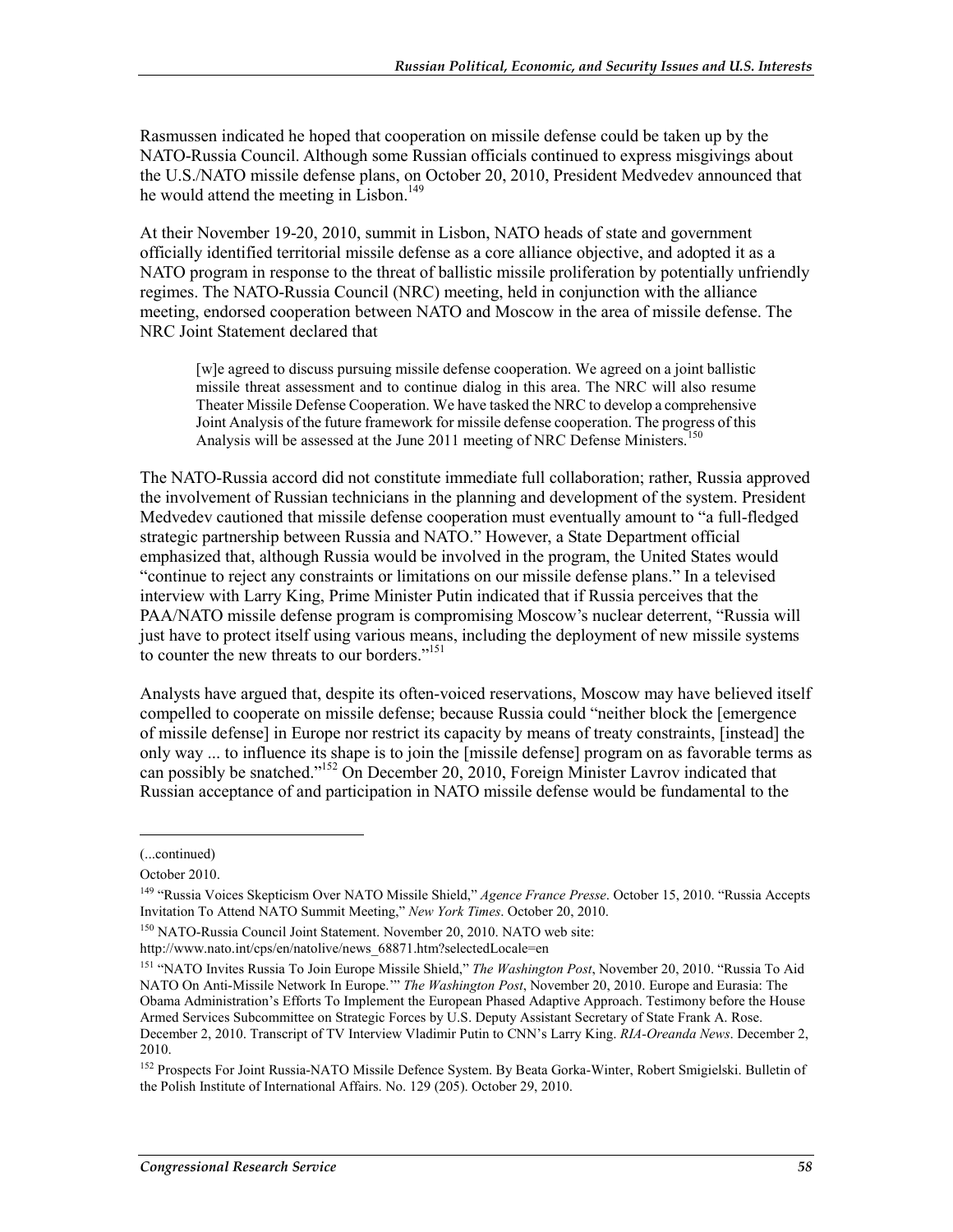Rasmussen indicated he hoped that cooperation on missile defense could be taken up by the NATO-Russia Council. Although some Russian officials continued to express misgivings about the U.S./NATO missile defense plans, on October 20, 2010, President Medvedev announced that he would attend the meeting in Lisbon.<sup>149</sup>

At their November 19-20, 2010, summit in Lisbon, NATO heads of state and government officially identified territorial missile defense as a core alliance objective, and adopted it as a NATO program in response to the threat of ballistic missile proliferation by potentially unfriendly regimes. The NATO-Russia Council (NRC) meeting, held in conjunction with the alliance meeting, endorsed cooperation between NATO and Moscow in the area of missile defense. The NRC Joint Statement declared that

[w]e agreed to discuss pursuing missile defense cooperation. We agreed on a joint ballistic missile threat assessment and to continue dialog in this area. The NRC will also resume Theater Missile Defense Cooperation. We have tasked the NRC to develop a comprehensive Joint Analysis of the future framework for missile defense cooperation. The progress of this Analysis will be assessed at the June 2011 meeting of NRC Defense Ministers.<sup>150</sup>

The NATO-Russia accord did not constitute immediate full collaboration; rather, Russia approved the involvement of Russian technicians in the planning and development of the system. President Medvedev cautioned that missile defense cooperation must eventually amount to "a full-fledged strategic partnership between Russia and NATO." However, a State Department official emphasized that, although Russia would be involved in the program, the United States would "continue to reject any constraints or limitations on our missile defense plans." In a televised interview with Larry King, Prime Minister Putin indicated that if Russia perceives that the PAA/NATO missile defense program is compromising Moscow's nuclear deterrent, "Russia will just have to protect itself using various means, including the deployment of new missile systems to counter the new threats to our borders."<sup>151</sup>

Analysts have argued that, despite its often-voiced reservations, Moscow may have believed itself compelled to cooperate on missile defense; because Russia could "neither block the [emergence of missile defense] in Europe nor restrict its capacity by means of treaty constraints, [instead] the only way ... to influence its shape is to join the [missile defense] program on as favorable terms as can possibly be snatched."152 On December 20, 2010, Foreign Minister Lavrov indicated that Russian acceptance of and participation in NATO missile defense would be fundamental to the

 $\overline{\phantom{a}}$ 

<sup>(...</sup>continued)

October 2010.

<sup>149 &</sup>quot;Russia Voices Skepticism Over NATO Missile Shield," *Agence France Presse*. October 15, 2010. "Russia Accepts Invitation To Attend NATO Summit Meeting," *New York Times*. October 20, 2010.

<sup>&</sup>lt;sup>150</sup> NATO-Russia Council Joint Statement. November 20, 2010. NATO web site:

http://www.nato.int/cps/en/natolive/news\_68871.htm?selectedLocale=en

<sup>151 &</sup>quot;NATO Invites Russia To Join Europe Missile Shield," *The Washington Post*, November 20, 2010. "Russia To Aid NATO On Anti-Missile Network In Europe.'" *The Washington Post*, November 20, 2010. Europe and Eurasia: The Obama Administration's Efforts To Implement the European Phased Adaptive Approach. Testimony before the House Armed Services Subcommittee on Strategic Forces by U.S. Deputy Assistant Secretary of State Frank A. Rose. December 2, 2010. Transcript of TV Interview Vladimir Putin to CNN's Larry King. *RIA-Oreanda News*. December 2, 2010.

<sup>&</sup>lt;sup>152</sup> Prospects For Joint Russia-NATO Missile Defence System. By Beata Gorka-Winter, Robert Smigielski. Bulletin of the Polish Institute of International Affairs. No. 129 (205). October 29, 2010.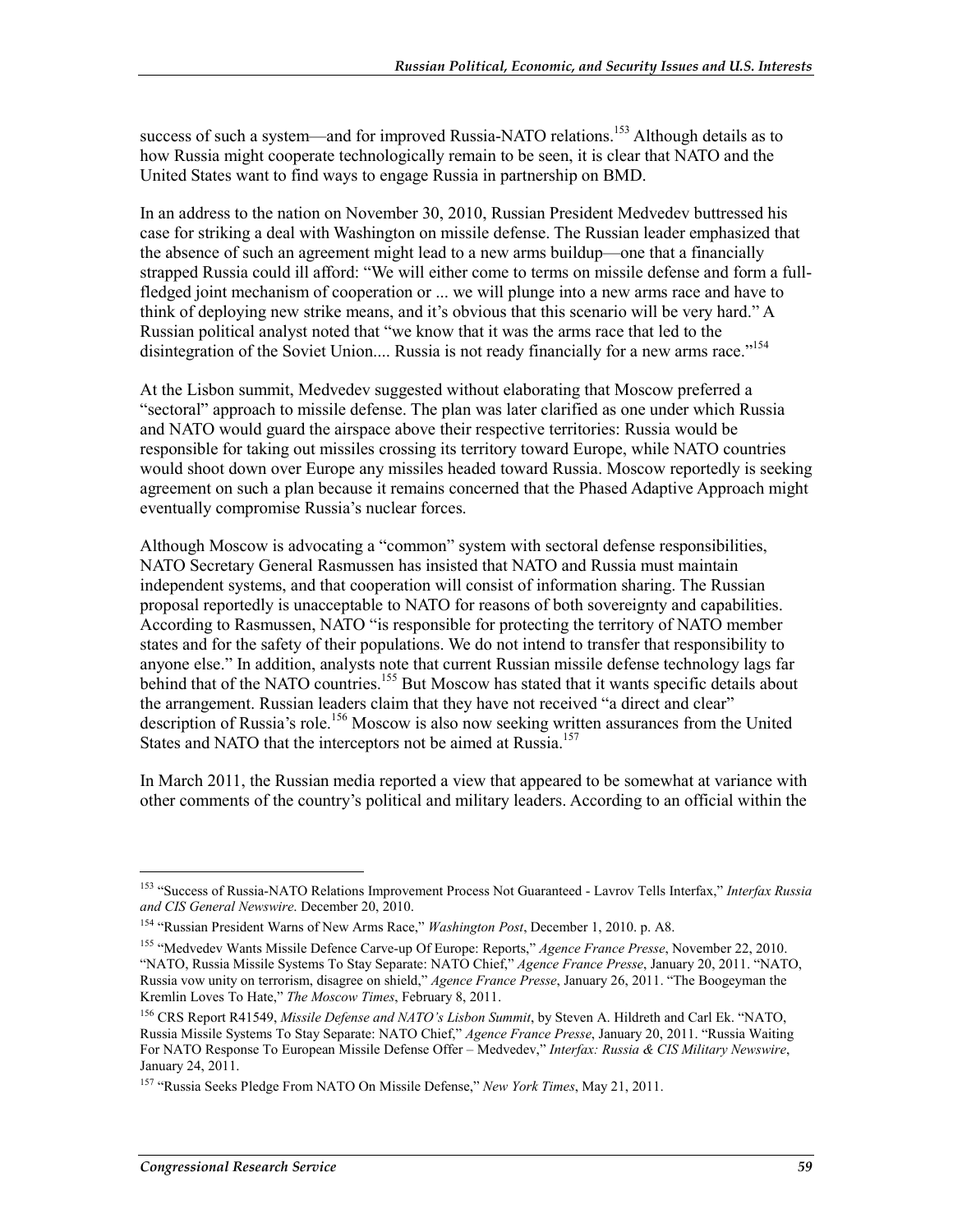success of such a system—and for improved Russia-NATO relations.<sup>153</sup> Although details as to how Russia might cooperate technologically remain to be seen, it is clear that NATO and the United States want to find ways to engage Russia in partnership on BMD.

In an address to the nation on November 30, 2010, Russian President Medvedev buttressed his case for striking a deal with Washington on missile defense. The Russian leader emphasized that the absence of such an agreement might lead to a new arms buildup—one that a financially strapped Russia could ill afford: "We will either come to terms on missile defense and form a fullfledged joint mechanism of cooperation or ... we will plunge into a new arms race and have to think of deploying new strike means, and it's obvious that this scenario will be very hard." A Russian political analyst noted that "we know that it was the arms race that led to the disintegration of the Soviet Union.... Russia is not ready financially for a new arms race."<sup>154</sup>

At the Lisbon summit, Medvedev suggested without elaborating that Moscow preferred a "sectoral" approach to missile defense. The plan was later clarified as one under which Russia and NATO would guard the airspace above their respective territories: Russia would be responsible for taking out missiles crossing its territory toward Europe, while NATO countries would shoot down over Europe any missiles headed toward Russia. Moscow reportedly is seeking agreement on such a plan because it remains concerned that the Phased Adaptive Approach might eventually compromise Russia's nuclear forces.

Although Moscow is advocating a "common" system with sectoral defense responsibilities, NATO Secretary General Rasmussen has insisted that NATO and Russia must maintain independent systems, and that cooperation will consist of information sharing. The Russian proposal reportedly is unacceptable to NATO for reasons of both sovereignty and capabilities. According to Rasmussen, NATO "is responsible for protecting the territory of NATO member states and for the safety of their populations. We do not intend to transfer that responsibility to anyone else." In addition, analysts note that current Russian missile defense technology lags far behind that of the NATO countries.<sup>155</sup> But Moscow has stated that it wants specific details about the arrangement. Russian leaders claim that they have not received "a direct and clear" description of Russia's role.<sup>156</sup> Moscow is also now seeking written assurances from the United States and NATO that the interceptors not be aimed at Russia.<sup>157</sup>

In March 2011, the Russian media reported a view that appeared to be somewhat at variance with other comments of the country's political and military leaders. According to an official within the

<sup>153 &</sup>quot;Success of Russia-NATO Relations Improvement Process Not Guaranteed - Lavrov Tells Interfax," *Interfax Russia and CIS General Newswire*. December 20, 2010.

<sup>154 &</sup>quot;Russian President Warns of New Arms Race," *Washington Post*, December 1, 2010. p. A8.

<sup>155 &</sup>quot;Medvedev Wants Missile Defence Carve-up Of Europe: Reports," *Agence France Presse*, November 22, 2010. "NATO, Russia Missile Systems To Stay Separate: NATO Chief," *Agence France Presse*, January 20, 2011. "NATO, Russia vow unity on terrorism, disagree on shield," *Agence France Presse*, January 26, 2011. "The Boogeyman the Kremlin Loves To Hate," *The Moscow Times*, February 8, 2011.

<sup>156</sup> CRS Report R41549, *Missile Defense and NATO's Lisbon Summit*, by Steven A. Hildreth and Carl Ek. "NATO, Russia Missile Systems To Stay Separate: NATO Chief," *Agence France Presse*, January 20, 2011. "Russia Waiting For NATO Response To European Missile Defense Offer – Medvedev," *Interfax: Russia & CIS Military Newswire*, January 24, 2011.

<sup>157 &</sup>quot;Russia Seeks Pledge From NATO On Missile Defense," *New York Times*, May 21, 2011.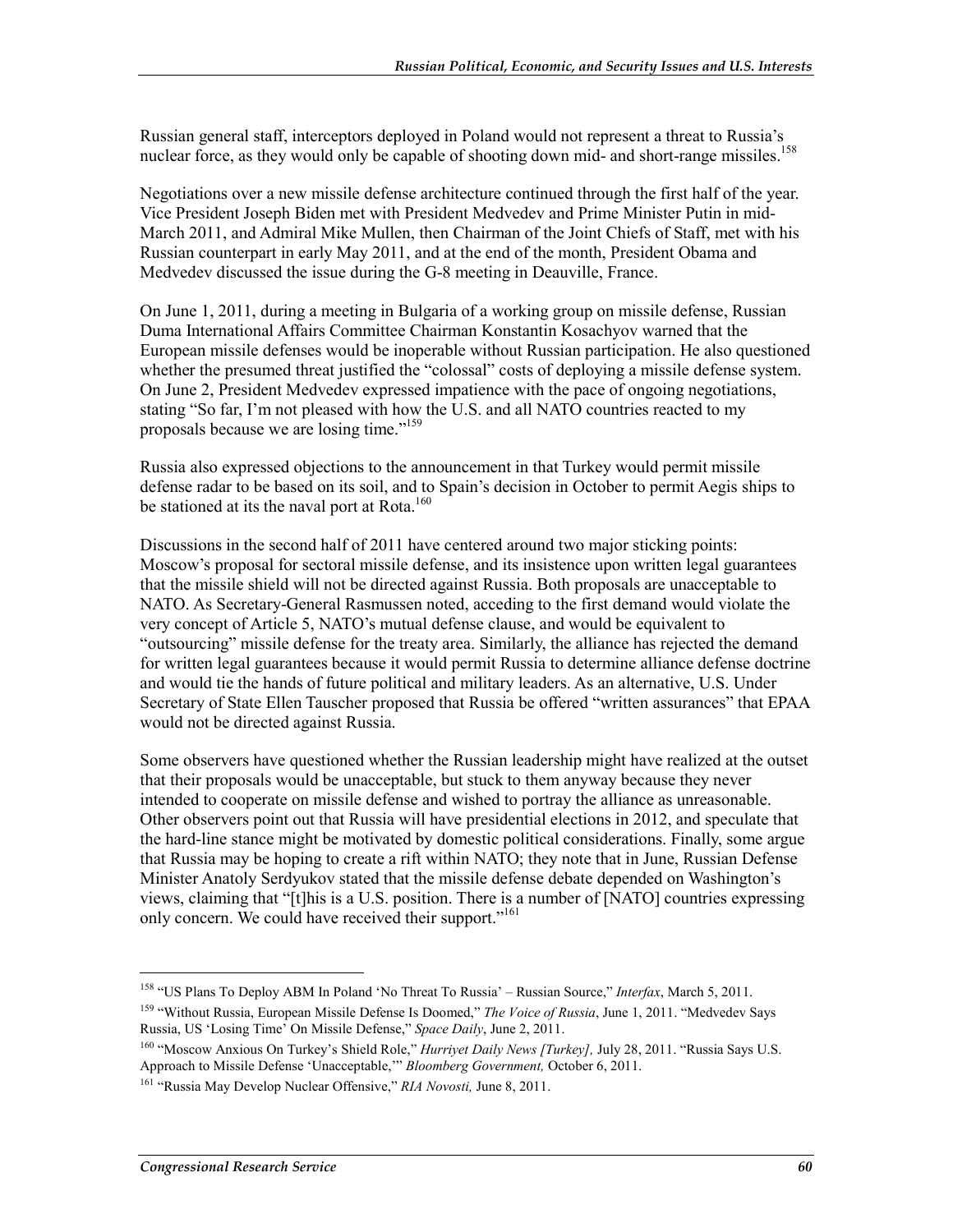Russian general staff, interceptors deployed in Poland would not represent a threat to Russia's nuclear force, as they would only be capable of shooting down mid- and short-range missiles.<sup>158</sup>

Negotiations over a new missile defense architecture continued through the first half of the year. Vice President Joseph Biden met with President Medvedev and Prime Minister Putin in mid-March 2011, and Admiral Mike Mullen, then Chairman of the Joint Chiefs of Staff, met with his Russian counterpart in early May 2011, and at the end of the month, President Obama and Medvedev discussed the issue during the G-8 meeting in Deauville, France.

On June 1, 2011, during a meeting in Bulgaria of a working group on missile defense, Russian Duma International Affairs Committee Chairman Konstantin Kosachyov warned that the European missile defenses would be inoperable without Russian participation. He also questioned whether the presumed threat justified the "colossal" costs of deploying a missile defense system. On June 2, President Medvedev expressed impatience with the pace of ongoing negotiations, stating "So far, I'm not pleased with how the U.S. and all NATO countries reacted to my proposals because we are losing time."159

Russia also expressed objections to the announcement in that Turkey would permit missile defense radar to be based on its soil, and to Spain's decision in October to permit Aegis ships to be stationed at its the naval port at Rota. $160$ 

Discussions in the second half of 2011 have centered around two major sticking points: Moscow's proposal for sectoral missile defense, and its insistence upon written legal guarantees that the missile shield will not be directed against Russia. Both proposals are unacceptable to NATO. As Secretary-General Rasmussen noted, acceding to the first demand would violate the very concept of Article 5, NATO's mutual defense clause, and would be equivalent to "outsourcing" missile defense for the treaty area. Similarly, the alliance has rejected the demand for written legal guarantees because it would permit Russia to determine alliance defense doctrine and would tie the hands of future political and military leaders. As an alternative, U.S. Under Secretary of State Ellen Tauscher proposed that Russia be offered "written assurances" that EPAA would not be directed against Russia.

Some observers have questioned whether the Russian leadership might have realized at the outset that their proposals would be unacceptable, but stuck to them anyway because they never intended to cooperate on missile defense and wished to portray the alliance as unreasonable. Other observers point out that Russia will have presidential elections in 2012, and speculate that the hard-line stance might be motivated by domestic political considerations. Finally, some argue that Russia may be hoping to create a rift within NATO; they note that in June, Russian Defense Minister Anatoly Serdyukov stated that the missile defense debate depended on Washington's views, claiming that "[t]his is a U.S. position. There is a number of [NATO] countries expressing only concern. We could have received their support."<sup>161</sup>

 $\overline{\phantom{a}}$ 

<sup>158 &</sup>quot;US Plans To Deploy ABM In Poland 'No Threat To Russia' – Russian Source," *Interfax*, March 5, 2011.

<sup>&</sup>lt;sup>159</sup> "Without Russia, European Missile Defense Is Doomed," *The Voice of Russia*, June 1, 2011. "Medvedev Says Russia, US 'Losing Time' On Missile Defense," *Space Daily*, June 2, 2011.

<sup>160 &</sup>quot;Moscow Anxious On Turkey's Shield Role," *Hurriyet Daily News [Turkey],* July 28, 2011. "Russia Says U.S. Approach to Missile Defense 'Unacceptable,'" *Bloomberg Government,* October 6, 2011.

<sup>161 &</sup>quot;Russia May Develop Nuclear Offensive," *RIA Novosti,* June 8, 2011.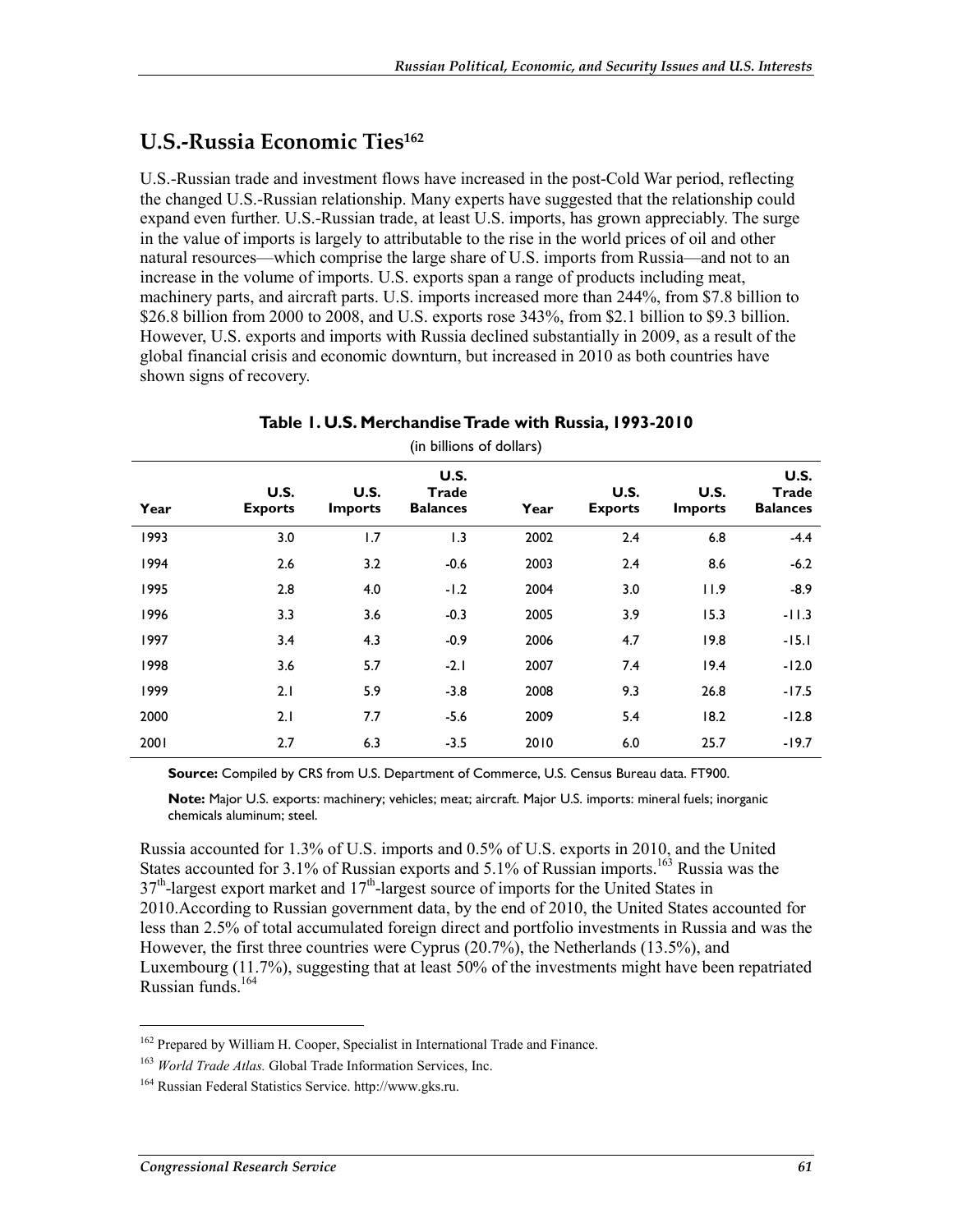### **U.S.-Russia Economic Ties162**

U.S.-Russian trade and investment flows have increased in the post-Cold War period, reflecting the changed U.S.-Russian relationship. Many experts have suggested that the relationship could expand even further. U.S.-Russian trade, at least U.S. imports, has grown appreciably. The surge in the value of imports is largely to attributable to the rise in the world prices of oil and other natural resources—which comprise the large share of U.S. imports from Russia—and not to an increase in the volume of imports. U.S. exports span a range of products including meat, machinery parts, and aircraft parts. U.S. imports increased more than 244%, from \$7.8 billion to \$26.8 billion from 2000 to 2008, and U.S. exports rose 343%, from \$2.1 billion to \$9.3 billion. However, U.S. exports and imports with Russia declined substantially in 2009, as a result of the global financial crisis and economic downturn, but increased in 2010 as both countries have shown signs of recovery.

| (in billions of dollars) |                               |                               |                                         |      |                               |                        |                                         |  |
|--------------------------|-------------------------------|-------------------------------|-----------------------------------------|------|-------------------------------|------------------------|-----------------------------------------|--|
| Year                     | <b>U.S.</b><br><b>Exports</b> | <b>U.S.</b><br><b>Imports</b> | <b>U.S.</b><br>Trade<br><b>Balances</b> | Year | <b>U.S.</b><br><b>Exports</b> | U.S.<br><b>Imports</b> | <b>U.S.</b><br>Trade<br><b>Balances</b> |  |
| 1993                     | 3.0                           | 1.7                           | 1.3                                     | 2002 | 2.4                           | 6.8                    | $-4.4$                                  |  |
| 1994                     | 2.6                           | 3.2                           | $-0.6$                                  | 2003 | 2.4                           | 8.6                    | $-6.2$                                  |  |
| 1995                     | 2.8                           | 4.0                           | $-1.2$                                  | 2004 | 3.0                           | 11.9                   | $-8.9$                                  |  |
| 1996                     | 3.3                           | 3.6                           | $-0.3$                                  | 2005 | 3.9                           | 15.3                   | $-11.3$                                 |  |
| 1997                     | 3.4                           | 4.3                           | $-0.9$                                  | 2006 | 4.7                           | 19.8                   | $-15.1$                                 |  |
| 1998                     | 3.6                           | 5.7                           | $-2.1$                                  | 2007 | 7.4                           | 19.4                   | $-12.0$                                 |  |
| 1999                     | 2.1                           | 5.9                           | $-3.8$                                  | 2008 | 9.3                           | 26.8                   | $-17.5$                                 |  |
| 2000                     | 2.1                           | 7.7                           | $-5.6$                                  | 2009 | 5.4                           | 18.2                   | $-12.8$                                 |  |
| 2001                     | 2.7                           | 6.3                           | $-3.5$                                  | 2010 | 6.0                           | 25.7                   | $-19.7$                                 |  |

**Table 1. U.S. Merchandise Trade with Russia, 1993-2010** 

**Source:** Compiled by CRS from U.S. Department of Commerce, U.S. Census Bureau data. FT900.

**Note:** Major U.S. exports: machinery; vehicles; meat; aircraft. Major U.S. imports: mineral fuels; inorganic chemicals aluminum; steel.

Russia accounted for 1.3% of U.S. imports and 0.5% of U.S. exports in 2010, and the United States accounted for 3.1% of Russian exports and 5.1% of Russian imports.<sup>163</sup> Russia was the  $37<sup>th</sup>$ -largest export market and  $17<sup>th</sup>$ -largest source of imports for the United States in 2010.According to Russian government data, by the end of 2010, the United States accounted for less than 2.5% of total accumulated foreign direct and portfolio investments in Russia and was the However, the first three countries were Cyprus (20.7%), the Netherlands (13.5%), and Luxembourg (11.7%), suggesting that at least 50% of the investments might have been repatriated Russian funds.164

<sup>&</sup>lt;sup>162</sup> Prepared by William H. Cooper, Specialist in International Trade and Finance.

<sup>163</sup> *World Trade Atlas.* Global Trade Information Services, Inc.

<sup>164</sup> Russian Federal Statistics Service. http://www.gks.ru.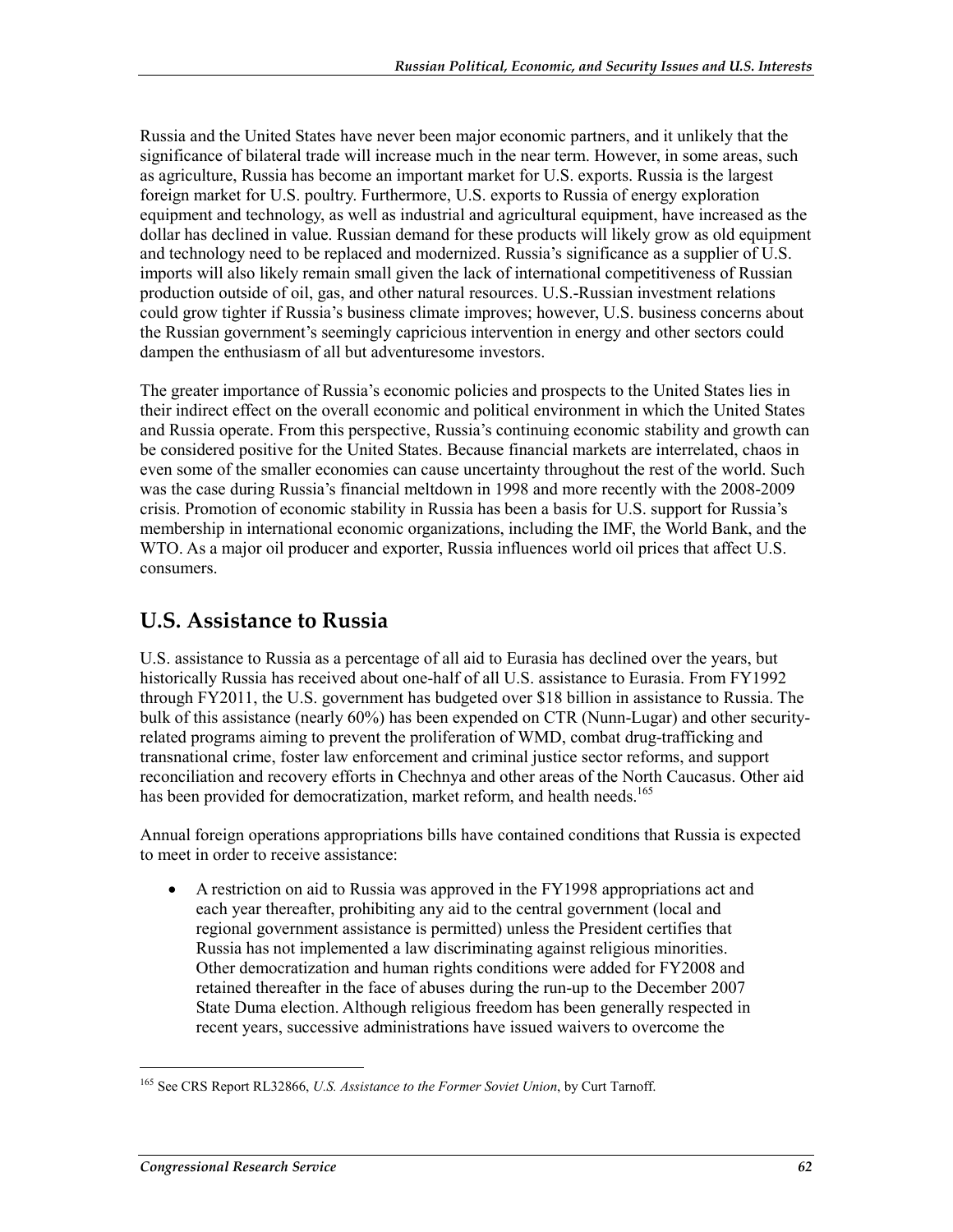Russia and the United States have never been major economic partners, and it unlikely that the significance of bilateral trade will increase much in the near term. However, in some areas, such as agriculture, Russia has become an important market for U.S. exports. Russia is the largest foreign market for U.S. poultry. Furthermore, U.S. exports to Russia of energy exploration equipment and technology, as well as industrial and agricultural equipment, have increased as the dollar has declined in value. Russian demand for these products will likely grow as old equipment and technology need to be replaced and modernized. Russia's significance as a supplier of U.S. imports will also likely remain small given the lack of international competitiveness of Russian production outside of oil, gas, and other natural resources. U.S.-Russian investment relations could grow tighter if Russia's business climate improves; however, U.S. business concerns about the Russian government's seemingly capricious intervention in energy and other sectors could dampen the enthusiasm of all but adventuresome investors.

The greater importance of Russia's economic policies and prospects to the United States lies in their indirect effect on the overall economic and political environment in which the United States and Russia operate. From this perspective, Russia's continuing economic stability and growth can be considered positive for the United States. Because financial markets are interrelated, chaos in even some of the smaller economies can cause uncertainty throughout the rest of the world. Such was the case during Russia's financial meltdown in 1998 and more recently with the 2008-2009 crisis. Promotion of economic stability in Russia has been a basis for U.S. support for Russia's membership in international economic organizations, including the IMF, the World Bank, and the WTO. As a major oil producer and exporter, Russia influences world oil prices that affect U.S. consumers.

### **U.S. Assistance to Russia**

U.S. assistance to Russia as a percentage of all aid to Eurasia has declined over the years, but historically Russia has received about one-half of all U.S. assistance to Eurasia. From FY1992 through FY2011, the U.S. government has budgeted over \$18 billion in assistance to Russia. The bulk of this assistance (nearly 60%) has been expended on CTR (Nunn-Lugar) and other securityrelated programs aiming to prevent the proliferation of WMD, combat drug-trafficking and transnational crime, foster law enforcement and criminal justice sector reforms, and support reconciliation and recovery efforts in Chechnya and other areas of the North Caucasus. Other aid has been provided for democratization, market reform, and health needs.<sup>165</sup>

Annual foreign operations appropriations bills have contained conditions that Russia is expected to meet in order to receive assistance:

• A restriction on aid to Russia was approved in the FY1998 appropriations act and each year thereafter, prohibiting any aid to the central government (local and regional government assistance is permitted) unless the President certifies that Russia has not implemented a law discriminating against religious minorities. Other democratization and human rights conditions were added for FY2008 and retained thereafter in the face of abuses during the run-up to the December 2007 State Duma election. Although religious freedom has been generally respected in recent years, successive administrations have issued waivers to overcome the

<sup>165</sup> See CRS Report RL32866, *U.S. Assistance to the Former Soviet Union*, by Curt Tarnoff.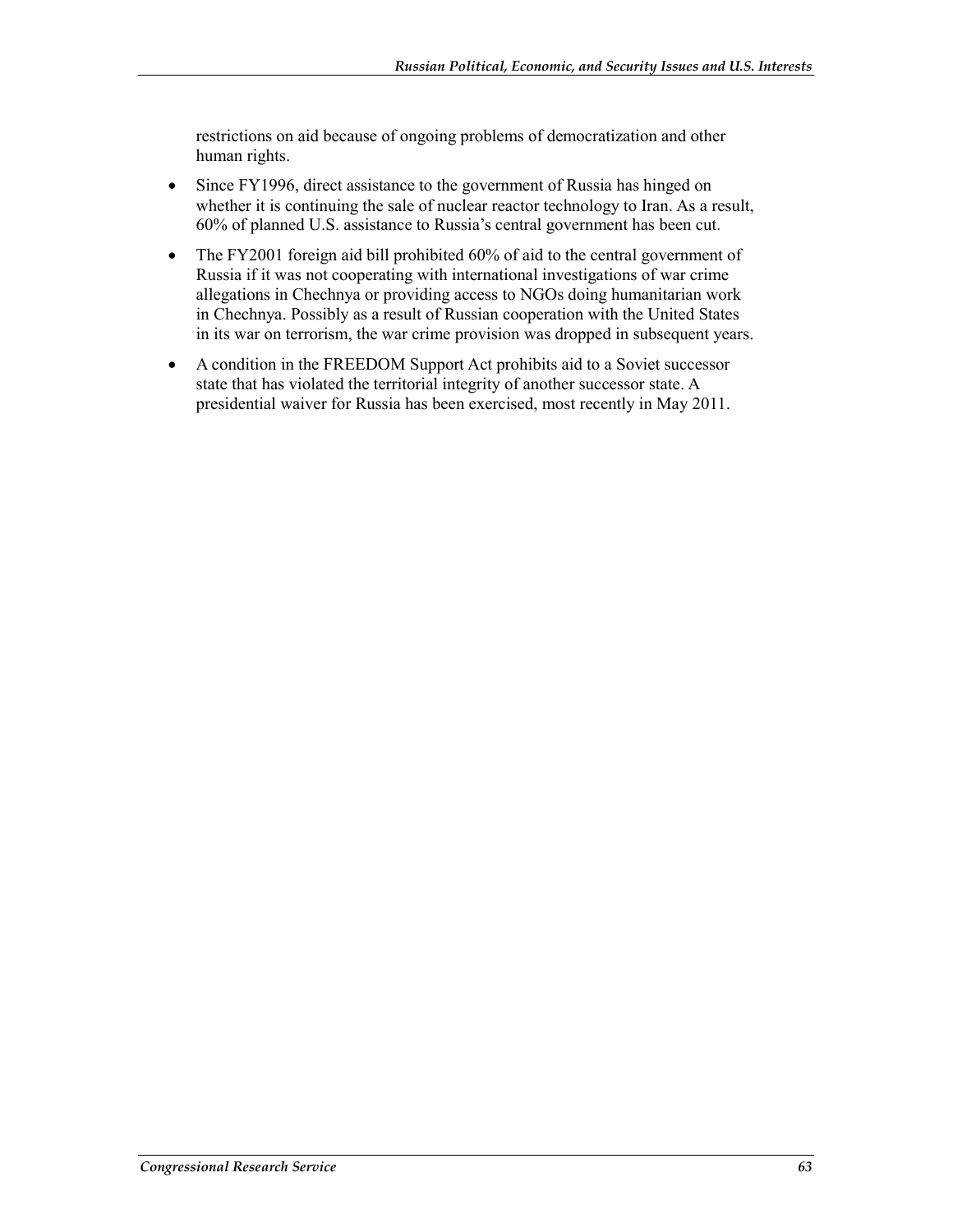restrictions on aid because of ongoing problems of democratization and other human rights.

- Since FY1996, direct assistance to the government of Russia has hinged on whether it is continuing the sale of nuclear reactor technology to Iran. As a result, 60% of planned U.S. assistance to Russia's central government has been cut.
- The FY2001 foreign aid bill prohibited 60% of aid to the central government of Russia if it was not cooperating with international investigations of war crime allegations in Chechnya or providing access to NGOs doing humanitarian work in Chechnya. Possibly as a result of Russian cooperation with the United States in its war on terrorism, the war crime provision was dropped in subsequent years.
- A condition in the FREEDOM Support Act prohibits aid to a Soviet successor state that has violated the territorial integrity of another successor state. A presidential waiver for Russia has been exercised, most recently in May 2011.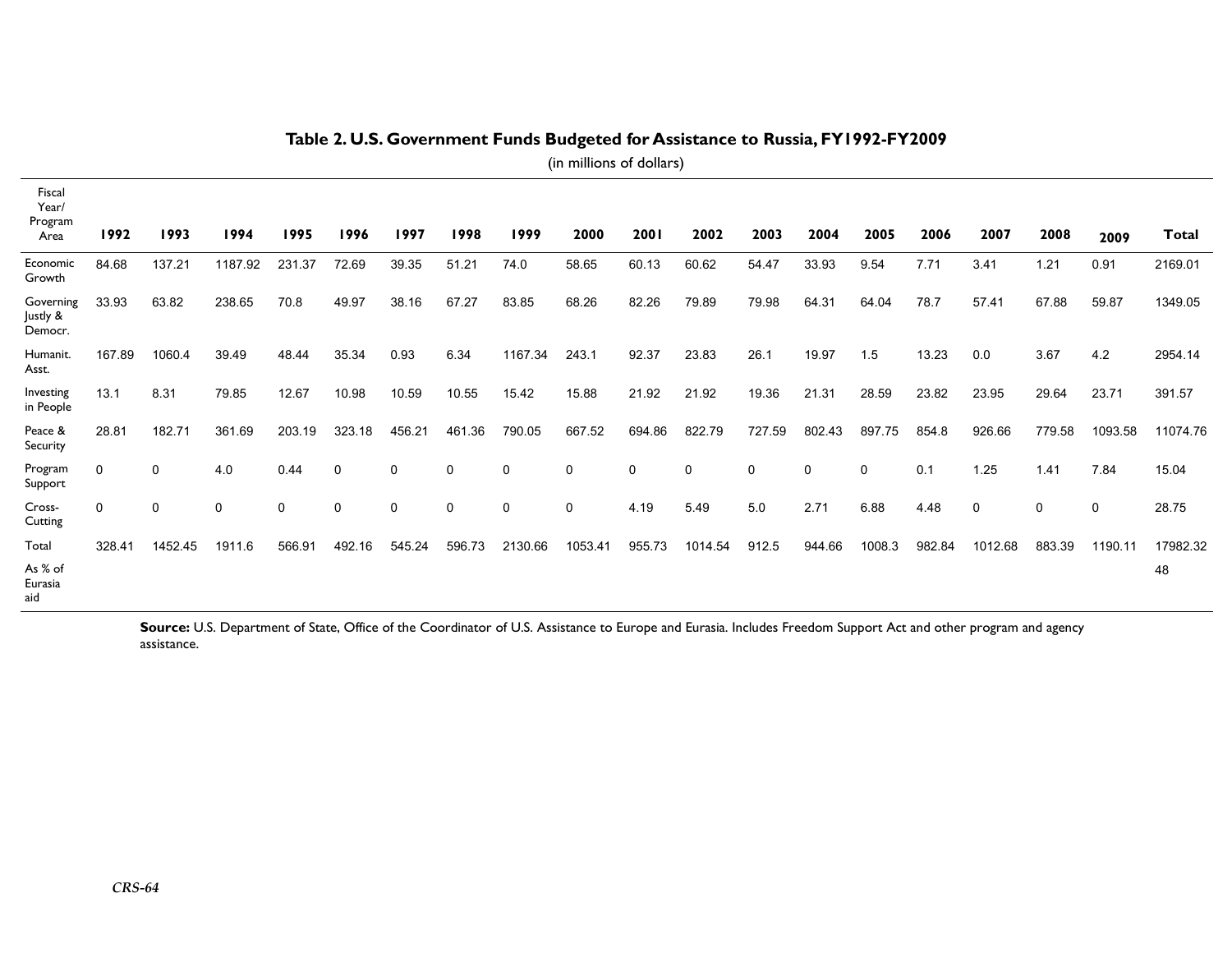| (in millions of dollars)           |             |         |         |        |             |              |        |         |         |        |         |        |        |          |        |         |             |         |          |
|------------------------------------|-------------|---------|---------|--------|-------------|--------------|--------|---------|---------|--------|---------|--------|--------|----------|--------|---------|-------------|---------|----------|
| Fiscal<br>Year/<br>Program<br>Area | 1992        | 1993    | 1994    | 1995   | 1996        | 1997         | 1998   | 1999    | 2000    | 2001   | 2002    | 2003   | 2004   | 2005     | 2006   | 2007    | 2008        | 2009    | Total    |
| Economic<br>Growth                 | 84.68       | 137.21  | 1187.92 | 231.37 | 72.69       | 39.35        | 51.21  | 74.0    | 58.65   | 60.13  | 60.62   | 54.47  | 33.93  | 9.54     | 7.71   | 3.41    | 1.21        | 0.91    | 2169.01  |
| Governing<br>Justly &<br>Democr.   | 33.93       | 63.82   | 238.65  | 70.8   | 49.97       | 38.16        | 67.27  | 83.85   | 68.26   | 82.26  | 79.89   | 79.98  | 64.31  | 64.04    | 78.7   | 57.41   | 67.88       | 59.87   | 1349.05  |
| Humanit.<br>Asst.                  | 167.89      | 1060.4  | 39.49   | 48.44  | 35.34       | 0.93         | 6.34   | 1167.34 | 243.1   | 92.37  | 23.83   | 26.1   | 19.97  | 1.5      | 13.23  | 0.0     | 3.67        | 4.2     | 2954.14  |
| Investing<br>in People             | 13.1        | 8.31    | 79.85   | 12.67  | 10.98       | 10.59        | 10.55  | 15.42   | 15.88   | 21.92  | 21.92   | 19.36  | 21.31  | 28.59    | 23.82  | 23.95   | 29.64       | 23.71   | 391.57   |
| Peace &<br>Security                | 28.81       | 182.71  | 361.69  | 203.19 | 323.18      | 456.21       | 461.36 | 790.05  | 667.52  | 694.86 | 822.79  | 727.59 | 802.43 | 897.75   | 854.8  | 926.66  | 779.58      | 1093.58 | 11074.76 |
| Program<br>Support                 | $\mathbf 0$ | 0       | 4.0     | 0.44   | $\mathbf 0$ | $\mathbf{0}$ | 0      | 0       | 0       | 0      | 0       | 0      | 0      | $\Omega$ | 0.1    | 1.25    | 1.41        | 7.84    | 15.04    |
| Cross-<br>Cutting                  | $\mathbf 0$ | 0       | 0       | 0      | 0           | 0            | 0      | 0       | 0       | 4.19   | 5.49    | 5.0    | 2.71   | 6.88     | 4.48   | 0       | $\mathbf 0$ | 0       | 28.75    |
| Total                              | 328.41      | 1452.45 | 1911.6  | 566.91 | 492.16      | 545.24       | 596.73 | 2130.66 | 1053.41 | 955.73 | 1014.54 | 912.5  | 944.66 | 1008.3   | 982.84 | 1012.68 | 883.39      | 1190.11 | 17982.32 |
| As % of<br>Eurasia<br>aid          |             |         |         |        |             |              |        |         |         |        |         |        |        |          |        |         |             |         | 48       |

#### **Table 2. U.S. Government Funds Budgeted for Assistance to Russia, FY1992-FY2009**

Source: U.S. Department of State, Office of the Coordinator of U.S. Assistance to Europe and Eurasia. Includes Freedom Support Act and other program and agency assistance.